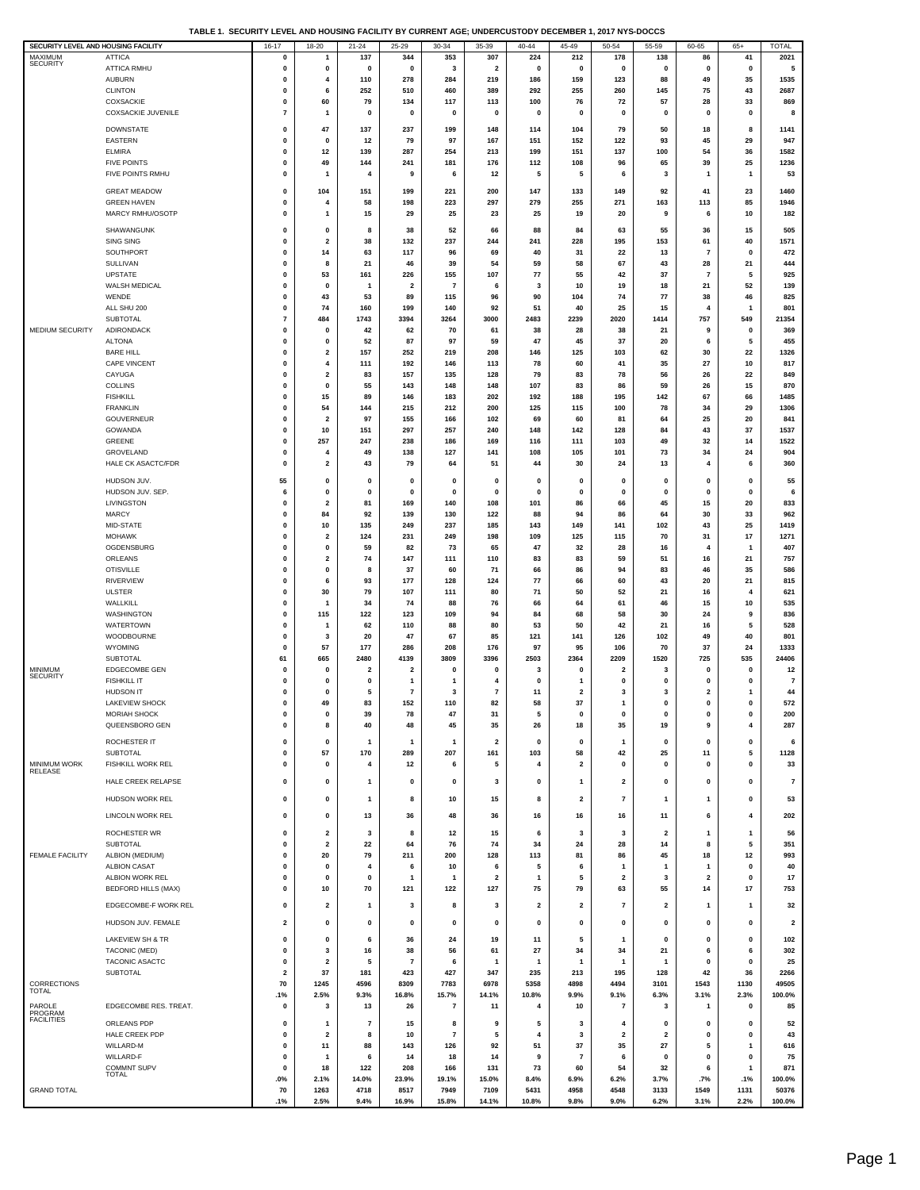|  |  | TABLE 1.  SECURITY LEVEL AND HOUSING FACILITY BY CURRENT AGE: UNDERCUSTODY DECEMBER 1. 2017 NYS-DOCCS |  |
|--|--|-------------------------------------------------------------------------------------------------------|--|
|  |  |                                                                                                       |  |

| SECURITY LEVEL AND HOUSING FACILITY |                            | $16 - 17$               | $18 - 20$    | $21 - 24$               | $25 - 29$      | $30 - 34$                | 35-39                   | $40 - 44$               | $45 - 49$               | $50 - 54$               | 55-59          | 60-65                   | $65+$        | <b>TOTAL</b>            |
|-------------------------------------|----------------------------|-------------------------|--------------|-------------------------|----------------|--------------------------|-------------------------|-------------------------|-------------------------|-------------------------|----------------|-------------------------|--------------|-------------------------|
| MAXIMUM                             | <b>ATTICA</b>              | 0                       | 1            | 137                     | 344            | 353                      | 307                     | 224                     | 212                     | 178                     | 138            | 86                      | 41           | 2021                    |
| <b>SECURITY</b>                     | ATTICA RMHU                | 0                       | 0            | 0                       | $\mathbf 0$    | 3                        | $\overline{2}$          | 0                       | $\mathbf 0$             | $\mathbf{0}$            | 0              | $\mathbf{0}$            | 0            | 5                       |
|                                     | <b>AUBURN</b>              | $\mathbf 0$             | 4            | 110                     | 278            | 284                      | 219                     | 186                     | 159                     | 123                     | 88             | 49                      | 35           | 1535                    |
|                                     |                            |                         |              |                         |                |                          |                         |                         |                         |                         |                |                         |              |                         |
|                                     | <b>CLINTON</b>             | $\mathbf 0$             | 6            | 252                     | 510            | 460                      | 389                     | 292                     | 255                     | 260                     | 145            | 75                      | 43           | 2687                    |
|                                     | <b>COXSACKIE</b>           | $\mathbf 0$             | 60           | 79                      | 134            | 117                      | 113                     | 100                     | 76                      | 72                      | 57             | 28                      | 33           | 869                     |
|                                     | <b>COXSACKIE JUVENILE</b>  | $\overline{7}$          | 1            | $\mathbf 0$             | $\mathbf 0$    | $\mathbf 0$              | 0                       | O                       | 0                       | $\mathbf 0$             | $\mathbf 0$    | $\mathbf{0}$            | $\mathbf 0$  | 8                       |
|                                     |                            |                         |              |                         |                |                          |                         |                         |                         |                         |                |                         |              |                         |
|                                     | <b>DOWNSTATE</b>           | 0                       | 47           | 137                     | 237            | 199                      | 148                     | 114                     | 104                     | 79                      | 50             | 18                      | 8            | 1141                    |
|                                     | <b>EASTERN</b>             | 0                       | 0            | 12                      | 79             | 97                       | 167                     | 151                     | 152                     | 122                     | 93             | 45                      | 29           | 947                     |
|                                     | <b>ELMIRA</b>              | $\mathbf 0$             | 12           | 139                     | 287            | 254                      | 213                     | 199                     | 151                     | 137                     | 100            | 54                      | 36           | 1582                    |
|                                     | <b>FIVE POINTS</b>         | 0                       | 49           | 144                     | 241            | 181                      | 176                     | 112                     | 108                     | 96                      | 65             | 39                      | 25           | 1236                    |
|                                     | FIVE POINTS RMHU           | $\mathbf 0$             | 1            | 4                       | 9              | 6                        | 12                      | 5                       | 5                       | 6                       | 3              | $\mathbf{1}$            | $\mathbf{1}$ | 53                      |
|                                     |                            |                         |              |                         |                |                          |                         |                         |                         |                         |                |                         |              |                         |
|                                     | <b>GREAT MEADOW</b>        | 0                       | 104          | 151                     | 199            | 221                      | 200                     | 147                     | 133                     | 149                     | 92             | 41                      | 23           | 1460                    |
|                                     | <b>GREEN HAVEN</b>         | 0                       | 4            | 58                      | 198            | 223                      | 297                     | 279                     | 255                     | 271                     | 163            | 113                     | 85           | 1946                    |
|                                     | MARCY RMHU/OSOTP           | 0                       | 1            | 15                      | 29             | 25                       | 23                      | 25                      | 19                      | 20                      | 9              | 6                       | 10           | 182                     |
|                                     |                            |                         |              |                         |                |                          |                         |                         |                         |                         |                |                         |              |                         |
|                                     | SHAWANGUNK                 | 0                       | 0            | 8                       | 38             | 52                       | 66                      | 88                      | 84                      | 63                      | 55             | 36                      | 15           | 505                     |
|                                     | <b>SING SING</b>           | $\mathbf 0$             | $\mathbf{2}$ | 38                      | 132            | 237                      | 244                     | 241                     | 228                     | 195                     | 153            | 61                      | 40           | 1571                    |
|                                     | SOUTHPORT                  | $\mathbf 0$             | 14           | 63                      | 117            | 96                       | 69                      | 40                      | 31                      | 22                      | 13             | $\overline{7}$          | $\mathbf 0$  | 472                     |
|                                     | SULLIVAN                   | $\mathbf 0$             | 8            | 21                      | 46             | 39                       | 54                      | 59                      | 58                      | 67                      | 43             | 28                      | 21           | 444                     |
|                                     | <b>UPSTATE</b>             | $\mathbf 0$             | 53           | 161                     | 226            | 155                      | 107                     | 77                      | 55                      | 42                      | 37             | $\overline{7}$          | 5            | 925                     |
|                                     |                            | 0                       |              |                         | $\overline{2}$ | $\overline{7}$           | 6                       |                         |                         |                         |                |                         |              |                         |
|                                     | WALSH MEDICAL              |                         | 0            | 1                       |                |                          |                         | 3                       | 10                      | 19                      | 18             | 21                      | 52           | 139                     |
|                                     | WENDE                      | 0                       | 43           | 53                      | 89             | 115                      | 96                      | 90                      | 104                     | 74                      | 77             | 38                      | 46           | 825                     |
|                                     | ALL SHU 200                | 0                       | 74           | 160                     | 199            | 140                      | 92                      | 51                      | 40                      | 25                      | 15             | 4                       | $\mathbf{1}$ | 801                     |
|                                     | SUBTOTAL                   | 7                       | 484          | 1743                    | 3394           | 3264                     | 3000                    | 2483                    | 2239                    | 2020                    | 1414           | 757                     | 549          | 21354                   |
| MEDIUM SECURITY                     | <b>ADIRONDACK</b>          | 0                       | 0            | 42                      | 62             | 70                       | 61                      | 38                      | 28                      | 38                      | 21             | 9                       | 0            | 369                     |
|                                     | <b>ALTONA</b>              | 0                       | 0            | 52                      | 87             | 97                       | 59                      | 47                      | 45                      | 37                      | 20             | 6                       | 5            | 455                     |
|                                     | <b>BARE HILL</b>           | 0                       | 2            | 157                     | 252            | 219                      | 208                     | 146                     | 125                     | 103                     | 62             | 30                      | 22           | 1326                    |
|                                     |                            | $\mathbf 0$             |              |                         | 192            | 146                      |                         | 78                      | 60                      | 41                      |                |                         | 10           |                         |
|                                     | <b>CAPE VINCENT</b>        |                         | 4            | 111                     |                |                          | 113                     |                         |                         |                         | 35             | 27                      |              | 817                     |
|                                     | CAYUGA                     | 0                       | $\mathbf 2$  | 83                      | 157            | 135                      | 128                     | 79                      | 83                      | 78                      | 56             | 26                      | 22           | 849                     |
|                                     | <b>COLLINS</b>             | $\mathbf 0$             | $\pmb{0}$    | 55                      | 143            | 148                      | 148                     | 107                     | 83                      | 86                      | 59             | 26                      | 15           | 870                     |
|                                     | <b>FISHKILL</b>            | $\mathbf 0$             | 15           | 89                      | 146            | 183                      | 202                     | 192                     | 188                     | 195                     | 142            | 67                      | 66           | 1485                    |
|                                     | <b>FRANKLIN</b>            | $\mathbf 0$             | 54           | 144                     | 215            | 212                      | 200                     | 125                     | 115                     | 100                     | 78             | 34                      | 29           | 1306                    |
|                                     | GOUVERNEUR                 | $\mathbf 0$             | $\mathbf{2}$ | 97                      | 155            | 166                      | 102                     | 69                      | 60                      | 81                      | 64             | 25                      | 20           | 841                     |
|                                     | <b>GOWANDA</b>             | 0                       | 10           | 151                     | 297            | 257                      | 240                     | 148                     | 142                     | 128                     | 84             | 43                      | 37           | 1537                    |
|                                     | GREENE                     | 0                       | 257          | 247                     | 238            | 186                      | 169                     | 116                     | 111                     | 103                     | 49             | 32                      | 14           | 1522                    |
|                                     |                            |                         |              |                         |                |                          |                         |                         |                         |                         |                |                         |              |                         |
|                                     | GROVELAND                  | 0                       | 4            | 49                      | 138            | 127                      | 141                     | 108                     | 105                     | 101                     | 73             | 34                      | 24           | 904                     |
|                                     | <b>HALE CK ASACTC/FDR</b>  | 0                       | 2            | 43                      | 79             | 64                       | 51                      | 44                      | 30                      | 24                      | 13             | 4                       | 6            | 360                     |
|                                     | HUDSON JUV.                | 55                      | 0            | 0                       | 0              | $\mathbf{0}$             | $\mathbf 0$             | 0                       | $\mathbf 0$             | 0                       | 0              | $\mathbf 0$             | $\mathbf 0$  | 55                      |
|                                     |                            |                         |              |                         |                |                          |                         |                         |                         |                         |                |                         |              |                         |
|                                     | HUDSON JUV. SEP.           | 6                       | $\pmb{0}$    | $\pmb{0}$               | $\mathbf 0$    | $\mathbf{0}$             | $\mathbf 0$             | 0                       | $\Omega$                | $\Omega$                | $\Omega$       | $\mathbf 0$             | $\mathbf 0$  | 6                       |
|                                     | LIVINGSTON                 | $\mathbf 0$             | $\mathbf{2}$ | 81                      | 169            | 140                      | 108                     | 101                     | 86                      | 66                      | 45             | 15                      | 20           | 833                     |
|                                     | <b>MARCY</b>               | $\mathbf 0$             | 84           | 92                      | 139            | 130                      | 122                     | 88                      | 94                      | 86                      | 64             | 30                      | 33           | 962                     |
|                                     | MID-STATE                  | $\mathbf 0$             | 10           | 135                     | 249            | 237                      | 185                     | 143                     | 149                     | 141                     | 102            | 43                      | 25           | 1419                    |
|                                     | <b>MOHAWK</b>              | $\mathbf 0$             | 2            | 124                     | 231            | 249                      | 198                     | 109                     | 125                     | 115                     | 70             | 31                      | 17           | 1271                    |
|                                     | OGDENSBURG                 | 0                       | 0            | 59                      | 82             | 73                       | 65                      | 47                      | 32                      | 28                      | 16             | 4                       | -1           | 407                     |
|                                     |                            |                         |              |                         |                |                          |                         |                         |                         |                         |                |                         |              |                         |
|                                     | ORLEANS                    | 0                       | 2            | 74                      | 147            | 111                      | 110                     | 83                      | 83                      | 59                      | 51             | 16                      | 21           | 757                     |
|                                     | <b>OTISVILLE</b>           | 0                       | 0            | 8                       | 37             | 60                       | 71                      | 66                      | 86                      | 94                      | 83             | 46                      | 35           | 586                     |
|                                     | <b>RIVERVIEW</b>           | 0                       | 6            | 93                      | 177            | 128                      | 124                     | 77                      | 66                      | 60                      | 43             | 20                      | 21           | 815                     |
|                                     | <b>ULSTER</b>              | 0                       | 30           | 79                      | 107            | 111                      | 80                      | 71                      | 50                      | 52                      | 21             | 16                      | 4            | 621                     |
|                                     | WALLKILL                   | 0                       | 1            | 34                      | 74             | 88                       | 76                      | 66                      | 64                      | 61                      | 46             | 15                      | 10           | 535                     |
|                                     | WASHINGTON                 | 0                       | 115          | 122                     | 123            | 109                      | 94                      | 84                      | 68                      | 58                      | 30             | 24                      | 9            | 836                     |
|                                     |                            | $\mathbf 0$             |              |                         |                | 88                       | 80                      | 53                      | 50                      |                         |                | 16                      |              | 528                     |
|                                     | <b>WATERTOWN</b>           |                         | 1            | 62                      | 110            |                          |                         |                         |                         | 42                      | 21             |                         | 5            |                         |
|                                     | WOODBOURNE                 | 0                       | 3            | 20                      | 47             | 67                       | 85                      | 121                     | 141                     | 126                     | 102            | 49                      | 40           | 801                     |
|                                     | <b>WYOMING</b>             | $\mathbf 0$             | 57           | 177                     | 286            | 208                      | 176                     | 97                      | 95                      | 106                     | 70             | 37                      | 24           | 1333                    |
|                                     | SUBTOTAL                   | 61                      | 665          | 2480                    | 4139           | 3809                     | 3396                    | 2503                    | 2364                    | 2209                    | 1520           | 725                     | 535          | 24406                   |
| MINIMUM                             | EDGECOMBE GEN              | $\mathbf 0$             | 0            | $\overline{\mathbf{2}}$ | $\overline{2}$ | $\mathbf{0}$             | 0                       | 3                       | $\mathbf 0$             | 2                       | 3              | $\mathbf 0$             | 0            | 12                      |
| <b>SECURITY</b>                     | <b>FISHKILL IT</b>         | $\mathbf 0$             | 0            | $\pmb{0}$               | -1             | -1                       | 4                       | $\mathbf 0$             | 1                       | $\mathbf{0}$            | $\pmb{0}$      | $\mathbf{0}$            | $\bf{0}$     | $\overline{7}$          |
|                                     | <b>HUDSON IT</b>           | 0                       | 0            | 5                       | $\overline{7}$ | 3                        | $\overline{7}$          | 11                      | $\overline{2}$          | 3                       | 3              | $\overline{2}$          | 1            | 44                      |
|                                     | LAKEVIEW SHOCK             | $\mathbf 0$             | 49           | 83                      | 152            | 110                      | 82                      | 58                      | 37                      | 1                       | $\mathbf{0}$   | $\mathbf{0}$            | 0            | 572                     |
|                                     |                            |                         |              |                         |                |                          |                         |                         |                         |                         |                |                         |              |                         |
|                                     | <b>MORIAH SHOCK</b>        |                         |              | 39                      | 78             |                          | 51                      |                         |                         |                         |                |                         |              | 200                     |
|                                     | QUEENSBORO GEN             | 0                       | 8            | 40                      | 48             | 45                       | 35                      | 26                      | 18                      | 35                      | 19             | 9                       | 4            | 287                     |
|                                     |                            | 0                       | 0            |                         |                |                          |                         | $\mathbf 0$             | $\mathbf 0$             |                         |                | $\mathbf{0}$            |              |                         |
|                                     | ROCHESTER IT               |                         |              | 1                       | $\mathbf{1}$   | $\mathbf{1}$             | 2                       |                         |                         | 1                       | 0              |                         | 0            | 6                       |
|                                     | <b>SUBTOTAL</b>            | 0                       | 57           | 170                     | 289            | 207                      | 161                     | 103                     | 58                      | 42                      | 25             | 11                      | 5            | 1128                    |
| MINIMUM WORK<br><b>RELEASE</b>      | FISHKILL WORK REL          | 0                       | 0            | 4                       | 12             | 6                        | 5                       | 4                       | $\mathbf{2}$            | $\pmb{0}$               | $\pmb{0}$      | 0                       | 0            | 33                      |
|                                     |                            |                         |              |                         |                |                          |                         |                         |                         |                         |                |                         |              |                         |
|                                     | HALE CREEK RELAPSE         | 0                       | 0            | 1                       | $\mathbf 0$    | 0                        | 3                       | 0                       | 1                       | 2                       | $\mathbf 0$    | 0                       | 0            | $\bf 7$                 |
|                                     | HUDSON WORK REL            | 0                       | 0            | 1                       | 8              | 10                       | 15                      | 8                       | $\mathbf{2}$            | $\overline{7}$          | 1              | 1                       | 0            | 53                      |
|                                     |                            |                         |              |                         |                |                          |                         |                         |                         |                         |                |                         |              |                         |
|                                     | <b>LINCOLN WORK REL</b>    | 0                       | 0            | 13                      | 36             | 48                       | 36                      | 16                      | 16                      | 16                      | 11             | 6                       | 4            | 202                     |
|                                     |                            |                         |              |                         |                |                          |                         |                         |                         |                         |                |                         |              |                         |
|                                     | ROCHESTER WR               | 0                       | 2            | 3                       | 8              | 12                       | 15                      | 6                       | 3                       | 3                       | 2              | 1                       | 1            | 56                      |
|                                     | SUBTOTAL                   | 0                       | $\mathbf{2}$ | 22                      | 64             | 76                       | 74                      | 34                      | 24                      | 28                      | 14             | 8                       | 5            | 351                     |
| <b>FEMALE FACILITY</b>              | ALBION (MEDIUM)            | $\mathbf 0$             | 20           | 79                      | 211            | 200                      | 128                     | 113                     | 81                      | 86                      | 45             | 18                      | 12           | 993                     |
|                                     | <b>ALBION CASAT</b>        | 0                       | 0            | 4                       | 6              | 10                       | 6                       | 5                       | 6                       | -1                      | $\mathbf{1}$   | -1                      | 0            | 40                      |
|                                     | ALBION WORK REL            | $\mathbf 0$             | 0            | $\pmb{0}$               | $\mathbf{1}$   | -1                       | $\overline{\mathbf{2}}$ | $\mathbf{1}$            | 5                       | $\overline{2}$          | 3              | $\overline{\mathbf{2}}$ | $\mathbf 0$  | 17                      |
|                                     | <b>BEDFORD HILLS (MAX)</b> | $\mathbf 0$             | 10           | 70                      | 121            | 122                      | 127                     | 75                      | 79                      | 63                      | 55             | 14                      | 17           | 753                     |
|                                     |                            |                         |              |                         |                |                          |                         |                         |                         |                         |                |                         |              |                         |
|                                     | EDGECOMBE-F WORK REL       | 0                       | 2            | 1                       | 3              | 8                        | 3                       | $\overline{\mathbf{2}}$ | $\overline{\mathbf{2}}$ | $\overline{\mathbf{r}}$ | 2              | $\mathbf{1}$            | 1            | 32                      |
|                                     |                            |                         |              |                         |                |                          |                         |                         |                         |                         |                |                         |              |                         |
|                                     | HUDSON JUV. FEMALE         | 2                       | 0            | 0                       | 0              | $\mathbf{0}$             | $\mathbf 0$             | $\mathbf 0$             | $\mathbf 0$             | $\mathbf 0$             | 0              | $\mathbf 0$             | $\mathbf 0$  | $\overline{\mathbf{2}}$ |
|                                     |                            |                         |              |                         |                |                          |                         |                         |                         |                         |                |                         |              |                         |
|                                     | LAKEVIEW SH & TR           | $\mathbf 0$             | 0            | 6                       | 36             | 24                       | 19                      | 11                      | 5                       | $\mathbf{1}$            | $\pmb{0}$      | $\mathbf{0}$            | $\mathbf{0}$ | 102                     |
|                                     | TACONIC (MED)              | 0                       | 3            | 16                      | 38             | 56                       | 61                      | 27                      | 34                      | 34                      | 21             | 6                       | 6            | 302                     |
|                                     | TACONIC ASACTC             | 0                       | 2            | 5                       | $\overline{7}$ | 6                        | $\overline{1}$          | $\mathbf{1}$            | 1                       | $\mathbf{1}$            | $\mathbf{1}$   | $\mathbf 0$             | 0            | 25                      |
|                                     | <b>SUBTOTAL</b>            | $\overline{\mathbf{2}}$ | 37           | 181                     | 423            | 427                      | 347                     | 235                     | 213                     | 195                     | 128            | 42                      | 36           | 2266                    |
| CORRECTIONS                         |                            | 70                      | 1245         | 4596                    | 8309           | 7783                     | 6978                    | 5358                    | 4898                    | 4494                    | 3101           | 1543                    | 1130         | 49505                   |
| <b>TOTAL</b>                        |                            | .1%                     | 2.5%         | 9.3%                    | 16.8%          | 15.7%                    | 14.1%                   | 10.8%                   | 9.9%                    | 9.1%                    | 6.3%           | 3.1%                    | 2.3%         | 100.0%                  |
|                                     |                            |                         |              |                         |                |                          |                         |                         |                         |                         |                |                         |              |                         |
| PAROLE<br>PROGRAM                   | EDGECOMBE RES. TREAT.      | 0                       | 3            | 13                      | 26             | $\overline{\phantom{a}}$ | 11                      | 4                       | 10                      | 7                       | 3              | $\mathbf{1}$            | 0            | 85                      |
| <b>FACILITIES</b>                   | ORLEANS PDP                | $\mathbf 0$             | $\mathbf{1}$ | $\overline{7}$          | 15             | 8                        | 9                       | 5                       | 3                       | 4                       | $\mathbf 0$    | $\mathbf{0}$            | 0            | 52                      |
|                                     |                            | $\mathbf 0$             | $\mathbf{2}$ | 8                       | 10             | $\overline{7}$           | 5                       | 4                       | 3                       |                         | $\overline{2}$ | $\mathbf{0}$            | 0            | 43                      |
|                                     | HALE CREEK PDP             |                         |              |                         |                |                          |                         |                         |                         | 2                       |                |                         |              |                         |
|                                     | WILLARD-M                  | $\mathbf 0$             | 11           | 88                      | 143            | 126                      | 92                      | 51                      | 37                      | 35                      | 27             | 5                       | 1            | 616                     |
|                                     | WILLARD-F                  | 0                       | 1            | 6                       | 14             | 18                       | 14                      | 9                       | $\overline{7}$          | 6                       | $\mathbf 0$    | $\mathbf{0}$            | 0            | 75                      |
|                                     | <b>COMMNT SUPV</b>         | 0                       | 18           | 122                     | 208            | 166                      | 131                     | 73                      | 60                      | 54                      | 32             | 6                       | $\mathbf{1}$ | 871                     |
|                                     | TOTAL                      | .0%                     | 2.1%         | 14.0%                   | 23.9%          | 19.1%                    | 15.0%                   | 8.4%                    | 6.9%                    | 6.2%                    | 3.7%           | .7%                     | .1%          | 100.0%                  |
| <b>GRAND TOTAL</b>                  |                            | 70                      | 1263         | 4718                    | 8517           | 7949                     | 7109                    | 5431                    | 4958                    | 4548                    | 3133           | 1549                    | 1131         | 50376                   |
|                                     |                            | .1%                     | 2.5%         | 9.4%                    | 16.9%          | 15.8%                    | 14.1%                   | 10.8%                   | 9.8%                    | 9.0%                    | 6.2%           | 3.1%                    | 2.2%         | 100.0%                  |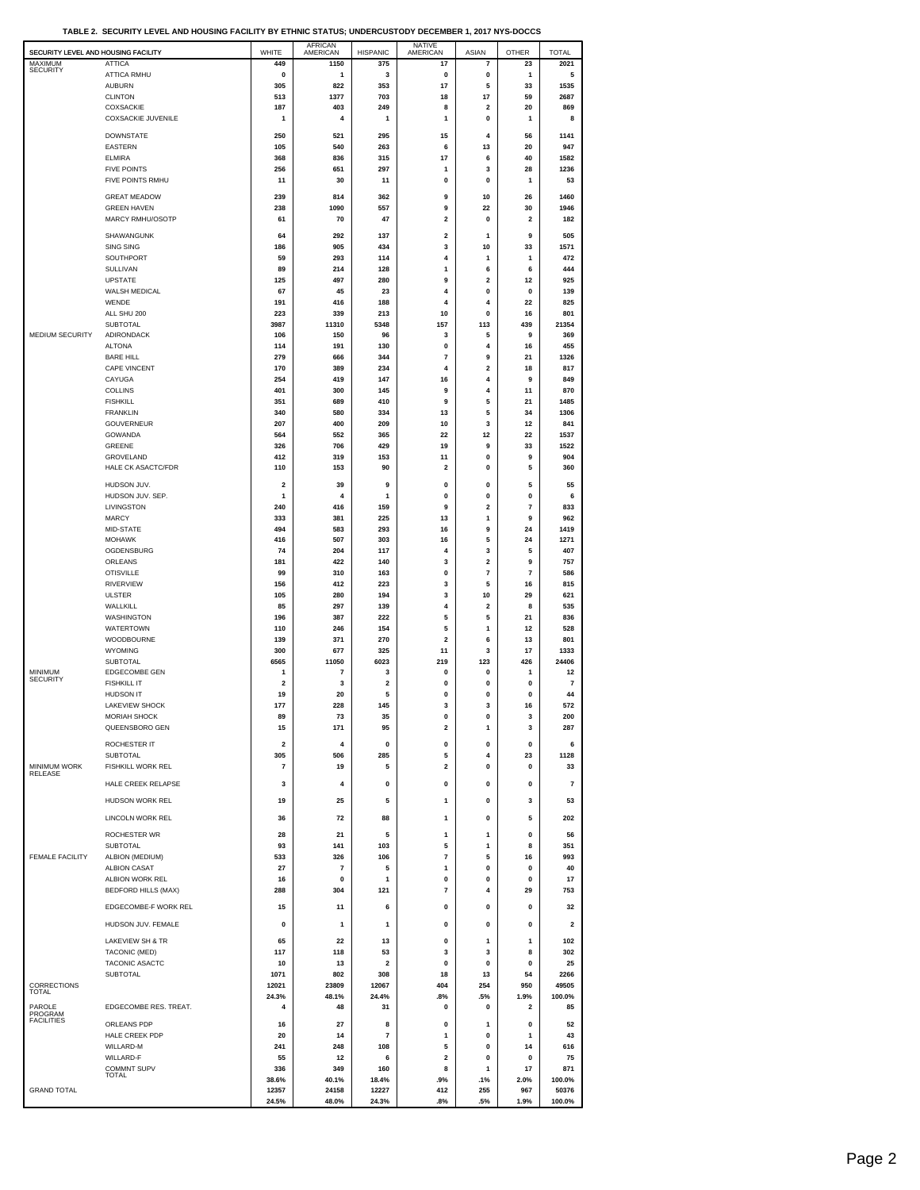|  |  | TABLE 2.  SECURITY LEVEL AND HOUSING FACILITY BY ETHNIC STATUS: UNDERCUSTODY DECEMBER 1. 2017 NYS-DOCCS |  |
|--|--|---------------------------------------------------------------------------------------------------------|--|
|  |  |                                                                                                         |  |

| SECURITY LEVEL AND HOUSING FACILITY    |                                          | WHITE          | <b>AFRICAN</b><br>AMERICAN  | <b>HISPANIC</b>                | <b>NATIVE</b><br>AMERICAN     | ASIAN                        | <b>OTHER</b>            | <b>TOTAL</b>    |
|----------------------------------------|------------------------------------------|----------------|-----------------------------|--------------------------------|-------------------------------|------------------------------|-------------------------|-----------------|
| MAXIMUM<br><b>SECURITY</b>             | <b>ATTICA</b><br>ATTICA RMHU             | 449<br>0       | 1150<br>1                   | 375<br>3                       | 17<br>$\pmb{0}$               | $\overline{\mathbf{r}}$<br>0 | 23                      | 2021<br>5       |
|                                        | <b>AUBURN</b>                            | 305            | 822                         | 353                            | 17                            | 5                            | 1<br>33                 | 1535            |
|                                        | <b>CLINTON</b>                           | 513            | 1377                        | 703                            | 18                            | 17                           | 59                      | 2687            |
|                                        | COXSACKIE<br><b>COXSACKIE JUVENILE</b>   | 187<br>1       | 403<br>4                    | 249<br>1                       | 8<br>1                        | $\overline{2}$<br>0          | 20<br>1                 | 869<br>8        |
|                                        | <b>DOWNSTATE</b>                         | 250            | 521                         | 295                            | 15                            | 4                            | 56                      | 1141            |
|                                        | EASTERN                                  | 105            | 540                         | 263                            | 6                             | 13                           | 20                      | 947             |
|                                        | <b>ELMIRA</b><br><b>FIVE POINTS</b>      | 368<br>256     | 836<br>651                  | 315<br>297                     | 17<br>1                       | 6<br>3                       | 40<br>28                | 1582<br>1236    |
|                                        | FIVE POINTS RMHU                         | 11             | 30                          | 11                             | 0                             | 0                            | 1                       | 53              |
|                                        | <b>GREAT MEADOW</b>                      | 239            | 814                         | 362                            | 9                             | 10                           | 26                      | 1460            |
|                                        | <b>GREEN HAVEN</b>                       | 238            | 1090                        | 557                            | 9                             | 22                           | 30                      | 1946            |
|                                        | MARCY RMHU/OSOTP                         | 61             | 70                          | 47                             | 2                             | 0                            | $\mathbf 2$             | 182             |
|                                        | SHAWANGUNK<br><b>SING SING</b>           | 64<br>186      | 292<br>905                  | 137<br>434                     | $\overline{\mathbf{2}}$<br>3  | -1<br>10                     | 9<br>33                 | 505<br>1571     |
|                                        | SOUTHPORT                                | 59             | 293                         | 114                            | 4                             | 1                            | 1                       | 472             |
|                                        | <b>SULLIVAN</b><br><b>UPSTATE</b>        | 89<br>125      | 214<br>497                  | 128<br>280                     | 1<br>9                        | 6<br>2                       | 6<br>12                 | 444<br>925      |
|                                        | WALSH MEDICAL                            | 67             | 45                          | 23                             | 4                             | 0                            | 0                       | 139             |
|                                        | WENDE<br>ALL SHU 200                     | 191<br>223     | 416<br>339                  | 188<br>213                     | 4<br>10                       | 4<br>0                       | 22<br>16                | 825<br>801      |
|                                        | <b>SUBTOTAL</b>                          | 3987           | 11310                       | 5348                           | 157                           | 113                          | 439                     | 21354           |
| MEDIUM SECURITY                        | <b>ADIRONDACK</b>                        | 106            | 150                         | 96                             | 3                             | 5                            | 9                       | 369             |
|                                        | <b>ALTONA</b><br><b>BARE HILL</b>        | 114<br>279     | 191<br>666                  | 130<br>344                     | $\pmb{0}$<br>$\overline{7}$   | $\overline{4}$<br>9          | 16<br>21                | 455<br>1326     |
|                                        | <b>CAPE VINCENT</b>                      | 170            | 389                         | 234                            | 4                             | 2                            | 18                      | 817             |
|                                        | CAYUGA<br><b>COLLINS</b>                 | 254<br>401     | 419<br>300                  | 147<br>145                     | 16<br>9                       | 4<br>4                       | 9<br>11                 | 849<br>870      |
|                                        | <b>FISHKILL</b>                          | 351            | 689                         | 410                            | 9                             | 5                            | 21                      | 1485            |
|                                        | <b>FRANKLIN</b><br><b>GOUVERNEUR</b>     | 340<br>207     | 580<br>400                  | 334<br>209                     | 13<br>10                      | 5<br>3                       | 34<br>12                | 1306<br>841     |
|                                        | GOWANDA                                  | 564            | 552                         | 365                            | 22                            | 12                           | 22                      | 1537            |
|                                        | GREENE                                   | 326            | 706                         | 429                            | 19                            | 9                            | 33                      | 1522            |
|                                        | GROVELAND<br>HALE CK ASACTC/FDR          | 412<br>110     | 319<br>153                  | 153<br>90                      | 11<br>$\overline{\mathbf{2}}$ | $\pmb{0}$<br>$\mathbf{0}$    | 9<br>5                  | 904<br>360      |
|                                        | HUDSON JUV.                              | $\mathbf 2$    | 39                          | 9                              | 0                             | 0                            | 5                       | 55              |
|                                        | HUDSON JUV. SEP.                         | 1              | 4                           | 1                              | 0                             | 0                            | 0                       | 6               |
|                                        | LIVINGSTON<br><b>MARCY</b>               | 240<br>333     | 416<br>381                  | 159<br>225                     | 9<br>13                       | 2<br>1                       | 7<br>9                  | 833<br>962      |
|                                        | MID-STATE                                | 494            | 583                         | 293                            | 16                            | 9                            | 24                      | 1419            |
|                                        | <b>MOHAWK</b>                            | 416<br>74      | 507                         | 303                            | 16                            | 5                            | 24                      | 1271            |
|                                        | OGDENSBURG<br>ORLEANS                    | 181            | 204<br>422                  | 117<br>140                     | 4<br>3                        | 3<br>2                       | 5<br>9                  | 407<br>757      |
|                                        | <b>OTISVILLE</b>                         | 99             | 310                         | 163                            | 0                             | $\overline{7}$               | $\overline{7}$          | 586             |
|                                        | <b>RIVERVIEW</b><br><b>ULSTER</b>        | 156<br>105     | 412<br>280                  | 223<br>194                     | 3<br>3                        | 5<br>10                      | 16<br>29                | 815<br>621      |
|                                        | WALLKILL                                 | 85             | 297                         | 139                            | 4                             | 2                            | 8                       | 535             |
|                                        | WASHINGTON                               | 196            | 387                         | 222                            | 5                             | 5<br>1                       | 21                      | 836             |
|                                        | WATERTOWN<br>WOODBOURNE                  | 110<br>139     | 246<br>371                  | 154<br>270                     | 5<br>2                        | 6                            | 12<br>13                | 528<br>801      |
|                                        | <b>WYOMING</b>                           | 300            | 677                         | 325                            | 11                            | 3                            | 17                      | 1333            |
| <b>MINIMUM</b>                         | <b>SUBTOTAL</b><br><b>EDGECOMBE GEN</b>  | 6565<br>1      | 11050<br>$\overline{7}$     | 6023<br>3                      | 219<br>0                      | 123<br>0                     | 426<br>1                | 24406<br>12     |
| <b>SECURITY</b>                        | <b>FISHKILL IT</b>                       | $\mathbf{2}$   | 3                           | $\mathbf{2}$                   | 0                             | 0                            | 0                       | 7               |
|                                        | <b>HUDSON IT</b><br>LAKEVIEW SHOCK       | 19<br>177      | 20<br>228                   | 5<br>145                       | 0<br>3                        | 0<br>3                       | 0<br>16                 | 44<br>572       |
|                                        | <b>MORIAH SHOCK</b>                      | 89             | 73                          | 35                             | 0                             | 0                            | з                       | 200             |
|                                        | QUEENSBORO GEN                           | 15             | 171                         | 95                             | 2                             | 1                            | 3                       | 287             |
|                                        | ROCHESTER IT                             | $\mathbf{2}$   | 4                           | $\pmb{0}$                      | $\pmb{0}$                     | $\pmb{0}$                    | $\pmb{0}$               | 6               |
| <b>MINIMUM WORK</b>                    | <b>SUBTOTAL</b><br>FISHKILL WORK REL     | 305<br>7       | 506<br>19                   | 285<br>5                       | 5<br>2                        | 4<br>0                       | 23<br>0                 | 1128<br>33      |
| RELEASE                                | HALE CREEK RELAPSE                       | 3              | 4                           | 0                              | 0                             | 0                            | $\mathbf 0$             | 7               |
|                                        | <b>HUDSON WORK REL</b>                   | 19             | 25                          | 5                              | 1                             | 0                            | 3                       | 53              |
|                                        |                                          |                |                             |                                |                               |                              |                         |                 |
|                                        | LINCOLN WORK REL                         | 36             | 72                          | 88                             | 1                             | $\mathbf 0$                  | 5                       | 202             |
|                                        | <b>ROCHESTER WR</b><br><b>SUBTOTAL</b>   | 28<br>93       | 21<br>141                   | 5<br>103                       | 1<br>5                        | 1<br>1                       | $\pmb{0}$<br>8          | 56<br>351       |
| <b>FEMALE FACILITY</b>                 | ALBION (MEDIUM)                          | 533            | 326                         | 106                            | $\overline{\mathbf{r}}$       | 5                            | 16                      | 993             |
|                                        | <b>ALBION CASAT</b><br>ALBION WORK REL   | 27<br>16       | $\overline{7}$<br>$\pmb{0}$ | 5<br>1                         | 1<br>0                        | 0<br>0                       | 0<br>0                  | 40<br>17        |
|                                        | <b>BEDFORD HILLS (MAX)</b>               | 288            | 304                         | 121                            | $\overline{\mathbf{r}}$       | 4                            | 29                      | 753             |
|                                        | EDGECOMBE-F WORK REL                     | 15             | 11                          | 6                              | $\pmb{0}$                     | 0                            | $\pmb{0}$               | 32              |
|                                        | HUDSON JUV. FEMALE                       | 0              | $\mathbf{1}$                | 1                              | 0                             | 0                            | 0                       | 2               |
|                                        | LAKEVIEW SH & TR                         | 65             | 22                          | 13                             | $\Omega$                      | 1                            | 1                       | 102             |
|                                        | TACONIC (MED)                            | 117            | 118                         | 53                             | 3                             | 3                            | 8                       | 302             |
|                                        | <b>TACONIC ASACTC</b><br><b>SUBTOTAL</b> | 10<br>1071     | 13<br>802                   | $\overline{\mathbf{2}}$<br>308 | $\pmb{0}$<br>18               | 0<br>13                      | $\pmb{0}$<br>54         | 25<br>2266      |
| CORRECTIONS                            |                                          | 12021          | 23809                       | 12067                          | 404                           | 254                          | 950                     | 49505           |
| <b>TOTAL</b>                           |                                          | 24.3%          | 48.1%                       | 24.4%                          | .8%                           | .5%                          | 1.9%                    | 100.0%          |
| PAROLE<br>PROGRAM<br><b>FACILITIES</b> | EDGECOMBE RES. TREAT.                    | 4              | 48                          | 31                             | 0                             | 0                            | $\overline{\mathbf{2}}$ | 85              |
|                                        | ORLEANS PDP<br><b>HALE CREEK PDP</b>     | 16<br>20       | 27<br>14                    | 8<br>7                         | $\Omega$<br>1                 | 1<br>$\pmb{0}$               | $\Omega$<br>1           | 52<br>43        |
|                                        | WILLARD-M                                | 241            | 248                         | 108                            | 5                             | 0                            | 14                      | 616             |
|                                        | WILLARD-F<br><b>COMMNT SUPV</b>          | 55<br>336      | 12<br>349                   | 6<br>160                       | 2<br>8                        | 0<br>1                       | 0<br>17                 | 75<br>871       |
|                                        | <b>TOTAL</b>                             | 38.6%          | 40.1%                       | 18.4%                          | .9%                           | .1%                          | 2.0%                    | 100.0%          |
| <b>GRAND TOTAL</b>                     |                                          | 12357<br>24.5% | 24158<br>48.0%              | 12227<br>24.3%                 | 412<br>.8%                    | 255<br>.5%                   | 967<br>1.9%             | 50376<br>100.0% |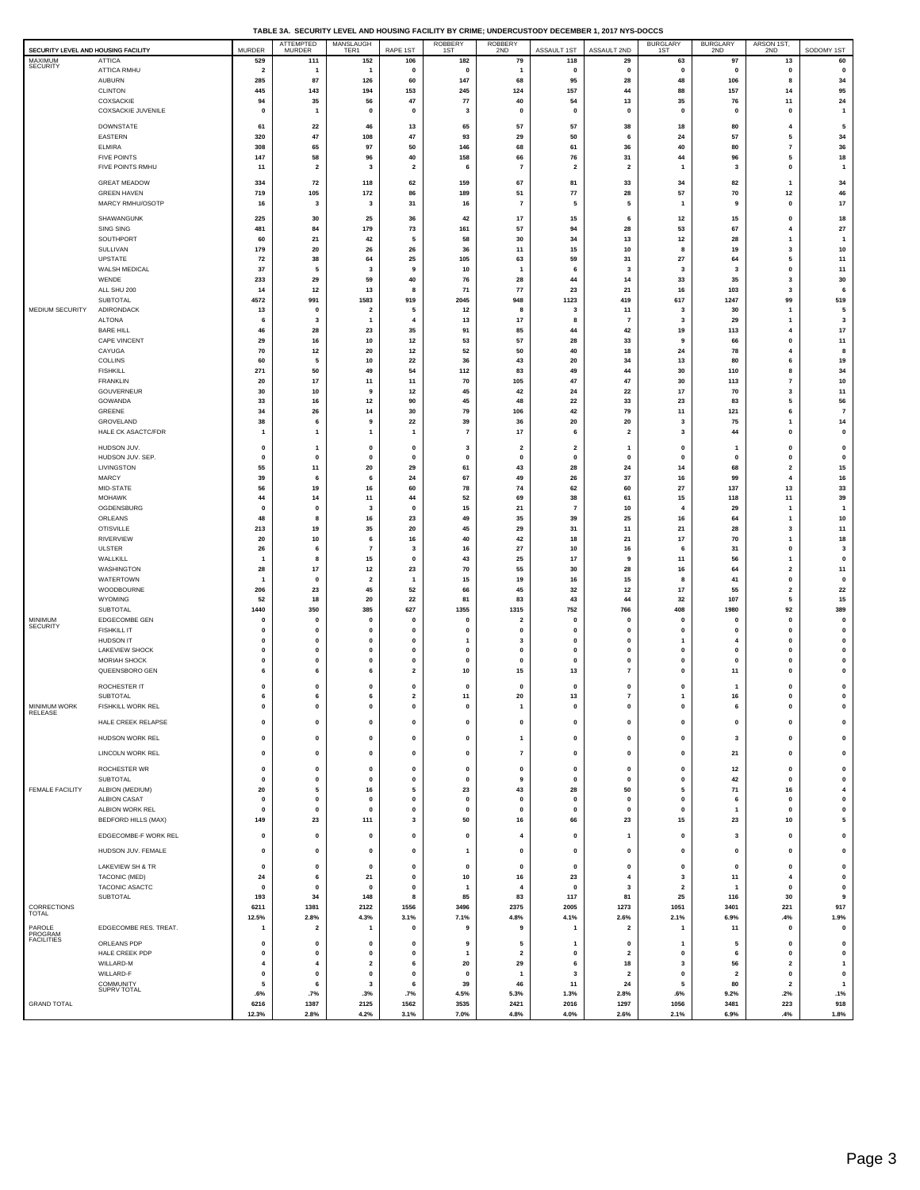| TABLE 3A. SECURITY LEVEL AND HOUSING FACILITY BY CRIME: UNDERCUSTODY DECEMBER 1, 2017 NYS-DOCCS |
|-------------------------------------------------------------------------------------------------|
|                                                                                                 |

|                                                |                                               |                         | ATTEMPTED                     | MANSLAUGH<br>TER1             |                                         | ROBBERY<br>1ST       | <b>ROBBERY</b>               |                              |                               | <b>BURGLARY</b>           | <b>BURGLARY</b>                | ARSON 1ST,                          |                            |
|------------------------------------------------|-----------------------------------------------|-------------------------|-------------------------------|-------------------------------|-----------------------------------------|----------------------|------------------------------|------------------------------|-------------------------------|---------------------------|--------------------------------|-------------------------------------|----------------------------|
| SECURITY LEVEL AND HOUSING FACILITY<br>MAXIMUM | <b>ATTICA</b>                                 | <b>MURDER</b><br>529    | MURDER<br>111                 | 152                           | RAPE 1ST<br>106                         | 182                  | 2ND<br>79                    | ASSAULT 1ST<br>118           | ASSAULT 2ND<br>29             | 1ST<br>63                 | 2ND<br>97                      | 2ND<br>13                           | SODOMY 1ST<br>60           |
| SECURITY                                       | ATTICA RMHU                                   | $\overline{\mathbf{2}}$ | $\overline{1}$                | $\mathbf{1}$                  | 0                                       | $\mathbf 0$          |                              | 0                            | $\mathbf 0$                   | $\mathbf 0$               | $\mathbf 0$                    | 0                                   | $\mathbf 0$                |
|                                                | <b>AUBURN</b>                                 | 285                     | 87                            | 126                           | 60                                      | 147                  | 68                           | 95                           | 28                            | 48                        | 106                            | 8                                   | 34                         |
|                                                | <b>CLINTON</b><br>COXSACKIE                   | 445<br>94               | 143<br>35                     | 194<br>56                     | 153<br>47                               | 245<br>77            | 124<br>40                    | 157<br>54                    | 44<br>13                      | 88<br>35                  | 157<br>76                      | 14<br>11                            | 95<br>24                   |
|                                                | <b>COXSACKIE JUVENILE</b>                     | $\pmb{0}$               | $\mathbf{1}$                  | 0                             | 0                                       | 3                    | 0                            | $\mathbf 0$                  | $\pmb{0}$                     | $\mathbf{0}$              | $\Omega$                       | 0                                   | $\overline{1}$             |
|                                                | <b>DOWNSTATE</b>                              | 61                      | 22                            | 46                            | 13                                      | 65                   | 57                           | 57                           | 38                            | 18                        | 80                             | 4                                   | 5                          |
|                                                | <b>EASTERN</b>                                | 320                     | 47                            | 108                           | 47                                      | 93                   | 29                           | 50                           | 6                             | 24                        | 57                             | 5                                   | 34                         |
|                                                | <b>ELMIRA</b>                                 | 308                     | 65                            | 97                            | 50                                      | 146                  | 68                           | 61                           | 36                            | 40                        | 80                             | 7                                   | 36                         |
|                                                | <b>FIVE POINTS</b>                            | 147                     | 58                            | 96                            | 40                                      | 158                  | 66                           | 76                           | 31                            | 44                        | 96                             | 5                                   | $18\,$                     |
|                                                | FIVE POINTS RMHU                              | 11                      | $\overline{\mathbf{2}}$       | 3                             | $\overline{\mathbf{2}}$                 | 6                    | $\overline{7}$               | $\overline{\mathbf{2}}$      | $\overline{\mathbf{2}}$       | 1                         | $\overline{\mathbf{3}}$        | 0                                   | $\mathbf{1}$               |
|                                                | <b>GREAT MEADOW</b>                           | 334                     | 72                            | 118                           | 62                                      | 159                  | 67                           | 81                           | 33                            | 34                        | 82                             | 1                                   | 34                         |
|                                                | <b>GREEN HAVEN</b>                            | 719                     | 105                           | 172                           | 86                                      | 189                  | 51                           | 77                           | 28                            | 57                        | 70                             | $12$                                | 46                         |
|                                                | MARCY RMHU/OSOTP                              | 16                      | 3                             | 3                             | 31                                      | 16                   | $\overline{7}$               | 5                            | 5                             | $\mathbf{1}$              | 9                              | 0                                   | 17                         |
|                                                | SHAWANGUNK                                    | 225                     | 30                            | 25                            | 36                                      | 42                   | 17                           | 15                           | 6                             | 12                        | 15                             | 0                                   | 18                         |
|                                                | SING SING<br>SOUTHPORT                        | 481<br>60               | 84<br>21                      | 179<br>42                     | 73<br>5                                 | 161<br>58            | 57<br>30                     | 94<br>34                     | 28<br>13                      | 53<br>12                  | 67<br>28                       | 4<br>1                              | 27<br>$\mathbf{1}$         |
|                                                | SULLIVAN                                      | 179                     | 20                            | 26                            | 26                                      | 36                   | 11                           | 15                           | 10                            | 8                         | 19                             | 3                                   | 10                         |
|                                                | <b>UPSTATE</b>                                | 72                      | 38                            | 64                            | 25                                      | 105                  | 63                           | 59                           | 31                            | 27                        | 64                             | 5                                   | 11                         |
|                                                | WALSH MEDICAL                                 | 37                      | 5                             | $\overline{\mathbf{3}}$       | 9                                       | 10                   | 1                            | 6                            | -3                            | $\overline{\mathbf{3}}$   | $\overline{\mathbf{3}}$        | $\mathbf{0}$                        | 11                         |
|                                                | WENDE                                         | 233<br>14               | 29<br>12                      | 59<br>13                      | 40<br>8                                 | 76<br>71             | 28<br>77                     | 44<br>23                     | 14<br>21                      | 33<br>16                  | 35<br>103                      | 3<br>3                              | 30<br>6                    |
|                                                | ALL SHU 200<br>SUBTOTAL                       | 4572                    | 991                           | 1583                          | 919                                     | 2045                 | 948                          | 1123                         | 419                           | 617                       | 1247                           | 99                                  | 519                        |
| MEDIUM SECURITY                                | ADIRONDACK                                    | 13                      | $\mathbf 0$                   | $\overline{2}$                | 5                                       | 12                   | 8                            | $\overline{\mathbf{3}}$      | 11                            | 3                         | 30                             | -1                                  | 5                          |
|                                                | <b>ALTONA</b>                                 | 6                       | 3                             | 1                             | $\overline{\mathbf{4}}$                 | 13                   | 17                           | 8                            | $\overline{7}$                | 3                         | 29                             | 1                                   | 3                          |
|                                                | <b>BARE HILL</b>                              | 46                      | 28                            | 23                            | 35                                      | 91                   | 85                           | 44                           | 42                            | 19                        | 113                            | 4                                   | 17                         |
|                                                | CAPE VINCENT<br>CAYUGA                        | 29<br>70                | 16<br>$12$                    | 10<br>20                      | 12<br>$12$                              | 53<br>52             | 57<br>50                     | 28<br>40                     | 33<br>18                      | g<br>24                   | 66<br>78                       | 0<br>$\overline{4}$                 | 11<br>8                    |
|                                                | <b>COLLINS</b>                                | 60                      | 5                             | 10                            | 22                                      | 36                   | 43                           | 20                           | 34                            | 13                        | 80                             | 6                                   | 19                         |
|                                                | <b>FISHKILL</b>                               | 271                     | 50                            | 49                            | 54                                      | 112                  | 83                           | 49                           | 44                            | 30                        | 110                            | 8                                   | 34                         |
|                                                | <b>FRANKLIN</b>                               | 20                      | 17                            | 11                            | 11                                      | 70                   | 105                          | 47                           | 47                            | 30                        | 113                            | 7                                   | 10                         |
|                                                | GOUVERNEUR<br>GOWANDA                         | 30<br>33                | 10<br>16                      | 9<br>12                       | $12$<br>90                              | 45<br>45             | 42<br>48                     | 24<br>22                     | 22<br>33                      | 17<br>23                  | 70<br>83                       | 3<br>5                              | 11<br>56                   |
|                                                | GREENE                                        | 34                      | 26                            | 14                            | 30                                      | 79                   | 106                          | 42                           | 79                            | 11                        | 121                            | 6                                   | $\overline{7}$             |
|                                                | GROVELAND                                     | 38                      | 6                             | 9                             | 22                                      | 39                   | 36                           | 20                           | 20                            | 3                         | 75                             | 1                                   | 14                         |
|                                                | HALE CK ASACTC/FDR                            | -1                      | -1                            | 1                             | $\overline{1}$                          | $\overline{7}$       | 17                           | 6                            | $\overline{2}$                | 3                         | 44                             | $\mathbf 0$                         | $\mathbf 0$                |
|                                                | HUDSON JUV.                                   | 0                       | $\mathbf{1}$                  | 0                             | 0                                       | 3                    | $\overline{\mathbf{2}}$      | $\overline{\mathbf{2}}$      | 1                             | $\mathbf 0$               |                                | $\pmb{0}$                           | $\mathbf 0$                |
|                                                | HUDSON JUV. SEP.                              | $\mathbf 0$             | $\mathbf 0$                   | $\mathbf 0$                   | 0                                       | $\mathbf{0}$         | $\mathbf 0$                  | $\mathbf 0$                  | $\mathbf 0$                   | $\Omega$                  | $\mathbf{0}$                   | 0                                   | $\mathbf 0$                |
|                                                | LIVINGSTON<br>MARCY                           | 55<br>39                | 11<br>6                       | 20<br>6                       | 29<br>24                                | 61<br>67             | 43<br>49                     | 28<br>26                     | 24<br>37                      | 14<br>16                  | 68<br>99                       | $\overline{\mathbf{2}}$<br>4        | 15                         |
|                                                | MID-STATE                                     | 56                      | 19                            | 16                            | 60                                      | 78                   | 74                           | 62                           | 60                            | 27                        | 137                            | 13                                  | 16<br>33                   |
|                                                | <b>MOHAWK</b>                                 | 44                      | 14                            | 11                            | 44                                      | 52                   | 69                           | 38                           | 61                            | 15                        | 118                            | 11                                  | 39                         |
|                                                | OGDENSBURG                                    | $\bf{0}$                | $\mathbf 0$                   | $\overline{\mathbf{3}}$       | 0                                       | 15                   | 21                           | $\overline{7}$               | 10                            |                           | 29                             | 1                                   | $\overline{1}$             |
|                                                | ORLEANS<br><b>OTISVILLE</b>                   | 48<br>213               | 8<br>19                       | 16<br>35                      | 23<br>20                                | 49<br>45             | 35<br>29                     | 39                           | 25                            | 16<br>21                  | 64<br>28                       | 1<br>3                              | 10<br>11                   |
|                                                | <b>RIVERVIEW</b>                              | 20                      | 10                            | 6                             | 16                                      | 40                   | 42                           | 31<br>18                     | 11<br>21                      | 17                        | 70                             | 1                                   | $18\,$                     |
|                                                | <b>ULSTER</b>                                 | 26                      | 6                             | $\overline{7}$                | 3                                       | 16                   | ${\bf 27}$                   | 10                           | 16                            | 6                         | 31                             | 0                                   | 3                          |
|                                                | WALLKILL                                      | -1                      | 8                             | 15                            | 0                                       | 43                   | 25                           | 17                           | 9                             | 11                        | 56                             | 1                                   | $\mathbf 0$                |
|                                                | WASHINGTON                                    | 28                      | 17                            | 12                            | 23                                      | 70                   | 55                           | 30                           | 28                            | 16                        | 64                             | $\overline{\mathbf{2}}$             | 11                         |
|                                                | WATERTOWN<br>WOODBOURNE                       | -1<br>206               | $\mathbf 0$<br>23             | $\overline{\mathbf{2}}$<br>45 | $\mathbf{1}$<br>52                      | 15<br>66             | 19<br>45                     | 16<br>32                     | 15<br>$12$                    | 8<br>17                   | 41<br>55                       | 0<br>$\overline{\mathbf{2}}$        | $\mathbf 0$<br>22          |
|                                                | WYOMING                                       | 52                      | 18                            | 20                            | 22                                      | 81                   | 83                           | 43                           | 44                            | 32                        | 107                            | 5                                   | $15\,$                     |
|                                                | SUBTOTAL                                      | 1440                    | 350                           | 385                           | 627                                     | 1355                 | 1315                         | 752                          | 766                           | 408                       | 1980                           | 92                                  | 389                        |
| <b>MINIMUM</b><br>SECURITY                     | EDGECOMBE GEN<br><b>FISHKILL IT</b>           | $\mathbf 0$<br>0        | $\mathbf 0$<br>$\mathbf 0$    | $\mathbf 0$<br>$\mathbf 0$    | $\mathbf 0$<br>0                        | $\mathbf 0$<br>0     | $\overline{\mathbf{2}}$<br>0 | $\mathbf 0$<br>$\mathbf 0$   | $\mathbf 0$<br>0              | $\Omega$<br>O             | $\Omega$<br>$\mathbf 0$        | 0<br>0                              | $\mathbf 0$<br>$\mathbf 0$ |
|                                                | <b>HUDSON IT</b>                              | $\mathbf 0$             | $\mathbf 0$                   | $\mathbf 0$                   | 0                                       | $\mathbf{1}$         | 3                            | $\mathbf 0$                  | 0                             | 1                         | $\overline{4}$                 | 0                                   | 0                          |
|                                                | LAKEVIEW SHOCK                                | $\mathbf 0$             | $\mathbf 0$                   | $\mathbf 0$                   | 0                                       | $\mathbf 0$          | 0                            | $\mathbf 0$                  | 0                             | $\mathbf 0$               | $\mathbf 0$                    | 0                                   | $\mathbf 0$                |
|                                                | <b>MORIAH SHOCK</b>                           | $\mathbf{0}$            | $\mathbf 0$                   | $\Omega$                      | 0                                       | $\mathbf 0$          | $\mathbf 0$                  | $\mathbf 0$                  | 0                             | $\Omega$                  | $\Omega$                       | 0                                   | 0                          |
|                                                | QUEENSBORO GEN                                | 6                       | 6                             | 6                             | $\overline{\mathbf{2}}$                 | 10                   | 15                           | 13                           | $\overline{\phantom{a}}$      | $\mathbf 0$               | 11                             | $\mathbf{0}$                        | $\pmb{0}$                  |
|                                                | ROCHESTER IT                                  | 0                       | $\mathbf 0$                   | 0                             | 0                                       | $\mathbf 0$          | 0                            | $\mathbf 0$                  | 0                             | $\mathbf 0$               | -1                             | 0                                   | $\mathbf 0$                |
| <b>MINIMUM WORK</b>                            | SUBTOTAL<br><b>FISHKILL WORK REL</b>          | 6<br>$\mathbf 0$        | 6                             | 6                             | $\overline{\mathbf{2}}$<br>$\mathbf{0}$ | 11                   | 20                           | 13                           | 7<br>O                        | 1                         | 16                             | $\mathbf{0}$                        | 0<br>$\mathbf 0$           |
| RELEASE                                        |                                               |                         |                               |                               |                                         |                      |                              |                              |                               |                           |                                |                                     |                            |
|                                                | HALE CREEK RELAPSE                            | $\mathbf 0$             | $\pmb{0}$                     | 0                             | $\pmb{0}$                               | $\mathbf 0$          | $\pmb{0}$                    | $\pmb{0}$                    | $\pmb{0}$                     | 0                         | $\pmb{0}$                      | 0                                   | $\pmb{0}$                  |
|                                                | HUDSON WORK REL                               | $\pmb{0}$               | 0                             | 0                             | $\pmb{0}$                               | $\mathbf 0$          | 1                            | $\mathbf 0$                  | $\pmb{0}$                     | 0                         | $\mathbf{3}$                   | 0                                   | $\mathbf{0}$               |
|                                                | LINCOLN WORK REL                              | $\pmb{0}$               | $\pmb{0}$                     | 0                             | $\pmb{0}$                               | $\pmb{0}$            | $\scriptstyle\rm{7}$         | $\mathbf 0$                  | $\pmb{0}$                     | 0                         | 21                             | 0                                   | 0                          |
|                                                | ROCHESTER WR                                  | 0                       | 0                             | 0                             | 0                                       | $\mathbf 0$          | 0                            | $\mathbf 0$                  | 0                             | 0                         | 12                             | 0                                   | 0                          |
|                                                | <b>SUBTOTAL</b>                               | $\mathbf 0$             | $\pmb{0}$                     | $\mathbf{0}$                  | $\pmb{0}$                               | $\pmb{0}$            | 9                            | $\pmb{0}$                    | $\pmb{0}$                     | $\mathbf 0$               | 42                             | $\mathbf 0$                         | $\pmb{0}$                  |
| FEMALE FACILITY                                | ALBION (MEDIUM)                               | 20                      | 5                             | 16                            | 5                                       | 23                   | 43                           | 28                           | 50                            | 5                         | 71                             | 16                                  | 4                          |
|                                                | <b>ALBION CASAT</b>                           | $\mathbf{0}$            | $\pmb{0}$                     | $\mathbf 0$                   | $\pmb{0}$                               | $\pmb{0}$            | $\pmb{0}$                    | $\mathbf{0}$                 | $\pmb{0}$                     | $\pmb{0}$<br>$\mathbf{0}$ | 6<br>$\overline{1}$            | $\mathbf{0}$                        | $\pmb{0}$                  |
|                                                | ALBION WORK REL<br><b>BEDFORD HILLS (MAX)</b> | $\pmb{0}$<br>149        | 0<br>23                       | 0<br>111                      | 0<br>3                                  | $\mathbf 0$<br>50    | 0<br>16                      | $\mathbf 0$<br>66            | $\pmb{0}$<br>23               | 15                        | 23                             | 0<br>10                             | 0<br>5                     |
|                                                | EDGECOMBE-F WORK REL                          | $\mathbf{0}$            | $\pmb{0}$                     | $\mathbf 0$                   | $\pmb{0}$                               | $\pmb{0}$            | 4                            | $\mathbf{0}$                 | $\mathbf{1}$                  | $\mathbf 0$               | 3                              | $\mathbf{0}$                        | $\pmb{0}$                  |
|                                                |                                               |                         |                               |                               |                                         |                      |                              |                              |                               |                           |                                |                                     |                            |
|                                                | HUDSON JUV. FEMALE                            | $\mathbf 0$             | $\pmb{0}$                     | $\mathbf 0$                   | $\pmb{0}$                               | $\mathbf{1}$         | $\mathbf 0$                  | $\mathbf{0}$                 | $\pmb{0}$                     | $\mathbf 0$               | $\mathbf 0$                    | 0                                   | $\pmb{0}$                  |
|                                                | LAKEVIEW SH & TR                              | $\mathbf{0}$            | $\mathbf 0$                   | $\mathbf 0$                   | $\pmb{0}$                               | $\pmb{0}$            | $\mathbf 0$                  | $\mathbf 0$                  | $\mathbf 0$                   | $\mathbf 0$               | $\mathbf 0$                    | $\mathbf{0}$                        | $\mathbf 0$                |
|                                                | TACONIC (MED)<br>TACONIC ASACTC               | 24                      | 6                             | 21                            | $\pmb{0}$                               | 10                   | 16                           | 23                           | 4                             | 3                         | 11                             | 4                                   | 0                          |
|                                                | SUBTOTAL                                      | $\mathbf{0}$<br>193     | $\mathbf 0$<br>34             | $\mathbf 0$<br>148            | $\pmb{0}$<br>8                          | $\overline{1}$<br>85 | $\overline{4}$<br>83         | $\mathbf{0}$<br>117          | 3<br>81                       | $\overline{2}$<br>25      | $\overline{\mathbf{1}}$<br>116 | $\pmb{0}$<br>30                     | $\pmb{0}$<br>9             |
| CORRECTIONS                                    |                                               | 6211                    | 1381                          | 2122                          | 1556                                    | 3496                 | 2375                         | 2005                         | 1273                          | 1051                      | 3401                           | 221                                 | 917                        |
| TOTAL                                          |                                               | 12.5%                   | 2.8%                          | 4.3%                          | 3.1%                                    | 7.1%                 | 4.8%                         | 4.1%                         | 2.6%                          | 2.1%                      | 6.9%                           | .4%                                 | 1.9%                       |
| PAROLE                                         | EDGECOMBE RES. TREAT.                         | $\mathbf{1}$            | $\overline{2}$                | 1                             | $\mathbf 0$                             | 9                    | 9                            | $\mathbf{1}$                 | 2                             | 1                         | 11                             | $\mathbf 0$                         | $\mathbf 0$                |
| PROGRAM<br>FACILITIES                          | ORLEANS PDP                                   | $\pmb{0}$               | 0                             | 0                             | $\pmb{0}$                               | 9                    | 5                            | $\mathbf{1}$                 | $\pmb{0}$                     | $\overline{1}$            | 5                              | $\pmb{0}$                           | 0                          |
|                                                | HALE CREEK PDP                                | 0                       | $\mathbf 0$                   | $\mathbf 0$                   | 0                                       | $\mathbf{1}$         | $\overline{2}$               | $\mathbf{0}$                 | $\overline{2}$                | $\Omega$                  | 6                              | 0                                   | $\mathbf 0$                |
|                                                | WILLARD-M<br>WILLARD-F                        | 4<br>0                  | $\overline{4}$<br>$\mathbf 0$ | $\overline{2}$<br>0           | 6<br>0                                  | 20<br>$\mathbf 0$    | 29<br>1                      | 6<br>$\overline{\mathbf{3}}$ | 18<br>$\overline{\mathbf{2}}$ | 3<br>$\mathbf{0}$         | 56<br>$\overline{\mathbf{2}}$  | $\overline{\mathbf{2}}$<br>$\bf{0}$ | $\mathbf{1}$<br>0          |
|                                                | COMMUNITY                                     | 5                       | 6                             | 3                             | 6                                       | 39                   | 46                           | 11                           | 24                            | 5                         | 80                             | $\overline{\mathbf{2}}$             | $\mathbf{1}$               |
|                                                | SUPRV TOTAL                                   | .6%                     | .7%                           | .3%                           | .7%                                     | 4.5%                 | 5.3%                         | 1.3%                         | 2.8%                          | .6%                       | 9.2%                           | .2%                                 | .1%                        |
| <b>GRAND TOTAL</b>                             |                                               | 6216                    | 1387                          | 2125                          | 1562                                    | 3535                 | 2421                         | 2016                         | 1297                          | 1056                      | 3481                           | 223                                 | 918                        |
|                                                |                                               | 12.3%                   | 2.8%                          | 4.2%                          | 3.1%                                    | 7.0%                 | 4.8%                         | 4.0%                         | 2.6%                          | 2.1%                      | 6.9%                           | .4%                                 | 1.8%                       |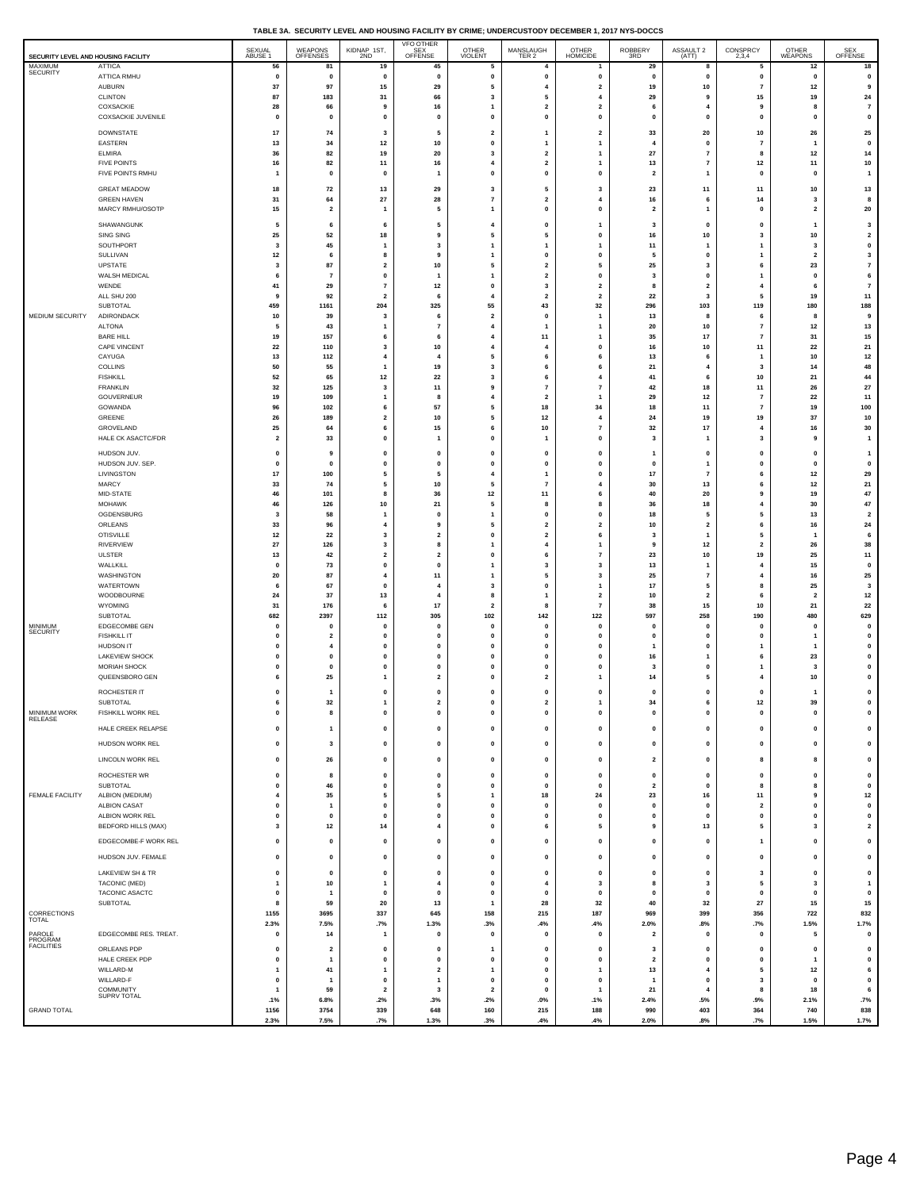|  | TABLE 3A. SECURITY LEVEL AND HOUSING FACILITY BY CRIME: UNDERCUSTODY DECEMBER 1, 2017 NYS-DOCCS |  |
|--|-------------------------------------------------------------------------------------------------|--|
|  |                                                                                                 |  |

| SECURITY LEVEL AND HOUSING FACILITY |                                        | SEXUAL<br>ABUSE 1               | WEAPONS<br>OFFENSES            | KIDNAP 1ST,<br>2ND             | <b>VFO OTHER</b><br>SEX <sup>---</sup><br>OFFENSE | OTHER<br>VIOLENT               | MANSLAUGH<br>TER 2                                 | OTHER<br>HOMICIDE                         | ROBBERY<br>3RD                       | ASSAULT 2<br>(ATT)                      | CONSPRCY<br>2,3,4                          | OTHER<br>WEAPONS             | SEX<br>OFFENSE                |
|-------------------------------------|----------------------------------------|---------------------------------|--------------------------------|--------------------------------|---------------------------------------------------|--------------------------------|----------------------------------------------------|-------------------------------------------|--------------------------------------|-----------------------------------------|--------------------------------------------|------------------------------|-------------------------------|
| MAXIMUM<br>SECURITY                 | <b>ATTICA</b><br>ATTICA RMHU           | 56<br>$\mathbf{0}$              | 81<br>$\mathbf 0$              | 19<br>$\mathbf{0}$             | 45<br>$\mathbf{0}$                                | 5<br>$\pmb{0}$                 | $\overline{4}$<br>$\pmb{0}$                        | $\mathbf{1}$<br>$\pmb{0}$                 | 29<br>$\mathbf{0}$                   | 8<br>$\mathbf 0$                        | 5<br>$\pmb{0}$                             | 12<br>$\mathbf{0}$           | 18<br>$\pmb{0}$               |
|                                     | AUBURN                                 | 37                              | 97                             | 15                             | 29                                                | 5                              | $\overline{4}$                                     | $\overline{\mathbf{2}}$                   | 19                                   | 10                                      | $\overline{\phantom{a}}$                   | $12$                         | 9                             |
|                                     | CLINTON<br>COXSACKIE                   | 87<br>28                        | 183<br>66                      | 31<br>9                        | 66<br>16                                          | $\overline{\mathbf{3}}$<br>1   | 5<br>$\overline{\mathbf{2}}$                       | $\overline{4}$<br>$\overline{\mathbf{2}}$ | 29<br>6                              | 9<br>$\overline{4}$                     | 15<br>9                                    | 19<br>8                      | 24<br>$\scriptstyle\rm 7$     |
|                                     | COXSACKIE JUVENILE                     | $\mathbf{0}$                    | $\mathbf 0$                    | $\mathbf{0}$                   | $\mathbf 0$                                       | $\mathbf 0$                    | $\mathbf 0$                                        | $\pmb{0}$                                 | $\mathbf{0}$                         | $\mathbf 0$                             | $\pmb{0}$                                  | $\Omega$                     | $\pmb{0}$                     |
|                                     | <b>DOWNSTATE</b><br>EASTERN            | 17<br>13                        | 74<br>34                       | 3<br>12                        | 5<br>10                                           | $\overline{\mathbf{2}}$<br>0   | -1<br>$\mathbf{1}$                                 | $\overline{\mathbf{2}}$<br>$\mathbf{1}$   | 33<br>$\overline{4}$                 | 20<br>0                                 | 10<br>$\overline{7}$                       | 26<br>1                      | 25<br>$\mathbf 0$             |
|                                     | <b>ELMIRA</b>                          | 36                              | 82                             | 19                             | 20                                                | $\overline{\mathbf{3}}$        | $\overline{\mathbf{2}}$                            | $\mathbf{1}$                              | 27                                   | $\overline{7}$                          | 8                                          | 12                           | 14                            |
|                                     | <b>FIVE POINTS</b><br>FIVE POINTS RMHU | 16<br>-1                        | 82<br>$\mathbf{0}$             | 11<br>$\mathbf{0}$             | 16<br>1                                           | $\overline{4}$<br>$\mathbf 0$  | $\overline{\mathbf{2}}$<br>$\mathbf{0}$            | 1<br>$\pmb{0}$                            | 13<br>$\overline{2}$                 | $\overline{7}$<br>-1                    | 12<br>$\mathbf 0$                          | 11<br>0                      | 10<br>$\mathbf{1}$            |
|                                     | <b>GREAT MEADOW</b>                    | 18                              | 72                             | 13                             | 29                                                | 3                              | 5                                                  | $\overline{\mathbf{3}}$                   | 23                                   | $11$                                    | 11                                         | 10                           | 13                            |
|                                     | <b>GREEN HAVEN</b><br>MARCY RMHU/OSOTP | 31<br>15                        | 64<br>$\overline{2}$           | 27<br>$\mathbf{1}$             | 28<br>5                                           | $\overline{7}$<br>$\mathbf{1}$ | $\overline{\mathbf{2}}$<br>$\mathbf{0}$            | $\overline{\mathbf{4}}$<br>$\pmb{0}$      | 16<br>$\overline{2}$                 | 6<br>-1                                 | 14<br>$\mathbf 0$                          | 3<br>$\overline{2}$          | 8<br>${\bf 20}$               |
|                                     | SHAWANGUNK                             | 5                               | 6                              | 6                              | 5                                                 | 4                              | $\mathbf 0$                                        | $\overline{1}$                            | 3                                    | 0                                       | $\mathbf 0$                                | 1                            | 3                             |
|                                     | SING SING                              | 25                              | 52                             | 18                             | 9                                                 | 5                              | 5                                                  | 0                                         | 16                                   | 10                                      | 3                                          | 10                           | $\overline{\mathbf{2}}$       |
|                                     | SOUTHPORT<br>SULLIVAN                  | 3<br>12                         | 45<br>6                        | -1<br>8                        | 3<br>9                                            | $\mathbf{1}$<br>$\mathbf{1}$   | -1<br>$\pmb{0}$                                    | $\mathbf{1}$<br>0                         | 11<br>5                              | -1<br>0                                 | $\mathbf{1}$<br>1                          | 3<br>$\overline{\mathbf{2}}$ | $\mathbf 0$<br>$\mathbf{3}$   |
|                                     | <b>UPSTATE</b>                         | $\overline{\mathbf{3}}$         | 87                             | $\overline{\mathbf{2}}$        | 10                                                | 5                              | $\overline{2}$                                     | 5                                         | 25                                   | $\overline{\mathbf{3}}$                 | 6                                          | 23<br>$\mathbf 0$            | $\overline{7}$                |
|                                     | WALSH MEDICAL<br>WENDE                 | 6<br>41                         | 7<br>29                        | 0<br>$\overline{7}$            | $\overline{1}$<br>12                              | $\mathbf{1}$<br>$\mathbf 0$    | $\overline{\mathbf{2}}$<br>3                       | 0<br>$\overline{\mathbf{2}}$              | 3<br>8                               | 0<br>$\overline{2}$                     | $\overline{1}$<br>$\overline{4}$           | 6                            | 6<br>$\bf 7$                  |
|                                     | ALL SHU 200<br><b>SUBTOTAL</b>         | 9<br>459                        | 92<br>1161                     | $\overline{\mathbf{2}}$<br>204 | 6<br>325                                          | $\overline{4}$<br>55           | $\overline{\mathbf{2}}$<br>43                      | $\overline{\mathbf{2}}$<br>32             | 22<br>296                            | 3<br>103                                | 5<br>119                                   | 19<br>180                    | 11<br>188                     |
| MEDIUM SECURITY                     | ADIRONDACK                             | 10                              | 39                             | 3                              | 6                                                 | $\overline{\mathbf{2}}$        | $\pmb{0}$                                          | $\mathbf{1}$                              | 13                                   | 8                                       | 6                                          | 8                            | 9                             |
|                                     | <b>ALTONA</b><br><b>BARE HILL</b>      | 5<br>19                         | 43<br>157                      | $\mathbf{1}$<br>6              | $\overline{7}$<br>6                               | $\overline{4}$<br>4            | 11                                                 | $\mathbf{1}$<br>1                         | 20<br>35                             | 10<br>17                                | $\overline{7}$<br>$\overline{7}$           | 12<br>31                     | 13<br>$15\,$                  |
|                                     | CAPE VINCENT<br>CAYUGA                 | 22<br>13                        | 110<br>112                     | 3<br>4                         | 10<br>$\boldsymbol{\Lambda}$                      | $\overline{4}$<br>5            | $\overline{4}$<br>6                                | $\pmb{0}$<br>6                            | 16<br>13                             | 10<br>6                                 | 11<br>$\overline{1}$                       | 22<br>10                     | 21<br>12                      |
|                                     | COLLINS                                | 50                              | 55                             | $\mathbf{1}$                   | 19                                                | $\overline{\mathbf{3}}$        | 6                                                  | 6                                         | 21                                   | 4                                       | 3                                          | 14                           | 48                            |
|                                     | <b>FISHKILL</b><br><b>FRANKLIN</b>     | 52<br>32                        | 65<br>125                      | 12<br>3                        | 22<br>11                                          | 3<br>9                         | 6<br>$\overline{7}$                                | $\overline{\mathbf{4}}$<br>$\overline{7}$ | 41<br>42                             | 6<br>18                                 | 10<br>11                                   | 21<br>26                     | 44<br>27                      |
|                                     | GOUVERNEUR<br>GOWANDA                  | 19<br>96                        | 109<br>102                     | $\overline{1}$<br>6            | 8<br>57                                           | $\overline{4}$<br>5            | $\overline{\mathbf{2}}$<br>18                      | $\overline{1}$<br>34                      | 29                                   | 12<br>11                                | $\overline{\phantom{a}}$<br>$\overline{7}$ | 22<br>19                     | 11                            |
|                                     | GREENE                                 | 26                              | 189                            | $\overline{\mathbf{2}}$        | 10                                                | 5                              | 12                                                 | $\overline{\mathbf{4}}$                   | 18<br>24                             | 19                                      | 19                                         | 37                           | 100<br>$10\,$                 |
|                                     | GROVELAND<br>HALE CK ASACTC/FDR        | 25<br>$\overline{\mathbf{2}}$   | 64<br>33                       | 6<br>0                         | 15<br>$\overline{1}$                              | 6<br>0                         | 10<br>$\overline{1}$                               | $\overline{7}$<br>0                       | 32<br>3                              | 17<br>1                                 | $\overline{4}$<br>3                        | 16<br>9                      | 30<br>$\mathbf{1}$            |
|                                     | HUDSON JUV.                            | $\pmb{0}$                       | 9                              | 0                              | 0                                                 | 0                              | $\mathbf 0$                                        | 0                                         | $\mathbf{1}$                         | 0                                       | 0                                          | 0                            | $\mathbf{1}$                  |
|                                     | HUDSON JUV. SEP.                       | $\pmb{0}$                       | $\mathbf{0}$                   | 0                              | 0                                                 | $\mathbf 0$                    | $\mathbf 0$                                        | 0                                         | $\pmb{0}$                            | $\mathbf{1}$                            | $\mathbf 0$                                | $\mathbf 0$                  | $\pmb{0}$                     |
|                                     | LIVINGSTON<br>MARCY                    | 17<br>33                        | 100<br>74                      | 5<br>5                         | 5<br>10                                           | 4<br>5                         | $\mathbf{1}$<br>$\overline{7}$                     | $\mathbf 0$<br>$\overline{\mathbf{4}}$    | 17<br>30                             | $\overline{7}$<br>13                    | 6<br>6                                     | $12$<br>$12\,$               | 29<br>21                      |
|                                     | MID-STATE<br><b>MOHAWK</b>             | 46<br>46                        | 101<br>126                     | 8<br>10                        | 36<br>21                                          | $12\,$<br>5                    | 11<br>8                                            | 6<br>8                                    | 40<br>36                             | 20<br>18                                | 9<br>$\overline{\mathbf{4}}$               | 19<br>30                     | $\bf 47$<br>47                |
|                                     | OGDENSBURG                             | 3                               | 58                             | $\mathbf{1}$                   | $\Omega$                                          | $\mathbf{1}$                   | $\mathbf 0$                                        | $\mathbf 0$                               | 18                                   | 5                                       | 5                                          | 13                           | $\overline{\mathbf{2}}$       |
|                                     | ORLEANS<br><b>OTISVILLE</b>            | 33<br>$12$                      | 96<br>22                       | 4<br>3                         | 9<br>$\overline{2}$                               | 5<br>0                         | $\overline{\mathbf{2}}$<br>$\overline{\mathbf{2}}$ | $\mathbf 2$<br>6                          | 10<br>3                              | $\overline{\mathbf{2}}$<br>$\mathbf{1}$ | 6<br>5                                     | 16<br>1                      | 24<br>6                       |
|                                     | <b>RIVERVIEW</b><br><b>ULSTER</b>      | 27<br>13                        | 126<br>42                      | 3<br>$\mathbf{2}$              | 8<br>$\overline{\mathbf{2}}$                      | 1<br>0                         | $\overline{4}$<br>6                                | $\overline{1}$<br>$\overline{7}$          | 9<br>23                              | $12$<br>10                              | $\overline{\mathbf{2}}$<br>19              | 26<br>25                     | 38<br>11                      |
|                                     | WALLKILL                               | $\mathbf 0$                     | 73                             | 0                              | $\mathbf 0$                                       | $\mathbf{1}$                   | 3                                                  | 3                                         | 13                                   | 1                                       | $\overline{4}$                             | 15                           | $\pmb{\mathsf{o}}$            |
|                                     | WASHINGTON<br>WATERTOWN                | 20<br>6                         | 87<br>67                       | 4<br>0                         | 11<br>$\overline{4}$                              | $\mathbf{1}$<br>3              | 5<br>$\pmb{\mathsf{o}}$                            | 3<br>$\mathbf{1}$                         | 25<br>17                             | $\overline{7}$<br>5                     | 4<br>8                                     | 16<br>25                     | 25<br>$\overline{\mathbf{3}}$ |
|                                     | WOODBOURNE                             | 24                              | 37                             | 13                             | 4                                                 | 8                              | $\overline{\mathbf{1}}$                            | $\overline{\mathbf{2}}$                   | 10                                   | $\overline{2}$                          | 6                                          | $\overline{\mathbf{2}}$      | $12\,$                        |
|                                     | WYOMING<br>SUBTOTAL                    | 31<br>682                       | 176<br>2397                    | 6<br>112                       | 17<br>305                                         | $\overline{2}$<br>102          | 8<br>142                                           | $\overline{7}$<br>122                     | 38<br>597                            | 15<br>258                               | 10<br>190                                  | 21<br>480                    | 22<br>629                     |
| MINIMUM<br><b>SECURITY</b>          | EDGECOMBE GEN<br><b>FISHKILL IT</b>    | $\mathbf 0$<br>$\mathbf{0}$     | $\mathbf{0}$<br>$\overline{2}$ | 0<br>$\mathbf{0}$              | $\mathbf 0$<br>$\Omega$                           | 0<br>0                         | $\mathbf 0$<br>$\mathbf{0}$                        | $\pmb{0}$<br>$\mathbf 0$                  | $\mathbf 0$<br>$\mathbf{0}$          | 0<br>$\mathbf 0$                        | 0<br>$\mathbf{o}$                          | $\mathbf 0$<br>1             | $\pmb{0}$<br>$\pmb{0}$        |
|                                     | <b>HUDSON IT</b>                       | $\mathbf{0}$                    | $\overline{4}$                 | 0                              | $\mathbf 0$                                       | 0                              | $\mathbf 0$                                        | $\pmb{0}$                                 | $\overline{1}$                       | 0                                       | $\overline{1}$                             |                              | 0                             |
|                                     | <b>LAKEVIEW SHOCK</b><br>MORIAH SHOCK  | $\mathbf{0}$<br>$\mathbf 0$     | 0<br>0                         | 0<br>0                         | $\mathbf 0$<br>$\mathbf 0$                        | 0<br>0                         | $\mathbf 0$<br>$\mathbf 0$                         | 0<br>$\mathbf 0$                          | 16<br>3                              | $\mathbf{1}$<br>0                       | 6<br>$\overline{1}$                        | 23<br>3                      | 0<br>0                        |
|                                     | QUEENSBORO GEN                         | -6                              | 25                             | $\mathbf{1}$                   | $\overline{\mathbf{2}}$                           | $\mathbf 0$                    | $\overline{\mathbf{2}}$                            | $\mathbf{1}$                              | 14                                   | 5                                       | 4                                          | 10                           | $\mathbf 0$                   |
|                                     | ROCHESTER IT<br>SUBTOTAL               | $\mathbf 0$<br>6                | $\mathbf{1}$<br>32             | 0<br>$\overline{1}$            | 0<br>$\overline{2}$                               | 0<br>0                         | $\mathbf 0$<br>$\overline{\mathbf{2}}$             | 0<br>$\mathbf{1}$                         | $\mathbf{0}$<br>34                   | 0<br>6                                  | 0<br>12                                    | 1<br>39                      | $\mathbf 0$<br>0              |
| <b>MINIMUM WORK</b><br>RELEASE      | <b>FISHKILL WORK REL</b>               |                                 |                                | 0                              |                                                   | 0                              |                                                    | Ω                                         |                                      |                                         |                                            |                              |                               |
|                                     | HALE CREEK RELAPSE                     | $\pmb{0}$                       | $\mathbf{1}$                   | 0                              | 0                                                 | $\mathbf 0$                    | $\mathbf 0$                                        | 0                                         | $\pmb{0}$                            | 0                                       | $\bf{0}$                                   | 0                            | $\mathbf 0$                   |
|                                     | HUDSON WORK REL                        | $\pmb{0}$                       | 3                              | 0                              | $\mathbf{o}$                                      | $\pmb{0}$                      | $\mathbf{0}$                                       | $\pmb{0}$                                 | $\mathbf{0}$                         | $\mathbf{0}$                            | 0                                          | 0                            | $\pmb{0}$                     |
|                                     | LINCOLN WORK REL                       | $\pmb{0}$                       | 26                             | $\pmb{0}$                      | $\mathbf 0$                                       | $\pmb{0}$                      | $\mathbf{0}$                                       | $\pmb{0}$                                 | $\overline{2}$                       | $\mathbf 0$                             | 8                                          | 8                            | 0                             |
|                                     | ROCHESTER WR<br>SUBTOTAL               | $\pmb{0}$<br>$\pmb{0}$          | 8<br>46                        | $\pmb{0}$<br>0                 | $\mathbf{0}$<br>0                                 | $\mathbf{0}$<br>0              | $\pmb{0}$<br>$\mathbf 0$                           | $\pmb{0}$<br>0                            | $\pmb{0}$<br>$\overline{\mathbf{2}}$ | $\pmb{0}$<br>0                          | $\pmb{0}$<br>8                             | $\mathbf{0}$<br>8            | $\pmb{0}$<br>0                |
| FEMALE FACILITY                     | ALBION (MEDIUM)<br><b>ALBION CASAT</b> | $\overline{\bf 4}$<br>$\pmb{0}$ | 35<br>$\overline{1}$           | 5<br>0                         | 5<br>0                                            | $\overline{1}$<br>0            | 18<br>$\mathbf 0$                                  | 24<br>$\pmb{0}$                           | 23<br>$\pmb{0}$                      | 16<br>0                                 | 11<br>$\overline{\mathbf{2}}$              | 9<br>0                       | $12$<br>$\mathbf 0$           |
|                                     | ALBION WORK REL                        | $\pmb{0}$                       | $\pmb{0}$                      | $\pmb{0}$                      | $\mathbf{0}$                                      | $\mathbf{0}$                   | $\pmb{0}$                                          | $\pmb{0}$                                 | $\pmb{0}$                            | $\pmb{0}$                               | $\pmb{0}$                                  | $\mathbf{0}$                 | $\pmb{0}$                     |
|                                     | BEDFORD HILLS (MAX)                    | 3                               | $12$                           | 14                             | $\overline{4}$                                    | 0                              | 6                                                  | 5                                         | 9                                    | 13                                      | 5                                          | 3                            | $\overline{\mathbf{2}}$       |
|                                     | EDGECOMBE-F WORK REL                   | $\pmb{0}$                       | 0                              | 0                              | 0                                                 | 0                              | $\mathbf 0$                                        | 0                                         | $\mathbf 0$                          | 0                                       | $\overline{\mathbf{1}}$                    | 0                            | $\mathbf 0$                   |
|                                     | HUDSON JUV. FEMALE                     | $\pmb{0}$                       | 0                              | 0                              | 0<br>0                                            | 0                              | $\mathbf 0$                                        | 0                                         | $\mathbf 0$                          | 0                                       | 0                                          | 0<br>0                       | 0                             |
|                                     | LAKEVIEW SH & TR<br>TACONIC (MED)      | $\pmb{0}$<br>$\overline{1}$     | 0<br>10                        | 0<br>$\overline{1}$            | $\overline{4}$                                    | 0<br>$\pmb{0}$                 | $\mathbf 0$<br>$\overline{\mathbf{4}}$             | 0<br>$\overline{\mathbf{3}}$              | $\mathbf 0$<br>8                     | 0<br>$\mathbf{3}$                       | 3<br>5                                     | $\overline{\mathbf{3}}$      | 0<br>$\mathbf{1}$             |
|                                     | TACONIC ASACTC<br>SUBTOTAL             | $\pmb{0}$<br>8                  | $\overline{1}$<br>59           | 0<br>20                        | 0<br>13                                           | 0<br>$\overline{1}$            | $\mathbf 0$<br>28                                  | 0<br>32                                   | $\mathbf 0$<br>40                    | 0<br>32                                 | 0<br>27                                    | 0<br>15                      | $\bf{0}$<br>$15\,$            |
| CORRECTIONS<br>TOTAL                |                                        | 1155                            | 3695                           | 337                            | 645                                               | 158                            | 215                                                | 187                                       | 969                                  | 399                                     | 356                                        | 722                          | 832                           |
| PAROLE<br>PROGRAM                   | EDGECOMBE RES. TREAT.                  | 2.3%<br>$\pmb{0}$               | 7.5%<br>14                     | .7%<br>$\overline{1}$          | 1.3%<br>0                                         | .3%<br>0                       | .4%<br>$\pmb{0}$                                   | .4%<br>0                                  | 2.0%<br>$\overline{\mathbf{2}}$      | .8%<br>0                                | .7%<br>0                                   | 1.5%<br>5                    | 1.7%<br>0                     |
| <b>FACILITIES</b>                   | ORLEANS PDP                            | $\pmb{0}$                       | $\overline{\mathbf{2}}$        | 0                              | 0                                                 | 1                              | $\mathbf 0$                                        | 0                                         | 3                                    | 0                                       | 0                                          | 0                            | $\bf{0}$                      |
|                                     | HALE CREEK PDP<br>WILLARD-M            | $\pmb{0}$<br>$\overline{1}$     | $\mathbf{1}$<br>41             | $\pmb{0}$<br>1                 | $\mathbf 0$<br>$\overline{2}$                     | $\mathbf 0$<br>$\mathbf{1}$    | $\pmb{0}$<br>$\mathbf{0}$                          | $\pmb{0}$<br>$\mathbf{1}$                 | $\overline{\mathbf{2}}$<br>13        | 0<br>$\overline{a}$                     | 0<br>5                                     | $\overline{1}$<br>12         | $\pmb{0}$<br>6                |
|                                     | WILLARD-F                              | $\pmb{0}$                       | $\overline{1}$                 | $\mathbf 0$                    | $\overline{1}$                                    | $\pmb{0}$                      | $\pmb{\mathsf{o}}$                                 | $\pmb{0}$                                 | $\mathbf{1}$                         | 0                                       | 3                                          | $\pmb{0}$                    | $\pmb{0}$                     |
|                                     | COMMUNITY<br>SUPRV TOTAL               | $\mathbf{1}$<br>.1%             | 59<br>6.8%                     | $\overline{\mathbf{2}}$<br>.2% | 3<br>.3%                                          | $\overline{\mathbf{2}}$<br>.2% | $\mathbf{0}$<br>$.0\%$                             | $\mathbf{1}$<br>.1%                       | 21<br>2.4%                           | $\overline{4}$<br>.5%                   | 8<br>.9%                                   | 18<br>2.1%                   | 6<br>.7%                      |
| <b>GRAND TOTAL</b>                  |                                        | 1156<br>2.3%                    | 3754<br>7.5%                   | 339<br>.7%                     | 648<br>1.3%                                       | 160<br>.3%                     | 215<br>.4%                                         | 188<br>.4%                                | 990<br>2.0%                          | 403<br>.8%                              | 364<br>.7%                                 | 740<br>1.5%                  | 838<br>1.7%                   |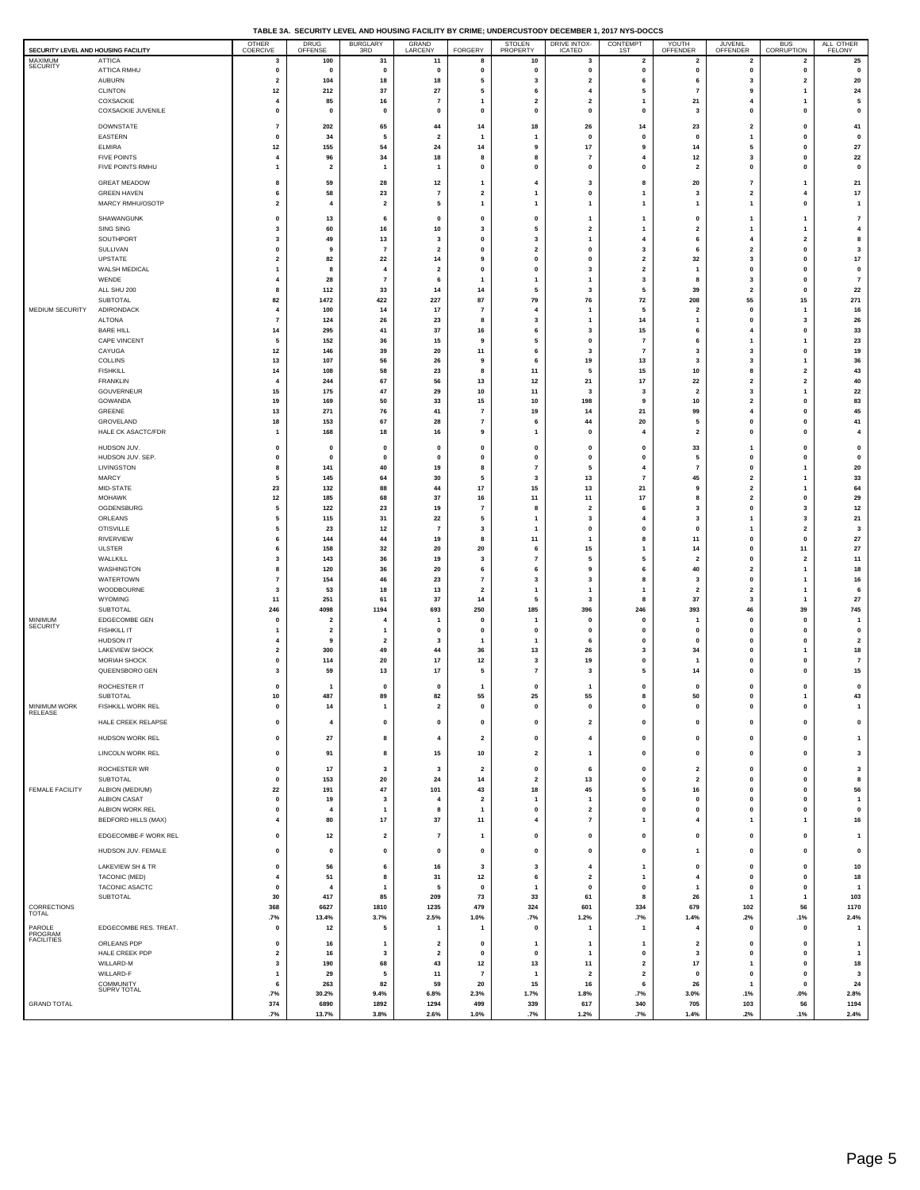| TABLE 3A. SECURITY LEVEL AND HOUSING FACILITY BY CRIME: UNDERCUSTODY DECEMBER 1, 2017 NYS-DOCCS |
|-------------------------------------------------------------------------------------------------|
|                                                                                                 |

|                                                |                                        | OTHER                                   | DRUG<br>OFFENSE              | <b>BURGLARY</b>                | GRAND                                  |                               | STOLEN<br>PROPERTY             | <b>DRIVE INTOX-</b>            | CONTEMPT                                | YOUTH                         | <b>JUVENIL</b>                                     | <b>BUS</b>                   | ALL OTHER                                 |
|------------------------------------------------|----------------------------------------|-----------------------------------------|------------------------------|--------------------------------|----------------------------------------|-------------------------------|--------------------------------|--------------------------------|-----------------------------------------|-------------------------------|----------------------------------------------------|------------------------------|-------------------------------------------|
| SECURITY LEVEL AND HOUSING FACILITY<br>MAXIMUM | <b>ATTICA</b>                          | COERCIVE<br>3                           | 100                          | 3RD<br>31                      | LARCENY<br>11                          | FORGERY<br>8                  | 10                             | <b>ICATED</b><br>3             | 1ST<br>$\overline{2}$                   | OFFENDER<br>2                 | OFFENDER<br>$\overline{2}$                         | CORRUPTION<br>2              | <b>FELONY</b><br>25                       |
| SECURITY                                       | ATTICA RMHU                            | 0                                       | $\pmb{0}$                    | 0                              | $\pmb{0}$                              | 0                             | $\mathbf 0$                    | 0                              | 0                                       | 0                             | 0                                                  | 0                            | 0                                         |
|                                                | <b>AUBURN</b><br><b>CLINTON</b>        | $\overline{2}$                          | 104                          | 18                             | 18                                     | 5<br>5                        | 3<br>6                         | $\overline{\mathbf{2}}$<br>4   | 6<br>5                                  | 6<br>7                        | 3<br>9                                             | $\mathbf{2}$<br>1            | 20                                        |
|                                                | COXSACKIE                              | $12$<br>$\overline{4}$                  | 212<br>85                    | 37<br>16                       | 27<br>$\overline{7}$                   | $\mathbf{1}$                  | $\overline{\mathbf{2}}$        | $\overline{\mathbf{2}}$        | -1                                      | 21                            | $\overline{4}$                                     | 1                            | 24<br>5                                   |
|                                                | COXSACKIE JUVENILE                     | $\pmb{0}$                               | 0                            | 0                              | $\pmb{0}$                              | 0                             | $\mathbf 0$                    | 0                              | $\mathbf 0$                             | 3                             | 0                                                  | 0                            | 0                                         |
|                                                | DOWNSTATE                              | $\overline{7}$                          | 202                          | 65                             | 44                                     | 14                            | 18                             | 26                             | 14                                      | 23                            | $\overline{\mathbf{2}}$                            | 0                            | 41                                        |
|                                                | EASTERN<br><b>ELMIRA</b>               | $\mathbf{0}$<br>$12$                    | 34<br>155                    | 5<br>54                        | $\overline{2}$<br>24                   | 1<br>14                       | -1<br>9                        | $\mathbf{0}$<br>17             | $\mathbf 0$<br>9                        | $\mathbf{0}$<br>14            | $\mathbf{1}$<br>5                                  | $\mathbf{0}$<br>0            | $\mathbf{0}$<br>27                        |
|                                                | <b>FIVE POINTS</b>                     | $\overline{4}$                          | 96                           | 34                             | 18                                     | 8                             | 8                              | $\overline{7}$                 | $\overline{4}$                          | 12                            | 3                                                  | $\mathbf{0}$                 | 22                                        |
|                                                | FIVE POINTS RMHU                       | 1                                       | $\overline{\mathbf{2}}$      | $\mathbf{1}$                   | $\mathbf{1}$                           | 0                             | 0                              | 0                              | 0                                       | $\overline{\mathbf{2}}$       | 0                                                  | 0                            | $\mathbf 0$                               |
|                                                | <b>GREAT MEADOW</b>                    | 8                                       | 59                           | 28                             | $12$                                   | 1                             | 4                              | 3                              | 8                                       | 20                            | 7                                                  | 1                            | 21                                        |
|                                                | <b>GREEN HAVEN</b><br>MARCY RMHU/OSOTP | 6<br>$\overline{\mathbf{2}}$            | 58<br>$\overline{4}$         | 23<br>$\overline{\mathbf{2}}$  | $\overline{7}$<br>5                    | $\overline{\mathbf{2}}$<br>1  | 1<br>1                         | $\pmb{0}$<br>1                 | 1<br>1                                  | 3<br>1                        | $\overline{2}$<br>1                                | 4<br>0                       | 17<br>$\overline{1}$                      |
|                                                |                                        |                                         |                              |                                |                                        |                               |                                |                                |                                         |                               |                                                    |                              |                                           |
|                                                | SHAWANGUNK<br>SING SING                | 0<br>$\overline{\mathbf{3}}$            | 13<br>60                     | 6<br>16                        | 0<br>10                                | 0<br>$\overline{\mathbf{3}}$  | 0<br>5                         | 1<br>$\overline{\mathbf{2}}$   | 1<br>-1                                 | 0<br>$\overline{\mathbf{2}}$  | $\mathbf{1}$                                       | 1<br>1                       | $\overline{7}$<br>$\overline{4}$          |
|                                                | SOUTHPORT                              | 3                                       | 49                           | 13                             | 3                                      | 0                             | 3                              | 1                              | 4                                       | 6                             | $\overline{4}$                                     | $\overline{\mathbf{2}}$      | 8                                         |
|                                                | SULLIVAN<br>UPSTATE                    | $\mathbf{0}$<br>$\overline{\mathbf{2}}$ | 9<br>82                      | $\overline{7}$<br>22           | $\overline{\mathbf{2}}$<br>14          | $\mathbf{0}$<br>9             | $\overline{2}$<br>$\mathbf{0}$ | $\mathbf{0}$<br>0              | 3<br>$\overline{\mathbf{2}}$            | 6<br>32                       | $\overline{2}$<br>3                                | $\mathbf{0}$<br>0            | $\overline{3}$<br>$17$                    |
|                                                | WALSH MEDICAL                          | $\mathbf{1}$                            | 8                            | 4                              | $\mathbf{2}$                           | $\mathbf{0}$                  | $\mathbf 0$                    | 3                              | $\overline{\mathbf{2}}$                 | $\mathbf{1}$                  | $\mathbf 0$                                        | $\mathbf{0}$                 | $\mathbf 0$                               |
|                                                | WENDE                                  | $\overline{4}$                          | 28                           | $\overline{7}$                 | 6                                      | 1                             | 1                              | 1                              | 3                                       | 8                             | 3                                                  | 0                            | $\overline{7}$                            |
|                                                | ALL SHU 200<br>SUBTOTAL                | 8<br>82                                 | 112<br>1472                  | 33<br>422                      | 14<br>227                              | 14<br>87                      | 5<br>79                        | $\overline{\mathbf{3}}$<br>76  | 5<br>72                                 | 39<br>208                     | $\overline{2}$<br>55                               | $\mathbf 0$<br>15            | 22<br>271                                 |
| MEDIUM SECURITY                                | ADIRONDACK                             | 4                                       | 100                          | 14                             | 17                                     | $\overline{7}$                | 4                              | $\mathbf{1}$                   | 5                                       | $\overline{2}$                | $\mathbf 0$                                        | 1                            | 16                                        |
|                                                | <b>ALTONA</b><br><b>BARE HILL</b>      | $\overline{7}$<br>14                    | 124<br>295                   | 26<br>41                       | 23<br>37                               | 8<br>16                       | 3<br>6                         | 1<br>$\overline{\mathbf{3}}$   | 14<br>15                                | 1<br>6                        | 0<br>4                                             | 3<br>$\mathbf 0$             | 26<br>33                                  |
|                                                | CAPE VINCENT                           | 5                                       | 152                          | 36                             | 15                                     | 9                             | 5                              | 0                              | $\overline{7}$                          | 6                             | 1                                                  | 1                            | 23                                        |
|                                                | CAYUGA                                 | 12                                      | 146                          | 39                             | 20                                     | 11                            | 6                              | $\overline{\mathbf{3}}$        | $\overline{7}$                          | $\overline{\mathbf{3}}$       | 3                                                  | $\mathbf{0}$                 | 19                                        |
|                                                | COLLINS<br><b>FISHKILL</b>             | 13<br>14                                | 107<br>108                   | 56<br>58                       | 26<br>23                               | 9<br>8                        | 6<br>11                        | 19<br>5                        | 13<br>15                                | 3<br>10                       | 3<br>8                                             | 1<br>$\overline{\mathbf{2}}$ | 36<br>43                                  |
|                                                | FRANKLIN                               | $\overline{4}$                          | 244                          | 67                             | 56                                     | 13                            | 12                             | 21                             | 17                                      | 22                            | $\overline{2}$                                     | $\overline{\mathbf{2}}$      | 40                                        |
|                                                | GOUVERNEUR<br>GOWANDA                  | 15<br>19                                | 175<br>169                   | 47<br>50                       | 29<br>33                               | 10<br>15                      | 11<br>10                       | $\overline{\mathbf{3}}$<br>198 | $\overline{\mathbf{3}}$<br>9            | $\overline{\mathbf{2}}$<br>10 | 3<br>$\overline{2}$                                | 1<br>0                       | 22<br>83                                  |
|                                                | GREENE                                 | 13                                      | 271                          | 76                             | 41                                     | $\overline{7}$                | 19                             | 14                             | 21                                      | 99                            | $\overline{4}$                                     | $\mathbf 0$                  | 45                                        |
|                                                | GROVELAND                              | 18                                      | 153                          | 67                             | 28                                     | 7                             | 6                              | 44                             | 20                                      | 5                             | $\mathbf 0$                                        | 0                            | 41                                        |
|                                                | HALE CK ASACTC/FDR                     | $\mathbf{1}$                            | 168                          | 18                             | 16                                     | 9                             | 1                              | $\mathbf{0}$                   | $\overline{4}$                          | $\overline{\mathbf{2}}$       | $\mathbf 0$                                        | $\mathbf{0}$                 | $\overline{4}$                            |
|                                                | HUDSON JUV.<br>HUDSON JUV. SEP.        | 0<br>$\mathbf{0}$                       | 0<br>$\mathbf 0$             | 0<br>$\mathbf{0}$              | 0<br>$\mathbf{0}$                      | $\mathbf 0$<br>0              | $\mathbf 0$<br>$\mathbf 0$     | 0<br>0                         | $\mathbf 0$<br>$\mathbf 0$              | 33<br>5                       | 1<br>$\mathbf 0$                                   | 0<br>0                       | 0<br>$\mathbf 0$                          |
|                                                | LIVINGSTON                             | 8                                       | 141                          | 40                             | 19                                     | 8                             | $\overline{7}$                 | 5                              | $\overline{4}$                          | $\overline{7}$                | $\mathbf 0$                                        | 1                            | 20                                        |
|                                                | MARCY                                  | 5                                       | 145                          | 64                             | 30                                     | 5                             | -3                             | 13                             | $\overline{7}$                          | 45                            | $\overline{\mathbf{2}}$                            | 1                            | 33                                        |
|                                                | MID-STATE<br><b>MOHAWK</b>             | 23<br>$12$                              | 132<br>185                   | 88<br>68                       | 44<br>37                               | 17<br>16                      | 15<br>11                       | 13<br>11                       | 21<br>17                                | 9<br>8                        | $\overline{\mathbf{2}}$<br>$\overline{\mathbf{2}}$ | 1<br>0                       | 64<br>29                                  |
|                                                | OGDENSBURG                             | 5                                       | 122                          | 23                             | 19                                     | $\overline{7}$                | 8                              | $\overline{2}$                 | 6                                       | 3                             | 0                                                  | 3                            | 12                                        |
|                                                | ORLEANS<br><b>OTISVILLE</b>            | 5<br>5                                  | 115<br>23                    | 31<br>$12$                     | 22<br>$\overline{7}$                   | 5<br>3                        | 1<br>$\overline{\mathbf{1}}$   | 3<br>$\pmb{0}$                 | 4<br>$\mathbf 0$                        | 3<br>0                        | 1<br>1                                             | 3<br>$\overline{\mathbf{2}}$ | 21<br>$\overline{\mathbf{3}}$             |
|                                                | RIVERVIEW                              | 6                                       | 144                          | 44                             | 19                                     | 8                             | 11                             | $\mathbf{1}$                   | 8                                       | 11                            | $\mathbf 0$                                        | 0                            | 27                                        |
|                                                | <b>ULSTER</b>                          | 6                                       | 158                          | 32                             | 20                                     | 20                            | 6                              | 15                             | $\mathbf{1}$                            | 14                            | $\mathbf 0$                                        | 11                           | 27                                        |
|                                                | WALLKILL<br>WASHINGTON                 | 3<br>8                                  | 143<br>120                   | 36<br>36                       | 19<br>20                               | 3<br>6                        | $\overline{7}$<br>6            | 5<br>9                         | 5<br>6                                  | $\overline{\mathbf{2}}$<br>40 | $\mathbf 0$<br>$\overline{2}$                      | 2<br>1                       | 11<br>18                                  |
|                                                | WATERTOWN                              | $\overline{7}$                          | 154                          | 46                             | 23                                     | 7                             | 3                              | 3                              | 8                                       | 3                             | $\mathbf 0$                                        | 1                            | 16                                        |
|                                                | WOODBOURNE<br>WYOMING                  | 3<br>$11$                               | 53<br>251                    | 18<br>61                       | 13<br>37                               | $\overline{\mathbf{2}}$<br>14 | $\overline{1}$<br>5            | $\mathbf{1}$<br>3              | $\mathbf{1}$<br>8                       | $\overline{\mathbf{2}}$<br>37 | $\overline{\mathbf{2}}$<br>3                       | 1<br>1                       | 6<br>27                                   |
|                                                | SUBTOTAL                               | 246                                     | 4098                         | 1194                           | 693                                    | 250                           | 185                            | 396                            | 246                                     | 393                           | 46                                                 | 39                           | 745                                       |
| <b>MINIMUM</b><br><b>SECURITY</b>              | EDGECOMBE GEN                          | $\Omega$                                | $\overline{\mathbf{2}}$      | $\overline{\bf{4}}$            | $\mathbf{1}$                           | 0                             | $\overline{1}$                 | $\mathbf 0$                    | $\mathbf 0$                             | $\mathbf{1}$                  | $\Omega$                                           | 0                            | $\overline{\mathbf{1}}$                   |
|                                                | <b>FISHKILL IT</b><br><b>HUDSON IT</b> | -1<br>$\overline{a}$                    | $\overline{\mathbf{2}}$<br>9 | $\mathbf{1}$<br>$\overline{2}$ | 0<br>3                                 | $\pmb{0}$<br>$\mathbf{1}$     | $\mathbf 0$<br>1               | 0<br>6                         | 0<br>0                                  | 0<br>0                        | $\mathbf 0$<br>$\mathbf 0$                         | 0<br>0                       | $\mathbf 0$<br>$\overline{\mathbf{2}}$    |
|                                                | LAKEVIEW SHOCK                         | $\overline{2}$                          | 300                          | 49                             | 44                                     | 36                            | 13                             | 26                             | 3                                       | 34                            | $\mathbf 0$                                        | 1                            | 18                                        |
|                                                | MORIAH SHOCK<br>QUEENSBORO GEN         | $\mathbf{0}$<br>3                       | 114<br>59                    | ${\bf 20}$<br>13               | 17<br>17                               | 12<br>5                       | -3<br>$\overline{7}$           | 19<br>3                        | $\mathbf 0$<br>5                        | $\mathbf{1}$<br>14            | $\Omega$<br>$\mathbf 0$                            | 0<br>$\mathbf{0}$            | $\overline{7}$<br>$15\,$                  |
|                                                | ROCHESTER IT                           | 0                                       |                              |                                | 0                                      |                               | $\mathbf 0$                    |                                | 0                                       | 0                             | $\mathbf 0$                                        | 0                            |                                           |
|                                                | SUBTOTAL                               | 10                                      | $\mathbf{1}$<br>487          | $\mathbf 0$<br>89              | 82                                     | 1<br>55                       | 25                             | 1<br>55                        | 8                                       | 50                            | $\Omega$                                           | 1                            | $\mathbf 0$<br>43                         |
| <b>MINIMUM WORK</b><br>RELEASE                 | <b>FISHKILL WORK REL</b>               |                                         | 14                           |                                |                                        |                               |                                | $\mathbf{0}$                   | O                                       |                               |                                                    |                              | 1                                         |
|                                                | HALE CREEK RELAPSE                     | $\pmb{0}$                               | $\overline{4}$               | $\pmb{0}$                      | $\pmb{0}$                              | $\pmb{0}$                     | $\mathbf{0}$                   | $\overline{\mathbf{2}}$        | $\pmb{0}$                               | 0                             | 0                                                  | 0                            | $\pmb{0}$                                 |
|                                                | HUDSON WORK REL                        | $\pmb{0}$                               | ${\bf 27}$                   | 8                              | $\overline{4}$                         | $\mathbf{2}$                  | $\mathbf{0}$                   | 4                              | $\mathbf{0}$                            | 0                             | 0                                                  | 0                            | $\overline{\mathbf{1}}$                   |
|                                                | LINCOLN WORK REL                       | $\pmb{0}$                               | 91                           | 8                              | 15                                     | 10                            | $\mathbf{2}$                   | 1                              | $\mathbf 0$                             | 0                             | $\mathbf 0$                                        | 0                            | $\overline{\mathbf{3}}$                   |
|                                                | ROCHESTER WR                           | $\pmb{0}$                               | 17                           | 3                              | 3                                      | $\overline{\mathbf{2}}$       | $\mathbf{0}$                   | 6                              | 0                                       | 2                             | 0                                                  | 0                            | 3                                         |
|                                                | <b>SUBTOTAL</b>                        | $\pmb{0}$                               | 153                          | 20                             | 24                                     | 14                            | $\overline{\mathbf{2}}$        | 13                             | $\mathbf 0$                             | $\mathbf{2}$                  | $\mathbf{0}$                                       | 0                            | 8                                         |
| <b>FEMALE FACILITY</b>                         | ALBION (MEDIUM)<br><b>ALBION CASAT</b> | 22<br>$\pmb{0}$                         | 191<br>19                    | 47<br>$\overline{\mathbf{3}}$  | 101<br>$\overline{4}$                  | 43<br>$\overline{\mathbf{2}}$ | 18<br>$\overline{1}$           | 45<br>$\overline{1}$           | 5<br>$\mathbf{0}$                       | 16<br>$\mathbf{0}$            | $\pmb{0}$<br>$\mathbf 0$                           | 0<br>$\mathbf{0}$            | 56<br>$\overline{1}$                      |
|                                                | ALBION WORK REL                        | $\pmb{0}$                               | $\overline{4}$               | $\mathbf{1}$                   | 8                                      | 1                             | $\mathbf{0}$                   | 2                              | 0                                       | 0                             | 0                                                  | 0                            | $\mathbf 0$                               |
|                                                | <b>BEDFORD HILLS (MAX)</b>             | $\overline{\mathbf{4}}$                 | 80                           | 17                             | 37                                     | 11                            | 4                              | $\overline{7}$                 | $\mathbf{1}$                            | $\overline{\mathbf{4}}$       | $\mathbf{1}$                                       | $\mathbf{1}$                 | 16                                        |
|                                                | EDGECOMBE-F WORK REL                   | $\pmb{0}$                               | 12                           | $\overline{\mathbf{2}}$        | $\overline{7}$                         | $\mathbf{1}$                  | $\mathbf{0}$                   | 0                              | $\mathbf{0}$                            | $\mathbf 0$                   | $\mathbf{0}$                                       | $\mathbf 0$                  | $\overline{1}$                            |
|                                                | HUDSON JUV. FEMALE                     | $\pmb{0}$                               | $\pmb{0}$                    | $\pmb{0}$                      | $\pmb{0}$                              | $\pmb{0}$                     | $\pmb{0}$                      | 0                              | $\mathbf 0$                             | $\mathbf{1}$                  | $\mathbf{0}$                                       | 0                            | $\pmb{0}$                                 |
|                                                | LAKEVIEW SH & TR                       | $\mathbf{0}$                            | 56                           | 6                              | 16                                     | $\overline{\mathbf{3}}$       | $\overline{\mathbf{3}}$        | 4                              | -1                                      | $\mathbf 0$                   | $\mathbf{0}$                                       | $\mathbf 0$                  | 10                                        |
|                                                | TACONIC (MED)                          | $\overline{4}$                          | 51                           | 8                              | 31                                     | 12                            | 6                              | $\overline{\mathbf{2}}$        | $\overline{1}$                          | 4                             | 0                                                  | 0                            | 18                                        |
|                                                | TACONIC ASACTC<br>SUBTOTAL             | $\pmb{0}$<br>30                         | $\overline{4}$<br>417        | $\mathbf{1}$<br>85             | 5<br>209                               | $\mathbf{0}$<br>73            | $\overline{1}$<br>33           | 0<br>61                        | $\mathbf{0}$<br>8                       | $\mathbf{1}$<br>26            | $\mathbf{0}$<br>$\mathbf{1}$                       | 0<br>1                       | $\overline{1}$<br>103                     |
| CORRECTIONS<br>TOTAL                           |                                        | 368                                     | 6627                         | 1810                           | 1235                                   | 479                           | 324                            | 601                            | 334                                     | 679                           | 102                                                | 56                           | 1170                                      |
| PAROLE                                         | EDGECOMBE RES. TREAT.                  | .7%<br>$\mathbf{0}$                     | 13.4%<br>12                  | 3.7%<br>5                      | 2.5%<br>$\overline{1}$                 | 1.0%<br>$\mathbf{1}$          | .7%<br>$\mathbf 0$             | 1.2%<br>$\mathbf{1}$           | .7%<br>-1                               | 1.4%<br>$\overline{4}$        | .2%<br>$\mathbf{0}$                                | .1%<br>$\mathbf{0}$          | 2.4%<br>$\overline{\mathbf{1}}$           |
| PROGRAM<br>FACILITIES                          |                                        |                                         |                              |                                |                                        |                               |                                |                                |                                         |                               |                                                    |                              |                                           |
|                                                | ORLEANS PDP<br>HALE CREEK PDP          | $\pmb{0}$<br>$\overline{2}$             | 16<br>16                     | $\mathbf{1}$<br>3              | $\mathbf 2$<br>$\overline{\mathbf{2}}$ | $\pmb{0}$<br>$\mathbf{0}$     | $\overline{1}$<br>$\mathbf 0$  | $\mathbf{1}$<br>$\mathbf{1}$   | $\overline{\mathbf{1}}$<br>$\mathbf{0}$ | $\mathbf 2$<br>3              | $\bf{0}$<br>$\mathbf 0$                            | 0<br>0                       | $\overline{\mathbf{1}}$<br>$\overline{1}$ |
|                                                | WILLARD-M                              | 3                                       | 190                          | 68                             | 43                                     | $12$                          | 13                             | 11                             | $\mathbf 2$                             | $17$                          | $\mathbf{1}$                                       | 0                            | 18                                        |
|                                                | WILLARD-F<br>COMMUNITY                 | $\mathbf{1}$<br>6                       | 29<br>263                    | 5<br>82                        | 11<br>59                               | $\overline{7}$<br>20          | $\overline{1}$<br>15           | $\overline{\mathbf{2}}$<br>16  | $\overline{2}$<br>6                     | 0<br>26                       | $\pmb{0}$<br>$\mathbf{1}$                          | 0<br>$\pmb{0}$               | $\overline{\mathbf{3}}$<br>24             |
|                                                | SUPRV TOTAL                            | .7%                                     | 30.2%                        | 9.4%                           | 6.8%                                   | 2.3%                          | 1.7%                           | 1.8%                           | .7%                                     | 3.0%                          | .1%                                                | $.0\%$                       | 2.8%                                      |
| <b>GRAND TOTAL</b>                             |                                        | 374<br>.7%                              | 6890                         | 1892<br>3.8%                   | 1294<br>2.6%                           | 499<br>1.0%                   | 339                            | 617                            | 340                                     | 705<br>1.4%                   | 103<br>.2%                                         | 56                           | 1194                                      |
|                                                |                                        |                                         | 13.7%                        |                                |                                        |                               | .7%                            | 1.2%                           | .7%                                     |                               |                                                    | .1%                          | 2.4%                                      |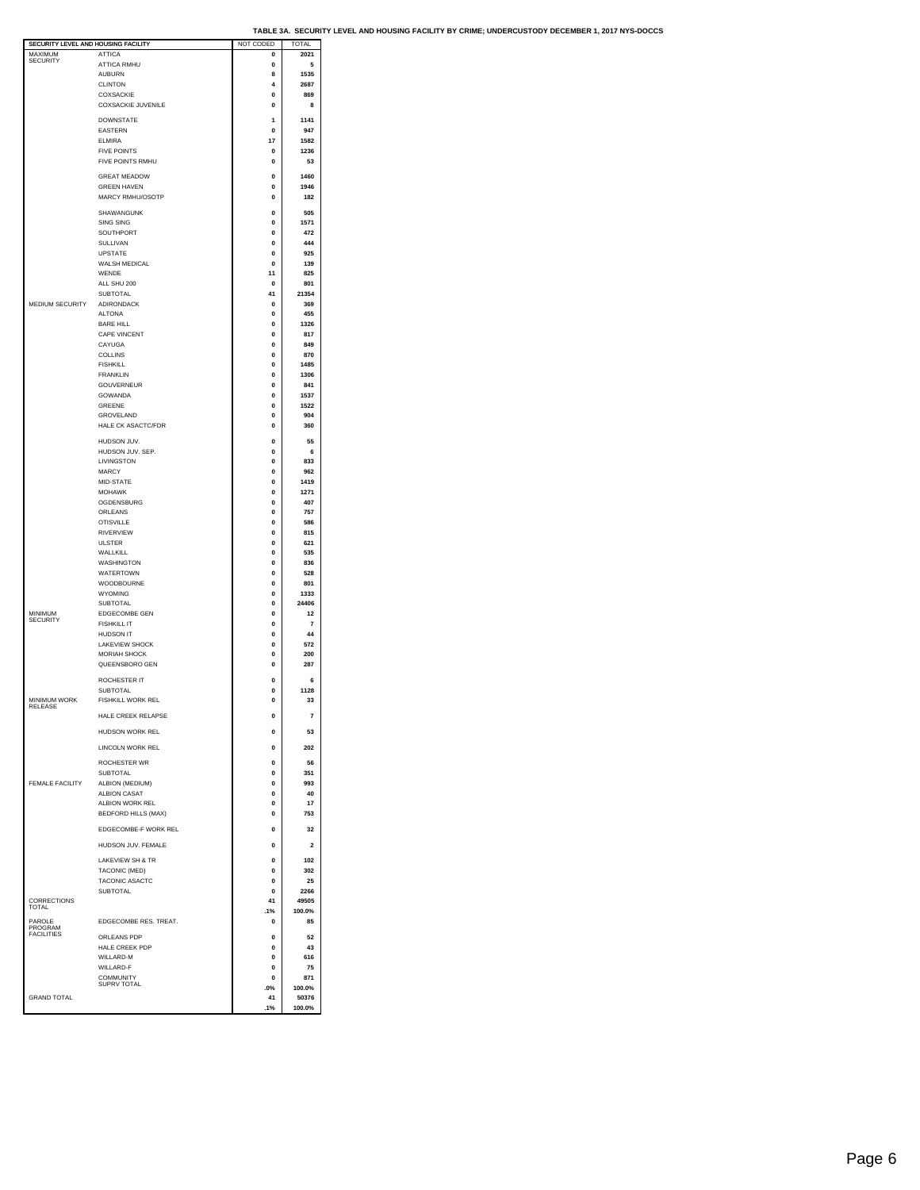| SECURITY LEVEL AND HOUSING FACILITY |                            | NOT CODED    | TOTAL          |  |
|-------------------------------------|----------------------------|--------------|----------------|--|
| MAXIMUM                             | <b>ATTICA</b>              | $\bf{0}$     | 2021           |  |
| <b>SECURITY</b>                     |                            |              |                |  |
|                                     | <b>ATTICA RMHU</b>         | 0            | 5              |  |
|                                     | <b>AUBURN</b>              | 8            | 1535           |  |
|                                     |                            | 4            |                |  |
|                                     | <b>CLINTON</b>             |              | 2687           |  |
|                                     | COXSACKIE                  | 0            | 869            |  |
|                                     | <b>COXSACKIE JUVENILE</b>  | o            | 8              |  |
|                                     |                            |              |                |  |
|                                     | <b>DOWNSTATE</b>           | 1            | 1141           |  |
|                                     |                            |              |                |  |
|                                     | EASTERN                    | 0            | 947            |  |
|                                     | <b>ELMIRA</b>              | 17           | 1582           |  |
|                                     |                            |              |                |  |
|                                     | <b>FIVE POINTS</b>         | 0            | 1236           |  |
|                                     | FIVE POINTS RMHU           | $\bf{0}$     | 53             |  |
|                                     |                            |              |                |  |
|                                     | <b>GREAT MEADOW</b>        | o            | 1460           |  |
|                                     | <b>GREEN HAVEN</b>         | 0            | 1946           |  |
|                                     |                            |              |                |  |
|                                     | MARCY RMHU/OSOTP           | $\bf{0}$     | 182            |  |
|                                     |                            |              |                |  |
|                                     | SHAWANGUNK                 | o            | 505            |  |
|                                     | <b>SING SING</b>           | 0            | 1571           |  |
|                                     |                            |              |                |  |
|                                     | SOUTHPORT                  | $\bf{0}$     | 472            |  |
|                                     | SULLIVAN                   | 0            | 444            |  |
|                                     | <b>UPSTATE</b>             | 0            | 925            |  |
|                                     |                            |              |                |  |
|                                     | WALSH MEDICAL              | 0            | 139            |  |
|                                     | WENDE                      | 11           | 825            |  |
|                                     | ALL SHU 200                | 0            | 801            |  |
|                                     |                            |              |                |  |
|                                     | <b>SUBTOTAL</b>            | 41           | 21354          |  |
| MEDIUM SECURITY                     | ADIRONDACK                 | 0            | 369            |  |
|                                     | <b>ALTONA</b>              | $\mathbf{0}$ | 455            |  |
|                                     |                            |              |                |  |
|                                     | <b>BARE HILL</b>           | 0            | 1326           |  |
|                                     | <b>CAPE VINCENT</b>        | 0            | 817            |  |
|                                     | CAYUGA                     | 0            | 849            |  |
|                                     |                            |              |                |  |
|                                     | <b>COLLINS</b>             | $\mathbf{0}$ | 870            |  |
|                                     | <b>FISHKILL</b>            | 0            | 1485           |  |
|                                     | <b>FRANKLIN</b>            |              |                |  |
|                                     |                            | 0            | 1306           |  |
|                                     | GOUVERNEUR                 | 0            | 841            |  |
|                                     | <b>GOWANDA</b>             | $\bf{0}$     | 1537           |  |
|                                     |                            |              |                |  |
|                                     | GREENE                     | 0            | 1522           |  |
|                                     | <b>GROVEL AND</b>          | 0            | 904            |  |
|                                     | HALE CK ASACTC/FDR         | 0            | 360            |  |
|                                     |                            |              |                |  |
|                                     | HUDSON JUV.                | $\bf{0}$     | 55             |  |
|                                     |                            |              |                |  |
|                                     | HUDSON JUV. SEP.           | $\bf{0}$     | 6              |  |
|                                     | LIVINGSTON                 | 0            | 833            |  |
|                                     | <b>MARCY</b>               | 0            | 962            |  |
|                                     |                            |              |                |  |
|                                     | MID-STATE                  | $\bf{0}$     | 1419           |  |
|                                     | <b>MOHAWK</b>              | $\bf{0}$     | 1271           |  |
|                                     |                            |              |                |  |
|                                     | OGDENSBURG                 | 0            | 407            |  |
|                                     | ORLEANS                    | $\mathbf{0}$ | 757            |  |
|                                     | <b>OTISVILLE</b>           | 0            | 586            |  |
|                                     |                            |              |                |  |
|                                     | <b>RIVERVIEW</b>           | 0            | 815            |  |
|                                     | <b>ULSTER</b>              | 0            | 621            |  |
|                                     | WALLKILL                   | $\mathbf{0}$ | 535            |  |
|                                     |                            |              |                |  |
|                                     | WASHINGTON                 | 0            | 836            |  |
|                                     | <b>WATERTOWN</b>           | 0            | 528            |  |
|                                     |                            |              |                |  |
|                                     | WOODBOURNE                 | 0            | 801            |  |
|                                     | <b>WYOMING</b>             | 0            | 1333           |  |
|                                     | SUBTOTAL                   | 0            | 24406          |  |
|                                     |                            |              |                |  |
| MINIMUM<br>SECURITY                 | <b>EDGECOMBE GEN</b>       | 0            | 12             |  |
|                                     | <b>FISHKILL IT</b>         | 0            | 7              |  |
|                                     | <b>HUDSON IT</b>           | o            | 44             |  |
|                                     |                            |              |                |  |
|                                     | <b>LAKEVIEW SHOCK</b>      | 0            | 572            |  |
|                                     | <b>MORIAH SHOCK</b>        | 0            | 200            |  |
|                                     | QUEENSBORO GEN             | 0            | 287            |  |
|                                     |                            |              |                |  |
|                                     | ROCHESTER IT               | $\bf{0}$     | 6              |  |
|                                     |                            |              |                |  |
|                                     | <b>SUBTOTAL</b>            | 0            | 1128           |  |
| MINIMUM WORK                        | FISHKILL WORK REL          | $\bf{0}$     | 33             |  |
| RELEASE                             |                            |              |                |  |
|                                     | HALE CREEK RELAPSE         |              | $\overline{7}$ |  |
|                                     |                            |              |                |  |
|                                     | HUDSON WORK REL            | $\bf{0}$     | 53             |  |
|                                     |                            |              |                |  |
|                                     | LINCOLN WORK REL           | $\bf{0}$     | 202            |  |
|                                     |                            |              |                |  |
|                                     | <b>ROCHESTER WR</b>        | o            | 56             |  |
|                                     | SUBTOTAL                   | 0            | 351            |  |
|                                     |                            |              | 993            |  |
| <b>FEMALE FACILITY</b>              | ALBION (MEDIUM)            | o            |                |  |
|                                     | <b>ALBION CASAT</b>        | $\bf{0}$     | 40             |  |
|                                     | ALBION WORK REL            | 0            | 17             |  |
|                                     | <b>BEDFORD HILLS (MAX)</b> |              |                |  |
|                                     |                            | $\bf{0}$     | 753            |  |
|                                     | EDGECOMBE-F WORK REL       | $\bf{0}$     |                |  |
|                                     |                            |              | 32             |  |
|                                     | HUDSON JUV. FEMALE         | $\bf{0}$     |                |  |
|                                     |                            |              | 2              |  |
|                                     | LAKEVIEW SH & TR           | $\bf{0}$     |                |  |
|                                     |                            |              | 102            |  |
|                                     | TACONIC (MED)              | 0            | 302            |  |
|                                     | TACONIC ASACTC             | 0            | 25             |  |
|                                     |                            |              |                |  |
|                                     | <b>SUBTOTAL</b>            | 0            | 2266           |  |
| CORRECTIONS                         |                            | 41           | 49505          |  |
| TOTAL                               |                            | .1%          | 100.0%         |  |
|                                     |                            |              |                |  |
| PAROLE<br>PROGRAM                   | EDGECOMBE RES. TREAT.      | 0            | 85             |  |
| <b>FACILITIES</b>                   |                            |              |                |  |
|                                     | ORLEANS PDP                | 0            | 52             |  |
|                                     | HALE CREEK PDP             | $\mathbf{0}$ | 43             |  |
|                                     | WILLARD-M                  | 0            | 616            |  |
|                                     |                            |              |                |  |
|                                     | WILLARD-F                  | 0            | 75             |  |
|                                     | COMMUNITY                  | $\bf{0}$     | 871            |  |
|                                     | SUPRV TOTAL                | .0%          | 100.0%         |  |
| <b>GRAND TOTAL</b>                  |                            | 41           | 50376          |  |
|                                     |                            |              |                |  |
|                                     |                            | .1%          | 100.0%         |  |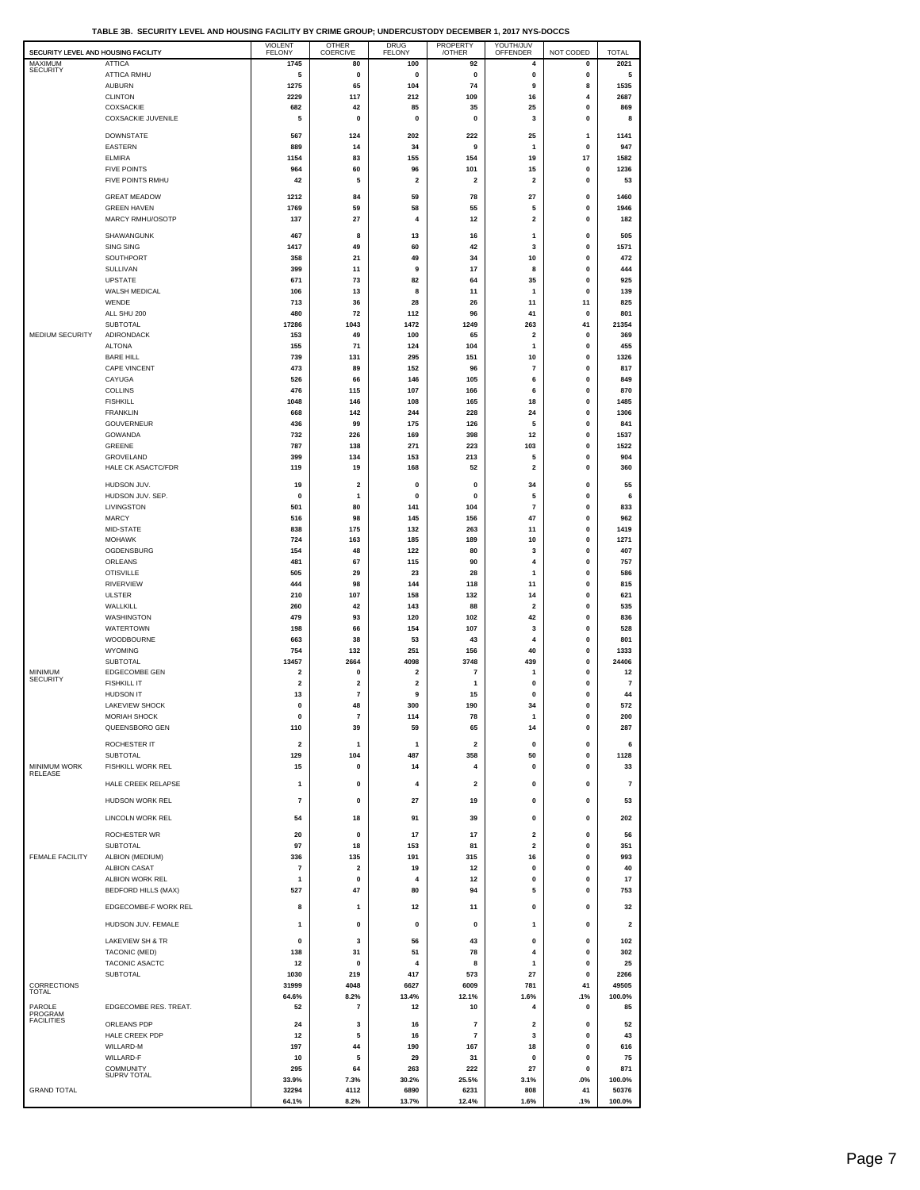**TABLE 3B. SECURITY LEVEL AND HOUSING FACILITY BY CRIME GROUP; UNDERCUSTODY DECEMBER 1, 2017 NYS-DOCCS**

| SECURITY LEVEL AND HOUSING FACILITY    |                                            | <b>VIOLENT</b><br><b>FELONY</b> | OTHER<br>COERCIVE            | <b>DRUG</b><br><b>FELONY</b> | PROPERTY<br>/OTHER           | YOUTH/JUV<br>OFFENDER   | NOT CODED              | <b>TOTAL</b>    |
|----------------------------------------|--------------------------------------------|---------------------------------|------------------------------|------------------------------|------------------------------|-------------------------|------------------------|-----------------|
| MAXIMUM<br><b>SECURITY</b>             | <b>ATTICA</b><br><b>ATTICA RMHU</b>        | 1745<br>5                       | 80<br>$\pmb{0}$              | 100<br>0                     | 92<br>0                      | 4<br>0                  | 0<br>0                 | 2021<br>5       |
|                                        | <b>AUBURN</b>                              | 1275                            | 65                           | 104                          | 74                           | 9                       | 8                      | 1535            |
|                                        | <b>CLINTON</b>                             | 2229                            | 117                          | 212                          | 109                          | 16                      | $\overline{4}$         | 2687            |
|                                        | COXSACKIE<br><b>COXSACKIE JUVENILE</b>     | 682<br>5                        | 42<br>$\pmb{0}$              | 85<br>$\pmb{0}$              | 35<br>0                      | 25<br>3                 | 0<br>0                 | 869<br>8        |
|                                        | <b>DOWNSTATE</b>                           | 567                             | 124                          | 202                          | 222                          | 25                      | 1                      | 1141            |
|                                        | EASTERN                                    | 889                             | 14                           | 34                           | 9                            | 1                       | 0                      | 947             |
|                                        | <b>ELMIRA</b><br><b>FIVE POINTS</b>        | 1154<br>964                     | 83<br>60                     | 155<br>96                    | 154<br>101                   | 19<br>15                | 17<br>0                | 1582<br>1236    |
|                                        | FIVE POINTS RMHU                           | 42                              | 5                            | $\overline{\mathbf{2}}$      | 2                            | $\overline{\mathbf{2}}$ | 0                      | 53              |
|                                        | <b>GREAT MEADOW</b>                        | 1212                            | 84                           | 59                           | 78                           | 27                      | 0                      | 1460            |
|                                        | <b>GREEN HAVEN</b>                         | 1769                            | 59                           | 58                           | 55                           | 5                       | 0                      | 1946            |
|                                        | MARCY RMHU/OSOTP                           | 137                             | 27                           | 4                            | 12                           | $\mathbf 2$             | 0                      | 182             |
|                                        | SHAWANGUNK<br><b>SING SING</b>             | 467<br>1417                     | 8<br>49                      | 13<br>60                     | 16<br>42                     | 1<br>3                  | 0<br>0                 | 505<br>1571     |
|                                        | SOUTHPORT                                  | 358                             | 21                           | 49                           | 34                           | 10                      | 0                      | 472             |
|                                        | SULLIVAN                                   | 399                             | 11                           | 9                            | 17                           | 8                       | 0                      | 444             |
|                                        | <b>UPSTATE</b><br>WALSH MEDICAL            | 671<br>106                      | 73<br>13                     | 82<br>8                      | 64<br>11                     | 35<br>1                 | 0<br>0                 | 925<br>139      |
|                                        | WENDE                                      | 713                             | 36                           | 28                           | 26                           | 11                      | 11                     | 825             |
|                                        | ALL SHU 200<br>SUBTOTAL                    | 480<br>17286                    | 72<br>1043                   | 112<br>1472                  | 96<br>1249                   | 41<br>263               | 0<br>41                | 801<br>21354    |
| MEDIUM SECURITY                        | ADIRONDACK                                 | 153                             | 49                           | 100                          | 65                           | $\mathbf 2$             | 0                      | 369             |
|                                        | <b>ALTONA</b><br><b>BARE HILL</b>          | 155<br>739                      | 71<br>131                    | 124<br>295                   | 104<br>151                   | $\mathbf{1}$<br>10      | 0<br>0                 | 455<br>1326     |
|                                        | <b>CAPE VINCENT</b>                        | 473                             | 89                           | 152                          | 96                           | $\overline{7}$          | 0                      | 817             |
|                                        | CAYUGA                                     | 526                             | 66                           | 146                          | 105                          | 6                       | 0                      | 849             |
|                                        | <b>COLLINS</b><br><b>FISHKILL</b>          | 476<br>1048                     | 115<br>146                   | 107<br>108                   | 166<br>165                   | 6<br>18                 | 0<br>0                 | 870<br>1485     |
|                                        | <b>FRANKLIN</b>                            | 668                             | 142                          | 244                          | 228                          | 24                      | 0                      | 1306            |
|                                        | <b>GOUVERNEUR</b><br>GOWANDA               | 436<br>732                      | 99<br>226                    | 175<br>169                   | 126<br>398                   | 5<br>12                 | $\pmb{0}$<br>$\pmb{0}$ | 841<br>1537     |
|                                        | GREENE                                     | 787                             | 138                          | 271                          | 223                          | 103                     | $\pmb{0}$              | 1522            |
|                                        | GROVELAND<br><b>HALE CK ASACTC/FDR</b>     | 399                             | 134                          | 153                          | 213                          | 5                       | 0                      | 904             |
|                                        |                                            | 119                             | 19                           | 168                          | 52                           | $\mathbf{2}$            | 0                      | 360             |
|                                        | HUDSON JUV.<br>HUDSON JUV. SEP.            | 19<br>0                         | $\overline{\mathbf{2}}$<br>1 | 0<br>0                       | 0<br>0                       | 34<br>5                 | 0<br>0                 | 55<br>6         |
|                                        | LIVINGSTON                                 | 501                             | 80                           | 141                          | 104                          | $\overline{7}$          | 0                      | 833             |
|                                        | <b>MARCY</b><br>MID-STATE                  | 516<br>838                      | 98<br>175                    | 145<br>132                   | 156<br>263                   | 47<br>11                | 0<br>$\pmb{0}$         | 962<br>1419     |
|                                        | <b>MOHAWK</b>                              | 724                             | 163                          | 185                          | 189                          | 10                      | 0                      | 1271            |
|                                        | OGDENSBURG                                 | 154                             | 48                           | 122                          | 80                           | 3                       | $\pmb{0}$              | 407             |
|                                        | ORLEANS<br><b>OTISVILLE</b>                | 481<br>505                      | 67<br>29                     | 115<br>23                    | 90<br>28                     | 4<br>1                  | 0<br>0                 | 757<br>586      |
|                                        | <b>RIVERVIEW</b>                           | 444                             | 98                           | 144                          | 118                          | 11                      | 0                      | 815             |
|                                        | <b>ULSTER</b>                              | 210                             | 107                          | 158                          | 132                          | 14                      | 0                      | 621             |
|                                        | WALLKILL<br><b>WASHINGTON</b>              | 260<br>479                      | 42<br>93                     | 143<br>120                   | 88<br>102                    | $\mathbf 2$<br>42       | 0<br>0                 | 535<br>836      |
|                                        | <b>WATERTOWN</b>                           | 198                             | 66                           | 154                          | 107                          | 3                       | $\pmb{0}$              | 528             |
|                                        | <b>WOODBOURNE</b><br><b>WYOMING</b>        | 663<br>754                      | 38<br>132                    | 53<br>251                    | 43<br>156                    | 4<br>40                 | 0<br>0                 | 801<br>1333     |
|                                        | <b>SUBTOTAL</b>                            | 13457                           | 2664                         | 4098                         | 3748                         | 439                     | 0                      | 24406           |
| MINIMUM<br><b>SECURITY</b>             | <b>EDGECOMBE GEN</b><br><b>FISHKILL IT</b> | $\mathbf 2$<br>$\mathbf 2$      | 0<br>2                       | 2<br>2                       | 7<br>1                       | 1<br>0                  | 0<br>0                 | 12<br>7         |
|                                        | <b>HUDSON IT</b>                           | 13                              | 7                            | 9                            | 15                           | 0                       | $\mathbf 0$            | 44              |
|                                        | <b>LAKEVIEW SHOCK</b>                      | $\pmb{0}$                       | 48                           | 300                          | 190                          | 34                      | 0                      | 572             |
|                                        | <b>MORIAH SHOCK</b><br>QUEENSBORO GEN      | 0<br>110                        | 7<br>39                      | 114<br>59                    | 78<br>65                     | 14                      | 0<br>$\pmb{0}$         | 200<br>287      |
|                                        | ROCHESTER IT                               | $\mathbf 2$                     | 1                            | $\mathbf{1}$                 | 2                            | 0                       | 0                      | 6               |
|                                        | SUBTOTAL                                   | 129                             | 104                          | 487                          | 358                          | 50                      | 0                      | 1128            |
| MINIMUM WORK<br><b>RELEASE</b>         | FISHKILL WORK REL                          | 15                              | 0                            | 14                           | 4                            | 0                       | 0                      | 33              |
|                                        | HALE CREEK RELAPSE                         | $\mathbf{1}$                    | 0                            | 4                            | 2                            | $\pmb{0}$               | 0                      | $\overline{7}$  |
|                                        | HUDSON WORK REL                            | $\overline{\mathbf{r}}$         | 0                            | 27                           | 19                           | 0                       | 0                      | 53              |
|                                        | LINCOLN WORK REL                           | 54                              | 18                           | 91                           | 39                           | $\mathbf 0$             | 0                      | 202             |
|                                        | ROCHESTER WR<br>SUBTOTAL                   | 20<br>97                        | 0<br>18                      | 17<br>153                    | 17<br>81                     | 2<br>$\mathbf 2$        | 0<br>0                 | 56<br>351       |
| <b>FEMALE FACILITY</b>                 | ALBION (MEDIUM)                            | 336                             | 135                          | 191                          | 315                          | 16                      | 0                      | 993             |
|                                        | <b>ALBION CASAT</b><br>ALBION WORK REL     | 7                               | 2                            | 19                           | 12                           | 0                       | 0                      | 40              |
|                                        | <b>BEDFORD HILLS (MAX)</b>                 | 1<br>527                        | 0<br>47                      | 4<br>80                      | 12<br>94                     | 0<br>5                  | 0<br>0                 | 17<br>753       |
|                                        | EDGECOMBE-F WORK REL                       | 8                               | 1                            | 12                           | 11                           | 0                       | 0                      | 32              |
|                                        | HUDSON JUV. FEMALE                         | 1                               | 0                            | 0                            | 0                            | 1                       | 0                      | 2               |
|                                        | LAKEVIEW SH & TR                           | $\pmb{0}$                       | 3                            | 56                           | 43                           | $\pmb{0}$               | 0                      | 102             |
|                                        | TACONIC (MED)                              | 138                             | 31                           | 51                           | 78                           | 4                       | 0                      | 302             |
|                                        | TACONIC ASACTC<br><b>SUBTOTAL</b>          | 12<br>1030                      | 0<br>219                     | 4<br>417                     | 8<br>573                     | 1<br>27                 | 0<br>0                 | 25<br>2266      |
| CORRECTIONS                            |                                            | 31999                           | 4048                         | 6627                         | 6009                         | 781                     | 41                     | 49505           |
| <b>TOTAL</b>                           |                                            | 64.6%                           | 8.2%                         | 13.4%                        | 12.1%                        | 1.6%                    | .1%                    | 100.0%          |
| PAROLE<br>PROGRAM<br><b>FACILITIES</b> | EDGECOMBE RES. TREAT.                      | 52                              | $\overline{7}$               | 12                           | 10                           | 4                       | 0                      | 85              |
|                                        | ORLEANS PDP<br>HALE CREEK PDP              | 24<br>12                        | 3<br>5                       | 16<br>16                     | $\overline{\mathbf{r}}$<br>7 | $\mathbf{2}$<br>3       | 0<br>0                 | 52<br>43        |
|                                        | WILLARD-M                                  | 197                             | 44                           | 190                          | 167                          | 18                      | 0                      | 616             |
|                                        | WILLARD-F<br><b>COMMUNITY</b>              | 10<br>295                       | 5<br>64                      | 29<br>263                    | 31<br>222                    | 0<br>27                 | 0<br>0                 | 75<br>871       |
|                                        | SUPRV TOTAL                                | 33.9%                           | 7.3%                         | 30.2%                        | 25.5%                        | 3.1%                    | .0%                    | 100.0%          |
| <b>GRAND TOTAL</b>                     |                                            | 32294<br>64.1%                  | 4112<br>8.2%                 | 6890<br>13.7%                | 6231<br>12.4%                | 808<br>1.6%             | 41<br>.1%              | 50376<br>100.0% |
|                                        |                                            |                                 |                              |                              |                              |                         |                        |                 |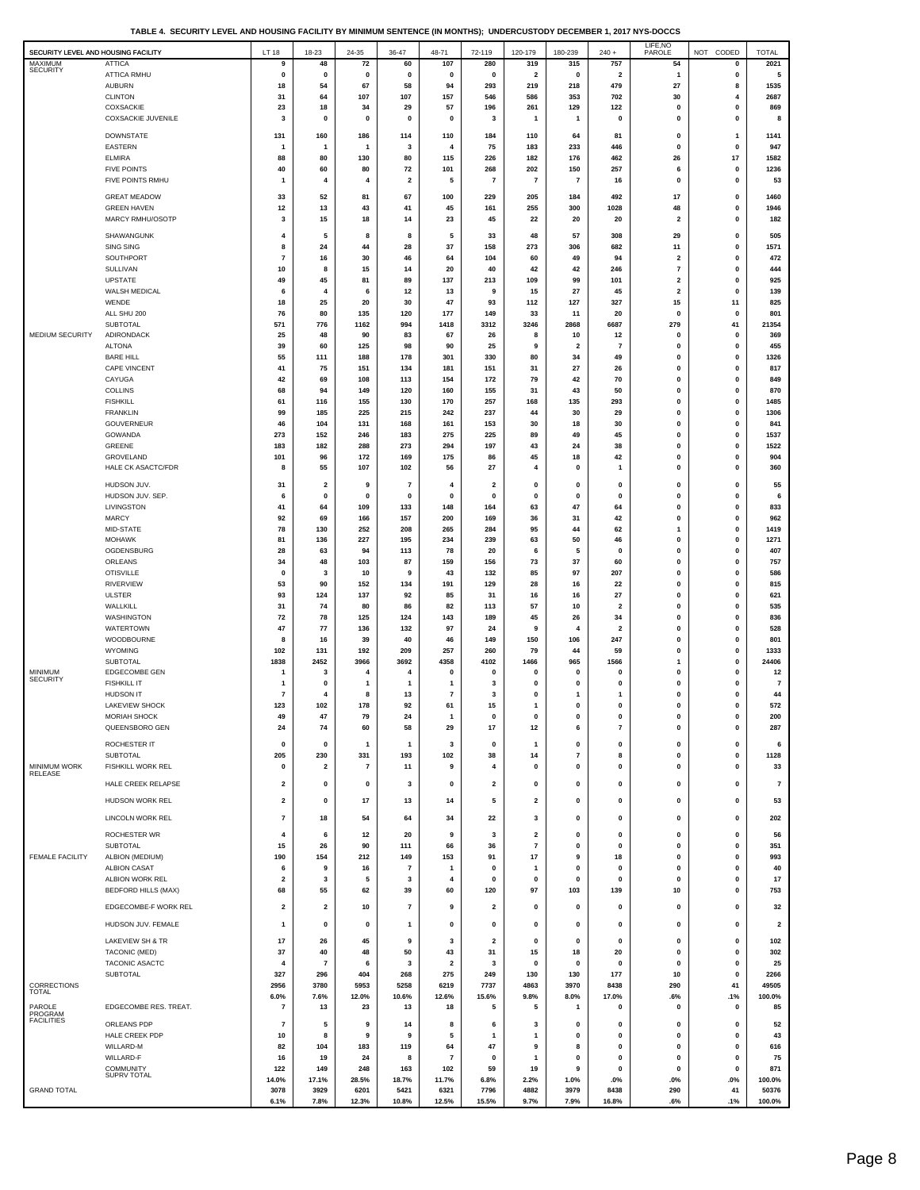**TABLE 4. SECURITY LEVEL AND HOUSING FACILITY BY MINIMUM SENTENCE (IN MONTHS); UNDERCUSTODY DECEMBER 1, 2017 NYS-DOCCS**

| <b>SECURITY</b><br>ATTICA RMHU<br>5<br>0<br>0<br>0<br>0<br>0<br>0<br>$\overline{\mathbf{2}}$<br>0<br>$\overline{\mathbf{2}}$<br>1<br>0<br>${\bf 27}$<br><b>AUBURN</b><br>67<br>94<br>219<br>218<br>479<br>1535<br>18<br>54<br>58<br>293<br>8<br>2687<br><b>CLINTON</b><br>31<br>64<br>107<br>107<br>157<br>586<br>353<br>702<br>30<br>546<br>4<br>57<br>COXSACKIE<br>23<br>18<br>29<br>196<br>261<br>129<br>122<br>0<br>869<br>34<br>0<br><b>COXSACKIE JUVENILE</b><br>3<br>$\pmb{0}$<br>$\pmb{0}$<br>$\pmb{0}$<br>$\pmb{0}$<br>$\pmb{0}$<br>0<br>$\bf{0}$<br>8<br>3<br>$\mathbf{1}$<br>$\mathbf{1}$<br><b>DOWNSTATE</b><br>131<br>160<br>186<br>114<br>110<br>184<br>110<br>64<br>81<br>0<br>1<br>1141<br>EASTERN<br>233<br>446<br>947<br>$\mathbf{1}$<br>$\mathbf{1}$<br>3<br>4<br>75<br>183<br>$\mathbf 0$<br>0<br>-1<br><b>ELMIRA</b><br>115<br>176<br>462<br>26<br>17<br>1582<br>88<br>80<br>130<br>80<br>226<br>182<br>257<br>1236<br><b>FIVE POINTS</b><br>101<br>268<br>202<br>150<br>6<br>40<br>60<br>80<br>72<br>$\mathbf 0$<br>$\overline{7}$<br>FIVE POINTS RMHU<br>$\overline{\mathbf{2}}$<br>5<br>$\overline{\mathbf{r}}$<br>$\bf 7$<br>0<br>0<br>53<br>4<br>4<br>16<br>-1<br><b>GREAT MEADOW</b><br>33<br>52<br>81<br>67<br>100<br>229<br>205<br>184<br>492<br>17<br>0<br>1460<br><b>GREEN HAVEN</b><br>12<br>13<br>43<br>45<br>161<br>255<br>300<br>1028<br>48<br>1946<br>41<br>0<br>MARCY RMHU/OSOTP<br>182<br>3<br>15<br>18<br>14<br>23<br>45<br>22<br>20<br>20<br>$\overline{\mathbf{2}}$<br>0<br>SHAWANGUNK<br>$\overline{4}$<br>5<br>8<br>8<br>5<br>33<br>48<br>57<br>308<br>29<br>0<br>505<br>SING SING<br>1571<br>8<br>24<br>44<br>28<br>37<br>158<br>273<br>306<br>682<br>11<br>0<br>SOUTHPORT<br>472<br>$\overline{7}$<br>16<br>30<br>46<br>64<br>104<br>60<br>49<br>94<br>$\mathbf{2}$<br>$\bf{0}$<br>SULLIVAN<br>8<br>15<br>14<br>20<br>40<br>42<br>42<br>246<br>$\overline{7}$<br>0<br>444<br>10<br><b>UPSTATE</b><br>49<br>45<br>81<br>89<br>137<br>213<br>109<br>99<br>101<br>$\mathbf{2}$<br>0<br>925<br>27<br>139<br>WALSH MEDICAL<br>6<br>4<br>6<br>12<br>13<br>9<br>15<br>45<br>$\overline{\mathbf{2}}$<br>0<br>WENDE<br>47<br>127<br>327<br>15<br>825<br>18<br>25<br>20<br>30<br>93<br>112<br>11<br>ALL SHU 200<br>801<br>76<br>80<br>135<br>120<br>177<br>149<br>33<br>11<br>20<br>$\mathbf 0$<br>$\mathbf 0$<br>SUBTOTAL<br>776<br>6687<br>41<br>21354<br>571<br>1162<br>994<br>1418<br>3312<br>3246<br>2868<br>279<br>MEDIUM SECURITY<br>ADIRONDACK<br>25<br>48<br>90<br>83<br>67<br>26<br>10<br>369<br>8<br>12<br>$\bf{0}$<br>$\mathbf 0$<br><b>ALTONA</b><br>39<br>60<br>125<br>98<br>90<br>25<br>9<br>$\overline{\mathbf{2}}$<br>$\overline{7}$<br>0<br>0<br>455<br><b>BARE HILL</b><br>55<br>111<br>188<br>178<br>301<br>330<br>80<br>34<br>49<br>0<br>$\bf{0}$<br>1326<br>817<br><b>CAPE VINCENT</b><br>41<br>75<br>151<br>134<br>181<br>151<br>31<br>27<br>26<br>0<br>$\bf{0}$<br>CAYUGA<br>42<br>69<br>108<br>113<br>154<br>172<br>79<br>42<br>70<br>$\mathbf{0}$<br>849<br>0<br><b>COLLINS</b><br>68<br>94<br>149<br>120<br>160<br>155<br>31<br>43<br>50<br>$\mathbf{0}$<br>0<br>870<br><b>FISHKILL</b><br>257<br>135<br>1485<br>61<br>116<br>155<br>130<br>170<br>168<br>293<br>0<br>0<br><b>FRANKLIN</b><br>215<br>1306<br>99<br>185<br>225<br>242<br>237<br>44<br>30<br>29<br>$\mathbf 0$<br>0<br>GOUVERNEUR<br>46<br>104<br>131<br>168<br>161<br>153<br>30<br>18<br>30<br>0<br>0<br>841<br>275<br>49<br>GOWANDA<br>273<br>152<br>246<br>183<br>225<br>89<br>45<br>$\mathbf{0}$<br>0<br>1537<br>43<br>GREENE<br>183<br>182<br>288<br>273<br>294<br>197<br>24<br>38<br>0<br>0<br>1522<br>GROVELAND<br>101<br>96<br>172<br>169<br>175<br>86<br>45<br>18<br>42<br>0<br>$\bf{0}$<br>904<br><b>HALE CK ASACTC/FDR</b><br>8<br>55<br>107<br>102<br>56<br>27<br>$\overline{4}$<br>0<br>0<br>0<br>360<br>$\mathbf{1}$<br>HUDSON JUV.<br>55<br>31<br>2<br>9<br>$\overline{7}$<br>4<br>2<br>0<br>0<br>0<br>0<br>0<br>HUDSON JUV. SEP.<br>0<br>6<br>0<br>0<br>$\mathbf 0$<br>0<br>0<br>0<br>0<br>0<br>0<br>6<br>63<br>47<br>LIVINGSTON<br>41<br>109<br>133<br>148<br>64<br>0<br>0<br>833<br>64<br>164<br>157<br>31<br>962<br><b>MARCY</b><br>69<br>166<br>200<br>169<br>36<br>42<br>0<br>0<br>92<br>95<br>MID-STATE<br>78<br>130<br>252<br>208<br>265<br>284<br>44<br>62<br>1<br>$\bf{0}$<br>1419<br>1271<br><b>MOHAWK</b><br>81<br>136<br>227<br>195<br>234<br>239<br>63<br>50<br>46<br>0<br>0<br>OGDENSBURG<br>28<br>63<br>94<br>113<br>78<br>20<br>6<br>5<br>$\mathbf 0$<br>0<br>$\bf{0}$<br>407<br>ORLEANS<br>34<br>48<br>103<br>87<br>159<br>156<br>73<br>37<br>60<br>0<br>0<br>757<br><b>OTISVILLE</b><br>$\pmb{0}$<br>3<br>10<br>43<br>132<br>85<br>97<br>207<br>0<br>0<br>586<br>9<br><b>RIVERVIEW</b><br>53<br>28<br>16<br>815<br>90<br>152<br>134<br>191<br>129<br>22<br>$\mathbf 0$<br>0<br><b>ULSTER</b><br>85<br>16<br>27<br>621<br>93<br>124<br>137<br>92<br>31<br>16<br>0<br>0<br>WALLKILL<br>31<br>82<br>57<br>10<br>535<br>74<br>80<br>86<br>113<br>$\overline{\mathbf{2}}$<br>$\mathbf 0$<br>0<br>26<br>WASHINGTON<br>72<br>78<br>125<br>124<br>143<br>189<br>45<br>0<br>0<br>836<br>34<br><b>WATERTOWN</b><br>528<br>47<br>77<br>136<br>132<br>97<br>9<br>$\overline{4}$<br>0<br>24<br>$\overline{\mathbf{2}}$<br>0<br>247<br>WOODBOURNE<br>8<br>16<br>39<br>40<br>46<br>149<br>150<br>106<br>0<br>0<br>801<br>WYOMING<br>102<br>131<br>192<br>209<br>257<br>260<br>79<br>44<br>59<br>0<br>0<br>1333<br>24406<br><b>SUBTOTAL</b><br>1838<br>2452<br>3966<br>3692<br>4358<br>4102<br>1466<br>965<br>1566<br>1<br>0<br>MINIMUM<br>EDGECOMBE GEN<br>0<br>0<br>$\mathbf{0}$<br>12<br>3<br>4<br>4<br>0<br>0<br>0<br>0<br>-1<br><b>SECURITY</b><br><b>FISHKILL IT</b><br>$\mathbf{0}$<br>0<br>$\mathbf{0}$<br>$\bf{0}$<br>$\bf 7$<br>$\mathbf{1}$<br>$\mathbf 0$<br>1<br>$\mathbf{1}$<br>$\overline{1}$<br>3<br>0<br><b>HUDSON IT</b><br>$\scriptstyle\rm 7$<br>$\overline{7}$<br>4<br>8<br>13<br>3<br>0<br>1<br>0<br>0<br>44<br>1<br><b>LAKEVIEW SHOCK</b><br>15<br>572<br>123<br>102<br>178<br>92<br>61<br>1<br>$\mathbf 0$<br>$\mathbf 0$<br>$\mathbf 0$<br>0<br><b>MORIAH SHOCK</b><br>200<br>79<br>24<br>O<br>49<br>17<br>12<br>6<br>$\overline{7}$<br>QUEENSBORO GEN<br>74<br>58<br>29<br>0<br>0<br>287<br>24<br>60<br>ROCHESTER IT<br>0<br>0<br>0<br>0<br>0<br>$\mathbf{1}$<br>$\mathbf{1}$<br>3<br>$\mathbf 0$<br>$\mathbf{1}$<br>0<br>6<br>SUBTOTAL<br>205<br>230<br>331<br>193<br>102<br>38<br>14<br>7<br>8<br>0<br>0<br>1128<br>MINIMUM WORK<br>FISHKILL WORK REL<br>0<br>2<br>7<br>11<br>9<br>4<br>0<br>0<br>0<br>$\mathbf 0$<br>0<br>33<br><b>RELEASE</b><br>$\pmb{0}$<br>0<br>$\bf 7$<br>HALE CREEK RELAPSE<br>$\mathbf{2}$<br>0<br>0<br>$\mathbf 0$<br>2<br>$\mathbf 0$<br>$\mathbf 0$<br>0<br>3<br>HUDSON WORK REL<br>$\overline{\mathbf{2}}$<br>17<br>5<br>$\overline{\mathbf{2}}$<br>0<br>$\pmb{0}$<br>0<br>0<br>53<br>$\mathbf 0$<br>13<br>14<br>LINCOLN WORK REL<br>22<br>202<br>$\overline{7}$<br>18<br>54<br>64<br>34<br>3<br>$\mathbf 0$<br>$\mathbf 0$<br>$\mathbf 0$<br>0<br>ROCHESTER WR<br>$\overline{4}$<br>6<br>12<br>20<br>9<br>$\overline{\mathbf{2}}$<br>0<br>$\pmb{0}$<br>0<br>0<br>56<br>3<br>SUBTOTAL<br>15<br>26<br>90<br>111<br>66<br>36<br>$\overline{7}$<br>0<br>$\pmb{0}$<br>0<br>0<br>351<br><b>FEMALE FACILITY</b><br>17<br>ALBION (MEDIUM)<br>190<br>154<br>212<br>149<br>153<br>91<br>9<br>18<br>0<br>0<br>993<br><b>ALBION CASAT</b><br>6<br>9<br>16<br>$\overline{7}$<br>1<br>0<br>$\mathbf{1}$<br>$\mathbf 0$<br>0<br>$\mathbf 0$<br>0<br>40<br>17<br>ALBION WORK REL<br>2<br>3<br>5<br>3<br>4<br>0<br>0<br>0<br>0<br>0<br>0<br>97<br>103<br>139<br>10<br><b>BEDFORD HILLS (MAX)</b><br>120<br>753<br>68<br>55<br>62<br>39<br>60<br>0<br>EDGECOMBE-F WORK REL<br>$\overline{\mathbf{2}}$<br>$\mathbf{2}$<br>10<br>$\overline{\mathbf{r}}$<br>9<br>0<br>0<br>0<br>32<br>2<br>0<br>0<br>HUDSON JUV. FEMALE<br>1<br>0<br>0<br>1<br>0<br>0<br>0<br>0<br>0<br>0<br>0<br>2<br>LAKEVIEW SH & TR<br>17<br>26<br>45<br>9<br>3<br>$\overline{\mathbf{2}}$<br>$\pmb{0}$<br>$\pmb{0}$<br>$\pmb{0}$<br>0<br>0<br>102<br>TACONIC (MED)<br>37<br>40<br>50<br>43<br>31<br>15<br>18<br>20<br>302<br>48<br>$\mathbf 0$<br>0<br>TACONIC ASACTC<br>$\overline{7}$<br>3<br>$\overline{\mathbf{2}}$<br>$\mathbf{0}$<br>0<br>$\pmb{0}$<br>0<br>25<br>$\overline{4}$<br>6<br>3<br>$\mathbf 0$<br>SUBTOTAL<br>327<br>296<br>404<br>268<br>275<br>249<br>130<br>130<br>177<br>10<br>2266<br>0<br><b>CORRECTIONS</b><br>3780<br>6219<br>7737<br>8438<br>49505<br>2956<br>5953<br>5258<br>4863<br>3970<br>290<br>41<br>TOTAL<br>12.0%<br>8.0%<br>17.0%<br>100.0%<br>6.0%<br>7.6%<br>10.6%<br>12.6%<br>15.6%<br>9.8%<br>.6%<br>.1%<br>PAROLE<br>EDGECOMBE RES. TREAT.<br>5<br>5<br>0<br>85<br>$\overline{7}$<br>13<br>23<br>13<br>18<br>$\overline{1}$<br>$\mathbf 0$<br>$\mathbf 0$<br><b>PROGRAM</b><br>FACILITIES<br>ORLEANS PDP<br>$\overline{7}$<br>5<br>9<br>14<br>8<br>3<br>0<br>$\pmb{0}$<br>0<br>0<br>52<br>6<br>HALE CREEK PDP<br>8<br>5<br>0<br>$\mathbf{0}$<br>43<br>10<br>9<br>9<br>$\mathbf{1}$<br>1<br>$\mathbf 0$<br>0<br>WILLARD-M<br>82<br>183<br>64<br>47<br>9<br>8<br>0<br>616<br>104<br>119<br>$\mathbf 0$<br>0<br>WILLARD-F<br>75<br>16<br>19<br>24<br>8<br>$\overline{7}$<br>0<br>$\mathbf{1}$<br>$\mathbf 0$<br>0<br>$\mathbf 0$<br>0<br>COMMUNITY<br>9<br>871<br>122<br>149<br>248<br>163<br>102<br>59<br>19<br>0<br>0<br>0<br>SUPRV TOTAL<br>14.0%<br>17.1%<br>28.5%<br>18.7%<br>11.7%<br>6.8%<br>2.2%<br>1.0%<br>.0%<br>.0%<br>.0%<br>100.0%<br><b>GRAND TOTAL</b><br>3078<br>5421<br>7796<br>4882<br>3979<br>8438<br>41<br>50376<br>3929<br>6201<br>6321<br>290 | SECURITY LEVEL AND HOUSING FACILITY |               | LT 18 | 18-23 | 24-35 | 36-47 | 48-71 | 72-119 | 120-179 | 180-239 | $240 +$ | LIFE, NO<br>PAROLE | NOT CODED | <b>TOTAL</b> |
|------------------------------------------------------------------------------------------------------------------------------------------------------------------------------------------------------------------------------------------------------------------------------------------------------------------------------------------------------------------------------------------------------------------------------------------------------------------------------------------------------------------------------------------------------------------------------------------------------------------------------------------------------------------------------------------------------------------------------------------------------------------------------------------------------------------------------------------------------------------------------------------------------------------------------------------------------------------------------------------------------------------------------------------------------------------------------------------------------------------------------------------------------------------------------------------------------------------------------------------------------------------------------------------------------------------------------------------------------------------------------------------------------------------------------------------------------------------------------------------------------------------------------------------------------------------------------------------------------------------------------------------------------------------------------------------------------------------------------------------------------------------------------------------------------------------------------------------------------------------------------------------------------------------------------------------------------------------------------------------------------------------------------------------------------------------------------------------------------------------------------------------------------------------------------------------------------------------------------------------------------------------------------------------------------------------------------------------------------------------------------------------------------------------------------------------------------------------------------------------------------------------------------------------------------------------------------------------------------------------------------------------------------------------------------------------------------------------------------------------------------------------------------------------------------------------------------------------------------------------------------------------------------------------------------------------------------------------------------------------------------------------------------------------------------------------------------------------------------------------------------------------------------------------------------------------------------------------------------------------------------------------------------------------------------------------------------------------------------------------------------------------------------------------------------------------------------------------------------------------------------------------------------------------------------------------------------------------------------------------------------------------------------------------------------------------------------------------------------------------------------------------------------------------------------------------------------------------------------------------------------------------------------------------------------------------------------------------------------------------------------------------------------------------------------------------------------------------------------------------------------------------------------------------------------------------------------------------------------------------------------------------------------------------------------------------------------------------------------------------------------------------------------------------------------------------------------------------------------------------------------------------------------------------------------------------------------------------------------------------------------------------------------------------------------------------------------------------------------------------------------------------------------------------------------------------------------------------------------------------------------------------------------------------------------------------------------------------------------------------------------------------------------------------------------------------------------------------------------------------------------------------------------------------------------------------------------------------------------------------------------------------------------------------------------------------------------------------------------------------------------------------------------------------------------------------------------------------------------------------------------------------------------------------------------------------------------------------------------------------------------------------------------------------------------------------------------------------------------------------------------------------------------------------------------------------------------------------------------------------------------------------------------------------------------------------------------------------------------------------------------------------------------------------------------------------------------------------------------------------------------------------------------------------------------------------------------------------------------------------------------------------------------------------------------------------------------------------------------------------------------------------------------------------------------------------------------------------------------------------------------------------------------------------------------------------------------------------------------------------------------------------------------------------------------------------------------------------------------------------------------------------------------------------------------------------------------------------------------------------------------------------------------------------------------------------------------------------------------------------------------------------------------------------------------------------------------------------------------------------------------------------------------------------------------------------------------------------------------------------------------------------------------------------------------------------------------------------------------------------------------------------------------------------------------------------------------------------------------------------------------------------------------------------------------------------------------------------------------------------------------------------------------------------------------------------------------------------------------------------------------------------------------------------------------------------------------------------------------------------------------------------------------------------------------------------------------------------------------------------------------------------------------------------------------------------------------------------------------------------------------------------------------------------------------------------------------------------------------------------------------------------------------------------------------------------------------------------------------------------------------------------------------------------------------------------------------------------------------------------------------------------------------------------------------------------------------------------------------------------------------------------------------------------------------------------------------------------------------------------------------------------------------------------------------------------------------------------------------------------------------------------------------------------------------------------------------------------------------------------------------------------------------------------------------------------------------------------------------------------------------------------------------------------------------------------------------------------------------------------------------------------------------------------------------------------------------------------------------------------------------------------------------------------------------------------------------------------------------------------------------------------------------------------------------------------------------------------------------------------------------------------------------------------|-------------------------------------|---------------|-------|-------|-------|-------|-------|--------|---------|---------|---------|--------------------|-----------|--------------|
|                                                                                                                                                                                                                                                                                                                                                                                                                                                                                                                                                                                                                                                                                                                                                                                                                                                                                                                                                                                                                                                                                                                                                                                                                                                                                                                                                                                                                                                                                                                                                                                                                                                                                                                                                                                                                                                                                                                                                                                                                                                                                                                                                                                                                                                                                                                                                                                                                                                                                                                                                                                                                                                                                                                                                                                                                                                                                                                                                                                                                                                                                                                                                                                                                                                                                                                                                                                                                                                                                                                                                                                                                                                                                                                                                                                                                                                                                                                                                                                                                                                                                                                                                                                                                                                                                                                                                                                                                                                                                                                                                                                                                                                                                                                                                                                                                                                                                                                                                                                                                                                                                                                                                                                                                                                                                                                                                                                                                                                                                                                                                                                                                                                                                                                                                                                                                                                                                                                                                                                                                                                                                                                                                                                                                                                                                                                                                                                                                                                                                                                                                                                                                                                                                                                                                                                                                                                                                                                                                                                                                                                                                                                                                                                                                                                                                                                                                                                                                                                                                                                                                                                                                                                                                                                                                                                                                                                                                                                                                                                                                                                                                                                                                                                                                                                                                                                                                                                                                                                                                                                                                                                                                                                                                                                                                                                                                                                                                                                                                                                                                                                                                                                                                                                                                                                                                                                                                                                                                                                                                                                                                                                                                                                                  | MAXIMUM                             | <b>ATTICA</b> | 9     | 48    | 72    | 60    | 107   | 280    | 319     | 315     | 757     | 54                 | 0         | 2021         |
|                                                                                                                                                                                                                                                                                                                                                                                                                                                                                                                                                                                                                                                                                                                                                                                                                                                                                                                                                                                                                                                                                                                                                                                                                                                                                                                                                                                                                                                                                                                                                                                                                                                                                                                                                                                                                                                                                                                                                                                                                                                                                                                                                                                                                                                                                                                                                                                                                                                                                                                                                                                                                                                                                                                                                                                                                                                                                                                                                                                                                                                                                                                                                                                                                                                                                                                                                                                                                                                                                                                                                                                                                                                                                                                                                                                                                                                                                                                                                                                                                                                                                                                                                                                                                                                                                                                                                                                                                                                                                                                                                                                                                                                                                                                                                                                                                                                                                                                                                                                                                                                                                                                                                                                                                                                                                                                                                                                                                                                                                                                                                                                                                                                                                                                                                                                                                                                                                                                                                                                                                                                                                                                                                                                                                                                                                                                                                                                                                                                                                                                                                                                                                                                                                                                                                                                                                                                                                                                                                                                                                                                                                                                                                                                                                                                                                                                                                                                                                                                                                                                                                                                                                                                                                                                                                                                                                                                                                                                                                                                                                                                                                                                                                                                                                                                                                                                                                                                                                                                                                                                                                                                                                                                                                                                                                                                                                                                                                                                                                                                                                                                                                                                                                                                                                                                                                                                                                                                                                                                                                                                                                                                                                                                                  |                                     |               |       |       |       |       |       |        |         |         |         |                    |           |              |
|                                                                                                                                                                                                                                                                                                                                                                                                                                                                                                                                                                                                                                                                                                                                                                                                                                                                                                                                                                                                                                                                                                                                                                                                                                                                                                                                                                                                                                                                                                                                                                                                                                                                                                                                                                                                                                                                                                                                                                                                                                                                                                                                                                                                                                                                                                                                                                                                                                                                                                                                                                                                                                                                                                                                                                                                                                                                                                                                                                                                                                                                                                                                                                                                                                                                                                                                                                                                                                                                                                                                                                                                                                                                                                                                                                                                                                                                                                                                                                                                                                                                                                                                                                                                                                                                                                                                                                                                                                                                                                                                                                                                                                                                                                                                                                                                                                                                                                                                                                                                                                                                                                                                                                                                                                                                                                                                                                                                                                                                                                                                                                                                                                                                                                                                                                                                                                                                                                                                                                                                                                                                                                                                                                                                                                                                                                                                                                                                                                                                                                                                                                                                                                                                                                                                                                                                                                                                                                                                                                                                                                                                                                                                                                                                                                                                                                                                                                                                                                                                                                                                                                                                                                                                                                                                                                                                                                                                                                                                                                                                                                                                                                                                                                                                                                                                                                                                                                                                                                                                                                                                                                                                                                                                                                                                                                                                                                                                                                                                                                                                                                                                                                                                                                                                                                                                                                                                                                                                                                                                                                                                                                                                                                                                  |                                     |               |       |       |       |       |       |        |         |         |         |                    |           |              |
|                                                                                                                                                                                                                                                                                                                                                                                                                                                                                                                                                                                                                                                                                                                                                                                                                                                                                                                                                                                                                                                                                                                                                                                                                                                                                                                                                                                                                                                                                                                                                                                                                                                                                                                                                                                                                                                                                                                                                                                                                                                                                                                                                                                                                                                                                                                                                                                                                                                                                                                                                                                                                                                                                                                                                                                                                                                                                                                                                                                                                                                                                                                                                                                                                                                                                                                                                                                                                                                                                                                                                                                                                                                                                                                                                                                                                                                                                                                                                                                                                                                                                                                                                                                                                                                                                                                                                                                                                                                                                                                                                                                                                                                                                                                                                                                                                                                                                                                                                                                                                                                                                                                                                                                                                                                                                                                                                                                                                                                                                                                                                                                                                                                                                                                                                                                                                                                                                                                                                                                                                                                                                                                                                                                                                                                                                                                                                                                                                                                                                                                                                                                                                                                                                                                                                                                                                                                                                                                                                                                                                                                                                                                                                                                                                                                                                                                                                                                                                                                                                                                                                                                                                                                                                                                                                                                                                                                                                                                                                                                                                                                                                                                                                                                                                                                                                                                                                                                                                                                                                                                                                                                                                                                                                                                                                                                                                                                                                                                                                                                                                                                                                                                                                                                                                                                                                                                                                                                                                                                                                                                                                                                                                                                                  |                                     |               |       |       |       |       |       |        |         |         |         |                    |           |              |
|                                                                                                                                                                                                                                                                                                                                                                                                                                                                                                                                                                                                                                                                                                                                                                                                                                                                                                                                                                                                                                                                                                                                                                                                                                                                                                                                                                                                                                                                                                                                                                                                                                                                                                                                                                                                                                                                                                                                                                                                                                                                                                                                                                                                                                                                                                                                                                                                                                                                                                                                                                                                                                                                                                                                                                                                                                                                                                                                                                                                                                                                                                                                                                                                                                                                                                                                                                                                                                                                                                                                                                                                                                                                                                                                                                                                                                                                                                                                                                                                                                                                                                                                                                                                                                                                                                                                                                                                                                                                                                                                                                                                                                                                                                                                                                                                                                                                                                                                                                                                                                                                                                                                                                                                                                                                                                                                                                                                                                                                                                                                                                                                                                                                                                                                                                                                                                                                                                                                                                                                                                                                                                                                                                                                                                                                                                                                                                                                                                                                                                                                                                                                                                                                                                                                                                                                                                                                                                                                                                                                                                                                                                                                                                                                                                                                                                                                                                                                                                                                                                                                                                                                                                                                                                                                                                                                                                                                                                                                                                                                                                                                                                                                                                                                                                                                                                                                                                                                                                                                                                                                                                                                                                                                                                                                                                                                                                                                                                                                                                                                                                                                                                                                                                                                                                                                                                                                                                                                                                                                                                                                                                                                                                                                  |                                     |               |       |       |       |       |       |        |         |         |         |                    |           |              |
|                                                                                                                                                                                                                                                                                                                                                                                                                                                                                                                                                                                                                                                                                                                                                                                                                                                                                                                                                                                                                                                                                                                                                                                                                                                                                                                                                                                                                                                                                                                                                                                                                                                                                                                                                                                                                                                                                                                                                                                                                                                                                                                                                                                                                                                                                                                                                                                                                                                                                                                                                                                                                                                                                                                                                                                                                                                                                                                                                                                                                                                                                                                                                                                                                                                                                                                                                                                                                                                                                                                                                                                                                                                                                                                                                                                                                                                                                                                                                                                                                                                                                                                                                                                                                                                                                                                                                                                                                                                                                                                                                                                                                                                                                                                                                                                                                                                                                                                                                                                                                                                                                                                                                                                                                                                                                                                                                                                                                                                                                                                                                                                                                                                                                                                                                                                                                                                                                                                                                                                                                                                                                                                                                                                                                                                                                                                                                                                                                                                                                                                                                                                                                                                                                                                                                                                                                                                                                                                                                                                                                                                                                                                                                                                                                                                                                                                                                                                                                                                                                                                                                                                                                                                                                                                                                                                                                                                                                                                                                                                                                                                                                                                                                                                                                                                                                                                                                                                                                                                                                                                                                                                                                                                                                                                                                                                                                                                                                                                                                                                                                                                                                                                                                                                                                                                                                                                                                                                                                                                                                                                                                                                                                                                                  |                                     |               |       |       |       |       |       |        |         |         |         |                    |           |              |
|                                                                                                                                                                                                                                                                                                                                                                                                                                                                                                                                                                                                                                                                                                                                                                                                                                                                                                                                                                                                                                                                                                                                                                                                                                                                                                                                                                                                                                                                                                                                                                                                                                                                                                                                                                                                                                                                                                                                                                                                                                                                                                                                                                                                                                                                                                                                                                                                                                                                                                                                                                                                                                                                                                                                                                                                                                                                                                                                                                                                                                                                                                                                                                                                                                                                                                                                                                                                                                                                                                                                                                                                                                                                                                                                                                                                                                                                                                                                                                                                                                                                                                                                                                                                                                                                                                                                                                                                                                                                                                                                                                                                                                                                                                                                                                                                                                                                                                                                                                                                                                                                                                                                                                                                                                                                                                                                                                                                                                                                                                                                                                                                                                                                                                                                                                                                                                                                                                                                                                                                                                                                                                                                                                                                                                                                                                                                                                                                                                                                                                                                                                                                                                                                                                                                                                                                                                                                                                                                                                                                                                                                                                                                                                                                                                                                                                                                                                                                                                                                                                                                                                                                                                                                                                                                                                                                                                                                                                                                                                                                                                                                                                                                                                                                                                                                                                                                                                                                                                                                                                                                                                                                                                                                                                                                                                                                                                                                                                                                                                                                                                                                                                                                                                                                                                                                                                                                                                                                                                                                                                                                                                                                                                                                  |                                     |               |       |       |       |       |       |        |         |         |         |                    |           |              |
|                                                                                                                                                                                                                                                                                                                                                                                                                                                                                                                                                                                                                                                                                                                                                                                                                                                                                                                                                                                                                                                                                                                                                                                                                                                                                                                                                                                                                                                                                                                                                                                                                                                                                                                                                                                                                                                                                                                                                                                                                                                                                                                                                                                                                                                                                                                                                                                                                                                                                                                                                                                                                                                                                                                                                                                                                                                                                                                                                                                                                                                                                                                                                                                                                                                                                                                                                                                                                                                                                                                                                                                                                                                                                                                                                                                                                                                                                                                                                                                                                                                                                                                                                                                                                                                                                                                                                                                                                                                                                                                                                                                                                                                                                                                                                                                                                                                                                                                                                                                                                                                                                                                                                                                                                                                                                                                                                                                                                                                                                                                                                                                                                                                                                                                                                                                                                                                                                                                                                                                                                                                                                                                                                                                                                                                                                                                                                                                                                                                                                                                                                                                                                                                                                                                                                                                                                                                                                                                                                                                                                                                                                                                                                                                                                                                                                                                                                                                                                                                                                                                                                                                                                                                                                                                                                                                                                                                                                                                                                                                                                                                                                                                                                                                                                                                                                                                                                                                                                                                                                                                                                                                                                                                                                                                                                                                                                                                                                                                                                                                                                                                                                                                                                                                                                                                                                                                                                                                                                                                                                                                                                                                                                                                                  |                                     |               |       |       |       |       |       |        |         |         |         |                    |           |              |
|                                                                                                                                                                                                                                                                                                                                                                                                                                                                                                                                                                                                                                                                                                                                                                                                                                                                                                                                                                                                                                                                                                                                                                                                                                                                                                                                                                                                                                                                                                                                                                                                                                                                                                                                                                                                                                                                                                                                                                                                                                                                                                                                                                                                                                                                                                                                                                                                                                                                                                                                                                                                                                                                                                                                                                                                                                                                                                                                                                                                                                                                                                                                                                                                                                                                                                                                                                                                                                                                                                                                                                                                                                                                                                                                                                                                                                                                                                                                                                                                                                                                                                                                                                                                                                                                                                                                                                                                                                                                                                                                                                                                                                                                                                                                                                                                                                                                                                                                                                                                                                                                                                                                                                                                                                                                                                                                                                                                                                                                                                                                                                                                                                                                                                                                                                                                                                                                                                                                                                                                                                                                                                                                                                                                                                                                                                                                                                                                                                                                                                                                                                                                                                                                                                                                                                                                                                                                                                                                                                                                                                                                                                                                                                                                                                                                                                                                                                                                                                                                                                                                                                                                                                                                                                                                                                                                                                                                                                                                                                                                                                                                                                                                                                                                                                                                                                                                                                                                                                                                                                                                                                                                                                                                                                                                                                                                                                                                                                                                                                                                                                                                                                                                                                                                                                                                                                                                                                                                                                                                                                                                                                                                                                                                  |                                     |               |       |       |       |       |       |        |         |         |         |                    |           |              |
|                                                                                                                                                                                                                                                                                                                                                                                                                                                                                                                                                                                                                                                                                                                                                                                                                                                                                                                                                                                                                                                                                                                                                                                                                                                                                                                                                                                                                                                                                                                                                                                                                                                                                                                                                                                                                                                                                                                                                                                                                                                                                                                                                                                                                                                                                                                                                                                                                                                                                                                                                                                                                                                                                                                                                                                                                                                                                                                                                                                                                                                                                                                                                                                                                                                                                                                                                                                                                                                                                                                                                                                                                                                                                                                                                                                                                                                                                                                                                                                                                                                                                                                                                                                                                                                                                                                                                                                                                                                                                                                                                                                                                                                                                                                                                                                                                                                                                                                                                                                                                                                                                                                                                                                                                                                                                                                                                                                                                                                                                                                                                                                                                                                                                                                                                                                                                                                                                                                                                                                                                                                                                                                                                                                                                                                                                                                                                                                                                                                                                                                                                                                                                                                                                                                                                                                                                                                                                                                                                                                                                                                                                                                                                                                                                                                                                                                                                                                                                                                                                                                                                                                                                                                                                                                                                                                                                                                                                                                                                                                                                                                                                                                                                                                                                                                                                                                                                                                                                                                                                                                                                                                                                                                                                                                                                                                                                                                                                                                                                                                                                                                                                                                                                                                                                                                                                                                                                                                                                                                                                                                                                                                                                                                                  |                                     |               |       |       |       |       |       |        |         |         |         |                    |           |              |
|                                                                                                                                                                                                                                                                                                                                                                                                                                                                                                                                                                                                                                                                                                                                                                                                                                                                                                                                                                                                                                                                                                                                                                                                                                                                                                                                                                                                                                                                                                                                                                                                                                                                                                                                                                                                                                                                                                                                                                                                                                                                                                                                                                                                                                                                                                                                                                                                                                                                                                                                                                                                                                                                                                                                                                                                                                                                                                                                                                                                                                                                                                                                                                                                                                                                                                                                                                                                                                                                                                                                                                                                                                                                                                                                                                                                                                                                                                                                                                                                                                                                                                                                                                                                                                                                                                                                                                                                                                                                                                                                                                                                                                                                                                                                                                                                                                                                                                                                                                                                                                                                                                                                                                                                                                                                                                                                                                                                                                                                                                                                                                                                                                                                                                                                                                                                                                                                                                                                                                                                                                                                                                                                                                                                                                                                                                                                                                                                                                                                                                                                                                                                                                                                                                                                                                                                                                                                                                                                                                                                                                                                                                                                                                                                                                                                                                                                                                                                                                                                                                                                                                                                                                                                                                                                                                                                                                                                                                                                                                                                                                                                                                                                                                                                                                                                                                                                                                                                                                                                                                                                                                                                                                                                                                                                                                                                                                                                                                                                                                                                                                                                                                                                                                                                                                                                                                                                                                                                                                                                                                                                                                                                                                                                  |                                     |               |       |       |       |       |       |        |         |         |         |                    |           |              |
|                                                                                                                                                                                                                                                                                                                                                                                                                                                                                                                                                                                                                                                                                                                                                                                                                                                                                                                                                                                                                                                                                                                                                                                                                                                                                                                                                                                                                                                                                                                                                                                                                                                                                                                                                                                                                                                                                                                                                                                                                                                                                                                                                                                                                                                                                                                                                                                                                                                                                                                                                                                                                                                                                                                                                                                                                                                                                                                                                                                                                                                                                                                                                                                                                                                                                                                                                                                                                                                                                                                                                                                                                                                                                                                                                                                                                                                                                                                                                                                                                                                                                                                                                                                                                                                                                                                                                                                                                                                                                                                                                                                                                                                                                                                                                                                                                                                                                                                                                                                                                                                                                                                                                                                                                                                                                                                                                                                                                                                                                                                                                                                                                                                                                                                                                                                                                                                                                                                                                                                                                                                                                                                                                                                                                                                                                                                                                                                                                                                                                                                                                                                                                                                                                                                                                                                                                                                                                                                                                                                                                                                                                                                                                                                                                                                                                                                                                                                                                                                                                                                                                                                                                                                                                                                                                                                                                                                                                                                                                                                                                                                                                                                                                                                                                                                                                                                                                                                                                                                                                                                                                                                                                                                                                                                                                                                                                                                                                                                                                                                                                                                                                                                                                                                                                                                                                                                                                                                                                                                                                                                                                                                                                                                                  |                                     |               |       |       |       |       |       |        |         |         |         |                    |           |              |
|                                                                                                                                                                                                                                                                                                                                                                                                                                                                                                                                                                                                                                                                                                                                                                                                                                                                                                                                                                                                                                                                                                                                                                                                                                                                                                                                                                                                                                                                                                                                                                                                                                                                                                                                                                                                                                                                                                                                                                                                                                                                                                                                                                                                                                                                                                                                                                                                                                                                                                                                                                                                                                                                                                                                                                                                                                                                                                                                                                                                                                                                                                                                                                                                                                                                                                                                                                                                                                                                                                                                                                                                                                                                                                                                                                                                                                                                                                                                                                                                                                                                                                                                                                                                                                                                                                                                                                                                                                                                                                                                                                                                                                                                                                                                                                                                                                                                                                                                                                                                                                                                                                                                                                                                                                                                                                                                                                                                                                                                                                                                                                                                                                                                                                                                                                                                                                                                                                                                                                                                                                                                                                                                                                                                                                                                                                                                                                                                                                                                                                                                                                                                                                                                                                                                                                                                                                                                                                                                                                                                                                                                                                                                                                                                                                                                                                                                                                                                                                                                                                                                                                                                                                                                                                                                                                                                                                                                                                                                                                                                                                                                                                                                                                                                                                                                                                                                                                                                                                                                                                                                                                                                                                                                                                                                                                                                                                                                                                                                                                                                                                                                                                                                                                                                                                                                                                                                                                                                                                                                                                                                                                                                                                                                  |                                     |               |       |       |       |       |       |        |         |         |         |                    |           |              |
|                                                                                                                                                                                                                                                                                                                                                                                                                                                                                                                                                                                                                                                                                                                                                                                                                                                                                                                                                                                                                                                                                                                                                                                                                                                                                                                                                                                                                                                                                                                                                                                                                                                                                                                                                                                                                                                                                                                                                                                                                                                                                                                                                                                                                                                                                                                                                                                                                                                                                                                                                                                                                                                                                                                                                                                                                                                                                                                                                                                                                                                                                                                                                                                                                                                                                                                                                                                                                                                                                                                                                                                                                                                                                                                                                                                                                                                                                                                                                                                                                                                                                                                                                                                                                                                                                                                                                                                                                                                                                                                                                                                                                                                                                                                                                                                                                                                                                                                                                                                                                                                                                                                                                                                                                                                                                                                                                                                                                                                                                                                                                                                                                                                                                                                                                                                                                                                                                                                                                                                                                                                                                                                                                                                                                                                                                                                                                                                                                                                                                                                                                                                                                                                                                                                                                                                                                                                                                                                                                                                                                                                                                                                                                                                                                                                                                                                                                                                                                                                                                                                                                                                                                                                                                                                                                                                                                                                                                                                                                                                                                                                                                                                                                                                                                                                                                                                                                                                                                                                                                                                                                                                                                                                                                                                                                                                                                                                                                                                                                                                                                                                                                                                                                                                                                                                                                                                                                                                                                                                                                                                                                                                                                                                                  |                                     |               |       |       |       |       |       |        |         |         |         |                    |           |              |
|                                                                                                                                                                                                                                                                                                                                                                                                                                                                                                                                                                                                                                                                                                                                                                                                                                                                                                                                                                                                                                                                                                                                                                                                                                                                                                                                                                                                                                                                                                                                                                                                                                                                                                                                                                                                                                                                                                                                                                                                                                                                                                                                                                                                                                                                                                                                                                                                                                                                                                                                                                                                                                                                                                                                                                                                                                                                                                                                                                                                                                                                                                                                                                                                                                                                                                                                                                                                                                                                                                                                                                                                                                                                                                                                                                                                                                                                                                                                                                                                                                                                                                                                                                                                                                                                                                                                                                                                                                                                                                                                                                                                                                                                                                                                                                                                                                                                                                                                                                                                                                                                                                                                                                                                                                                                                                                                                                                                                                                                                                                                                                                                                                                                                                                                                                                                                                                                                                                                                                                                                                                                                                                                                                                                                                                                                                                                                                                                                                                                                                                                                                                                                                                                                                                                                                                                                                                                                                                                                                                                                                                                                                                                                                                                                                                                                                                                                                                                                                                                                                                                                                                                                                                                                                                                                                                                                                                                                                                                                                                                                                                                                                                                                                                                                                                                                                                                                                                                                                                                                                                                                                                                                                                                                                                                                                                                                                                                                                                                                                                                                                                                                                                                                                                                                                                                                                                                                                                                                                                                                                                                                                                                                                                                  |                                     |               |       |       |       |       |       |        |         |         |         |                    |           |              |
|                                                                                                                                                                                                                                                                                                                                                                                                                                                                                                                                                                                                                                                                                                                                                                                                                                                                                                                                                                                                                                                                                                                                                                                                                                                                                                                                                                                                                                                                                                                                                                                                                                                                                                                                                                                                                                                                                                                                                                                                                                                                                                                                                                                                                                                                                                                                                                                                                                                                                                                                                                                                                                                                                                                                                                                                                                                                                                                                                                                                                                                                                                                                                                                                                                                                                                                                                                                                                                                                                                                                                                                                                                                                                                                                                                                                                                                                                                                                                                                                                                                                                                                                                                                                                                                                                                                                                                                                                                                                                                                                                                                                                                                                                                                                                                                                                                                                                                                                                                                                                                                                                                                                                                                                                                                                                                                                                                                                                                                                                                                                                                                                                                                                                                                                                                                                                                                                                                                                                                                                                                                                                                                                                                                                                                                                                                                                                                                                                                                                                                                                                                                                                                                                                                                                                                                                                                                                                                                                                                                                                                                                                                                                                                                                                                                                                                                                                                                                                                                                                                                                                                                                                                                                                                                                                                                                                                                                                                                                                                                                                                                                                                                                                                                                                                                                                                                                                                                                                                                                                                                                                                                                                                                                                                                                                                                                                                                                                                                                                                                                                                                                                                                                                                                                                                                                                                                                                                                                                                                                                                                                                                                                                                                                  |                                     |               |       |       |       |       |       |        |         |         |         |                    |           |              |
|                                                                                                                                                                                                                                                                                                                                                                                                                                                                                                                                                                                                                                                                                                                                                                                                                                                                                                                                                                                                                                                                                                                                                                                                                                                                                                                                                                                                                                                                                                                                                                                                                                                                                                                                                                                                                                                                                                                                                                                                                                                                                                                                                                                                                                                                                                                                                                                                                                                                                                                                                                                                                                                                                                                                                                                                                                                                                                                                                                                                                                                                                                                                                                                                                                                                                                                                                                                                                                                                                                                                                                                                                                                                                                                                                                                                                                                                                                                                                                                                                                                                                                                                                                                                                                                                                                                                                                                                                                                                                                                                                                                                                                                                                                                                                                                                                                                                                                                                                                                                                                                                                                                                                                                                                                                                                                                                                                                                                                                                                                                                                                                                                                                                                                                                                                                                                                                                                                                                                                                                                                                                                                                                                                                                                                                                                                                                                                                                                                                                                                                                                                                                                                                                                                                                                                                                                                                                                                                                                                                                                                                                                                                                                                                                                                                                                                                                                                                                                                                                                                                                                                                                                                                                                                                                                                                                                                                                                                                                                                                                                                                                                                                                                                                                                                                                                                                                                                                                                                                                                                                                                                                                                                                                                                                                                                                                                                                                                                                                                                                                                                                                                                                                                                                                                                                                                                                                                                                                                                                                                                                                                                                                                                                                  |                                     |               |       |       |       |       |       |        |         |         |         |                    |           |              |
|                                                                                                                                                                                                                                                                                                                                                                                                                                                                                                                                                                                                                                                                                                                                                                                                                                                                                                                                                                                                                                                                                                                                                                                                                                                                                                                                                                                                                                                                                                                                                                                                                                                                                                                                                                                                                                                                                                                                                                                                                                                                                                                                                                                                                                                                                                                                                                                                                                                                                                                                                                                                                                                                                                                                                                                                                                                                                                                                                                                                                                                                                                                                                                                                                                                                                                                                                                                                                                                                                                                                                                                                                                                                                                                                                                                                                                                                                                                                                                                                                                                                                                                                                                                                                                                                                                                                                                                                                                                                                                                                                                                                                                                                                                                                                                                                                                                                                                                                                                                                                                                                                                                                                                                                                                                                                                                                                                                                                                                                                                                                                                                                                                                                                                                                                                                                                                                                                                                                                                                                                                                                                                                                                                                                                                                                                                                                                                                                                                                                                                                                                                                                                                                                                                                                                                                                                                                                                                                                                                                                                                                                                                                                                                                                                                                                                                                                                                                                                                                                                                                                                                                                                                                                                                                                                                                                                                                                                                                                                                                                                                                                                                                                                                                                                                                                                                                                                                                                                                                                                                                                                                                                                                                                                                                                                                                                                                                                                                                                                                                                                                                                                                                                                                                                                                                                                                                                                                                                                                                                                                                                                                                                                                                                  |                                     |               |       |       |       |       |       |        |         |         |         |                    |           |              |
|                                                                                                                                                                                                                                                                                                                                                                                                                                                                                                                                                                                                                                                                                                                                                                                                                                                                                                                                                                                                                                                                                                                                                                                                                                                                                                                                                                                                                                                                                                                                                                                                                                                                                                                                                                                                                                                                                                                                                                                                                                                                                                                                                                                                                                                                                                                                                                                                                                                                                                                                                                                                                                                                                                                                                                                                                                                                                                                                                                                                                                                                                                                                                                                                                                                                                                                                                                                                                                                                                                                                                                                                                                                                                                                                                                                                                                                                                                                                                                                                                                                                                                                                                                                                                                                                                                                                                                                                                                                                                                                                                                                                                                                                                                                                                                                                                                                                                                                                                                                                                                                                                                                                                                                                                                                                                                                                                                                                                                                                                                                                                                                                                                                                                                                                                                                                                                                                                                                                                                                                                                                                                                                                                                                                                                                                                                                                                                                                                                                                                                                                                                                                                                                                                                                                                                                                                                                                                                                                                                                                                                                                                                                                                                                                                                                                                                                                                                                                                                                                                                                                                                                                                                                                                                                                                                                                                                                                                                                                                                                                                                                                                                                                                                                                                                                                                                                                                                                                                                                                                                                                                                                                                                                                                                                                                                                                                                                                                                                                                                                                                                                                                                                                                                                                                                                                                                                                                                                                                                                                                                                                                                                                                                                                  |                                     |               |       |       |       |       |       |        |         |         |         |                    |           |              |
|                                                                                                                                                                                                                                                                                                                                                                                                                                                                                                                                                                                                                                                                                                                                                                                                                                                                                                                                                                                                                                                                                                                                                                                                                                                                                                                                                                                                                                                                                                                                                                                                                                                                                                                                                                                                                                                                                                                                                                                                                                                                                                                                                                                                                                                                                                                                                                                                                                                                                                                                                                                                                                                                                                                                                                                                                                                                                                                                                                                                                                                                                                                                                                                                                                                                                                                                                                                                                                                                                                                                                                                                                                                                                                                                                                                                                                                                                                                                                                                                                                                                                                                                                                                                                                                                                                                                                                                                                                                                                                                                                                                                                                                                                                                                                                                                                                                                                                                                                                                                                                                                                                                                                                                                                                                                                                                                                                                                                                                                                                                                                                                                                                                                                                                                                                                                                                                                                                                                                                                                                                                                                                                                                                                                                                                                                                                                                                                                                                                                                                                                                                                                                                                                                                                                                                                                                                                                                                                                                                                                                                                                                                                                                                                                                                                                                                                                                                                                                                                                                                                                                                                                                                                                                                                                                                                                                                                                                                                                                                                                                                                                                                                                                                                                                                                                                                                                                                                                                                                                                                                                                                                                                                                                                                                                                                                                                                                                                                                                                                                                                                                                                                                                                                                                                                                                                                                                                                                                                                                                                                                                                                                                                                                                  |                                     |               |       |       |       |       |       |        |         |         |         |                    |           |              |
|                                                                                                                                                                                                                                                                                                                                                                                                                                                                                                                                                                                                                                                                                                                                                                                                                                                                                                                                                                                                                                                                                                                                                                                                                                                                                                                                                                                                                                                                                                                                                                                                                                                                                                                                                                                                                                                                                                                                                                                                                                                                                                                                                                                                                                                                                                                                                                                                                                                                                                                                                                                                                                                                                                                                                                                                                                                                                                                                                                                                                                                                                                                                                                                                                                                                                                                                                                                                                                                                                                                                                                                                                                                                                                                                                                                                                                                                                                                                                                                                                                                                                                                                                                                                                                                                                                                                                                                                                                                                                                                                                                                                                                                                                                                                                                                                                                                                                                                                                                                                                                                                                                                                                                                                                                                                                                                                                                                                                                                                                                                                                                                                                                                                                                                                                                                                                                                                                                                                                                                                                                                                                                                                                                                                                                                                                                                                                                                                                                                                                                                                                                                                                                                                                                                                                                                                                                                                                                                                                                                                                                                                                                                                                                                                                                                                                                                                                                                                                                                                                                                                                                                                                                                                                                                                                                                                                                                                                                                                                                                                                                                                                                                                                                                                                                                                                                                                                                                                                                                                                                                                                                                                                                                                                                                                                                                                                                                                                                                                                                                                                                                                                                                                                                                                                                                                                                                                                                                                                                                                                                                                                                                                                                                                  |                                     |               |       |       |       |       |       |        |         |         |         |                    |           |              |
|                                                                                                                                                                                                                                                                                                                                                                                                                                                                                                                                                                                                                                                                                                                                                                                                                                                                                                                                                                                                                                                                                                                                                                                                                                                                                                                                                                                                                                                                                                                                                                                                                                                                                                                                                                                                                                                                                                                                                                                                                                                                                                                                                                                                                                                                                                                                                                                                                                                                                                                                                                                                                                                                                                                                                                                                                                                                                                                                                                                                                                                                                                                                                                                                                                                                                                                                                                                                                                                                                                                                                                                                                                                                                                                                                                                                                                                                                                                                                                                                                                                                                                                                                                                                                                                                                                                                                                                                                                                                                                                                                                                                                                                                                                                                                                                                                                                                                                                                                                                                                                                                                                                                                                                                                                                                                                                                                                                                                                                                                                                                                                                                                                                                                                                                                                                                                                                                                                                                                                                                                                                                                                                                                                                                                                                                                                                                                                                                                                                                                                                                                                                                                                                                                                                                                                                                                                                                                                                                                                                                                                                                                                                                                                                                                                                                                                                                                                                                                                                                                                                                                                                                                                                                                                                                                                                                                                                                                                                                                                                                                                                                                                                                                                                                                                                                                                                                                                                                                                                                                                                                                                                                                                                                                                                                                                                                                                                                                                                                                                                                                                                                                                                                                                                                                                                                                                                                                                                                                                                                                                                                                                                                                                                                  |                                     |               |       |       |       |       |       |        |         |         |         |                    |           |              |
|                                                                                                                                                                                                                                                                                                                                                                                                                                                                                                                                                                                                                                                                                                                                                                                                                                                                                                                                                                                                                                                                                                                                                                                                                                                                                                                                                                                                                                                                                                                                                                                                                                                                                                                                                                                                                                                                                                                                                                                                                                                                                                                                                                                                                                                                                                                                                                                                                                                                                                                                                                                                                                                                                                                                                                                                                                                                                                                                                                                                                                                                                                                                                                                                                                                                                                                                                                                                                                                                                                                                                                                                                                                                                                                                                                                                                                                                                                                                                                                                                                                                                                                                                                                                                                                                                                                                                                                                                                                                                                                                                                                                                                                                                                                                                                                                                                                                                                                                                                                                                                                                                                                                                                                                                                                                                                                                                                                                                                                                                                                                                                                                                                                                                                                                                                                                                                                                                                                                                                                                                                                                                                                                                                                                                                                                                                                                                                                                                                                                                                                                                                                                                                                                                                                                                                                                                                                                                                                                                                                                                                                                                                                                                                                                                                                                                                                                                                                                                                                                                                                                                                                                                                                                                                                                                                                                                                                                                                                                                                                                                                                                                                                                                                                                                                                                                                                                                                                                                                                                                                                                                                                                                                                                                                                                                                                                                                                                                                                                                                                                                                                                                                                                                                                                                                                                                                                                                                                                                                                                                                                                                                                                                                                                  |                                     |               |       |       |       |       |       |        |         |         |         |                    |           |              |
|                                                                                                                                                                                                                                                                                                                                                                                                                                                                                                                                                                                                                                                                                                                                                                                                                                                                                                                                                                                                                                                                                                                                                                                                                                                                                                                                                                                                                                                                                                                                                                                                                                                                                                                                                                                                                                                                                                                                                                                                                                                                                                                                                                                                                                                                                                                                                                                                                                                                                                                                                                                                                                                                                                                                                                                                                                                                                                                                                                                                                                                                                                                                                                                                                                                                                                                                                                                                                                                                                                                                                                                                                                                                                                                                                                                                                                                                                                                                                                                                                                                                                                                                                                                                                                                                                                                                                                                                                                                                                                                                                                                                                                                                                                                                                                                                                                                                                                                                                                                                                                                                                                                                                                                                                                                                                                                                                                                                                                                                                                                                                                                                                                                                                                                                                                                                                                                                                                                                                                                                                                                                                                                                                                                                                                                                                                                                                                                                                                                                                                                                                                                                                                                                                                                                                                                                                                                                                                                                                                                                                                                                                                                                                                                                                                                                                                                                                                                                                                                                                                                                                                                                                                                                                                                                                                                                                                                                                                                                                                                                                                                                                                                                                                                                                                                                                                                                                                                                                                                                                                                                                                                                                                                                                                                                                                                                                                                                                                                                                                                                                                                                                                                                                                                                                                                                                                                                                                                                                                                                                                                                                                                                                                                                  |                                     |               |       |       |       |       |       |        |         |         |         |                    |           |              |
|                                                                                                                                                                                                                                                                                                                                                                                                                                                                                                                                                                                                                                                                                                                                                                                                                                                                                                                                                                                                                                                                                                                                                                                                                                                                                                                                                                                                                                                                                                                                                                                                                                                                                                                                                                                                                                                                                                                                                                                                                                                                                                                                                                                                                                                                                                                                                                                                                                                                                                                                                                                                                                                                                                                                                                                                                                                                                                                                                                                                                                                                                                                                                                                                                                                                                                                                                                                                                                                                                                                                                                                                                                                                                                                                                                                                                                                                                                                                                                                                                                                                                                                                                                                                                                                                                                                                                                                                                                                                                                                                                                                                                                                                                                                                                                                                                                                                                                                                                                                                                                                                                                                                                                                                                                                                                                                                                                                                                                                                                                                                                                                                                                                                                                                                                                                                                                                                                                                                                                                                                                                                                                                                                                                                                                                                                                                                                                                                                                                                                                                                                                                                                                                                                                                                                                                                                                                                                                                                                                                                                                                                                                                                                                                                                                                                                                                                                                                                                                                                                                                                                                                                                                                                                                                                                                                                                                                                                                                                                                                                                                                                                                                                                                                                                                                                                                                                                                                                                                                                                                                                                                                                                                                                                                                                                                                                                                                                                                                                                                                                                                                                                                                                                                                                                                                                                                                                                                                                                                                                                                                                                                                                                                                                  |                                     |               |       |       |       |       |       |        |         |         |         |                    |           |              |
|                                                                                                                                                                                                                                                                                                                                                                                                                                                                                                                                                                                                                                                                                                                                                                                                                                                                                                                                                                                                                                                                                                                                                                                                                                                                                                                                                                                                                                                                                                                                                                                                                                                                                                                                                                                                                                                                                                                                                                                                                                                                                                                                                                                                                                                                                                                                                                                                                                                                                                                                                                                                                                                                                                                                                                                                                                                                                                                                                                                                                                                                                                                                                                                                                                                                                                                                                                                                                                                                                                                                                                                                                                                                                                                                                                                                                                                                                                                                                                                                                                                                                                                                                                                                                                                                                                                                                                                                                                                                                                                                                                                                                                                                                                                                                                                                                                                                                                                                                                                                                                                                                                                                                                                                                                                                                                                                                                                                                                                                                                                                                                                                                                                                                                                                                                                                                                                                                                                                                                                                                                                                                                                                                                                                                                                                                                                                                                                                                                                                                                                                                                                                                                                                                                                                                                                                                                                                                                                                                                                                                                                                                                                                                                                                                                                                                                                                                                                                                                                                                                                                                                                                                                                                                                                                                                                                                                                                                                                                                                                                                                                                                                                                                                                                                                                                                                                                                                                                                                                                                                                                                                                                                                                                                                                                                                                                                                                                                                                                                                                                                                                                                                                                                                                                                                                                                                                                                                                                                                                                                                                                                                                                                                                                  |                                     |               |       |       |       |       |       |        |         |         |         |                    |           |              |
|                                                                                                                                                                                                                                                                                                                                                                                                                                                                                                                                                                                                                                                                                                                                                                                                                                                                                                                                                                                                                                                                                                                                                                                                                                                                                                                                                                                                                                                                                                                                                                                                                                                                                                                                                                                                                                                                                                                                                                                                                                                                                                                                                                                                                                                                                                                                                                                                                                                                                                                                                                                                                                                                                                                                                                                                                                                                                                                                                                                                                                                                                                                                                                                                                                                                                                                                                                                                                                                                                                                                                                                                                                                                                                                                                                                                                                                                                                                                                                                                                                                                                                                                                                                                                                                                                                                                                                                                                                                                                                                                                                                                                                                                                                                                                                                                                                                                                                                                                                                                                                                                                                                                                                                                                                                                                                                                                                                                                                                                                                                                                                                                                                                                                                                                                                                                                                                                                                                                                                                                                                                                                                                                                                                                                                                                                                                                                                                                                                                                                                                                                                                                                                                                                                                                                                                                                                                                                                                                                                                                                                                                                                                                                                                                                                                                                                                                                                                                                                                                                                                                                                                                                                                                                                                                                                                                                                                                                                                                                                                                                                                                                                                                                                                                                                                                                                                                                                                                                                                                                                                                                                                                                                                                                                                                                                                                                                                                                                                                                                                                                                                                                                                                                                                                                                                                                                                                                                                                                                                                                                                                                                                                                                                                  |                                     |               |       |       |       |       |       |        |         |         |         |                    |           |              |
|                                                                                                                                                                                                                                                                                                                                                                                                                                                                                                                                                                                                                                                                                                                                                                                                                                                                                                                                                                                                                                                                                                                                                                                                                                                                                                                                                                                                                                                                                                                                                                                                                                                                                                                                                                                                                                                                                                                                                                                                                                                                                                                                                                                                                                                                                                                                                                                                                                                                                                                                                                                                                                                                                                                                                                                                                                                                                                                                                                                                                                                                                                                                                                                                                                                                                                                                                                                                                                                                                                                                                                                                                                                                                                                                                                                                                                                                                                                                                                                                                                                                                                                                                                                                                                                                                                                                                                                                                                                                                                                                                                                                                                                                                                                                                                                                                                                                                                                                                                                                                                                                                                                                                                                                                                                                                                                                                                                                                                                                                                                                                                                                                                                                                                                                                                                                                                                                                                                                                                                                                                                                                                                                                                                                                                                                                                                                                                                                                                                                                                                                                                                                                                                                                                                                                                                                                                                                                                                                                                                                                                                                                                                                                                                                                                                                                                                                                                                                                                                                                                                                                                                                                                                                                                                                                                                                                                                                                                                                                                                                                                                                                                                                                                                                                                                                                                                                                                                                                                                                                                                                                                                                                                                                                                                                                                                                                                                                                                                                                                                                                                                                                                                                                                                                                                                                                                                                                                                                                                                                                                                                                                                                                                                                  |                                     |               |       |       |       |       |       |        |         |         |         |                    |           |              |
|                                                                                                                                                                                                                                                                                                                                                                                                                                                                                                                                                                                                                                                                                                                                                                                                                                                                                                                                                                                                                                                                                                                                                                                                                                                                                                                                                                                                                                                                                                                                                                                                                                                                                                                                                                                                                                                                                                                                                                                                                                                                                                                                                                                                                                                                                                                                                                                                                                                                                                                                                                                                                                                                                                                                                                                                                                                                                                                                                                                                                                                                                                                                                                                                                                                                                                                                                                                                                                                                                                                                                                                                                                                                                                                                                                                                                                                                                                                                                                                                                                                                                                                                                                                                                                                                                                                                                                                                                                                                                                                                                                                                                                                                                                                                                                                                                                                                                                                                                                                                                                                                                                                                                                                                                                                                                                                                                                                                                                                                                                                                                                                                                                                                                                                                                                                                                                                                                                                                                                                                                                                                                                                                                                                                                                                                                                                                                                                                                                                                                                                                                                                                                                                                                                                                                                                                                                                                                                                                                                                                                                                                                                                                                                                                                                                                                                                                                                                                                                                                                                                                                                                                                                                                                                                                                                                                                                                                                                                                                                                                                                                                                                                                                                                                                                                                                                                                                                                                                                                                                                                                                                                                                                                                                                                                                                                                                                                                                                                                                                                                                                                                                                                                                                                                                                                                                                                                                                                                                                                                                                                                                                                                                                                                  |                                     |               |       |       |       |       |       |        |         |         |         |                    |           |              |
|                                                                                                                                                                                                                                                                                                                                                                                                                                                                                                                                                                                                                                                                                                                                                                                                                                                                                                                                                                                                                                                                                                                                                                                                                                                                                                                                                                                                                                                                                                                                                                                                                                                                                                                                                                                                                                                                                                                                                                                                                                                                                                                                                                                                                                                                                                                                                                                                                                                                                                                                                                                                                                                                                                                                                                                                                                                                                                                                                                                                                                                                                                                                                                                                                                                                                                                                                                                                                                                                                                                                                                                                                                                                                                                                                                                                                                                                                                                                                                                                                                                                                                                                                                                                                                                                                                                                                                                                                                                                                                                                                                                                                                                                                                                                                                                                                                                                                                                                                                                                                                                                                                                                                                                                                                                                                                                                                                                                                                                                                                                                                                                                                                                                                                                                                                                                                                                                                                                                                                                                                                                                                                                                                                                                                                                                                                                                                                                                                                                                                                                                                                                                                                                                                                                                                                                                                                                                                                                                                                                                                                                                                                                                                                                                                                                                                                                                                                                                                                                                                                                                                                                                                                                                                                                                                                                                                                                                                                                                                                                                                                                                                                                                                                                                                                                                                                                                                                                                                                                                                                                                                                                                                                                                                                                                                                                                                                                                                                                                                                                                                                                                                                                                                                                                                                                                                                                                                                                                                                                                                                                                                                                                                                                                  |                                     |               |       |       |       |       |       |        |         |         |         |                    |           |              |
|                                                                                                                                                                                                                                                                                                                                                                                                                                                                                                                                                                                                                                                                                                                                                                                                                                                                                                                                                                                                                                                                                                                                                                                                                                                                                                                                                                                                                                                                                                                                                                                                                                                                                                                                                                                                                                                                                                                                                                                                                                                                                                                                                                                                                                                                                                                                                                                                                                                                                                                                                                                                                                                                                                                                                                                                                                                                                                                                                                                                                                                                                                                                                                                                                                                                                                                                                                                                                                                                                                                                                                                                                                                                                                                                                                                                                                                                                                                                                                                                                                                                                                                                                                                                                                                                                                                                                                                                                                                                                                                                                                                                                                                                                                                                                                                                                                                                                                                                                                                                                                                                                                                                                                                                                                                                                                                                                                                                                                                                                                                                                                                                                                                                                                                                                                                                                                                                                                                                                                                                                                                                                                                                                                                                                                                                                                                                                                                                                                                                                                                                                                                                                                                                                                                                                                                                                                                                                                                                                                                                                                                                                                                                                                                                                                                                                                                                                                                                                                                                                                                                                                                                                                                                                                                                                                                                                                                                                                                                                                                                                                                                                                                                                                                                                                                                                                                                                                                                                                                                                                                                                                                                                                                                                                                                                                                                                                                                                                                                                                                                                                                                                                                                                                                                                                                                                                                                                                                                                                                                                                                                                                                                                                                                  |                                     |               |       |       |       |       |       |        |         |         |         |                    |           |              |
|                                                                                                                                                                                                                                                                                                                                                                                                                                                                                                                                                                                                                                                                                                                                                                                                                                                                                                                                                                                                                                                                                                                                                                                                                                                                                                                                                                                                                                                                                                                                                                                                                                                                                                                                                                                                                                                                                                                                                                                                                                                                                                                                                                                                                                                                                                                                                                                                                                                                                                                                                                                                                                                                                                                                                                                                                                                                                                                                                                                                                                                                                                                                                                                                                                                                                                                                                                                                                                                                                                                                                                                                                                                                                                                                                                                                                                                                                                                                                                                                                                                                                                                                                                                                                                                                                                                                                                                                                                                                                                                                                                                                                                                                                                                                                                                                                                                                                                                                                                                                                                                                                                                                                                                                                                                                                                                                                                                                                                                                                                                                                                                                                                                                                                                                                                                                                                                                                                                                                                                                                                                                                                                                                                                                                                                                                                                                                                                                                                                                                                                                                                                                                                                                                                                                                                                                                                                                                                                                                                                                                                                                                                                                                                                                                                                                                                                                                                                                                                                                                                                                                                                                                                                                                                                                                                                                                                                                                                                                                                                                                                                                                                                                                                                                                                                                                                                                                                                                                                                                                                                                                                                                                                                                                                                                                                                                                                                                                                                                                                                                                                                                                                                                                                                                                                                                                                                                                                                                                                                                                                                                                                                                                                                                  |                                     |               |       |       |       |       |       |        |         |         |         |                    |           |              |
|                                                                                                                                                                                                                                                                                                                                                                                                                                                                                                                                                                                                                                                                                                                                                                                                                                                                                                                                                                                                                                                                                                                                                                                                                                                                                                                                                                                                                                                                                                                                                                                                                                                                                                                                                                                                                                                                                                                                                                                                                                                                                                                                                                                                                                                                                                                                                                                                                                                                                                                                                                                                                                                                                                                                                                                                                                                                                                                                                                                                                                                                                                                                                                                                                                                                                                                                                                                                                                                                                                                                                                                                                                                                                                                                                                                                                                                                                                                                                                                                                                                                                                                                                                                                                                                                                                                                                                                                                                                                                                                                                                                                                                                                                                                                                                                                                                                                                                                                                                                                                                                                                                                                                                                                                                                                                                                                                                                                                                                                                                                                                                                                                                                                                                                                                                                                                                                                                                                                                                                                                                                                                                                                                                                                                                                                                                                                                                                                                                                                                                                                                                                                                                                                                                                                                                                                                                                                                                                                                                                                                                                                                                                                                                                                                                                                                                                                                                                                                                                                                                                                                                                                                                                                                                                                                                                                                                                                                                                                                                                                                                                                                                                                                                                                                                                                                                                                                                                                                                                                                                                                                                                                                                                                                                                                                                                                                                                                                                                                                                                                                                                                                                                                                                                                                                                                                                                                                                                                                                                                                                                                                                                                                                                                  |                                     |               |       |       |       |       |       |        |         |         |         |                    |           |              |
|                                                                                                                                                                                                                                                                                                                                                                                                                                                                                                                                                                                                                                                                                                                                                                                                                                                                                                                                                                                                                                                                                                                                                                                                                                                                                                                                                                                                                                                                                                                                                                                                                                                                                                                                                                                                                                                                                                                                                                                                                                                                                                                                                                                                                                                                                                                                                                                                                                                                                                                                                                                                                                                                                                                                                                                                                                                                                                                                                                                                                                                                                                                                                                                                                                                                                                                                                                                                                                                                                                                                                                                                                                                                                                                                                                                                                                                                                                                                                                                                                                                                                                                                                                                                                                                                                                                                                                                                                                                                                                                                                                                                                                                                                                                                                                                                                                                                                                                                                                                                                                                                                                                                                                                                                                                                                                                                                                                                                                                                                                                                                                                                                                                                                                                                                                                                                                                                                                                                                                                                                                                                                                                                                                                                                                                                                                                                                                                                                                                                                                                                                                                                                                                                                                                                                                                                                                                                                                                                                                                                                                                                                                                                                                                                                                                                                                                                                                                                                                                                                                                                                                                                                                                                                                                                                                                                                                                                                                                                                                                                                                                                                                                                                                                                                                                                                                                                                                                                                                                                                                                                                                                                                                                                                                                                                                                                                                                                                                                                                                                                                                                                                                                                                                                                                                                                                                                                                                                                                                                                                                                                                                                                                                                                  |                                     |               |       |       |       |       |       |        |         |         |         |                    |           |              |
|                                                                                                                                                                                                                                                                                                                                                                                                                                                                                                                                                                                                                                                                                                                                                                                                                                                                                                                                                                                                                                                                                                                                                                                                                                                                                                                                                                                                                                                                                                                                                                                                                                                                                                                                                                                                                                                                                                                                                                                                                                                                                                                                                                                                                                                                                                                                                                                                                                                                                                                                                                                                                                                                                                                                                                                                                                                                                                                                                                                                                                                                                                                                                                                                                                                                                                                                                                                                                                                                                                                                                                                                                                                                                                                                                                                                                                                                                                                                                                                                                                                                                                                                                                                                                                                                                                                                                                                                                                                                                                                                                                                                                                                                                                                                                                                                                                                                                                                                                                                                                                                                                                                                                                                                                                                                                                                                                                                                                                                                                                                                                                                                                                                                                                                                                                                                                                                                                                                                                                                                                                                                                                                                                                                                                                                                                                                                                                                                                                                                                                                                                                                                                                                                                                                                                                                                                                                                                                                                                                                                                                                                                                                                                                                                                                                                                                                                                                                                                                                                                                                                                                                                                                                                                                                                                                                                                                                                                                                                                                                                                                                                                                                                                                                                                                                                                                                                                                                                                                                                                                                                                                                                                                                                                                                                                                                                                                                                                                                                                                                                                                                                                                                                                                                                                                                                                                                                                                                                                                                                                                                                                                                                                                                                  |                                     |               |       |       |       |       |       |        |         |         |         |                    |           |              |
|                                                                                                                                                                                                                                                                                                                                                                                                                                                                                                                                                                                                                                                                                                                                                                                                                                                                                                                                                                                                                                                                                                                                                                                                                                                                                                                                                                                                                                                                                                                                                                                                                                                                                                                                                                                                                                                                                                                                                                                                                                                                                                                                                                                                                                                                                                                                                                                                                                                                                                                                                                                                                                                                                                                                                                                                                                                                                                                                                                                                                                                                                                                                                                                                                                                                                                                                                                                                                                                                                                                                                                                                                                                                                                                                                                                                                                                                                                                                                                                                                                                                                                                                                                                                                                                                                                                                                                                                                                                                                                                                                                                                                                                                                                                                                                                                                                                                                                                                                                                                                                                                                                                                                                                                                                                                                                                                                                                                                                                                                                                                                                                                                                                                                                                                                                                                                                                                                                                                                                                                                                                                                                                                                                                                                                                                                                                                                                                                                                                                                                                                                                                                                                                                                                                                                                                                                                                                                                                                                                                                                                                                                                                                                                                                                                                                                                                                                                                                                                                                                                                                                                                                                                                                                                                                                                                                                                                                                                                                                                                                                                                                                                                                                                                                                                                                                                                                                                                                                                                                                                                                                                                                                                                                                                                                                                                                                                                                                                                                                                                                                                                                                                                                                                                                                                                                                                                                                                                                                                                                                                                                                                                                                                                                  |                                     |               |       |       |       |       |       |        |         |         |         |                    |           |              |
|                                                                                                                                                                                                                                                                                                                                                                                                                                                                                                                                                                                                                                                                                                                                                                                                                                                                                                                                                                                                                                                                                                                                                                                                                                                                                                                                                                                                                                                                                                                                                                                                                                                                                                                                                                                                                                                                                                                                                                                                                                                                                                                                                                                                                                                                                                                                                                                                                                                                                                                                                                                                                                                                                                                                                                                                                                                                                                                                                                                                                                                                                                                                                                                                                                                                                                                                                                                                                                                                                                                                                                                                                                                                                                                                                                                                                                                                                                                                                                                                                                                                                                                                                                                                                                                                                                                                                                                                                                                                                                                                                                                                                                                                                                                                                                                                                                                                                                                                                                                                                                                                                                                                                                                                                                                                                                                                                                                                                                                                                                                                                                                                                                                                                                                                                                                                                                                                                                                                                                                                                                                                                                                                                                                                                                                                                                                                                                                                                                                                                                                                                                                                                                                                                                                                                                                                                                                                                                                                                                                                                                                                                                                                                                                                                                                                                                                                                                                                                                                                                                                                                                                                                                                                                                                                                                                                                                                                                                                                                                                                                                                                                                                                                                                                                                                                                                                                                                                                                                                                                                                                                                                                                                                                                                                                                                                                                                                                                                                                                                                                                                                                                                                                                                                                                                                                                                                                                                                                                                                                                                                                                                                                                                                                  |                                     |               |       |       |       |       |       |        |         |         |         |                    |           |              |
|                                                                                                                                                                                                                                                                                                                                                                                                                                                                                                                                                                                                                                                                                                                                                                                                                                                                                                                                                                                                                                                                                                                                                                                                                                                                                                                                                                                                                                                                                                                                                                                                                                                                                                                                                                                                                                                                                                                                                                                                                                                                                                                                                                                                                                                                                                                                                                                                                                                                                                                                                                                                                                                                                                                                                                                                                                                                                                                                                                                                                                                                                                                                                                                                                                                                                                                                                                                                                                                                                                                                                                                                                                                                                                                                                                                                                                                                                                                                                                                                                                                                                                                                                                                                                                                                                                                                                                                                                                                                                                                                                                                                                                                                                                                                                                                                                                                                                                                                                                                                                                                                                                                                                                                                                                                                                                                                                                                                                                                                                                                                                                                                                                                                                                                                                                                                                                                                                                                                                                                                                                                                                                                                                                                                                                                                                                                                                                                                                                                                                                                                                                                                                                                                                                                                                                                                                                                                                                                                                                                                                                                                                                                                                                                                                                                                                                                                                                                                                                                                                                                                                                                                                                                                                                                                                                                                                                                                                                                                                                                                                                                                                                                                                                                                                                                                                                                                                                                                                                                                                                                                                                                                                                                                                                                                                                                                                                                                                                                                                                                                                                                                                                                                                                                                                                                                                                                                                                                                                                                                                                                                                                                                                                                                  |                                     |               |       |       |       |       |       |        |         |         |         |                    |           |              |
|                                                                                                                                                                                                                                                                                                                                                                                                                                                                                                                                                                                                                                                                                                                                                                                                                                                                                                                                                                                                                                                                                                                                                                                                                                                                                                                                                                                                                                                                                                                                                                                                                                                                                                                                                                                                                                                                                                                                                                                                                                                                                                                                                                                                                                                                                                                                                                                                                                                                                                                                                                                                                                                                                                                                                                                                                                                                                                                                                                                                                                                                                                                                                                                                                                                                                                                                                                                                                                                                                                                                                                                                                                                                                                                                                                                                                                                                                                                                                                                                                                                                                                                                                                                                                                                                                                                                                                                                                                                                                                                                                                                                                                                                                                                                                                                                                                                                                                                                                                                                                                                                                                                                                                                                                                                                                                                                                                                                                                                                                                                                                                                                                                                                                                                                                                                                                                                                                                                                                                                                                                                                                                                                                                                                                                                                                                                                                                                                                                                                                                                                                                                                                                                                                                                                                                                                                                                                                                                                                                                                                                                                                                                                                                                                                                                                                                                                                                                                                                                                                                                                                                                                                                                                                                                                                                                                                                                                                                                                                                                                                                                                                                                                                                                                                                                                                                                                                                                                                                                                                                                                                                                                                                                                                                                                                                                                                                                                                                                                                                                                                                                                                                                                                                                                                                                                                                                                                                                                                                                                                                                                                                                                                                                                  |                                     |               |       |       |       |       |       |        |         |         |         |                    |           |              |
|                                                                                                                                                                                                                                                                                                                                                                                                                                                                                                                                                                                                                                                                                                                                                                                                                                                                                                                                                                                                                                                                                                                                                                                                                                                                                                                                                                                                                                                                                                                                                                                                                                                                                                                                                                                                                                                                                                                                                                                                                                                                                                                                                                                                                                                                                                                                                                                                                                                                                                                                                                                                                                                                                                                                                                                                                                                                                                                                                                                                                                                                                                                                                                                                                                                                                                                                                                                                                                                                                                                                                                                                                                                                                                                                                                                                                                                                                                                                                                                                                                                                                                                                                                                                                                                                                                                                                                                                                                                                                                                                                                                                                                                                                                                                                                                                                                                                                                                                                                                                                                                                                                                                                                                                                                                                                                                                                                                                                                                                                                                                                                                                                                                                                                                                                                                                                                                                                                                                                                                                                                                                                                                                                                                                                                                                                                                                                                                                                                                                                                                                                                                                                                                                                                                                                                                                                                                                                                                                                                                                                                                                                                                                                                                                                                                                                                                                                                                                                                                                                                                                                                                                                                                                                                                                                                                                                                                                                                                                                                                                                                                                                                                                                                                                                                                                                                                                                                                                                                                                                                                                                                                                                                                                                                                                                                                                                                                                                                                                                                                                                                                                                                                                                                                                                                                                                                                                                                                                                                                                                                                                                                                                                                                                  |                                     |               |       |       |       |       |       |        |         |         |         |                    |           |              |
|                                                                                                                                                                                                                                                                                                                                                                                                                                                                                                                                                                                                                                                                                                                                                                                                                                                                                                                                                                                                                                                                                                                                                                                                                                                                                                                                                                                                                                                                                                                                                                                                                                                                                                                                                                                                                                                                                                                                                                                                                                                                                                                                                                                                                                                                                                                                                                                                                                                                                                                                                                                                                                                                                                                                                                                                                                                                                                                                                                                                                                                                                                                                                                                                                                                                                                                                                                                                                                                                                                                                                                                                                                                                                                                                                                                                                                                                                                                                                                                                                                                                                                                                                                                                                                                                                                                                                                                                                                                                                                                                                                                                                                                                                                                                                                                                                                                                                                                                                                                                                                                                                                                                                                                                                                                                                                                                                                                                                                                                                                                                                                                                                                                                                                                                                                                                                                                                                                                                                                                                                                                                                                                                                                                                                                                                                                                                                                                                                                                                                                                                                                                                                                                                                                                                                                                                                                                                                                                                                                                                                                                                                                                                                                                                                                                                                                                                                                                                                                                                                                                                                                                                                                                                                                                                                                                                                                                                                                                                                                                                                                                                                                                                                                                                                                                                                                                                                                                                                                                                                                                                                                                                                                                                                                                                                                                                                                                                                                                                                                                                                                                                                                                                                                                                                                                                                                                                                                                                                                                                                                                                                                                                                                                                  |                                     |               |       |       |       |       |       |        |         |         |         |                    |           |              |
|                                                                                                                                                                                                                                                                                                                                                                                                                                                                                                                                                                                                                                                                                                                                                                                                                                                                                                                                                                                                                                                                                                                                                                                                                                                                                                                                                                                                                                                                                                                                                                                                                                                                                                                                                                                                                                                                                                                                                                                                                                                                                                                                                                                                                                                                                                                                                                                                                                                                                                                                                                                                                                                                                                                                                                                                                                                                                                                                                                                                                                                                                                                                                                                                                                                                                                                                                                                                                                                                                                                                                                                                                                                                                                                                                                                                                                                                                                                                                                                                                                                                                                                                                                                                                                                                                                                                                                                                                                                                                                                                                                                                                                                                                                                                                                                                                                                                                                                                                                                                                                                                                                                                                                                                                                                                                                                                                                                                                                                                                                                                                                                                                                                                                                                                                                                                                                                                                                                                                                                                                                                                                                                                                                                                                                                                                                                                                                                                                                                                                                                                                                                                                                                                                                                                                                                                                                                                                                                                                                                                                                                                                                                                                                                                                                                                                                                                                                                                                                                                                                                                                                                                                                                                                                                                                                                                                                                                                                                                                                                                                                                                                                                                                                                                                                                                                                                                                                                                                                                                                                                                                                                                                                                                                                                                                                                                                                                                                                                                                                                                                                                                                                                                                                                                                                                                                                                                                                                                                                                                                                                                                                                                                                                                  |                                     |               |       |       |       |       |       |        |         |         |         |                    |           |              |
|                                                                                                                                                                                                                                                                                                                                                                                                                                                                                                                                                                                                                                                                                                                                                                                                                                                                                                                                                                                                                                                                                                                                                                                                                                                                                                                                                                                                                                                                                                                                                                                                                                                                                                                                                                                                                                                                                                                                                                                                                                                                                                                                                                                                                                                                                                                                                                                                                                                                                                                                                                                                                                                                                                                                                                                                                                                                                                                                                                                                                                                                                                                                                                                                                                                                                                                                                                                                                                                                                                                                                                                                                                                                                                                                                                                                                                                                                                                                                                                                                                                                                                                                                                                                                                                                                                                                                                                                                                                                                                                                                                                                                                                                                                                                                                                                                                                                                                                                                                                                                                                                                                                                                                                                                                                                                                                                                                                                                                                                                                                                                                                                                                                                                                                                                                                                                                                                                                                                                                                                                                                                                                                                                                                                                                                                                                                                                                                                                                                                                                                                                                                                                                                                                                                                                                                                                                                                                                                                                                                                                                                                                                                                                                                                                                                                                                                                                                                                                                                                                                                                                                                                                                                                                                                                                                                                                                                                                                                                                                                                                                                                                                                                                                                                                                                                                                                                                                                                                                                                                                                                                                                                                                                                                                                                                                                                                                                                                                                                                                                                                                                                                                                                                                                                                                                                                                                                                                                                                                                                                                                                                                                                                                                                  |                                     |               |       |       |       |       |       |        |         |         |         |                    |           |              |
|                                                                                                                                                                                                                                                                                                                                                                                                                                                                                                                                                                                                                                                                                                                                                                                                                                                                                                                                                                                                                                                                                                                                                                                                                                                                                                                                                                                                                                                                                                                                                                                                                                                                                                                                                                                                                                                                                                                                                                                                                                                                                                                                                                                                                                                                                                                                                                                                                                                                                                                                                                                                                                                                                                                                                                                                                                                                                                                                                                                                                                                                                                                                                                                                                                                                                                                                                                                                                                                                                                                                                                                                                                                                                                                                                                                                                                                                                                                                                                                                                                                                                                                                                                                                                                                                                                                                                                                                                                                                                                                                                                                                                                                                                                                                                                                                                                                                                                                                                                                                                                                                                                                                                                                                                                                                                                                                                                                                                                                                                                                                                                                                                                                                                                                                                                                                                                                                                                                                                                                                                                                                                                                                                                                                                                                                                                                                                                                                                                                                                                                                                                                                                                                                                                                                                                                                                                                                                                                                                                                                                                                                                                                                                                                                                                                                                                                                                                                                                                                                                                                                                                                                                                                                                                                                                                                                                                                                                                                                                                                                                                                                                                                                                                                                                                                                                                                                                                                                                                                                                                                                                                                                                                                                                                                                                                                                                                                                                                                                                                                                                                                                                                                                                                                                                                                                                                                                                                                                                                                                                                                                                                                                                                                                  |                                     |               |       |       |       |       |       |        |         |         |         |                    |           |              |
|                                                                                                                                                                                                                                                                                                                                                                                                                                                                                                                                                                                                                                                                                                                                                                                                                                                                                                                                                                                                                                                                                                                                                                                                                                                                                                                                                                                                                                                                                                                                                                                                                                                                                                                                                                                                                                                                                                                                                                                                                                                                                                                                                                                                                                                                                                                                                                                                                                                                                                                                                                                                                                                                                                                                                                                                                                                                                                                                                                                                                                                                                                                                                                                                                                                                                                                                                                                                                                                                                                                                                                                                                                                                                                                                                                                                                                                                                                                                                                                                                                                                                                                                                                                                                                                                                                                                                                                                                                                                                                                                                                                                                                                                                                                                                                                                                                                                                                                                                                                                                                                                                                                                                                                                                                                                                                                                                                                                                                                                                                                                                                                                                                                                                                                                                                                                                                                                                                                                                                                                                                                                                                                                                                                                                                                                                                                                                                                                                                                                                                                                                                                                                                                                                                                                                                                                                                                                                                                                                                                                                                                                                                                                                                                                                                                                                                                                                                                                                                                                                                                                                                                                                                                                                                                                                                                                                                                                                                                                                                                                                                                                                                                                                                                                                                                                                                                                                                                                                                                                                                                                                                                                                                                                                                                                                                                                                                                                                                                                                                                                                                                                                                                                                                                                                                                                                                                                                                                                                                                                                                                                                                                                                                                                  |                                     |               |       |       |       |       |       |        |         |         |         |                    |           |              |
|                                                                                                                                                                                                                                                                                                                                                                                                                                                                                                                                                                                                                                                                                                                                                                                                                                                                                                                                                                                                                                                                                                                                                                                                                                                                                                                                                                                                                                                                                                                                                                                                                                                                                                                                                                                                                                                                                                                                                                                                                                                                                                                                                                                                                                                                                                                                                                                                                                                                                                                                                                                                                                                                                                                                                                                                                                                                                                                                                                                                                                                                                                                                                                                                                                                                                                                                                                                                                                                                                                                                                                                                                                                                                                                                                                                                                                                                                                                                                                                                                                                                                                                                                                                                                                                                                                                                                                                                                                                                                                                                                                                                                                                                                                                                                                                                                                                                                                                                                                                                                                                                                                                                                                                                                                                                                                                                                                                                                                                                                                                                                                                                                                                                                                                                                                                                                                                                                                                                                                                                                                                                                                                                                                                                                                                                                                                                                                                                                                                                                                                                                                                                                                                                                                                                                                                                                                                                                                                                                                                                                                                                                                                                                                                                                                                                                                                                                                                                                                                                                                                                                                                                                                                                                                                                                                                                                                                                                                                                                                                                                                                                                                                                                                                                                                                                                                                                                                                                                                                                                                                                                                                                                                                                                                                                                                                                                                                                                                                                                                                                                                                                                                                                                                                                                                                                                                                                                                                                                                                                                                                                                                                                                                                                  |                                     |               |       |       |       |       |       |        |         |         |         |                    |           |              |
|                                                                                                                                                                                                                                                                                                                                                                                                                                                                                                                                                                                                                                                                                                                                                                                                                                                                                                                                                                                                                                                                                                                                                                                                                                                                                                                                                                                                                                                                                                                                                                                                                                                                                                                                                                                                                                                                                                                                                                                                                                                                                                                                                                                                                                                                                                                                                                                                                                                                                                                                                                                                                                                                                                                                                                                                                                                                                                                                                                                                                                                                                                                                                                                                                                                                                                                                                                                                                                                                                                                                                                                                                                                                                                                                                                                                                                                                                                                                                                                                                                                                                                                                                                                                                                                                                                                                                                                                                                                                                                                                                                                                                                                                                                                                                                                                                                                                                                                                                                                                                                                                                                                                                                                                                                                                                                                                                                                                                                                                                                                                                                                                                                                                                                                                                                                                                                                                                                                                                                                                                                                                                                                                                                                                                                                                                                                                                                                                                                                                                                                                                                                                                                                                                                                                                                                                                                                                                                                                                                                                                                                                                                                                                                                                                                                                                                                                                                                                                                                                                                                                                                                                                                                                                                                                                                                                                                                                                                                                                                                                                                                                                                                                                                                                                                                                                                                                                                                                                                                                                                                                                                                                                                                                                                                                                                                                                                                                                                                                                                                                                                                                                                                                                                                                                                                                                                                                                                                                                                                                                                                                                                                                                                                                  |                                     |               |       |       |       |       |       |        |         |         |         |                    |           |              |
|                                                                                                                                                                                                                                                                                                                                                                                                                                                                                                                                                                                                                                                                                                                                                                                                                                                                                                                                                                                                                                                                                                                                                                                                                                                                                                                                                                                                                                                                                                                                                                                                                                                                                                                                                                                                                                                                                                                                                                                                                                                                                                                                                                                                                                                                                                                                                                                                                                                                                                                                                                                                                                                                                                                                                                                                                                                                                                                                                                                                                                                                                                                                                                                                                                                                                                                                                                                                                                                                                                                                                                                                                                                                                                                                                                                                                                                                                                                                                                                                                                                                                                                                                                                                                                                                                                                                                                                                                                                                                                                                                                                                                                                                                                                                                                                                                                                                                                                                                                                                                                                                                                                                                                                                                                                                                                                                                                                                                                                                                                                                                                                                                                                                                                                                                                                                                                                                                                                                                                                                                                                                                                                                                                                                                                                                                                                                                                                                                                                                                                                                                                                                                                                                                                                                                                                                                                                                                                                                                                                                                                                                                                                                                                                                                                                                                                                                                                                                                                                                                                                                                                                                                                                                                                                                                                                                                                                                                                                                                                                                                                                                                                                                                                                                                                                                                                                                                                                                                                                                                                                                                                                                                                                                                                                                                                                                                                                                                                                                                                                                                                                                                                                                                                                                                                                                                                                                                                                                                                                                                                                                                                                                                                                                  |                                     |               |       |       |       |       |       |        |         |         |         |                    |           |              |
|                                                                                                                                                                                                                                                                                                                                                                                                                                                                                                                                                                                                                                                                                                                                                                                                                                                                                                                                                                                                                                                                                                                                                                                                                                                                                                                                                                                                                                                                                                                                                                                                                                                                                                                                                                                                                                                                                                                                                                                                                                                                                                                                                                                                                                                                                                                                                                                                                                                                                                                                                                                                                                                                                                                                                                                                                                                                                                                                                                                                                                                                                                                                                                                                                                                                                                                                                                                                                                                                                                                                                                                                                                                                                                                                                                                                                                                                                                                                                                                                                                                                                                                                                                                                                                                                                                                                                                                                                                                                                                                                                                                                                                                                                                                                                                                                                                                                                                                                                                                                                                                                                                                                                                                                                                                                                                                                                                                                                                                                                                                                                                                                                                                                                                                                                                                                                                                                                                                                                                                                                                                                                                                                                                                                                                                                                                                                                                                                                                                                                                                                                                                                                                                                                                                                                                                                                                                                                                                                                                                                                                                                                                                                                                                                                                                                                                                                                                                                                                                                                                                                                                                                                                                                                                                                                                                                                                                                                                                                                                                                                                                                                                                                                                                                                                                                                                                                                                                                                                                                                                                                                                                                                                                                                                                                                                                                                                                                                                                                                                                                                                                                                                                                                                                                                                                                                                                                                                                                                                                                                                                                                                                                                                                                  |                                     |               |       |       |       |       |       |        |         |         |         |                    |           |              |
|                                                                                                                                                                                                                                                                                                                                                                                                                                                                                                                                                                                                                                                                                                                                                                                                                                                                                                                                                                                                                                                                                                                                                                                                                                                                                                                                                                                                                                                                                                                                                                                                                                                                                                                                                                                                                                                                                                                                                                                                                                                                                                                                                                                                                                                                                                                                                                                                                                                                                                                                                                                                                                                                                                                                                                                                                                                                                                                                                                                                                                                                                                                                                                                                                                                                                                                                                                                                                                                                                                                                                                                                                                                                                                                                                                                                                                                                                                                                                                                                                                                                                                                                                                                                                                                                                                                                                                                                                                                                                                                                                                                                                                                                                                                                                                                                                                                                                                                                                                                                                                                                                                                                                                                                                                                                                                                                                                                                                                                                                                                                                                                                                                                                                                                                                                                                                                                                                                                                                                                                                                                                                                                                                                                                                                                                                                                                                                                                                                                                                                                                                                                                                                                                                                                                                                                                                                                                                                                                                                                                                                                                                                                                                                                                                                                                                                                                                                                                                                                                                                                                                                                                                                                                                                                                                                                                                                                                                                                                                                                                                                                                                                                                                                                                                                                                                                                                                                                                                                                                                                                                                                                                                                                                                                                                                                                                                                                                                                                                                                                                                                                                                                                                                                                                                                                                                                                                                                                                                                                                                                                                                                                                                                                                  |                                     |               |       |       |       |       |       |        |         |         |         |                    |           |              |
|                                                                                                                                                                                                                                                                                                                                                                                                                                                                                                                                                                                                                                                                                                                                                                                                                                                                                                                                                                                                                                                                                                                                                                                                                                                                                                                                                                                                                                                                                                                                                                                                                                                                                                                                                                                                                                                                                                                                                                                                                                                                                                                                                                                                                                                                                                                                                                                                                                                                                                                                                                                                                                                                                                                                                                                                                                                                                                                                                                                                                                                                                                                                                                                                                                                                                                                                                                                                                                                                                                                                                                                                                                                                                                                                                                                                                                                                                                                                                                                                                                                                                                                                                                                                                                                                                                                                                                                                                                                                                                                                                                                                                                                                                                                                                                                                                                                                                                                                                                                                                                                                                                                                                                                                                                                                                                                                                                                                                                                                                                                                                                                                                                                                                                                                                                                                                                                                                                                                                                                                                                                                                                                                                                                                                                                                                                                                                                                                                                                                                                                                                                                                                                                                                                                                                                                                                                                                                                                                                                                                                                                                                                                                                                                                                                                                                                                                                                                                                                                                                                                                                                                                                                                                                                                                                                                                                                                                                                                                                                                                                                                                                                                                                                                                                                                                                                                                                                                                                                                                                                                                                                                                                                                                                                                                                                                                                                                                                                                                                                                                                                                                                                                                                                                                                                                                                                                                                                                                                                                                                                                                                                                                                                                                  |                                     |               |       |       |       |       |       |        |         |         |         |                    |           |              |
|                                                                                                                                                                                                                                                                                                                                                                                                                                                                                                                                                                                                                                                                                                                                                                                                                                                                                                                                                                                                                                                                                                                                                                                                                                                                                                                                                                                                                                                                                                                                                                                                                                                                                                                                                                                                                                                                                                                                                                                                                                                                                                                                                                                                                                                                                                                                                                                                                                                                                                                                                                                                                                                                                                                                                                                                                                                                                                                                                                                                                                                                                                                                                                                                                                                                                                                                                                                                                                                                                                                                                                                                                                                                                                                                                                                                                                                                                                                                                                                                                                                                                                                                                                                                                                                                                                                                                                                                                                                                                                                                                                                                                                                                                                                                                                                                                                                                                                                                                                                                                                                                                                                                                                                                                                                                                                                                                                                                                                                                                                                                                                                                                                                                                                                                                                                                                                                                                                                                                                                                                                                                                                                                                                                                                                                                                                                                                                                                                                                                                                                                                                                                                                                                                                                                                                                                                                                                                                                                                                                                                                                                                                                                                                                                                                                                                                                                                                                                                                                                                                                                                                                                                                                                                                                                                                                                                                                                                                                                                                                                                                                                                                                                                                                                                                                                                                                                                                                                                                                                                                                                                                                                                                                                                                                                                                                                                                                                                                                                                                                                                                                                                                                                                                                                                                                                                                                                                                                                                                                                                                                                                                                                                                                                  |                                     |               |       |       |       |       |       |        |         |         |         |                    |           |              |
|                                                                                                                                                                                                                                                                                                                                                                                                                                                                                                                                                                                                                                                                                                                                                                                                                                                                                                                                                                                                                                                                                                                                                                                                                                                                                                                                                                                                                                                                                                                                                                                                                                                                                                                                                                                                                                                                                                                                                                                                                                                                                                                                                                                                                                                                                                                                                                                                                                                                                                                                                                                                                                                                                                                                                                                                                                                                                                                                                                                                                                                                                                                                                                                                                                                                                                                                                                                                                                                                                                                                                                                                                                                                                                                                                                                                                                                                                                                                                                                                                                                                                                                                                                                                                                                                                                                                                                                                                                                                                                                                                                                                                                                                                                                                                                                                                                                                                                                                                                                                                                                                                                                                                                                                                                                                                                                                                                                                                                                                                                                                                                                                                                                                                                                                                                                                                                                                                                                                                                                                                                                                                                                                                                                                                                                                                                                                                                                                                                                                                                                                                                                                                                                                                                                                                                                                                                                                                                                                                                                                                                                                                                                                                                                                                                                                                                                                                                                                                                                                                                                                                                                                                                                                                                                                                                                                                                                                                                                                                                                                                                                                                                                                                                                                                                                                                                                                                                                                                                                                                                                                                                                                                                                                                                                                                                                                                                                                                                                                                                                                                                                                                                                                                                                                                                                                                                                                                                                                                                                                                                                                                                                                                                                                  |                                     |               |       |       |       |       |       |        |         |         |         |                    |           |              |
|                                                                                                                                                                                                                                                                                                                                                                                                                                                                                                                                                                                                                                                                                                                                                                                                                                                                                                                                                                                                                                                                                                                                                                                                                                                                                                                                                                                                                                                                                                                                                                                                                                                                                                                                                                                                                                                                                                                                                                                                                                                                                                                                                                                                                                                                                                                                                                                                                                                                                                                                                                                                                                                                                                                                                                                                                                                                                                                                                                                                                                                                                                                                                                                                                                                                                                                                                                                                                                                                                                                                                                                                                                                                                                                                                                                                                                                                                                                                                                                                                                                                                                                                                                                                                                                                                                                                                                                                                                                                                                                                                                                                                                                                                                                                                                                                                                                                                                                                                                                                                                                                                                                                                                                                                                                                                                                                                                                                                                                                                                                                                                                                                                                                                                                                                                                                                                                                                                                                                                                                                                                                                                                                                                                                                                                                                                                                                                                                                                                                                                                                                                                                                                                                                                                                                                                                                                                                                                                                                                                                                                                                                                                                                                                                                                                                                                                                                                                                                                                                                                                                                                                                                                                                                                                                                                                                                                                                                                                                                                                                                                                                                                                                                                                                                                                                                                                                                                                                                                                                                                                                                                                                                                                                                                                                                                                                                                                                                                                                                                                                                                                                                                                                                                                                                                                                                                                                                                                                                                                                                                                                                                                                                                                                  |                                     |               |       |       |       |       |       |        |         |         |         |                    |           |              |
|                                                                                                                                                                                                                                                                                                                                                                                                                                                                                                                                                                                                                                                                                                                                                                                                                                                                                                                                                                                                                                                                                                                                                                                                                                                                                                                                                                                                                                                                                                                                                                                                                                                                                                                                                                                                                                                                                                                                                                                                                                                                                                                                                                                                                                                                                                                                                                                                                                                                                                                                                                                                                                                                                                                                                                                                                                                                                                                                                                                                                                                                                                                                                                                                                                                                                                                                                                                                                                                                                                                                                                                                                                                                                                                                                                                                                                                                                                                                                                                                                                                                                                                                                                                                                                                                                                                                                                                                                                                                                                                                                                                                                                                                                                                                                                                                                                                                                                                                                                                                                                                                                                                                                                                                                                                                                                                                                                                                                                                                                                                                                                                                                                                                                                                                                                                                                                                                                                                                                                                                                                                                                                                                                                                                                                                                                                                                                                                                                                                                                                                                                                                                                                                                                                                                                                                                                                                                                                                                                                                                                                                                                                                                                                                                                                                                                                                                                                                                                                                                                                                                                                                                                                                                                                                                                                                                                                                                                                                                                                                                                                                                                                                                                                                                                                                                                                                                                                                                                                                                                                                                                                                                                                                                                                                                                                                                                                                                                                                                                                                                                                                                                                                                                                                                                                                                                                                                                                                                                                                                                                                                                                                                                                                                  |                                     |               |       |       |       |       |       |        |         |         |         |                    |           |              |
|                                                                                                                                                                                                                                                                                                                                                                                                                                                                                                                                                                                                                                                                                                                                                                                                                                                                                                                                                                                                                                                                                                                                                                                                                                                                                                                                                                                                                                                                                                                                                                                                                                                                                                                                                                                                                                                                                                                                                                                                                                                                                                                                                                                                                                                                                                                                                                                                                                                                                                                                                                                                                                                                                                                                                                                                                                                                                                                                                                                                                                                                                                                                                                                                                                                                                                                                                                                                                                                                                                                                                                                                                                                                                                                                                                                                                                                                                                                                                                                                                                                                                                                                                                                                                                                                                                                                                                                                                                                                                                                                                                                                                                                                                                                                                                                                                                                                                                                                                                                                                                                                                                                                                                                                                                                                                                                                                                                                                                                                                                                                                                                                                                                                                                                                                                                                                                                                                                                                                                                                                                                                                                                                                                                                                                                                                                                                                                                                                                                                                                                                                                                                                                                                                                                                                                                                                                                                                                                                                                                                                                                                                                                                                                                                                                                                                                                                                                                                                                                                                                                                                                                                                                                                                                                                                                                                                                                                                                                                                                                                                                                                                                                                                                                                                                                                                                                                                                                                                                                                                                                                                                                                                                                                                                                                                                                                                                                                                                                                                                                                                                                                                                                                                                                                                                                                                                                                                                                                                                                                                                                                                                                                                                                                  |                                     |               |       |       |       |       |       |        |         |         |         |                    |           |              |
|                                                                                                                                                                                                                                                                                                                                                                                                                                                                                                                                                                                                                                                                                                                                                                                                                                                                                                                                                                                                                                                                                                                                                                                                                                                                                                                                                                                                                                                                                                                                                                                                                                                                                                                                                                                                                                                                                                                                                                                                                                                                                                                                                                                                                                                                                                                                                                                                                                                                                                                                                                                                                                                                                                                                                                                                                                                                                                                                                                                                                                                                                                                                                                                                                                                                                                                                                                                                                                                                                                                                                                                                                                                                                                                                                                                                                                                                                                                                                                                                                                                                                                                                                                                                                                                                                                                                                                                                                                                                                                                                                                                                                                                                                                                                                                                                                                                                                                                                                                                                                                                                                                                                                                                                                                                                                                                                                                                                                                                                                                                                                                                                                                                                                                                                                                                                                                                                                                                                                                                                                                                                                                                                                                                                                                                                                                                                                                                                                                                                                                                                                                                                                                                                                                                                                                                                                                                                                                                                                                                                                                                                                                                                                                                                                                                                                                                                                                                                                                                                                                                                                                                                                                                                                                                                                                                                                                                                                                                                                                                                                                                                                                                                                                                                                                                                                                                                                                                                                                                                                                                                                                                                                                                                                                                                                                                                                                                                                                                                                                                                                                                                                                                                                                                                                                                                                                                                                                                                                                                                                                                                                                                                                                                                  |                                     |               |       |       |       |       |       |        |         |         |         |                    |           |              |
|                                                                                                                                                                                                                                                                                                                                                                                                                                                                                                                                                                                                                                                                                                                                                                                                                                                                                                                                                                                                                                                                                                                                                                                                                                                                                                                                                                                                                                                                                                                                                                                                                                                                                                                                                                                                                                                                                                                                                                                                                                                                                                                                                                                                                                                                                                                                                                                                                                                                                                                                                                                                                                                                                                                                                                                                                                                                                                                                                                                                                                                                                                                                                                                                                                                                                                                                                                                                                                                                                                                                                                                                                                                                                                                                                                                                                                                                                                                                                                                                                                                                                                                                                                                                                                                                                                                                                                                                                                                                                                                                                                                                                                                                                                                                                                                                                                                                                                                                                                                                                                                                                                                                                                                                                                                                                                                                                                                                                                                                                                                                                                                                                                                                                                                                                                                                                                                                                                                                                                                                                                                                                                                                                                                                                                                                                                                                                                                                                                                                                                                                                                                                                                                                                                                                                                                                                                                                                                                                                                                                                                                                                                                                                                                                                                                                                                                                                                                                                                                                                                                                                                                                                                                                                                                                                                                                                                                                                                                                                                                                                                                                                                                                                                                                                                                                                                                                                                                                                                                                                                                                                                                                                                                                                                                                                                                                                                                                                                                                                                                                                                                                                                                                                                                                                                                                                                                                                                                                                                                                                                                                                                                                                                                                  |                                     |               |       |       |       |       |       |        |         |         |         |                    |           |              |
|                                                                                                                                                                                                                                                                                                                                                                                                                                                                                                                                                                                                                                                                                                                                                                                                                                                                                                                                                                                                                                                                                                                                                                                                                                                                                                                                                                                                                                                                                                                                                                                                                                                                                                                                                                                                                                                                                                                                                                                                                                                                                                                                                                                                                                                                                                                                                                                                                                                                                                                                                                                                                                                                                                                                                                                                                                                                                                                                                                                                                                                                                                                                                                                                                                                                                                                                                                                                                                                                                                                                                                                                                                                                                                                                                                                                                                                                                                                                                                                                                                                                                                                                                                                                                                                                                                                                                                                                                                                                                                                                                                                                                                                                                                                                                                                                                                                                                                                                                                                                                                                                                                                                                                                                                                                                                                                                                                                                                                                                                                                                                                                                                                                                                                                                                                                                                                                                                                                                                                                                                                                                                                                                                                                                                                                                                                                                                                                                                                                                                                                                                                                                                                                                                                                                                                                                                                                                                                                                                                                                                                                                                                                                                                                                                                                                                                                                                                                                                                                                                                                                                                                                                                                                                                                                                                                                                                                                                                                                                                                                                                                                                                                                                                                                                                                                                                                                                                                                                                                                                                                                                                                                                                                                                                                                                                                                                                                                                                                                                                                                                                                                                                                                                                                                                                                                                                                                                                                                                                                                                                                                                                                                                                                                  |                                     |               |       |       |       |       |       |        |         |         |         |                    |           |              |
|                                                                                                                                                                                                                                                                                                                                                                                                                                                                                                                                                                                                                                                                                                                                                                                                                                                                                                                                                                                                                                                                                                                                                                                                                                                                                                                                                                                                                                                                                                                                                                                                                                                                                                                                                                                                                                                                                                                                                                                                                                                                                                                                                                                                                                                                                                                                                                                                                                                                                                                                                                                                                                                                                                                                                                                                                                                                                                                                                                                                                                                                                                                                                                                                                                                                                                                                                                                                                                                                                                                                                                                                                                                                                                                                                                                                                                                                                                                                                                                                                                                                                                                                                                                                                                                                                                                                                                                                                                                                                                                                                                                                                                                                                                                                                                                                                                                                                                                                                                                                                                                                                                                                                                                                                                                                                                                                                                                                                                                                                                                                                                                                                                                                                                                                                                                                                                                                                                                                                                                                                                                                                                                                                                                                                                                                                                                                                                                                                                                                                                                                                                                                                                                                                                                                                                                                                                                                                                                                                                                                                                                                                                                                                                                                                                                                                                                                                                                                                                                                                                                                                                                                                                                                                                                                                                                                                                                                                                                                                                                                                                                                                                                                                                                                                                                                                                                                                                                                                                                                                                                                                                                                                                                                                                                                                                                                                                                                                                                                                                                                                                                                                                                                                                                                                                                                                                                                                                                                                                                                                                                                                                                                                                                                  |                                     |               |       |       |       |       |       |        |         |         |         |                    |           |              |
|                                                                                                                                                                                                                                                                                                                                                                                                                                                                                                                                                                                                                                                                                                                                                                                                                                                                                                                                                                                                                                                                                                                                                                                                                                                                                                                                                                                                                                                                                                                                                                                                                                                                                                                                                                                                                                                                                                                                                                                                                                                                                                                                                                                                                                                                                                                                                                                                                                                                                                                                                                                                                                                                                                                                                                                                                                                                                                                                                                                                                                                                                                                                                                                                                                                                                                                                                                                                                                                                                                                                                                                                                                                                                                                                                                                                                                                                                                                                                                                                                                                                                                                                                                                                                                                                                                                                                                                                                                                                                                                                                                                                                                                                                                                                                                                                                                                                                                                                                                                                                                                                                                                                                                                                                                                                                                                                                                                                                                                                                                                                                                                                                                                                                                                                                                                                                                                                                                                                                                                                                                                                                                                                                                                                                                                                                                                                                                                                                                                                                                                                                                                                                                                                                                                                                                                                                                                                                                                                                                                                                                                                                                                                                                                                                                                                                                                                                                                                                                                                                                                                                                                                                                                                                                                                                                                                                                                                                                                                                                                                                                                                                                                                                                                                                                                                                                                                                                                                                                                                                                                                                                                                                                                                                                                                                                                                                                                                                                                                                                                                                                                                                                                                                                                                                                                                                                                                                                                                                                                                                                                                                                                                                                                                  |                                     |               |       |       |       |       |       |        |         |         |         |                    |           |              |
|                                                                                                                                                                                                                                                                                                                                                                                                                                                                                                                                                                                                                                                                                                                                                                                                                                                                                                                                                                                                                                                                                                                                                                                                                                                                                                                                                                                                                                                                                                                                                                                                                                                                                                                                                                                                                                                                                                                                                                                                                                                                                                                                                                                                                                                                                                                                                                                                                                                                                                                                                                                                                                                                                                                                                                                                                                                                                                                                                                                                                                                                                                                                                                                                                                                                                                                                                                                                                                                                                                                                                                                                                                                                                                                                                                                                                                                                                                                                                                                                                                                                                                                                                                                                                                                                                                                                                                                                                                                                                                                                                                                                                                                                                                                                                                                                                                                                                                                                                                                                                                                                                                                                                                                                                                                                                                                                                                                                                                                                                                                                                                                                                                                                                                                                                                                                                                                                                                                                                                                                                                                                                                                                                                                                                                                                                                                                                                                                                                                                                                                                                                                                                                                                                                                                                                                                                                                                                                                                                                                                                                                                                                                                                                                                                                                                                                                                                                                                                                                                                                                                                                                                                                                                                                                                                                                                                                                                                                                                                                                                                                                                                                                                                                                                                                                                                                                                                                                                                                                                                                                                                                                                                                                                                                                                                                                                                                                                                                                                                                                                                                                                                                                                                                                                                                                                                                                                                                                                                                                                                                                                                                                                                                                                  |                                     |               |       |       |       |       |       |        |         |         |         |                    |           |              |
|                                                                                                                                                                                                                                                                                                                                                                                                                                                                                                                                                                                                                                                                                                                                                                                                                                                                                                                                                                                                                                                                                                                                                                                                                                                                                                                                                                                                                                                                                                                                                                                                                                                                                                                                                                                                                                                                                                                                                                                                                                                                                                                                                                                                                                                                                                                                                                                                                                                                                                                                                                                                                                                                                                                                                                                                                                                                                                                                                                                                                                                                                                                                                                                                                                                                                                                                                                                                                                                                                                                                                                                                                                                                                                                                                                                                                                                                                                                                                                                                                                                                                                                                                                                                                                                                                                                                                                                                                                                                                                                                                                                                                                                                                                                                                                                                                                                                                                                                                                                                                                                                                                                                                                                                                                                                                                                                                                                                                                                                                                                                                                                                                                                                                                                                                                                                                                                                                                                                                                                                                                                                                                                                                                                                                                                                                                                                                                                                                                                                                                                                                                                                                                                                                                                                                                                                                                                                                                                                                                                                                                                                                                                                                                                                                                                                                                                                                                                                                                                                                                                                                                                                                                                                                                                                                                                                                                                                                                                                                                                                                                                                                                                                                                                                                                                                                                                                                                                                                                                                                                                                                                                                                                                                                                                                                                                                                                                                                                                                                                                                                                                                                                                                                                                                                                                                                                                                                                                                                                                                                                                                                                                                                                                                  |                                     |               | 6.1%  | 7.8%  | 12.3% | 10.8% | 12.5% | 15.5%  | 9.7%    | 7.9%    | 16.8%   | .6%                | .1%       | 100.0%       |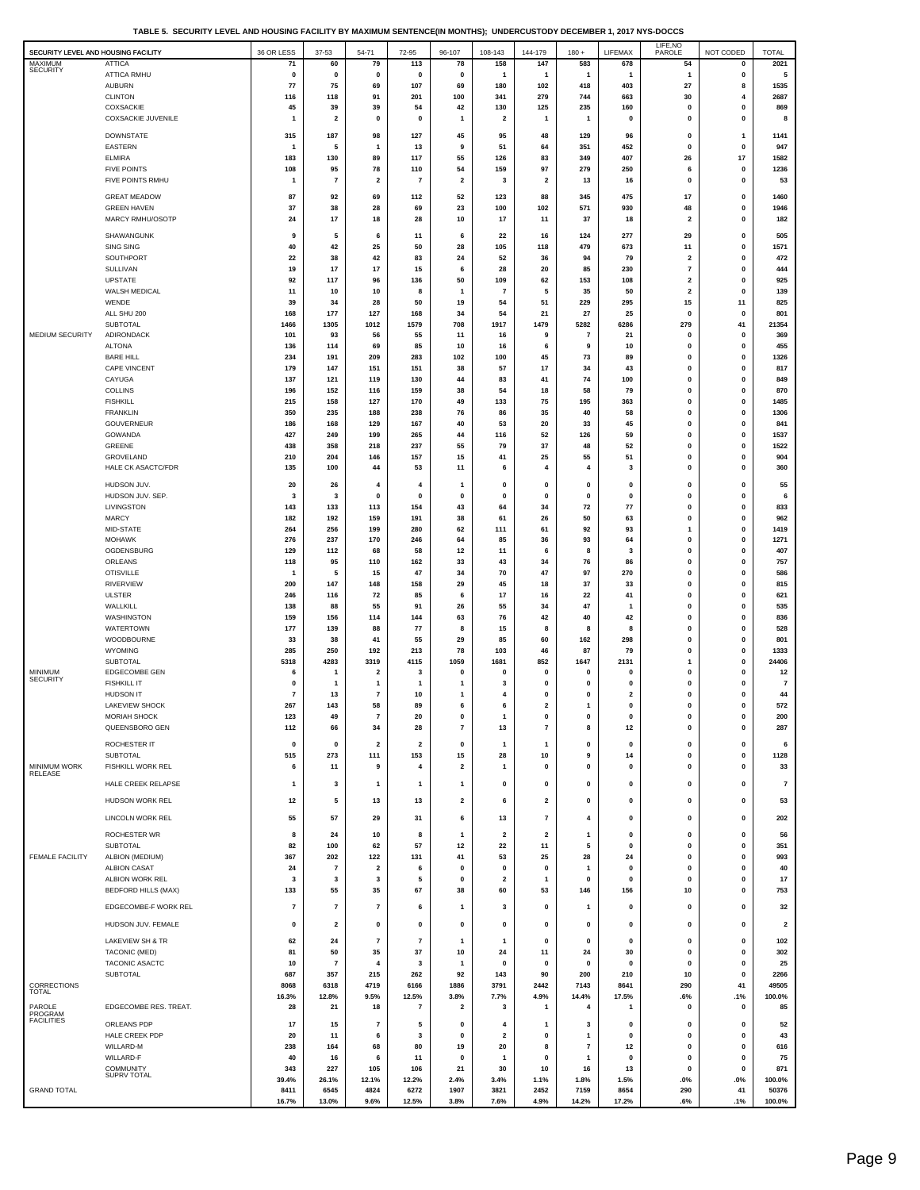**TABLE 5. SECURITY LEVEL AND HOUSING FACILITY BY MAXIMUM SENTENCE(IN MONTHS); UNDERCUSTODY DECEMBER 1, 2017 NYS-DOCCS**

| SECURITY LEVEL AND HOUSING FACILITY |                                               | 36 OR LESS            | 37-53                         | 54-71                         | 72-95                   | 96-107                        | 108-143                        | 144-179                 | $180 +$                | LIFEMAX             | LIFE, NO<br>PAROLE            | NOT CODED                   | <b>TOTAL</b>            |
|-------------------------------------|-----------------------------------------------|-----------------------|-------------------------------|-------------------------------|-------------------------|-------------------------------|--------------------------------|-------------------------|------------------------|---------------------|-------------------------------|-----------------------------|-------------------------|
| MAXIMUM<br><b>SECURITY</b>          | <b>ATTICA</b><br><b>ATTICA RMHU</b>           | 71<br>$\pmb{0}$       | 60<br>$\mathbf 0$             | 79<br>$\pmb{0}$               | 113<br>$\pmb{0}$        | 78<br>$\pmb{0}$               | 158<br>$\mathbf{1}$            | 147<br>$\mathbf{1}$     | 583<br>$\mathbf{1}$    | 678<br>$\mathbf{1}$ | 54<br>$\mathbf{1}$            | 0<br>$\pmb{0}$              | 2021<br>5               |
|                                     | <b>AUBURN</b>                                 | 77                    | 75                            | 69                            | 107                     | 69                            | 180                            | 102                     | 418                    | 403                 | 27                            | 8                           | 1535                    |
|                                     | <b>CLINTON</b>                                | 116                   | 118                           | 91                            | 201                     | 100                           | 341                            | 279                     | 744                    | 663                 | 30                            |                             | 2687                    |
|                                     | COXSACKIE<br>COXSACKIE JUVENILE               | 45<br>$\mathbf{1}$    | 39<br>$\overline{\mathbf{2}}$ | 39<br>0                       | 54<br>0                 | 42<br>1                       | 130<br>$\overline{\mathbf{2}}$ | 125<br>1                | 235<br>$\mathbf{1}$    | 160<br>0            | $\pmb{0}$<br>$\pmb{0}$        | $\mathbf 0$<br>$\mathbf 0$  | 869<br>8                |
|                                     |                                               |                       |                               |                               |                         |                               |                                |                         |                        |                     |                               |                             |                         |
|                                     | <b>DOWNSTATE</b><br><b>EASTERN</b>            | 315<br>$\mathbf{1}$   | 187<br>5                      | 98<br>$\overline{1}$          | 127<br>13               | 45<br>9                       | 95<br>51                       | 48<br>64                | 129<br>351             | 96<br>452           | $\pmb{0}$<br>$\pmb{0}$        | $\mathbf{1}$<br>$\pmb{0}$   | 1141<br>947             |
|                                     | <b>ELMIRA</b>                                 | 183                   | 130                           | 89                            | 117                     | 55                            | 126                            | 83                      | 349                    | 407                 | 26                            | 17                          | 1582                    |
|                                     | <b>FIVE POINTS</b>                            | 108                   | 95                            | 78                            | 110                     | 54                            | 159                            | 97                      | 279                    | 250                 | 6                             | $\mathbf 0$                 | 1236                    |
|                                     | FIVE POINTS RMHU                              | $\mathbf{1}$          | $\overline{7}$                | $\mathbf 2$                   | 7                       | $\mathbf 2$                   | 3                              | $\mathbf 2$             | 13                     | 16                  | $\pmb{0}$                     | $\mathbf 0$                 | 53                      |
|                                     | <b>GREAT MEADOW</b><br><b>GREEN HAVEN</b>     | 87<br>37              | 92<br>38                      | 69<br>28                      | 112<br>69               | 52<br>23                      | 123<br>100                     | 88<br>102               | 345<br>571             | 475<br>930          | 17<br>48                      | $\mathbf 0$<br>$\Omega$     | 1460<br>1946            |
|                                     | MARCY RMHU/OSOTP                              | 24                    | 17                            | 18                            | 28                      | 10                            | 17                             | 11                      | 37                     | 18                  | $\overline{\mathbf{2}}$       | $\mathbf{0}$                | 182                     |
|                                     | SHAWANGUNK                                    | 9                     | 5                             | 6                             | 11                      | 6                             | 22                             | 16                      | 124                    | 277                 | 29                            | 0                           | 505                     |
|                                     | <b>SING SING</b>                              | 40                    | 42                            | 25                            | 50                      | 28                            | 105                            | 118                     | 479                    | 673                 | 11                            | $\mathbf 0$                 | 1571                    |
|                                     | SOUTHPORT<br>SULLIVAN                         | 22<br>19              | 38<br>17                      | 42<br>17                      | 83<br>15                | 24<br>6                       | 52<br>28                       | 36<br>20                | 94<br>85               | 79<br>230           | $\mathbf 2$<br>$\overline{7}$ | $\mathbf 0$<br>$\Omega$     | 472<br>444              |
|                                     | UPSTATE                                       | 92                    | 117                           | 96                            | 136                     | 50                            | 109                            | 62                      | 153                    | 108                 | $\overline{\mathbf{2}}$       | $\Omega$                    | 925                     |
|                                     | WALSH MEDICAL                                 | 11                    | 10                            | 10                            | 8                       | $\mathbf{1}$                  | $\overline{7}$                 | 5                       | 35                     | 50                  | $\overline{\mathbf{2}}$       | $\mathbf{0}$                | 139                     |
|                                     | WENDE<br>ALL SHU 200                          | 39<br>168             | 34<br>177                     | 28<br>127                     | 50<br>168               | 19<br>34                      | 54<br>54                       | 51<br>21                | 229<br>27              | 295<br>25           | 15<br>$\pmb{0}$               | 11<br>$\pmb{0}$             | 825<br>801              |
|                                     | SUBTOTAL                                      | 1466                  | 1305                          | 1012                          | 1579                    | 708                           | 1917                           | 1479                    | 5282                   | 6286                | 279                           | 41                          | 21354                   |
| MEDIUM SECURITY                     | ADIRONDACK                                    | 101                   | 93                            | 56                            | 55                      | 11                            | 16                             | 9                       | $\overline{7}$         | 21                  | $\pmb{0}$                     | $\mathbf{0}$<br>$\mathbf 0$ | 369                     |
|                                     | <b>ALTONA</b><br><b>BARE HILL</b>             | 136<br>234            | 114<br>191                    | 69<br>209                     | 85<br>283               | 10<br>102                     | 16<br>100                      | 6<br>45                 | 9<br>73                | 10<br>89            | 0<br>$\pmb{0}$                | $\mathbf 0$                 | 455<br>1326             |
|                                     | <b>CAPE VINCENT</b>                           | 179                   | 147                           | 151                           | 151                     | 38                            | 57                             | 17                      | 34                     | 43                  | 0                             | $\mathbf 0$                 | 817                     |
|                                     | CAYUGA<br><b>COLLINS</b>                      | 137<br>196            | 121<br>152                    | 119<br>116                    | 130<br>159              | 44<br>38                      | 83<br>54                       | 41<br>18                | 74<br>58               | 100<br>79           | $\pmb{0}$<br>$\pmb{0}$        | $\Omega$<br>$\mathbf 0$     | 849<br>870              |
|                                     | <b>FISHKILL</b>                               | 215                   | 158                           | 127                           | 170                     | 49                            | 133                            | 75                      | 195                    | 363                 | $\pmb{0}$                     | $\mathbf{0}$                | 1485                    |
|                                     | <b>FRANKLIN</b>                               | 350                   | 235                           | 188                           | 238                     | 76                            | 86                             | 35                      | 40                     | 58                  | $\pmb{0}$                     | $\mathbf{0}$                | 1306                    |
|                                     | GOUVERNEUR<br>GOWANDA                         | 186<br>427            | 168<br>249                    | 129<br>199                    | 167<br>265              | 40<br>44                      | 53<br>116                      | 20<br>52                | 33<br>126              | 45<br>59            | $\pmb{0}$<br>$\pmb{0}$        | $\mathbf 0$<br>$\mathbf 0$  | 841<br>1537             |
|                                     | GREENE                                        | 438                   | 358                           | 218                           | 237                     | 55                            | 79                             | 37                      | 48                     | 52                  | $\pmb{0}$                     | $\mathbf 0$                 | 1522                    |
|                                     | GROVELAND                                     | 210                   | 204                           | 146                           | 157                     | 15                            | 41                             | 25                      | 55                     | 51                  | $\pmb{0}$                     | $\mathbf 0$                 | 904                     |
|                                     | <b>HALE CK ASACTC/FDR</b>                     | 135                   | 100                           | 44                            | 53                      | 11                            | 6                              | 4                       | 4                      | 3                   | $\pmb{0}$                     | $\mathbf 0$                 | 360                     |
|                                     | HUDSON JUV.<br>HUDSON JUV. SEP.               | 20<br>3               | 26<br>3                       | $\overline{4}$<br>$\bf{0}$    | 4<br>$\mathbf 0$        | -1<br>$\Omega$                | $\pmb{0}$<br>$\pmb{0}$         | $\pmb{0}$<br>$\pmb{0}$  | $\pmb{0}$<br>$\pmb{0}$ | 0<br>0              | $\pmb{0}$<br>$\pmb{0}$        | $\mathbf{0}$<br>$\Omega$    | 55<br>6                 |
|                                     | LIVINGSTON                                    | 143                   | 133                           | 113                           | 154                     | 43                            | 64                             | 34                      | 72                     | 77                  | $\pmb{0}$                     | $\mathbf 0$                 | 833                     |
|                                     | <b>MARCY</b>                                  | 182                   | 192                           | 159                           | 191                     | 38                            | 61                             | 26                      | 50                     | 63                  | $\pmb{0}$                     | $\mathbf 0$                 | 962                     |
|                                     | MID-STATE<br><b>MOHAWK</b>                    | 264<br>276            | 256<br>237                    | 199<br>170                    | 280<br>246              | 62<br>64                      | 111<br>85                      | 61<br>36                | 92<br>93               | 93<br>64            | $\mathbf{1}$<br>$\pmb{0}$     | $\mathbf 0$<br>$\mathbf 0$  | 1419<br>1271            |
|                                     | OGDENSBURG                                    | 129                   | 112                           | 68                            | 58                      | 12                            | 11                             | 6                       | 8                      | 3                   | $\pmb{0}$                     | $\mathbf 0$                 | 407                     |
|                                     | ORLEANS                                       | 118                   | 95                            | 110                           | 162                     | 33                            | 43                             | 34                      | 76                     | 86                  | $\pmb{0}$                     | $\mathbf 0$                 | 757                     |
|                                     | <b>OTISVILLE</b><br><b>RIVERVIEW</b>          | -1<br>200             | 5<br>147                      | 15<br>148                     | 47<br>158               | 34<br>29                      | 70<br>45                       | 47<br>18                | 97<br>37               | 270<br>33           | $\pmb{0}$<br>$\pmb{0}$        | $\Omega$<br>$\mathbf{0}$    | 586<br>815              |
|                                     | <b>ULSTER</b>                                 | 246                   | 116                           | 72                            | 85                      | 6                             | 17                             | 16                      | 22                     | 41                  | $\pmb{0}$                     | $\mathbf 0$                 | 621                     |
|                                     | WALLKILL<br>WASHINGTON                        | 138<br>159            | 88<br>156                     | 55<br>114                     | 91<br>144               | 26<br>63                      | 55<br>76                       | 34<br>42                | 47<br>40               | 1<br>42             | $\pmb{0}$<br>$\pmb{0}$        | $\mathbf 0$<br>$\mathbf 0$  | 535<br>836              |
|                                     | <b>WATERTOWN</b>                              | 177                   | 139                           | 88                            | 77                      | 8                             | 15                             | 8                       | 8                      | 8                   | $\pmb{0}$                     | $\mathbf 0$                 | 528                     |
|                                     | WOODBOURNE                                    | 33                    | 38                            | 41                            | 55                      | 29                            | 85                             | 60                      | 162                    | 298                 | 0                             | $\mathbf 0$                 | 801                     |
|                                     | WYOMING<br>SUBTOTAL                           | 285<br>5318           | 250<br>4283                   | 192<br>3319                   | 213<br>4115             | 78<br>1059                    | 103<br>1681                    | 46<br>852               | 87<br>1647             | 79<br>2131          | $\pmb{0}$<br>$\mathbf{1}$     | $\mathbf 0$<br>$\mathbf 0$  | 1333<br>24406           |
| <b>MINIMUM</b>                      | EDGECOMBE GEN                                 | 6                     | -1                            | $\overline{2}$                | 3                       | 0                             | $\mathbf 0$                    | $\mathbf 0$             | $\mathbf 0$            | $\mathbf 0$         | $\pmb{0}$                     | $\Omega$                    | 12                      |
| <b>SECURITY</b>                     | <b>FISHKILL IT</b>                            | $\mathbf 0$           | -1                            | $\mathbf{1}$                  | 1                       | 1                             | 3                              | $\mathbf{0}$            | $\bf{0}$               | 0                   | $\pmb{0}$                     | $\Omega$                    | $\overline{7}$          |
|                                     | <b>HUDSON IT</b><br><b>LAKEVIEW SHOCK</b>     | $\overline{7}$<br>267 | 13<br>143                     | $\overline{7}$<br>58          | 10<br>89                | 1<br>6                        | 4<br>6                         | 0<br>$\mathbf{2}$       | $\bf{0}$<br>1          | $\mathbf{2}$<br>0   | $\pmb{0}$<br>$\pmb{0}$        | 0<br>$\mathbf{0}$           | 44<br>572               |
|                                     | MORIAH SHOCK                                  | 123                   | 49                            |                               | 20                      |                               |                                |                         |                        |                     |                               |                             | 200                     |
|                                     | QUEENSBORO GEN                                | 112                   | 66                            | 34                            | 28                      | $\scriptstyle\rm 7$           | 13                             | $\overline{\mathbf{r}}$ | 8                      | 12                  | $\pmb{0}$                     | $\mathbf 0$                 | 287                     |
|                                     | ROCHESTER IT                                  | 0                     | $\mathbf{0}$                  | $\overline{\mathbf{2}}$       | $\overline{\mathbf{2}}$ | $\mathbf 0$                   | -1                             | $\mathbf{1}$            | 0                      | $\mathbf 0$         | $\mathbf 0$                   | 0                           | 6                       |
| <b>MINIMUM WORK</b>                 | <b>SUBTOTAL</b><br>FISHKILL WORK REL          | 515<br>6              | 273<br>11                     | 111<br>9                      | 153<br>4                | 15<br>$\overline{\mathbf{2}}$ | 28<br>$\mathbf{1}$             | 10<br>0                 | 9<br>0                 | 14<br>0             | $\pmb{0}$<br>$\pmb{0}$        | $\mathbf 0$<br>$\mathbf{0}$ | 1128<br>33              |
| <b>RELEASE</b>                      | HALE CREEK RELAPSE                            | $\mathbf{1}$          | 3                             | 1                             | 1                       | 1                             | $\pmb{0}$                      | $\pmb{0}$               | 0                      | 0                   | $\pmb{0}$                     | $\mathbf{0}$                | $\overline{\mathbf{r}}$ |
|                                     |                                               |                       |                               |                               |                         |                               |                                |                         |                        |                     |                               |                             |                         |
|                                     | HUDSON WORK REL                               | 12                    | 5                             | 13                            | 13                      | 2                             | 6                              | $\overline{\mathbf{2}}$ | $\pmb{0}$              | 0                   | $\pmb{0}$                     | 0                           | 53                      |
|                                     | LINCOLN WORK REL                              | 55                    | 57                            | 29                            | 31                      | 6                             | 13                             | $\overline{\mathbf{r}}$ | 4                      | 0                   | $\pmb{0}$                     | 0                           | 202                     |
|                                     | <b>ROCHESTER WR</b>                           | 8                     | 24                            | 10                            | 8                       | $\mathbf{1}$                  | $\overline{\mathbf{2}}$        | $\overline{\mathbf{2}}$ | $\mathbf{1}$           | $\mathbf 0$         | $\pmb{0}$                     | $\Omega$<br>$\Omega$        | 56                      |
| <b>FEMALE FACILITY</b>              | SUBTOTAL<br>ALBION (MEDIUM)                   | 82<br>367             | 100<br>202                    | 62<br>122                     | 57<br>131               | 12<br>41                      | 22<br>53                       | 11<br>25                | 5<br>28                | 0<br>24             | $\pmb{0}$<br>$\pmb{0}$        | $\mathbf 0$                 | 351<br>993              |
|                                     | <b>ALBION CASAT</b>                           | 24                    | $\overline{7}$                | $\overline{\mathbf{2}}$       | 6                       | 0                             | $\pmb{0}$                      | $\pmb{0}$               | $\mathbf{1}$           | 0                   | $\pmb{0}$                     | $\mathbf 0$                 | 40                      |
|                                     | ALBION WORK REL<br><b>BEDFORD HILLS (MAX)</b> | 3<br>133              | 3<br>55                       | $\overline{\mathbf{3}}$<br>35 | 5<br>67                 | $\mathbf{0}$<br>38            | $\overline{\mathbf{2}}$<br>60  | $\mathbf{1}$<br>53      | $\mathbf{0}$<br>146    | 0<br>156            | $\pmb{0}$<br>10               | $\mathbf 0$<br>$\mathbf 0$  | 17<br>753               |
|                                     |                                               |                       |                               |                               |                         |                               |                                |                         |                        |                     |                               |                             |                         |
|                                     | EDGECOMBE-F WORK REL                          | 7                     | $\overline{7}$                | $\overline{7}$                | 6                       | 1                             | 3                              | 0                       | $\mathbf{1}$           | $\mathbf 0$         | $\pmb{0}$                     | 0                           | 32                      |
|                                     | HUDSON JUV. FEMALE                            | $\mathbf 0$           | $\overline{\mathbf{2}}$       | 0                             | 0                       | 0                             | $\pmb{0}$                      | 0                       | $\mathbf{0}$           | 0                   | $\pmb{0}$                     | $\mathbf{0}$                | $\overline{2}$          |
|                                     | LAKEVIEW SH & TR<br><b>TACONIC (MED)</b>      | 62<br>81              | 24<br>50                      | $\overline{7}$<br>35          | $\bf 7$                 | 1<br>10                       | $\mathbf{1}$<br>24             | 0<br>11                 | 0<br>24                | 0<br>30             | 0<br>$\pmb{0}$                | 0<br>$\Omega$               | 102<br>302              |
|                                     | TACONIC ASACTC                                | 10                    | $\overline{7}$                | 4                             | 37<br>3                 | $\mathbf{1}$                  | $\mathbf{0}$                   | $\mathbf 0$             | 0                      | 0                   | $\pmb{0}$                     | $\Omega$                    | 25                      |
|                                     | SUBTOTAL                                      | 687                   | 357                           | 215                           | 262                     | 92                            | 143                            | 90                      | 200                    | 210                 | 10                            | $\mathbf 0$                 | 2266                    |
| <b>CORRECTIONS</b><br><b>TOTAL</b>  |                                               | 8068<br>16.3%         | 6318<br>12.8%                 | 4719<br>9.5%                  | 6166<br>12.5%           | 1886<br>3.8%                  | 3791<br>7.7%                   | 2442<br>4.9%            | 7143<br>14.4%          | 8641<br>17.5%       | 290<br>.6%                    | 41<br>.1%                   | 49505<br>100.0%         |
| PAROLE                              | EDGECOMBE RES. TREAT.                         | 28                    | 21                            | 18                            | 7                       | 2                             | 3                              | 1                       | 4                      | 1                   | $\pmb{0}$                     | $\pmb{0}$                   | 85                      |
| PROGRAM<br><b>FACILITIES</b>        | ORLEANS PDP                                   | 17                    | 15                            | $\overline{7}$                | 5                       | 0                             | 4                              | $\mathbf{1}$            | 3                      | 0                   | $\mathbf 0$                   | $\mathbf 0$                 | 52                      |
|                                     | HALE CREEK PDP                                | 20                    | 11                            | 6                             | 3                       | $\bf{0}$                      | $\overline{2}$                 | $\pmb{0}$               | 1                      | $\mathbf 0$         | $\pmb{0}$                     | $\Omega$                    | 43                      |
|                                     | WILLARD-M                                     | 238<br>40             | 164<br>16                     | 68<br>6                       | 80<br>11                | 19<br>$\pmb{0}$               | 20<br>$\mathbf{1}$             | 8<br>$\pmb{0}$          | 7<br>$\mathbf{1}$      | 12<br>0             | $\pmb{0}$<br>$\pmb{0}$        | 0<br>$\mathbf 0$            | 616<br>75               |
|                                     | WILLARD-F<br><b>COMMUNITY</b>                 | 343                   | 227                           | 105                           | 106                     | 21                            | 30                             | 10                      | 16                     | 13                  | $\pmb{0}$                     | $\pmb{0}$                   | 871                     |
|                                     | SUPRV TOTAL                                   | 39.4%                 | 26.1%                         | 12.1%                         | 12.2%                   | 2.4%                          | 3.4%                           | 1.1%                    | 1.8%                   | 1.5%                | .0%                           | .0%                         | 100.0%                  |
| <b>GRAND TOTAL</b>                  |                                               | 8411<br>16.7%         | 6545<br>13.0%                 | 4824<br>9.6%                  | 6272<br>12.5%           | 1907<br>3.8%                  | 3821<br>7.6%                   | 2452<br>4.9%            | 7159<br>14.2%          | 8654<br>17.2%       | 290<br>.6%                    | 41<br>.1%                   | 50376<br>100.0%         |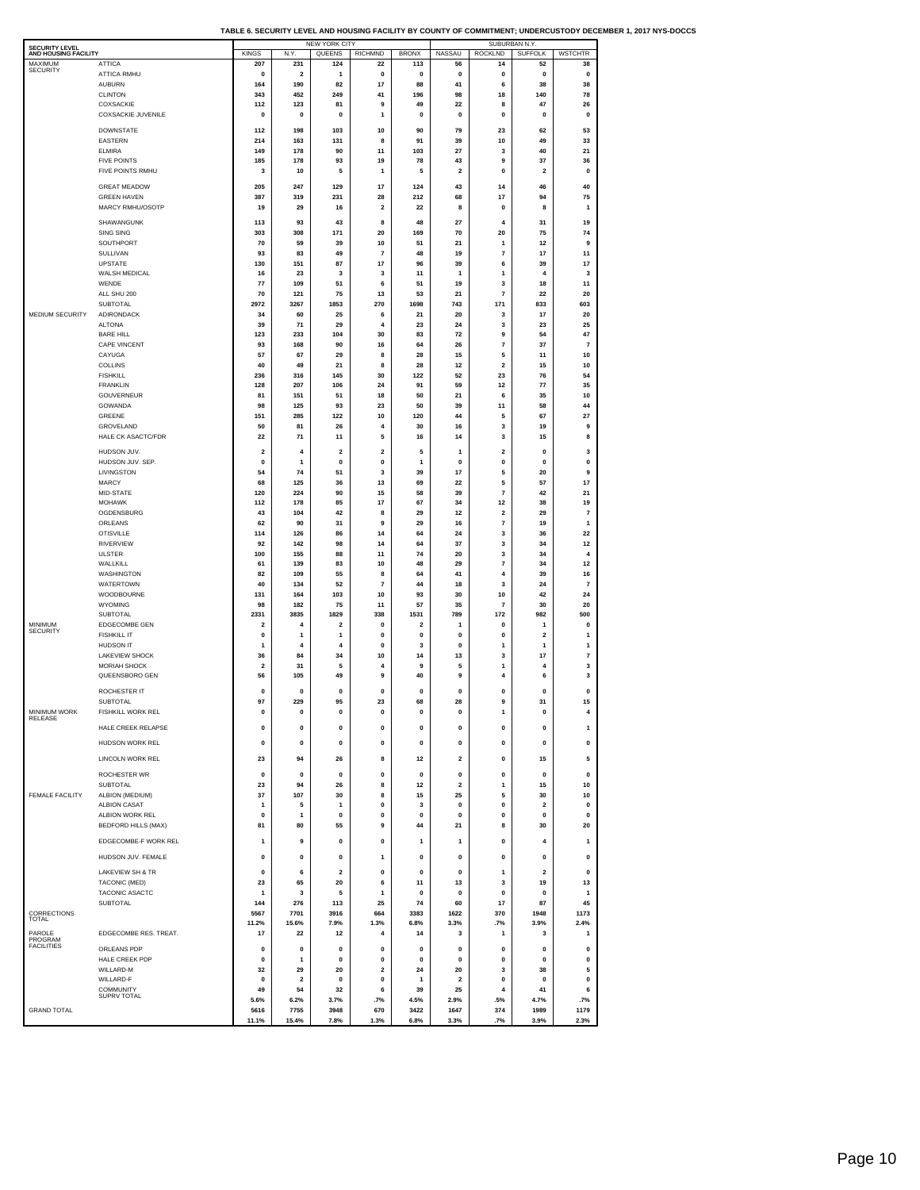| TABLE 6. SECURITY LEVEL AND HOUSING FACILITY BY COUNTY OF COMMITMENT: UNDERCUSTODY DECEMBER 1. 2017 NYS-DOCCS |  |  |
|---------------------------------------------------------------------------------------------------------------|--|--|
|                                                                                                               |  |  |

| <b>SECURITY LEVEL</b>           |                                              |                               |                               | NEW YORK CITY           |                         |                        | SUBURBAN N.Y.    |                               |                            |                              |  |  |
|---------------------------------|----------------------------------------------|-------------------------------|-------------------------------|-------------------------|-------------------------|------------------------|------------------|-------------------------------|----------------------------|------------------------------|--|--|
| AND HOUSING FACILITY<br>MAXIMUM | <b>ATTICA</b>                                | <b>KINGS</b><br>207           | N.Y<br>231                    | QUEENS<br>124           | <b>RICHMND</b><br>22    | <b>BRONX</b><br>113    | NASSAU<br>56     | <b>ROCKLND</b><br>14          | <b>SUFFOLK</b><br>52       | <b>WSTCHTR</b><br>38         |  |  |
| <b>SECURITY</b>                 | ATTICA RMHU                                  | 0                             | $\overline{\mathbf{2}}$       | 1                       | 0                       | 0                      | 0                | 0                             | 0                          | 0                            |  |  |
|                                 | <b>AUBURN</b><br><b>CLINTON</b>              | 164                           | 190                           | 82<br>249               | 17<br>41                | 88<br>196              | 41<br>98         | 6<br>18                       | 38<br>140                  | 38<br>78                     |  |  |
|                                 | COXSACKIE                                    | 343<br>112                    | 452<br>123                    | 81                      | 9                       | 49                     | 22               | 8                             | 47                         | 26                           |  |  |
|                                 | <b>COXSACKIE JUVENILE</b>                    | 0                             | 0                             | 0                       | 1                       | 0                      | 0                | 0                             | 0                          | 0                            |  |  |
|                                 | <b>DOWNSTATE</b>                             | 112                           | 198                           | 103                     | 10                      | 90                     | 79               | 23                            | 62                         | 53                           |  |  |
|                                 | EASTERN                                      | 214                           | 163                           | 131                     | 8                       | 91                     | 39               | 10                            | 49                         | 33                           |  |  |
|                                 | <b>ELMIRA</b><br><b>FIVE POINTS</b>          | 149<br>185                    | 178<br>178                    | 90<br>93                | 11<br>19                | 103<br>78              | 27<br>43         | 3<br>9                        | 40<br>37                   | 21<br>36                     |  |  |
|                                 | FIVE POINTS RMHU                             | 3                             | 10                            | 5                       | 1                       | 5                      | $\overline{2}$   | 0                             | $\overline{2}$             | 0                            |  |  |
|                                 | <b>GREAT MEADOW</b>                          | 205                           | 247                           | 129                     | 17                      | 124                    | 43               | 14                            | 46                         | 40                           |  |  |
|                                 | <b>GREEN HAVEN</b>                           | 387                           | 319                           | 231                     | 28                      | 212                    | 68               | 17                            | 94                         | 75                           |  |  |
|                                 | MARCY RMHU/OSOTP                             | 19                            | 29                            | 16                      | $\overline{\mathbf{2}}$ | 22                     | 8                | 0                             | 8                          | $\mathbf{1}$                 |  |  |
|                                 | SHAWANGUNK<br>SING SING                      | 113<br>303                    | 93<br>308                     | 43<br>171               | 8<br>20                 | 48<br>169              | 27<br>70         | 4<br>20                       | 31<br>75                   | 19<br>74                     |  |  |
|                                 | SOUTHPORT                                    | 70                            | 59                            | 39                      | 10                      | 51                     | 21               | 1                             | 12                         | 9                            |  |  |
|                                 | SULLIVAN                                     | 93                            | 83                            | 49                      | $\overline{7}$          | 48                     | 19               | $\overline{7}$                | 17                         | 11                           |  |  |
|                                 | UPSTATE<br><b>WALSH MEDICAL</b>              | 130<br>16                     | 151<br>23                     | 87<br>3                 | 17<br>3                 | 96<br>11               | 39<br>1          | 6<br>1                        | 39<br>$\overline{4}$       | 17<br>3                      |  |  |
|                                 | WENDE                                        | 77                            | 109                           | 51                      | 6                       | 51                     | 19               | 3                             | 18                         | 11                           |  |  |
|                                 | ALL SHU 200<br>SUBTOTAL                      | 70<br>2972                    | 121<br>3267                   | 75<br>1853              | 13<br>270               | 53<br>1698             | 21<br>743        | $\overline{7}$<br>171         | 22<br>833                  | 20<br>603                    |  |  |
| <b>MEDIUM SECURITY</b>          | ADIRONDACK                                   | 34                            | 60                            | 25                      | 6                       | 21                     | 20               | 3                             | 17                         | 20                           |  |  |
|                                 | <b>ALTONA</b>                                | 39                            | 71                            | 29                      | 4                       | 23                     | 24               | 3                             | 23                         | 25                           |  |  |
|                                 | <b>BARE HILL</b><br>CAPE VINCENT             | 123<br>93                     | 233<br>168                    | 104<br>90               | 30<br>16                | 83<br>64               | 72<br>26         | 9<br>$\overline{7}$           | 54<br>37                   | 47<br>$\overline{7}$         |  |  |
|                                 | CAYUGA                                       | 57                            | 67                            | 29                      | 8                       | 28                     | 15               | 5                             | 11                         | 10                           |  |  |
|                                 | COLLINS                                      | 40                            | 49                            | 21                      | 8                       | 28                     | 12               | 2                             | 15                         | 10                           |  |  |
|                                 | <b>FISHKILL</b><br><b>FRANKLIN</b>           | 236<br>128                    | 316<br>207                    | 145<br>106              | 30<br>24                | 122<br>91              | 52<br>59         | 23<br>12                      | 76<br>77                   | 54<br>35                     |  |  |
|                                 | GOUVERNEUR                                   | 81                            | 151                           | 51                      | 18                      | 50                     | 21               | 6                             | 35                         | 10                           |  |  |
|                                 | GOWANDA<br>GREENE                            | 98<br>151                     | 125<br>285                    | 93<br>122               | 23<br>10                | 50<br>120              | 39<br>44         | 11<br>5                       | 58<br>67                   | 44<br>27                     |  |  |
|                                 | GROVELAND                                    | 50                            | 81                            | 26                      | 4                       | 30                     | 16               | 3                             | 19                         | 9                            |  |  |
|                                 | <b>HALE CK ASACTC/FDR</b>                    | 22                            | 71                            | 11                      | 5                       | 16                     | 14               | 3                             | 15                         | 8                            |  |  |
|                                 | HUDSON JUV.                                  | $\overline{\mathbf{2}}$       | 4                             | $\overline{\mathbf{2}}$ | $\overline{\mathbf{2}}$ | 5                      | 1                | $\overline{\mathbf{2}}$       | 0                          | 3                            |  |  |
|                                 | HUDSON JUV, SEP.                             | $\pmb{0}$                     | $\mathbf{1}$                  | $\pmb{0}$               | $\mathbf 0$             | 1                      | $\bf{0}$         | $\pmb{0}$                     | $\pmb{0}$                  | $\pmb{0}$                    |  |  |
|                                 | LIVINGSTON<br><b>MARCY</b>                   | 54<br>68                      | 74<br>125                     | 51<br>36                | 3<br>13                 | 39<br>69               | 17<br>22         | 5<br>5                        | 20<br>57                   | 9<br>17                      |  |  |
|                                 | MID-STATE                                    | 120                           | 224                           | 90                      | 15                      | 58                     | 39               | 7                             | 42                         | 21                           |  |  |
|                                 | <b>MOHAWK</b><br>OGDENSBURG                  | 112<br>43                     | 178<br>104                    | 85<br>42                | 17<br>8                 | 67<br>29               | 34<br>12         | 12<br>$\overline{\mathbf{2}}$ | 38<br>29                   | 19<br>$\overline{7}$         |  |  |
|                                 | ORLEANS                                      | 62                            | 90                            | 31                      | 9                       | 29                     | 16               | $\overline{7}$                | 19                         | 1                            |  |  |
|                                 | <b>OTISVILLE</b>                             | 114                           | 126                           | 86                      | 14                      | 64                     | 24               | 3                             | 36                         | 22                           |  |  |
|                                 | <b>RIVERVIEW</b><br>ULSTER                   | 92<br>100                     | 142<br>155                    | 98<br>88                | 14<br>11                | 64<br>74               | 37<br>20         | 3<br>3                        | 34<br>34                   | 12<br>4                      |  |  |
|                                 | WALLKILL                                     | 61                            | 139                           | 83                      | 10                      | 48                     | 29               | $\overline{7}$                | 34                         | 12                           |  |  |
|                                 | WASHINGTON<br><b>WATERTOWN</b>               | 82<br>40                      | 109<br>134                    | 55<br>52                | 8<br>$\overline{7}$     | 64<br>44               | 41<br>18         | 4<br>3                        | 39<br>24                   | 16<br>$\overline{7}$         |  |  |
|                                 | WOODBOURNE                                   | 131                           | 164                           | 103                     | 10                      | 93                     | 30               | 10                            | 42                         | 24                           |  |  |
|                                 | WYOMING                                      | 98                            | 182                           | 75                      | 11                      | 57                     | 35               | $\overline{7}$                | 30                         | 20                           |  |  |
| MINIMUM                         | <b>SUBTOTAL</b><br>EDGECOMBE GEN             | 2331<br>$\overline{2}$        | 3835<br>$\overline{4}$        | 1829<br>$\overline{2}$  | 338<br>$\mathbf 0$      | 1531<br>$\overline{2}$ | 789<br>1         | 172<br>$\mathbf 0$            | 982<br>$\mathbf{1}$        | 500<br>$\mathbf 0$           |  |  |
| SECURITY                        | <b>FISHKILL IT</b>                           | 0                             | 1                             | $\mathbf{1}$            | 0                       | 0                      | 0                | 0                             | $\mathbf 2$                | 1                            |  |  |
|                                 | HUDSON IT                                    | 1                             | 4                             | 4                       | $\mathbf 0$             | 3                      | $\mathbf 0$      | 1                             | $\mathbf{1}$               | 1                            |  |  |
|                                 | <b>LAKEVIEW SHOCK</b><br><b>MORIAH SHOCK</b> | 36<br>$\overline{\mathbf{2}}$ | 84<br>31                      | 34<br>5                 | 10<br>4                 | 14<br>9                | 13<br>5          | 3<br>1                        | 17<br>4                    | $\overline{\mathbf{r}}$<br>3 |  |  |
|                                 | QUEENSBORO GEN                               | 56                            | 105                           | 49                      | 9                       | 40                     | 9                | 4                             | 6                          | 3                            |  |  |
|                                 | ROCHESTER IT                                 | 0                             | 0                             | 0                       | 0                       | 0                      | $\bf{0}$         | $\pmb{0}$                     | $\pmb{0}$                  | $\pmb{0}$                    |  |  |
|                                 | SUBTOTAL                                     | 97                            | 229                           | 95                      | 23                      | 68                     | 28               | 9                             | 31                         | 15                           |  |  |
| <b>MINIMUM WORK</b><br>RELEASE  | FISHKILL WORK REL                            | 0                             | 0                             | 0                       | 0                       | 0                      | 0                | 1                             | 0                          | 4                            |  |  |
|                                 | HALE CREEK RELAPSE                           | 0                             | 0                             | 0                       | 0                       | 0                      | 0                | 0                             | 0                          | 1                            |  |  |
|                                 | HUDSON WORK REL                              | 0                             | 0                             | 0                       | 0                       | 0                      | 0                | 0                             | 0                          | 0                            |  |  |
|                                 | <b>LINCOLN WORK REL</b>                      | 23                            | 94                            | 26                      | 8                       | 12                     | 2                | 0                             | 15                         | 5                            |  |  |
|                                 | ROCHESTER WR                                 | 0                             | $\mathbf{0}$                  | 0                       | 0                       | 0                      | 0                | 0                             | $\mathbf 0$                | 0                            |  |  |
|                                 | SUBTOTAL<br>ALBION (MEDIUM)                  | 23                            | 94                            | 26                      | 8                       | 12                     | $\mathbf 2$      | $\mathbf{1}$                  | 15                         | 10                           |  |  |
| FEMALE FACILITY                 | <b>ALBION CASAT</b>                          | 37<br>$\mathbf{1}$            | 107<br>5                      | 30<br>1                 | 8<br>$\pmb{0}$          | 15<br>3                | 25<br>$\pmb{0}$  | 5<br>0                        | 30<br>$\mathbf 2$          | 10<br>$\mathbf 0$            |  |  |
|                                 | ALBION WORK REL                              | 0                             | 1                             | 0                       | 0                       | 0                      | 0                | 0                             | 0                          | 0                            |  |  |
|                                 | <b>BEDFORD HILLS (MAX)</b>                   | 81                            | 80                            | 55                      | 9                       | 44                     | 21               | 8                             | 30                         | 20                           |  |  |
|                                 | EDGECOMBE-F WORK REL                         | $\mathbf{1}$                  | 9                             | $\pmb{0}$               | $\mathbf{0}$            | 1                      | 1                | 0                             | 4                          | 1                            |  |  |
|                                 | HUDSON JUV. FEMALE                           | $\mathbf{0}$                  | $\mathbf{0}$                  | $\mathbf 0$             | 1                       | $\bf{0}$               | $\mathbf 0$      | 0                             | $\mathbf 0$                | $\mathbf 0$                  |  |  |
|                                 | <b>LAKEVIEW SH &amp; TR</b>                  | $\mathbf{0}$                  | 6                             | $\overline{\mathbf{2}}$ | $\pmb{0}$               | $\pmb{0}$              | $\mathbf 0$      | 1                             | $\overline{2}$             | $\mathbf 0$                  |  |  |
|                                 | TACONIC (MED)                                | 23                            | 65                            | 20                      | 6                       | 11                     | 13               | 3                             | 19                         | 13                           |  |  |
|                                 | TACONIC ASACTC<br>SUBTOTAL                   | $\mathbf{1}$<br>144           | 3<br>276                      | 5<br>113                | $\mathbf{1}$<br>25      | $\bf{0}$<br>74         | $\pmb{0}$<br>60  | $\pmb{0}$<br>17               | $\pmb{0}$<br>87            | $\mathbf{1}$<br>45           |  |  |
| CORRECTIONS<br><b>TOTAL</b>     |                                              | 5567                          | 7701                          | 3916                    | 664                     | 3383                   | 1622             | 370                           | 1948                       | 1173                         |  |  |
| PAROLE                          | EDGECOMBE RES. TREAT.                        | 11.2%<br>17                   | 15.6%<br>22                   | 7.9%<br>12              | 1.3%<br>4               | 6.8%<br>14             | 3.3%<br>3        | .7%<br>1                      | 3.9%<br>3                  | 2.4%                         |  |  |
| PROGRAM<br><b>FACILITIES</b>    |                                              |                               |                               |                         |                         |                        |                  |                               |                            | 1                            |  |  |
|                                 | ORLEANS PDP<br>HALE CREEK PDP                | $\mathbf{0}$<br>$\mathbf{0}$  | $\mathbf{0}$<br>$\mathbf{1}$  | $\mathbf 0$<br>0        | $\mathbf 0$<br>0        | $\mathbf 0$<br>0       | $\mathbf 0$<br>0 | $\mathbf 0$<br>0              | $\mathbf 0$<br>$\mathbf 0$ | $\mathbf 0$<br>0             |  |  |
|                                 | WILLARD-M                                    | 32                            | 29                            | 20                      | $\mathbf 2$             | 24                     | 20               | 3                             | 38                         | 5                            |  |  |
|                                 | WILLARD-F<br>COMMUNITY                       | 0<br>49                       | $\overline{\mathbf{2}}$<br>54 | 0<br>32                 | 0<br>6                  | 1<br>39                | 2<br>25          | 0<br>4                        | 0<br>41                    | 0<br>6                       |  |  |
|                                 | SUPRV TOTAL                                  | 5.6%                          | 6.2%                          | 3.7%                    | .7%                     | 4.5%                   | 2.9%             | .5%                           | 4.7%                       | .7%                          |  |  |
| <b>GRAND TOTAL</b>              |                                              | 5616                          | 7755                          | 3948                    | 670                     | 3422                   | 1647             | 374                           | 1989                       | 1179                         |  |  |
|                                 |                                              | 11.1%                         | 15.4%                         | 7.8%                    | 1.3%                    | 6.8%                   | 3.3%             | .7%                           | 3.9%                       | 2.3%                         |  |  |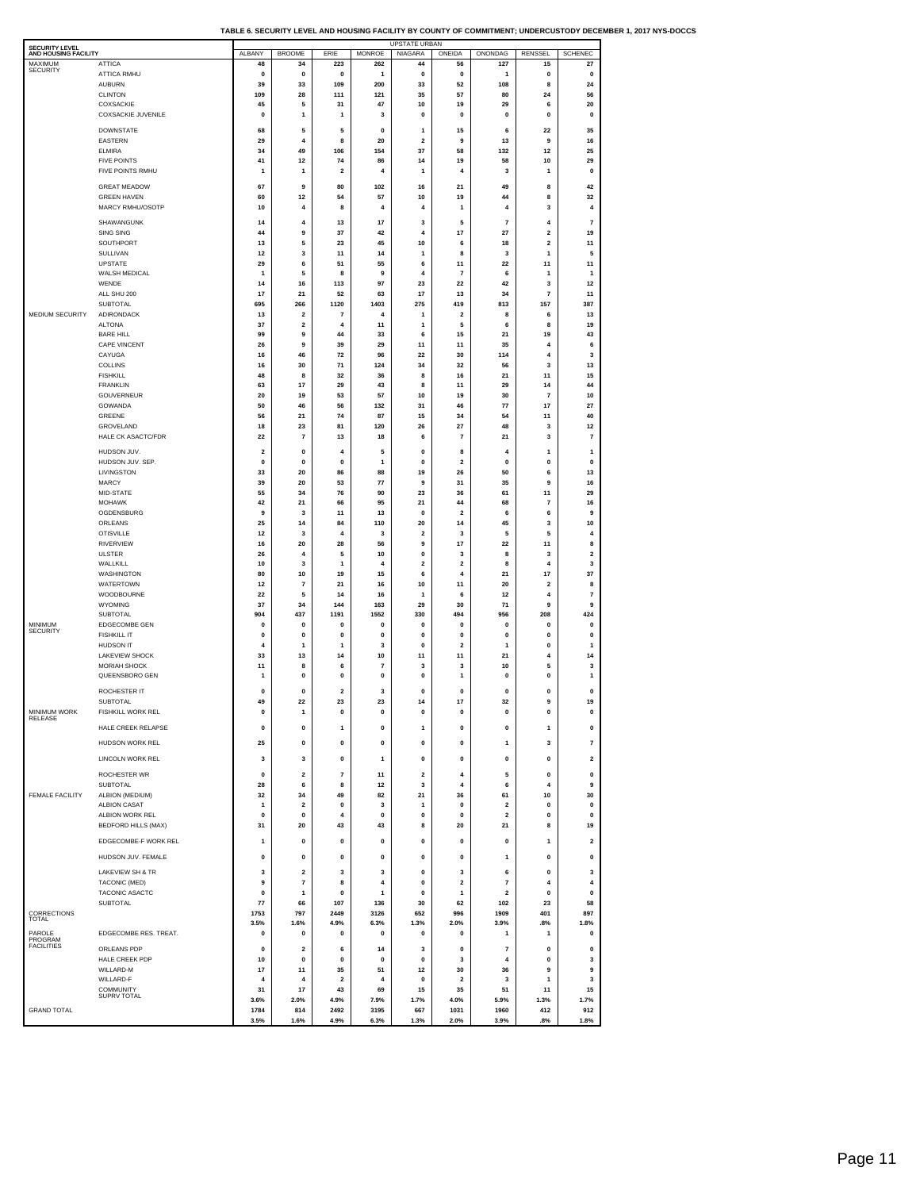| TABLE 6. SECURITY LEVEL AND HOUSING FACILITY BY COUNTY OF COMMITMENT: UNDERCUSTODY DECEMBER 1. 2017 NYS-DOCCS |  |  |
|---------------------------------------------------------------------------------------------------------------|--|--|
|                                                                                                               |  |  |

| <b>SECURITY LEVEL</b>      |                                         |                      |                                           |                         |                               | <b>UPSTATE URBAN</b> |                               |                          |                             |                         |
|----------------------------|-----------------------------------------|----------------------|-------------------------------------------|-------------------------|-------------------------------|----------------------|-------------------------------|--------------------------|-----------------------------|-------------------------|
| AND HOUSING FACILITY       |                                         | ALBANY               | <b>BROOME</b>                             | ERIE                    | <b>MONROE</b>                 | NIAGARA              | ONEIDA                        | ONONDAG                  | RENSSEL                     | <b>SCHENEC</b>          |
| MAXIMUM<br><b>SECURITY</b> | ATTICA<br>ATTICA RMHU                   | 48<br>0              | 34<br>0                                   | 223<br>0                | 262<br>1                      | 44<br>0              | 56<br>0                       | 127<br>1                 | 15<br>0                     | 27<br>0                 |
|                            | <b>AUBURN</b>                           | 39                   | 33                                        | 109                     | 200                           | 33                   | 52                            | 108                      | 8                           | 24                      |
|                            | <b>CLINTON</b>                          | 109                  | 28                                        | 111                     | 121                           | 35                   | 57                            | 80                       | 24                          | 56                      |
|                            | COXSACKIE                               | 45                   | 5                                         | 31                      | 47                            | $10$                 | 19                            | 29                       | 6                           | 20                      |
|                            | <b>COXSACKIE JUVENILE</b>               | 0                    | $\mathbf{1}$                              | 1                       | 3                             | 0                    | 0                             | 0                        | 0                           | 0                       |
|                            | DOWNSTATE                               | 68                   | 5                                         | 5                       | $\mathbf 0$                   | 1                    | 15                            | 6                        | 22                          | 35                      |
|                            | EASTERN<br><b>ELMIRA</b>                | 29<br>34             | 4<br>49                                   | 8<br>106                | 20<br>154                     | $\mathbf 2$<br>37    | 9<br>58                       | 13<br>132                | 9<br>12                     | 16<br>25                |
|                            | <b>FIVE POINTS</b>                      | 41                   | 12                                        | 74                      | 86                            | 14                   | 19                            | 58                       | 10                          | 29                      |
|                            | FIVE POINTS RMHU                        | 1                    | $\mathbf{1}$                              | $\overline{\mathbf{2}}$ | 4                             | 1                    | 4                             | 3                        | 1                           | 0                       |
|                            | <b>GREAT MEADOW</b>                     | 67                   | 9                                         | 80                      | 102                           | 16                   | 21                            | 49                       | 8                           | 42                      |
|                            | <b>GREEN HAVEN</b>                      | 60                   | 12                                        | 54                      | 57                            | 10                   | 19                            | 44                       | 8                           | 32                      |
|                            | MARCY RMHU/OSOTP                        | 10                   | $\overline{4}$                            | 8                       | 4                             | 4                    | 1                             | 4                        | 3                           | 4                       |
|                            | SHAWANGUNK                              | 14                   | 4                                         | 13                      | 17                            | 3                    | 5                             | $\overline{7}$           | 4                           | $\overline{7}$          |
|                            | SING SING                               | 44                   | 9                                         | 37                      | 42                            | 4                    | 17                            | 27                       | $\overline{\mathbf{2}}$     | 19                      |
|                            | SOUTHPORT                               | 13                   | 5                                         | 23                      | 45                            | 10                   | 6                             | 18                       | 2                           | 11                      |
|                            | SULLIVAN                                | 12                   | 3                                         | 11                      | 14                            | 1                    | 8                             | 3                        | 1                           | 5                       |
|                            | <b>UPSTATE</b><br>WALSH MEDICAL         | 29<br>1              | 6<br>5                                    | 51                      | 55                            | 6<br>$\pmb{4}$       | 11                            | 22<br>6                  | 11<br>1                     | 11                      |
|                            | WENDE                                   | 14                   | 16                                        | 8<br>113                | 9<br>97                       | 23                   | 7<br>22                       | 42                       | 3                           | 1<br>12                 |
|                            | ALL SHU 200                             | 17                   | 21                                        | 52                      | 63                            | 17                   | 13                            | 34                       | $\overline{7}$              | 11                      |
|                            | SUBTOTAL                                | 695                  | 266                                       | 1120                    | 1403                          | 275                  | 419                           | 813                      | 157                         | 387                     |
| MEDIUM SECURITY            | ADIRONDACK                              | 13                   | $\overline{\mathbf{2}}$                   | 7                       | 4                             | 1                    | 2                             | 8                        | 6                           | 13                      |
|                            | <b>ALTONA</b>                           | 37                   | $\overline{\mathbf{2}}$                   | 4                       | 11                            | 1                    | 5                             | 6                        | 8                           | 19                      |
|                            | <b>BARE HILL</b><br><b>CAPE VINCENT</b> | 99<br>26             | 9<br>9                                    | 44<br>39                | 33<br>29                      | 6<br>11              | 15<br>11                      | 21<br>35                 | 19<br>4                     | 43<br>6                 |
|                            | CAYUGA                                  | 16                   | 46                                        | 72                      | 96                            | 22                   | 30                            | 114                      | 4                           | 3                       |
|                            | <b>COLLINS</b>                          | 16                   | 30                                        | 71                      | 124                           | 34                   | 32                            | 56                       | 3                           | 13                      |
|                            | <b>FISHKILL</b>                         | 48                   | 8                                         | 32                      | 36                            | 8                    | 16                            | 21                       | 11                          | 15                      |
|                            | <b>FRANKLIN</b>                         | 63                   | 17                                        | 29                      | 43                            | 8                    | 11                            | 29                       | 14                          | 44                      |
|                            | GOUVERNEUR<br>GOWANDA                   | 20<br>50             | 19<br>46                                  | 53<br>56                | 57<br>132                     | 10<br>31             | 19<br>46                      | 30<br>77                 | $\overline{7}$<br>17        | 10<br>27                |
|                            | GREENE                                  | 56                   | 21                                        | 74                      | 87                            | 15                   | 34                            | 54                       | 11                          | 40                      |
|                            | GROVELAND                               | 18                   | 23                                        | 81                      | 120                           | 26                   | 27                            | 48                       | 3                           | 12                      |
|                            | HALE CK ASACTC/FDR                      | 22                   | $\overline{7}$                            | 13                      | 18                            | 6                    | $\overline{7}$                | 21                       | 3                           | $\overline{7}$          |
|                            | HUDSON JUV.                             | $\overline{2}$       | $\mathbf{0}$                              | 4                       | 5                             | $\mathbf 0$          | 8                             | 4                        | 1                           | $\mathbf{1}$            |
|                            | HUDSON JUV. SEP.                        | 0                    | 0                                         | 0                       | 1                             | 0                    | 2                             | 0                        | 0                           | 0                       |
|                            | LIVINGSTON                              | 33                   | 20                                        | 86                      | 88                            | 19                   | 26                            | 50                       | 6                           | 13                      |
|                            | MARCY<br>MID-STATE                      | 39<br>55             | 20<br>34                                  | 53<br>76                | 77<br>90                      | 9<br>23              | 31<br>36                      | 35<br>61                 | 9<br>11                     | 16<br>29                |
|                            | <b>MOHAWK</b>                           | 42                   | 21                                        | 66                      | 95                            | 21                   | 44                            | 68                       | 7                           | 16                      |
|                            | OGDENSBURG                              | 9                    | 3                                         | 11                      | 13                            | $\pmb{0}$            | $\mathbf 2$                   | 6                        | 6                           | 9                       |
|                            | ORLEANS                                 | 25                   | 14                                        | 84                      | 110                           | 20                   | 14                            | 45                       | 3                           | 10                      |
|                            | <b>OTISVILLE</b>                        | 12                   | 3                                         | 4                       | 3                             | $\mathbf 2$          | 3                             | 5                        | 5                           | 4                       |
|                            | <b>RIVERVIEW</b>                        | 16                   | 20                                        | 28                      | 56                            | 9                    | 17                            | 22                       | 11                          | 8                       |
|                            | <b>ULSTER</b><br>WALLKILL               | 26<br>10             | $\overline{4}$<br>3                       | 5<br>1                  | 10<br>4                       | $\pmb{0}$<br>2       | 3<br>2                        | 8<br>8                   | 3<br>4                      | $\mathbf 2$<br>3        |
|                            | <b>WASHINGTON</b>                       | 80                   | 10                                        | 19                      | 15                            | 6                    | 4                             | 21                       | 17                          | 37                      |
|                            | WATERTOWN                               | 12                   | 7                                         | 21                      | 16                            | 10                   | 11                            | 20                       | 2                           | 8                       |
|                            | WOODBOURNE                              | 22                   | 5                                         | 14                      | 16                            | 1                    | 6                             | 12                       | $\ddot{a}$                  | $\overline{7}$          |
|                            | WYOMING<br>SUBTOTAL                     | 37<br>904            | 34<br>437                                 | 144<br>1191             | 163<br>1552                   | 29<br>330            | 30<br>494                     | 71<br>956                | 9<br>208                    | 9<br>424                |
| MINIMUM                    | <b>EDGECOMBE GEN</b>                    | 0                    | 0                                         | 0                       | 0                             | 0                    | 0                             | 0                        | 0                           | 0                       |
| <b>SECURITY</b>            | <b>FISHKILL IT</b>                      | 0                    | $\mathbf{0}$                              | 0                       | 0                             | 0                    | 0                             | 0                        | 0                           | 0                       |
|                            | HUDSON IT                               | 4                    | $\overline{1}$                            | 1                       | 3                             | $\pmb{0}$            | $\mathbf 2$                   | 1                        | 0                           | 1                       |
|                            | <b>LAKEVIEW SHOCK</b>                   | 33                   | 13                                        | 14                      | 10                            | 11                   | 11                            | 21                       | 4                           | 14                      |
|                            | MORIAH SHOCK<br>QUEENSBORO GEN          | 11<br>1              | 8<br>$\mathbf{0}$                         | 6<br>0                  | $\overline{7}$<br>$\mathbf 0$ | 3<br>$\mathbf 0$     | 3<br>1                        | 10<br>$\mathbf 0$        | 5<br>$\mathbf 0$            | 3<br>1                  |
|                            |                                         |                      |                                           |                         |                               |                      |                               |                          |                             |                         |
|                            | ROCHESTER IT                            | $\mathbf{0}$         | $\mathbf{0}$                              | $\overline{\mathbf{2}}$ | 3                             | $\mathbf 0$          | 0                             | $\mathbf 0$              | 0                           | 0                       |
| <b>MINIMUM WORK</b>        | SUBTOTAL<br><b>FISHKILL WORK REL</b>    | 49<br>0              | 22<br>1                                   | 23<br>0                 | 23<br>0                       | 14<br>0              | 17<br>0                       | 32<br>o                  | 9<br>0                      | 19<br>0                 |
| RELEASE                    |                                         |                      |                                           |                         |                               |                      |                               |                          |                             |                         |
|                            | HALE CREEK RELAPSE                      | $\mathbf 0$          | $\mathbf 0$                               | $\mathbf{1}$            | $\pmb{0}$                     | $\mathbf{1}$         | $\pmb{0}$                     | $\pmb{\mathsf{o}}$       | 1                           | $\pmb{0}$               |
|                            | HUDSON WORK REL                         | 25                   | $\mathbf{0}$                              | $\mathbf 0$             | $\pmb{0}$                     | $\pmb{0}$            | $\mathbf 0$                   | $\mathbf{1}$             | 3                           | $\overline{7}$          |
|                            | <b>LINCOLN WORK REL</b>                 | 3                    | 3                                         | $\mathbf 0$             | 1                             | $\pmb{0}$            | $\mathbf 0$                   | $\mathbf 0$              | $\pmb{0}$                   | $\overline{2}$          |
|                            |                                         |                      |                                           |                         |                               |                      |                               |                          |                             |                         |
|                            | ROCHESTER WR<br>SUBTOTAL                | $\pmb{0}$<br>28      | $\overline{\mathbf{2}}$<br>6              | $\overline{7}$<br>8     | 11<br>12                      | $\mathbf 2$<br>3     | 4<br>4                        | 5<br>6                   | $\pmb{0}$<br>$\overline{4}$ | $\pmb{0}$<br>9          |
| <b>FEMALE FACILITY</b>     | ALBION (MEDIUM)                         | 32                   | 34                                        | 49                      | 82                            | 21                   | 36                            | 61                       | 10                          | 30                      |
|                            | <b>ALBION CASAT</b>                     | 1                    | $\overline{\mathbf{2}}$                   | 0                       | 3                             | 1                    | 0                             | $\overline{\mathbf{2}}$  | 0                           | 0                       |
|                            | ALBION WORK REL                         | $\pmb{0}$            | $\mathbf{0}$                              | 4                       | $\pmb{0}$                     | $\pmb{0}$            | $\pmb{\mathsf{o}}$            | $\overline{2}$           | $\pmb{0}$                   | $\pmb{0}$               |
|                            | <b>BEDFORD HILLS (MAX)</b>              | 31                   | 20                                        | 43                      | 43                            | 8                    | 20                            | 21                       | 8                           | 19                      |
|                            | EDGECOMBE-F WORK REL                    | 1                    | 0                                         | 0                       | 0                             | 0                    | 0                             | 0                        | 1                           | $\overline{\mathbf{2}}$ |
|                            | HUDSON JUV. FEMALE                      | 0                    | 0                                         | 0                       | 0                             | 0                    | 0                             | 1                        | 0                           | 0                       |
|                            |                                         |                      |                                           |                         |                               |                      |                               |                          |                             |                         |
|                            | LAKEVIEW SH & TR<br>TACONIC (MED)       | 3<br>9               | $\overline{\mathbf{2}}$<br>$\overline{7}$ | 3<br>8                  | 3<br>4                        | 0<br>$\pmb{0}$       | 3<br>$\mathbf 2$              | 6<br>$\overline{7}$      | 0<br>$\ddot{a}$             | 3<br>4                  |
|                            | TACONIC ASACTC                          | $\mathbf{0}$         | $\mathbf{1}$                              | 0                       | 1                             | 0                    | 1                             | $\overline{2}$           | 0                           | 0                       |
|                            | SUBTOTAL                                | 77                   | 66                                        | 107                     | 136                           | 30                   | 62                            | 102                      | 23                          | 58                      |
| CORRECTIONS                |                                         | 1753                 | 797                                       | 2449                    | 3126                          | 652                  | 996                           | 1909                     | 401                         | 897                     |
| TOTAL                      |                                         | 3.5%                 | 1.6%                                      | 4.9%                    | 6.3%                          | 1.3%                 | 2.0%                          | 3.9%                     | .8%                         | 1.8%                    |
| PAROLE<br>PROGRAM          | EDGECOMBE RES. TREAT.                   | 0                    | 0                                         | 0                       | 0                             | 0                    | 0                             | 1                        | 1                           | 0                       |
| <b>FACILITIES</b>          | ORLEANS PDP                             | 0                    | $\overline{\mathbf{2}}$                   | 6                       | 14                            | 3                    | 0                             | $\overline{\phantom{a}}$ | 0                           | 0                       |
|                            | HALE CREEK PDP                          | 10                   | $\mathbf 0$                               | $\mathbf{0}$            | $\mathbf{0}$                  | $\pmb{\mathsf{o}}$   | 3                             | $\overline{4}$           | $\bf{0}$                    | 3                       |
|                            | WILLARD-M<br>WILLARD-F                  | 17<br>$\overline{4}$ | 11<br>$\overline{4}$                      | 35<br>$\mathbf 2$       | 51<br>$\overline{4}$          | 12<br>$\pmb{0}$      | 30<br>$\overline{\mathbf{2}}$ | 36<br>3                  | 9<br>1                      | 9<br>3                  |
|                            | COMMUNITY                               | 31                   | 17                                        | 43                      | 69                            | 15                   | 35                            | 51                       | 11                          | 15                      |
|                            | <b>SUPRV TOTAL</b>                      | 3.6%                 | 2.0%                                      | 4.9%                    | 7.9%                          | 1.7%                 | 4.0%                          | 5.9%                     | 1.3%                        | 1.7%                    |
| <b>GRAND TOTAL</b>         |                                         | 1784                 | 814                                       | 2492                    | 3195                          | 667                  | 1031                          | 1960                     | 412                         | 912                     |
|                            |                                         | 3.5%                 | 1.6%                                      | 4.9%                    | 6.3%                          | 1.3%                 | 2.0%                          | 3.9%                     | .8%                         | 1.8%                    |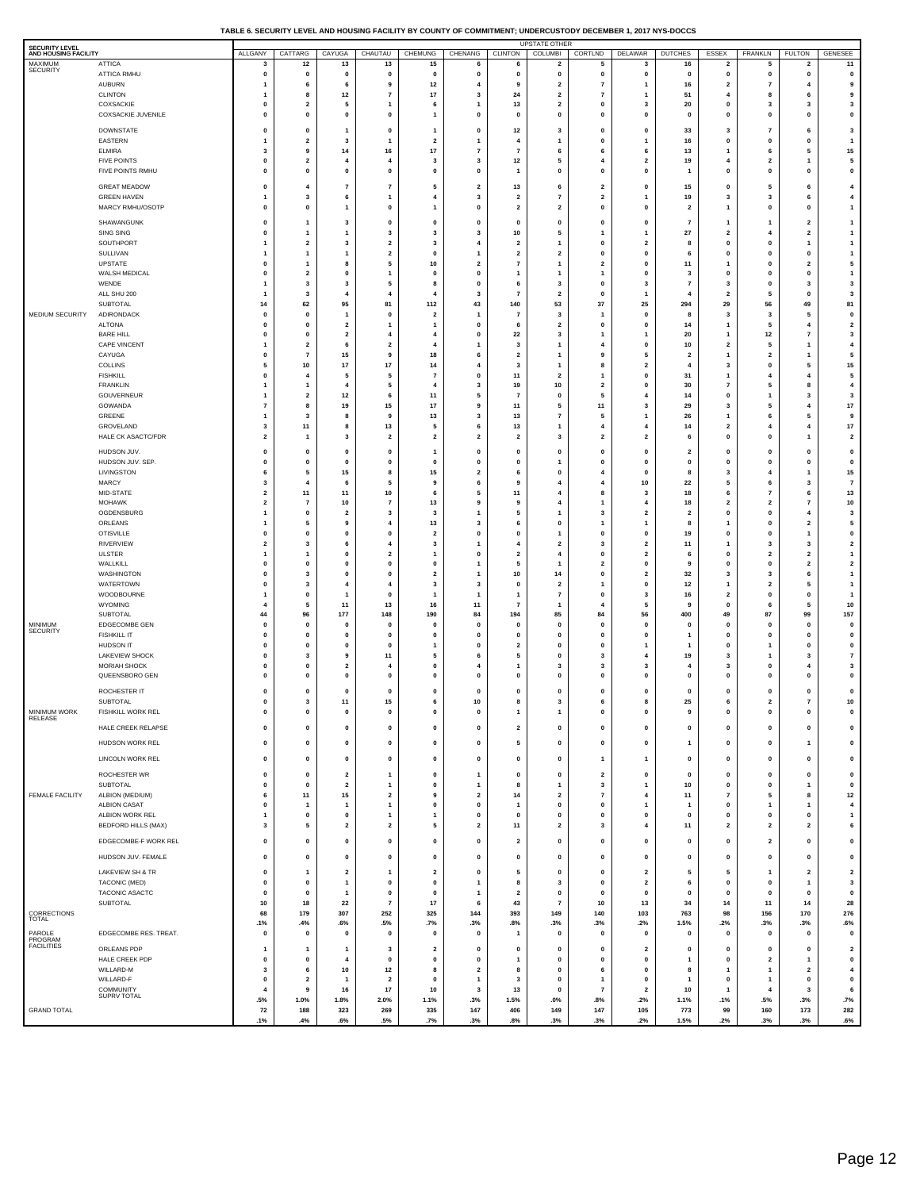#### **TABLE 6. SECURITY LEVEL AND HOUSING FACILITY BY COUNTY OF COMMITMENT; UNDERCUSTODY DECEMBER 1, 2017 NYS-DOCCS**

| <b>SECURITY LEVEL</b><br>AND HOUSING FACILITY |                                        | ALLGANY                      | CATTARG                 | CAYUGA                                  | CHAUTAU                      | CHEMUNG                                 | CHENANG                 | <b>CLINTON</b>                | <b>UPSTATE OTHER</b><br>COLUMBI                                    | CORTLND                  | <b>DELAWAR</b>               | <b>DUTCHES</b>                   | ESSEX                                                   | FRANKLN                                | <b>FULTON</b>                                            | <b>GENESEE</b>                          |
|-----------------------------------------------|----------------------------------------|------------------------------|-------------------------|-----------------------------------------|------------------------------|-----------------------------------------|-------------------------|-------------------------------|--------------------------------------------------------------------|--------------------------|------------------------------|----------------------------------|---------------------------------------------------------|----------------------------------------|----------------------------------------------------------|-----------------------------------------|
| MAXIMUM<br>SECURITY                           | ATTICA<br>ATTICA RMHU<br><b>AUBURN</b> | 3<br>0<br>1                  | 12<br>0<br>6            | 13<br>0<br>6                            | 13<br>$\mathbf 0$<br>9       | 15<br>0<br>12                           | 6<br>0<br>4             | 6<br>0<br>9                   | $\overline{\mathbf{2}}$<br>$\mathbf{0}$<br>$\overline{\mathbf{2}}$ | 5<br>0<br>$\overline{7}$ | 3<br>0<br>1                  | 16<br>$\mathbf{0}$<br>16         | $\overline{\mathbf{2}}$<br>0<br>$\overline{\mathbf{2}}$ | 5<br>$\mathbf 0$<br>$\overline{7}$     | $\overline{\mathbf{2}}$<br>$\mathbf 0$<br>$\overline{4}$ | 11<br>$\pmb{0}$<br>9                    |
|                                               | <b>CLINTON</b>                         | 1                            | 8                       | 12                                      | 7                            | 17                                      | 3                       | 24                            | $\overline{\mathbf{2}}$                                            | $\overline{7}$           | 1                            | 51                               | $\overline{4}$                                          | 8                                      | 6                                                        | 9                                       |
|                                               | COXSACKIE                              | $\mathbf{0}$                 | $\overline{2}$          | 5                                       | $\overline{1}$               | 6                                       | $\overline{1}$          | 13                            | $\overline{\mathbf{2}}$                                            | $\mathbf 0$              | 3                            | 20                               | 0                                                       | $\overline{\mathbf{3}}$                | 3                                                        | $\mathbf{3}$                            |
|                                               | COXSACKIE JUVENILE                     | 0                            | 0                       | 0                                       | 0                            | $\mathbf{1}$                            | 0                       | $\mathbf 0$                   | $\mathbf{0}$                                                       | $\mathbf 0$              | 0                            | $\mathbf 0$                      | 0                                                       | 0                                      | $\mathbf{0}$                                             | $\mathbf 0$                             |
|                                               | <b>DOWNSTATE</b>                       | $\mathbf 0$                  | 0                       | $\mathbf{1}$                            | $\mathbf 0$                  | $\overline{1}$                          | 0                       | $12$                          | 3                                                                  | $\mathbf{0}$             | $\mathbf{o}$                 | 33                               | 3                                                       | $\overline{7}$                         | 6                                                        | $\mathbf{3}$                            |
|                                               | EASTERN                                | 1                            | $\overline{2}$          | 3                                       | $\mathbf{1}$                 | $\overline{\mathbf{2}}$                 | $\overline{1}$          | $\overline{4}$                | 1                                                                  | $\mathbf 0$              | 1                            | 16                               | 0                                                       | 0                                      | 0                                                        | $\mathbf{1}$                            |
|                                               | <b>ELMIRA</b>                          | 3                            | 9                       | 14                                      | 16                           | 17                                      | $\overline{7}$          | $\overline{7}$                | 6                                                                  | 6                        | 6                            | 13                               | $\overline{1}$                                          | 6                                      | 5                                                        | $15\,$                                  |
|                                               | <b>FIVE POINTS</b>                     | $\mathbf{0}$                 | $\overline{2}$          | 4                                       | 4                            | 3                                       | 3                       | 12                            | 5                                                                  | 4                        | $\overline{\mathbf{2}}$      | 19                               | $\overline{4}$                                          | $\overline{\mathbf{2}}$                | $\overline{1}$                                           | 5                                       |
|                                               | FIVE POINTS RMHU                       | $\mathbf 0$                  | 0                       | $\mathbf 0$                             | $\mathbf 0$                  | 0                                       | 0                       | $\mathbf{1}$                  | $\mathbf{0}$                                                       | $\mathbf{0}$             | $\mathbf{o}$                 | $\overline{\mathbf{1}}$          | $\mathbf{0}$                                            | $\mathbf 0$                            | $\mathbf{0}$                                             | $\mathbf 0$                             |
|                                               | <b>GREAT MEADOW</b>                    | $\mathbf 0$                  | 4                       | 7                                       | $\overline{7}$               | 5                                       | $\mathbf{2}$            | 13                            | 6                                                                  | $\overline{\mathbf{2}}$  | 0                            | 15                               | 0                                                       | - 5                                    | 6                                                        | 4                                       |
|                                               | <b>GREEN HAVEN</b>                     | 1                            | 3                       | 6                                       | $\overline{1}$               | $\overline{4}$                          | 3                       | $\overline{\mathbf{2}}$       | $\overline{7}$                                                     | $\overline{\mathbf{2}}$  | 1                            | 19                               | 3                                                       | $\overline{\mathbf{3}}$                | 6                                                        | $\overline{\mathbf{4}}$                 |
|                                               | MARCY RMHU/OSOTP                       | $\mathbf 0$                  | 0                       | $\mathbf{1}$                            | $\mathbf 0$                  | $\mathbf{1}$                            | 0                       | $\overline{\mathbf{2}}$       | $\overline{\mathbf{2}}$                                            | $\mathbf{0}$             | 0                            | $\overline{\mathbf{z}}$          | $\mathbf{1}$                                            | $\mathbf 0$                            | $\mathbf 0$                                              | $\mathbf{1}$                            |
|                                               | SHAWANGUNK                             | $\mathbf 0$                  | 1                       | 3                                       | $\mathbf 0$                  | 0                                       | 0                       | $\mathbf 0$                   | $\mathbf{0}$                                                       | $\mathbf{0}$             | $\mathbf{o}$                 | $\overline{7}$                   | $\overline{1}$                                          | $\mathbf{1}$                           | $\overline{2}$                                           | $\mathbf{1}$                            |
|                                               | SING SING<br>SOUTHPORT                 | $\bf{0}$<br>1                | 1<br>$\overline{2}$     | 1<br>3                                  | 3<br>$\overline{\mathbf{2}}$ | 3<br>3                                  | 3<br>4                  | 10<br>$\overline{\mathbf{2}}$ | 5<br>1                                                             | $\mathbf{0}$             | 1<br>$\overline{\mathbf{2}}$ | 27<br>8                          | $\overline{\mathbf{2}}$<br>$\mathbf{0}$                 | $\overline{4}$<br>$\mathbf 0$          | $\overline{\mathbf{2}}$<br>$\overline{1}$                | $\mathbf{1}$<br>$\mathbf{1}$            |
|                                               | SULLIVAN                               | 1                            | 1                       | 1                                       | $\overline{\mathbf{2}}$      | $\mathbf 0$                             | $\overline{1}$          | $\overline{\mathbf{2}}$       | $\overline{\mathbf{2}}$                                            | $\mathbf 0$              | 0                            | 6                                | $\mathbf 0$                                             | 0                                      | 0                                                        | $\mathbf{1}$                            |
|                                               | UPSTATE                                | $\mathbf 0$                  | 1                       | 8                                       | 5                            | 10                                      | $\mathbf{2}$            | $\overline{7}$                | $\mathbf{1}$                                                       | $\overline{\mathbf{2}}$  | $\mathbf{o}$                 | 11                               | $\overline{1}$                                          | 0                                      | $\overline{\mathbf{2}}$                                  | $\sqrt{5}$                              |
|                                               | WALSH MEDICAL                          | $\mathbf{0}$                 | $\overline{2}$          | 0                                       | $\mathbf{1}$                 | $\mathbf 0$                             | $\pmb{0}$               | $\overline{1}$                | 1                                                                  | $\overline{1}$           | 0                            | 3                                | 0                                                       | 0                                      | 0                                                        | $\mathbf{1}$                            |
|                                               | WENDE                                  | 1                            | 3                       | 3                                       | 5                            | 8                                       | 0                       | 6                             | 3                                                                  | $\mathbf{0}$             | 3                            | $\overline{7}$                   | 3                                                       | $\mathbf{0}$                           | $\overline{\mathbf{3}}$                                  | $\mathbf{3}$                            |
|                                               | ALL SHU 200<br>SUBTOTAL                | 1<br>14                      | 3<br>62                 | 95                                      | 4<br>81                      | $\overline{4}$<br>112                   | 3<br>43                 | $\overline{7}$<br>140         | $\overline{2}$<br>53                                               | $\mathbf 0$<br>37        | 1<br>25                      | $\overline{4}$<br>294            | $\overline{\mathbf{2}}$<br>29                           | 5<br>56                                | 0<br>49                                                  | $\overline{\mathbf{3}}$<br>81           |
| MEDIUM SECURITY                               | ADIRONDACK<br><b>ALTONA</b>            | $\mathbf 0$<br>0             | $\mathbf 0$<br>$\Omega$ | $\mathbf{1}$<br>$\overline{\mathbf{2}}$ | $\mathbf 0$<br>$\mathbf{1}$  | $\overline{\mathbf{2}}$<br>$\mathbf{1}$ | 1<br>0                  | 7<br>6                        | 3<br>$\overline{\mathbf{2}}$                                       | $\mathbf 0$              | $\mathbf 0$<br>$\mathbf{o}$  | 8<br>14                          | 3<br>$\overline{1}$                                     | $\overline{\mathbf{3}}$<br>- 5         | 5<br>$\overline{4}$                                      | $\pmb{0}$<br>$\overline{\mathbf{2}}$    |
|                                               | <b>BARE HILL</b>                       | $\mathbf{0}$                 | $\mathbf 0$             | $\overline{\mathbf{2}}$                 | 4                            | $\overline{4}$                          | 0                       | 22                            | 3                                                                  | -1                       | 1                            | 20                               | $\overline{1}$                                          | $12$                                   | $\overline{7}$                                           | $\mathbf{3}$                            |
|                                               | <b>CAPE VINCENT</b>                    | 1                            | $\overline{2}$          | 6                                       | $\overline{\mathbf{2}}$      | $\overline{4}$                          | $\mathbf{1}$            | 3                             | $\mathbf{1}$                                                       | $\overline{4}$           | 0                            | 10                               | $\overline{\mathbf{z}}$                                 | 5                                      | $\mathbf{1}$                                             | $\overline{\mathbf{4}}$                 |
|                                               | CAYUGA                                 | 0                            | $\overline{7}$          | 15                                      | 9                            | 18                                      | 6                       | $\overline{\mathbf{2}}$       | 1                                                                  | 9                        | 5                            | $\overline{2}$<br>$\overline{4}$ | $\overline{1}$                                          | $\overline{\mathbf{2}}$                | $\mathbf{1}$<br>5                                        | 5                                       |
|                                               | <b>COLLINS</b><br><b>FISHKILL</b>      | 5<br>$\mathbf{0}$            | 10                      | 17<br>5                                 | 17<br>5                      | 14<br>$\overline{7}$                    | 4<br>0                  | 3<br>11                       | 1<br>$\overline{2}$                                                | 8                        | $\overline{\mathbf{2}}$<br>0 | 31                               | 3<br>$\overline{1}$                                     | $\mathbf 0$<br>$\overline{4}$          | $\overline{4}$                                           | $15\,$<br>5                             |
|                                               | <b>FRANKLIN</b><br>GOUVERNEUR          | 1                            | $\overline{2}$          | 4<br>12                                 | 5<br>6                       | $\overline{\mathbf{4}}$<br>11           | 3<br>5                  | 19<br>$\overline{7}$          | 10<br>$\mathbf{0}$                                                 | $\overline{2}$<br>5      | 0<br>4                       | 30<br>14                         | $\overline{7}$<br>$\mathbf 0$                           | 5<br>-1                                | 8<br>$\overline{\mathbf{3}}$                             | $\overline{\mathbf{4}}$<br>$\mathbf{3}$ |
|                                               | GOWANDA                                | $\overline{7}$               | 8                       | 19                                      | 15                           | 17                                      | 9                       | 11                            | 5                                                                  | 11                       | 3                            | 29                               | 3                                                       | 5                                      | $\overline{4}$                                           | 17                                      |
|                                               | GREENE                                 | 1                            | 3                       | 8                                       | 9                            | 13                                      | 3                       | 13                            | $\overline{7}$                                                     | 5                        | 1                            | 26                               | -1                                                      | 6                                      | 5                                                        | 9                                       |
|                                               | GROVELAND                              | 3                            | 11                      | 8                                       | 13                           | 5                                       | 6                       | 13                            | $\mathbf{1}$                                                       | $\overline{\mathbf{4}}$  | $\overline{\mathbf{4}}$      | 14                               | $\overline{\mathbf{2}}$                                 | 4                                      | $\overline{\mathbf{4}}$                                  | $17\,$                                  |
|                                               | HALE CK ASACTC/FDR                     | $\overline{2}$               | 1                       | 3                                       | $\overline{2}$               | $\overline{2}$                          | $\overline{\mathbf{2}}$ | $\overline{2}$                | 3                                                                  | $\overline{2}$           | $\overline{2}$               | 6                                | $\mathbf 0$                                             | $\mathbf 0$                            | $\overline{\mathbf{1}}$                                  | $\overline{\mathbf{2}}$                 |
|                                               | HUDSON JUV.                            | $\mathbf 0$                  | 0                       | $\mathbf 0$                             | $\mathbf 0$                  | -1                                      | $\mathbf{0}$            | $\mathbf 0$                   | $\mathbf{0}$                                                       | $\mathbf 0$              | $\mathbf 0$                  | $\overline{2}$                   | $\mathbf{0}$                                            | $\mathbf 0$                            | $\mathbf 0$                                              | $\pmb{0}$                               |
|                                               | HUDSON JUV. SEP.                       | 0                            | 0                       | 0                                       | $\pmb{0}$                    | $\mathbf 0$                             | 0                       | $\mathbf 0$                   | 1                                                                  | $\mathbf 0$              | 0                            | 0                                | 0                                                       | 0                                      | 0                                                        | $\mathbf 0$                             |
|                                               | LIVINGSTON                             | 6                            | 5                       | 15                                      | 8                            | 15                                      | $\mathbf{2}$            | 6                             | $\mathbf 0$                                                        | $\overline{4}$           | $\mathbf 0$                  | 8                                | 3                                                       | $\overline{4}$                         | $\overline{\mathbf{1}}$                                  | 15                                      |
|                                               | MARCY                                  | 3                            | $\boldsymbol{\Lambda}$  | 6                                       | 5                            | 9                                       | 6                       | 9                             | $\overline{4}$                                                     | $\overline{4}$           | 10                           | 22                               | 5                                                       | 6                                      | 3                                                        | $\overline{7}$                          |
|                                               | MID-STATE                              | $\overline{2}$               | 11                      | 11                                      | 10                           | 6                                       | 5                       | 11                            | 4                                                                  | 8                        | $\overline{\mathbf{3}}$      | 18                               | 6                                                       | $\overline{7}$                         | 6                                                        | 13                                      |
|                                               | <b>MOHAWK</b><br>OGDENSBURG            | $\overline{\mathbf{2}}$<br>1 | $\overline{7}$<br>0     | 10<br>$\overline{\mathbf{2}}$           | $\overline{7}$<br>3          | 13<br>3                                 | 9<br>$\mathbf{1}$       | 9<br>5                        | 4<br>1                                                             | 3                        | 4<br>$\overline{2}$          | 18<br>$\overline{2}$             | $\overline{\mathbf{2}}$<br>$\mathbf 0$                  | $\overline{\mathbf{2}}$<br>$\mathbf 0$ | $\overline{7}$<br>$\overline{4}$                         | 10<br>$\overline{\mathbf{3}}$           |
|                                               | ORLEANS                                | 1                            | 5                       | 9                                       | $\overline{4}$               | 13                                      | 3                       | 6                             | 0                                                                  | $\overline{\mathbf{1}}$  | 1                            | 8                                | $\mathbf{1}$                                            | 0                                      | $\overline{\mathbf{2}}$                                  | 5                                       |
|                                               | <b>OTISVILLE</b>                       | $\mathbf 0$                  | 0                       | $\mathbf 0$                             | $\mathbf 0$                  | $\overline{2}$                          | $\mathbf 0$             | $\mathbf 0$                   | 1                                                                  | $\mathbf 0$              | $\mathbf 0$                  | 19                               | $\mathbf 0$                                             | $\mathbf{0}$                           | $\overline{1}$                                           | $\mathbf 0$                             |
|                                               | RIVERVIEW                              | $\overline{\mathbf{2}}$      | 3                       | 6                                       | $\overline{\mathbf{4}}$      | 3                                       | $\mathbf{1}$            | 4                             | $\overline{\mathbf{2}}$                                            | 3                        | $\overline{\mathbf{2}}$      | 11                               | $\overline{1}$                                          | $\overline{\mathbf{3}}$                | 3                                                        | $\overline{\mathbf{2}}$                 |
|                                               | ULSTER                                 | 1                            | 1                       | $\mathbf{0}$                            | $\overline{\mathbf{2}}$      | -1                                      | $\mathbf{0}$            | $\overline{\mathbf{2}}$       | 4                                                                  | $\mathbf 0$              | $\overline{2}$               | 6                                | $\mathbf 0$                                             | $\overline{\mathbf{2}}$                | $\overline{\mathbf{2}}$                                  | $\mathbf{1}$                            |
|                                               | WALLKILL                               | 0                            | 0                       | 0                                       | $\mathbf 0$                  | 0                                       | $\overline{1}$          | 5                             | 1                                                                  | $\overline{\mathbf{2}}$  | 0                            | 9                                | 0                                                       | 0                                      | $\overline{\mathbf{2}}$                                  | $\overline{\mathbf{2}}$                 |
|                                               | WASHINGTON                             | $\mathbf{0}$                 | 3                       | $\mathbf 0$                             | $\mathbf 0$                  | $\overline{2}$                          | $\mathbf{1}$            | 10                            | 14                                                                 | $\mathbf 0$              | $\overline{2}$               | 32                               | 3                                                       | $\overline{\mathbf{3}}$                | 6                                                        | $\mathbf{1}$                            |
|                                               | WATERTOWN                              | $\mathbf{0}$                 | 3                       | 4                                       | 4                            | 3                                       | 3                       | $\mathbf 0$                   | $\overline{\mathbf{2}}$                                            |                          | 0                            | 12                               | $\overline{1}$                                          | $\overline{\mathbf{2}}$                | 5                                                        | $\mathbf{1}$                            |
|                                               | WOODBOURNE                             | 1                            | $\mathbf 0$             | $\mathbf{1}$                            | $\mathbf 0$                  | -1                                      | $\mathbf{1}$            | -1                            | $\overline{7}$                                                     | $\mathbf 0$              | $\overline{\mathbf{3}}$      | 16                               | $\overline{2}$                                          | $\mathbf{0}$                           | $\mathbf{0}$                                             | $\overline{1}$                          |
|                                               | WYOMING                                | $\overline{4}$               | 5                       | 11                                      | 13                           | 16                                      | 11                      | $\overline{7}$                | 1                                                                  | $\overline{4}$           | 5                            | 9                                | 0                                                       | 6                                      | 5                                                        | 10                                      |
| MINIMUM                                       | SUBTOTAL                               | 44                           | 96                      | 177                                     | 148                          | 190                                     | 84                      | 194                           | 85                                                                 | 84                       | 56                           | 400                              | 49                                                      | 87                                     | 99                                                       | 157                                     |
| <b>SECURITY</b>                               | EDGECOMBE GEN                          | 0                            | 0                       | 0                                       | 0                            | $\mathbf 0$                             | 0                       | 0                             | $\pmb{0}$                                                          | $\mathbf 0$              | 0                            | 0                                | 0                                                       | 0                                      | 0                                                        | $\mathbf 0$                             |
|                                               | <b>FISHKILL IT</b>                     | 0                            | $\Omega$                | $\mathbf 0$                             | 0                            | $\mathbf{0}$                            | 0                       | $\mathbf 0$                   | $\Omega$                                                           | $\mathbf 0$              | $\mathbf{o}$                 | -1                               | $\mathbf 0$                                             | 0                                      | $\mathbf{0}$                                             | $\mathbf 0$                             |
|                                               | HUDSON IT                              | $\mathbf{0}$                 | $\mathbf 0$             | 0                                       | $\mathbf 0$                  | $\mathbf{1}$                            | 0                       | $\overline{\mathbf{2}}$       | $\mathbf{0}$                                                       | $\mathbf 0$              | 1                            | -1                               | 0                                                       | $\mathbf{1}$                           | 0                                                        | $\pmb{0}$                               |
|                                               | <b>LAKEVIEW SHOCK</b>                  | 0                            | 3                       | 9                                       | 11                           | 5                                       | 6                       | 5                             | $\mathbf{0}$                                                       | -3                       | 4                            | 19                               | 3                                                       | -1                                     | 3                                                        | $\scriptstyle\rm 7$                     |
|                                               | MORIAH SHOCK                           | $\mathbf 0$                  | $\mathbf 0$             | $\overline{2}$                          | 4                            | $\mathbf 0$                             | $\overline{4}$          | $\mathbf{1}$                  | 3                                                                  | $\overline{\mathbf{3}}$  | 3                            | 4                                | 3                                                       | 0                                      | $\overline{4}$                                           | 3                                       |
|                                               | QUEENSBORO GEN                         | 0                            | $\Omega$                | $\mathbf 0$                             | $\mathbf 0$                  | $\mathbf{0}$                            | 0                       | $\mathbf 0$                   | $\mathbf{0}$                                                       | $\mathbf{0}$             | $\mathbf{o}$                 | $\mathbf 0$                      | 0                                                       | $\mathbf 0$                            | $\mathbf 0$                                              | $\mathbf 0$                             |
|                                               | ROCHESTER IT                           | 0                            | 0                       | 0                                       | $\mathbf 0$                  | 0                                       | $\mathbf{0}$            | $\mathbf 0$                   | 0                                                                  | 0                        | 0                            | $\mathbf 0$                      | 0                                                       | 0                                      | $\mathbf 0$                                              | $\mathbf 0$                             |
|                                               | SUBTOTAL                               | $\mathbf{0}$                 | 3                       | 11                                      | 15                           | 6                                       | ${\bf 10}$              | 8                             | 3                                                                  | 6                        | 8                            | 25                               | 6                                                       | $\overline{\mathbf{2}}$                | $\overline{7}$                                           | 10                                      |
| <b>MINIMUM WORK</b>                           | FISHKILL WORK REL                      | $\Omega$                     | $\Omega$                | $\Omega$                                | $\Omega$                     | $\Omega$                                | $\Omega$                | -1                            | 1                                                                  | $\Omega$                 | $\Omega$                     | 9                                | $\Omega$                                                | $\Omega$                               | $\Omega$                                                 | 0                                       |
| RELEASE                                       | HALE CREEK RELAPSE                     | $\mathbf{0}$                 | 0                       | 0                                       | $\mathbf{0}$                 | $\mathbf 0$                             | $\mathbf 0$             | $\overline{2}$                | $\mathbf{0}$                                                       | $\pmb{0}$                | $\pmb{0}$                    | $\pmb{0}$                        | 0                                                       | $\pmb{0}$                              | $\mathbf 0$                                              | $\pmb{0}$                               |
|                                               | HUDSON WORK REL                        | $\mathbf{0}$                 | $\mathbf 0$             | $\mathbf{0}$                            | $\mathbf{0}$                 | $\mathbf 0$                             | $\pmb{0}$               | 5                             | $\mathbf{0}$                                                       | $\mathbf 0$              | $\mathbf 0$                  | $\mathbf{1}$                     | $\pmb{0}$                                               | $\mathbf 0$                            | $\overline{1}$                                           | $\pmb{0}$                               |
|                                               | LINCOLN WORK REL                       | $\pmb{\mathsf{o}}$           | $\mathbf 0$             | $\mathbf{0}$                            | $\mathbf{0}$                 | $\mathbf 0$                             | $\mathbf 0$             | $\mathbf 0$                   | $\mathbf{0}$                                                       | $\overline{1}$           | $\overline{1}$               | $\pmb{0}$                        | 0                                                       | $\pmb{0}$                              | $\mathbf 0$                                              | $\mathbf 0$                             |
|                                               | ROCHESTER WR                           | $\mathbf{0}$                 | $\mathbf{0}$            | $\overline{2}$                          | $\mathbf{1}$                 | $\mathbf 0$                             | $\mathbf{1}$            | $\mathbf 0$                   | $\mathbf{0}$                                                       | $\overline{2}$           | $\mathbf 0$                  | $\mathbf{0}$                     | $\pmb{0}$                                               | $\mathbf 0$                            | $\mathbf 0$                                              | $\pmb{0}$                               |
|                                               | SUBTOTAL                               | 0                            | $\mathbf 0$             | $\overline{\mathbf{2}}$                 | $\mathbf{1}$                 | 0                                       | $\overline{1}$          | 8                             | $\mathbf{1}$                                                       | 3                        | 1                            | 10                               | 0                                                       | 0                                      | $\mathbf{1}$                                             | $\mathbf 0$                             |
| FEMALE FACILITY                               | ALBION (MEDIUM)                        | 6                            | 11                      | 15                                      | $\overline{2}$               | 9                                       | $\overline{\mathbf{2}}$ | 14                            | $\overline{\mathbf{2}}$                                            | $\overline{7}$           | $\overline{4}$               | 11                               | $\overline{7}$                                          | 5                                      | 8                                                        | $12$                                    |
|                                               | <b>ALBION CASAT</b>                    | 0                            | 1                       | 1                                       | $\mathbf{1}$                 | 0                                       | 0                       | $\mathbf{1}$                  | 0                                                                  | 0                        | 1                            | $\mathbf{1}$                     | 0                                                       | 1                                      | $\mathbf{1}$                                             | $\overline{4}$                          |
|                                               | ALBION WORK REL                        | $\mathbf{1}$                 | $\mathbf 0$             | $\mathbf{0}$                            | $\mathbf{1}$                 | $\overline{1}$                          | $\pmb{0}$               | $\pmb{0}$                     | $\mathbf 0$                                                        | $\pmb{0}$                | $\pmb{0}$                    | $\pmb{0}$                        | $\pmb{0}$                                               | $\pmb{0}$                              | $\pmb{0}$                                                | $\overline{1}$                          |
|                                               | <b>BEDFORD HILLS (MAX)</b>             | 3                            | 5                       | $\overline{\mathbf{2}}$                 | $\overline{\mathbf{2}}$      | 5                                       | $\mathbf{2}$            | 11                            | $\overline{\mathbf{2}}$                                            | 3                        | $\overline{\mathbf{4}}$      | 11                               | $\overline{\mathbf{2}}$                                 | $\overline{\mathbf{2}}$                | $\overline{\mathbf{2}}$                                  | 6                                       |
|                                               | EDGECOMBE-F WORK REL                   | 0                            | 0                       | 0                                       | $\mathbf 0$                  | $\mathbf 0$                             | 0                       | $\overline{\mathbf{2}}$       | 0                                                                  | 0                        | 0                            | 0                                | 0                                                       | $\overline{\mathbf{2}}$                | $\pmb{0}$                                                | $\bf{0}$                                |
|                                               | HUDSON JUV. FEMALE                     | 0                            | 0                       | 0                                       | $\mathbf 0$                  | $\mathbf 0$                             | 0                       | $\mathbf 0$                   | 0                                                                  | 0                        | 0                            | 0                                | 0                                                       | $\pmb{0}$                              | $\pmb{0}$                                                | 0                                       |
|                                               | LAKEVIEW SH & TR                       | 0                            | 1                       | $\overline{\mathbf{2}}$                 | $\mathbf{1}$                 | $\overline{\mathbf{2}}$                 | 0                       | 5                             | 0                                                                  | $\mathbf 0$              | $\overline{\mathbf{2}}$      | 5                                | 5                                                       | 1                                      | $\overline{\mathbf{2}}$                                  | $\overline{2}$                          |
|                                               | TACONIC (MED)                          | $\mathbf{0}$                 | $\mathbf 0$             | $\mathbf{1}$                            | $\mathbf{0}$                 | $\mathbf{0}$                            | $\mathbf{1}$            | 8                             | 3                                                                  | $\mathbf 0$              | $\overline{2}$               | 6                                | $\pmb{0}$                                               | $\mathbf 0$                            | $\overline{1}$                                           | $\mathbf{3}$                            |
|                                               | TACONIC ASACTC                         | 0                            | $\mathbf{0}$            | $\overline{1}$                          | $\mathbf 0$                  | $\mathbf 0$                             | $\overline{1}$          | $\overline{\mathbf{2}}$       | $\mathbf{0}$                                                       | $\mathbf 0$              | 0                            | $\mathbf{0}$                     | 0                                                       | $\pmb{0}$                              | $\pmb{0}$                                                | $\mathbf{0}$                            |
| CORRECTIONS                                   | SUBTOTAL                               | 10<br>68                     | 18<br>179               | 22<br>307                               | $\overline{7}$<br>252        | 17<br>325                               | 6<br>144                | 43<br>393                     | $\overline{7}$<br>149                                              | 10<br>140                | 13<br>103                    | 34<br>763                        | 14<br>98                                                | 11<br>156                              | 14<br>170                                                | 28<br>276                               |
| TOTAL                                         | EDGECOMBE RES. TREAT.                  | .1%                          | .4%                     | .6%                                     | .5%                          | .7%                                     | .3%                     | .8%                           | .3%                                                                | .3%                      | .2%                          | 1.5%                             | .2%                                                     | .3%                                    | .3%                                                      | .6%                                     |
| PAROLE                                        |                                        | 0                            | $\mathbf 0$             | 0                                       | $\mathbf 0$                  | 0                                       | 0                       | $\mathbf{1}$                  | 0                                                                  | $\mathbf 0$              | 0                            | 0                                | 0                                                       | $\pmb{0}$                              | 0                                                        | $\mathbf 0$                             |
| PROGRAM<br><b>FACILITIES</b>                  | ORLEANS PDP                            | $\mathbf{1}$                 | $\mathbf{1}$            | 1                                       | 3                            | $\overline{\mathbf{2}}$                 | 0                       | $\mathbf 0$                   | $\pmb{0}$                                                          | 0                        | $\overline{\mathbf{2}}$      | 0                                | 0                                                       | 0                                      | $\pmb{0}$                                                | $\overline{2}$                          |
|                                               | HALE CREEK PDP                         | $\mathbf{0}$                 | $\mathbf 0$             | $\overline{4}$                          | $\mathbf{0}$                 | $\pmb{0}$                               | $\pmb{0}$               | $\mathbf{1}$                  | $\mathbf{0}$                                                       | $\mathbf 0$              | $\mathbf 0$                  | -1                               | $\pmb{0}$                                               | $\overline{\mathbf{2}}$                | $\overline{1}$                                           | $\pmb{0}$                               |
|                                               | WILLARD-M                              | 3                            | 6                       | 10                                      | 12                           | 8                                       | $\mathbf{2}$            | 8                             | $\mathbf 0$                                                        | 6                        | 0                            | 8                                | $\mathbf{1}$                                            | $\mathbf{1}$                           | $\overline{\mathbf{2}}$                                  | $\overline{\mathbf{4}}$                 |
|                                               | WILLARD-F                              | $\mathbf{0}$                 | $\overline{2}$          | $\mathbf{1}$                            | $\overline{\mathbf{2}}$      | $\pmb{0}$                               | $\overline{1}$          | 3                             | $\mathbf{0}$                                                       | -1                       | $\mathbf 0$                  | -1                               | $\pmb{0}$                                               | $\mathbf{1}$                           | $\pmb{0}$                                                | $\pmb{0}$                               |
|                                               | COMMUNITY                              | $\overline{4}$               | 9                       | 16                                      | 17                           | 10                                      | 3                       | 13                            | 0                                                                  | $\overline{7}$           | $\overline{\mathbf{2}}$      | 10                               | $\mathbf{1}$                                            | $\overline{4}$                         | 3                                                        | $\,$ 6 $\,$                             |
| <b>GRAND TOTAL</b>                            | SUPRV TOTAL                            | .5%<br>72                    | 1.0%<br>188             | 1.8%<br>323                             | 2.0%<br>269                  | 1.1%<br>335                             | .3%<br>147              | 1.5%<br>406                   | .0%<br>149                                                         | .8%<br>147               | .2%<br>105                   | 1.1%<br>773                      | .1%<br>99                                               | .5%<br>160                             | .3%<br>173                                               | .7%<br>282                              |
|                                               |                                        | .1%                          | .4%                     | .6%                                     | .5%                          | .7%                                     | .3%                     | .8%                           | .3%                                                                | .3%                      | .2%                          | 1.5%                             | .2%                                                     | .3%                                    | .3%                                                      | .6%                                     |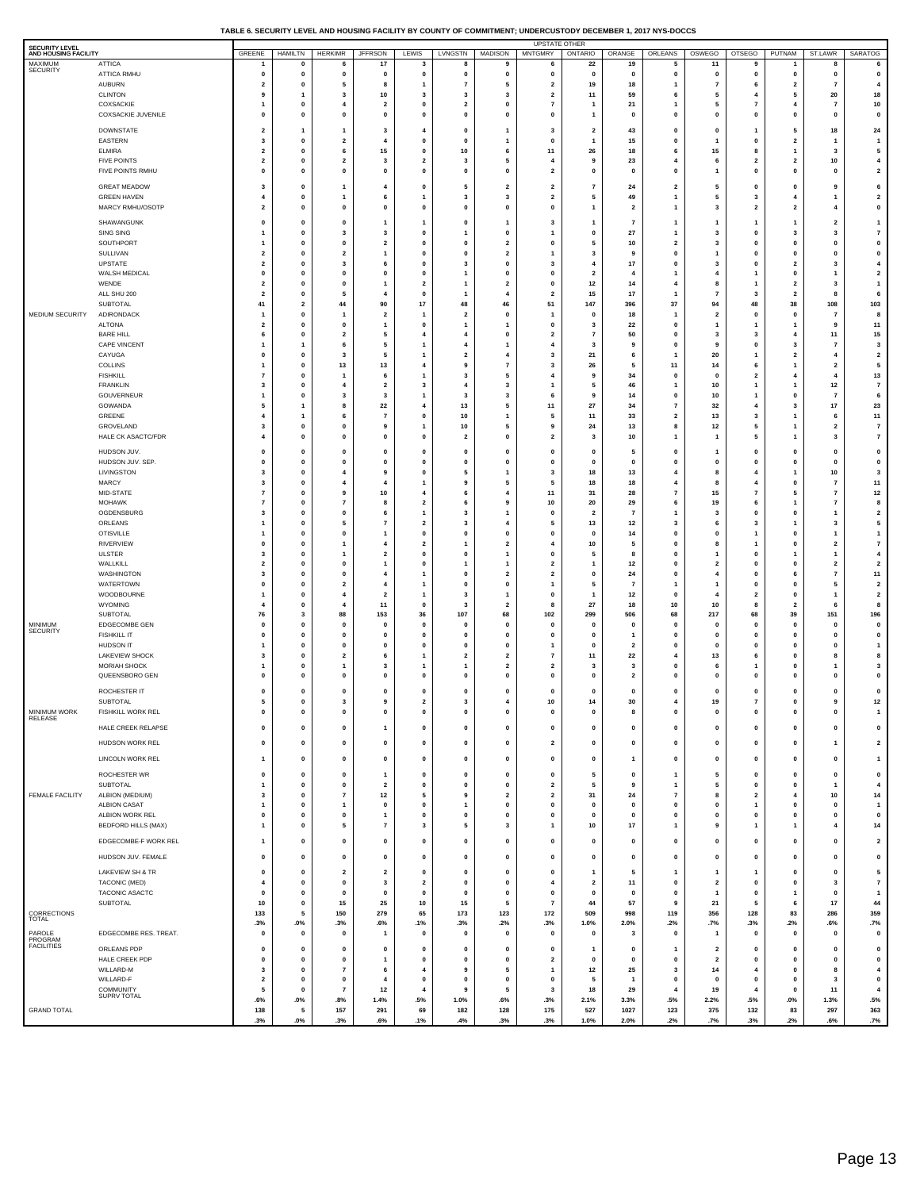#### **TABLE 6. SECURITY LEVEL AND HOUSING FACILITY BY COUNTY OF COMMITMENT; UNDERCUSTODY DECEMBER 1, 2017 NYS-DOCCS**

| MAXIMUM<br><b>ATTICA</b><br>22<br>17<br>19<br>11<br>$\mathbf 0$<br>5<br>6<br>3<br>8<br>9<br>6<br>9<br>8<br><b>SECURITY</b><br>ATTICA RMHU<br>$\mathbf 0$<br>0<br>$\mathbf 0$<br>$\mathbf 0$<br>0<br>$\mathbf 0$<br>0<br>0<br>0<br>0<br>0<br>0<br>0<br>$\mathbf 0$<br>0<br><b>AUBURN</b><br>$\pmb{0}$<br>$\overline{7}$<br>19<br>18<br>$\overline{7}$<br>$\overline{2}$<br>5<br>5<br>$\overline{2}$<br>6<br>$\overline{2}$<br>$\mathbf{1}$<br>1<br>$\overline{7}$<br>8<br><b>CLINTON</b><br>9<br>3<br>10<br>3<br>$\overline{\mathbf{3}}$<br>3<br>$\overline{\mathbf{2}}$<br>11<br>59<br>6<br>5<br>5<br>20<br>1<br>4<br>COXSACKIE<br>$\pmb{0}$<br>$\pmb{0}$<br>21<br>5<br>$\overline{2}$<br>$\mathbf 0$<br>$\overline{7}$<br>$\overline{7}$<br>$\overline{4}$<br>$\overline{2}$<br>1<br>7<br>$\overline{4}$<br>$\mathbf{1}$<br>1<br><b>COXSACKIE JUVENILE</b><br>$\mathbf 0$<br>0<br>$\mathbf{0}$<br>$\mathbf{0}$<br>0<br>$\mathbf{0}$<br>$\mathbf{0}$<br>0<br>0<br>0<br>$\pmb{0}$<br>0<br>$\mathbf 0$<br>0<br>1<br>DOWNSTATE<br>$\overline{\mathbf{2}}$<br>1<br>3<br>$\overline{\mathbf{4}}$<br>$\mathbf 0$<br>3<br>$\overline{\mathbf{2}}$<br>43<br>0<br>$\pmb{0}$<br>5<br>18<br>$\mathbf{1}$<br>1<br>1<br>EASTERN<br>$\pmb{0}$<br>$\pmb{0}$<br>$\mathbf{0}$<br>15<br>$\bf{0}$<br>$\overline{\mathbf{2}}$<br>3<br>$\overline{2}$<br>$\mathbf 0$<br>$\mathbf 0$<br>4<br>1<br>$\overline{1}$<br>1<br>1<br><b>ELMIRA</b><br>$\overline{\mathbf{2}}$<br>0<br>6<br>15<br>0<br>10<br>11<br>26<br>18<br>6<br>15<br>8<br>3<br>6<br>1<br><b>FIVE POINTS</b><br>$\pmb{0}$<br>$\overline{\mathbf{2}}$<br>$\overline{\mathbf{3}}$<br>23<br>10<br>$\overline{2}$<br>$\overline{2}$<br>$\overline{\mathbf{3}}$<br>5<br>$\overline{\bf{4}}$<br>6<br>$\overline{2}$<br>$\overline{2}$<br>4<br>9<br>FIVE POINTS RMHU<br>$\mathbf 0$<br>0<br>$\mathbf{0}$<br>0<br>0<br>$\mathbf 0$<br>0<br>$\overline{2}$<br>0<br>0<br>0<br>0<br>0<br>0<br>$\mathbf{1}$<br><b>GREAT MEADOW</b><br>3<br>0<br>4<br>$\mathbf 0$<br>5<br>$\overline{\mathbf{2}}$<br>$\overline{\mathbf{2}}$<br>24<br>$\overline{\mathbf{2}}$<br>5<br>$\mathbf 0$<br>0<br>9<br>$\mathbf{1}$<br>7<br><b>GREEN HAVEN</b><br>$\pmb{0}$<br>$\overline{\mathbf{3}}$<br>49<br>5<br>$\overline{\mathbf{3}}$<br>$\overline{2}$<br>$\overline{\mathbf{3}}$<br>4<br>6<br>$\overline{\mathbf{1}}$<br>5<br>$\mathbf{1}$<br>4<br>-1<br>-1<br>MARCY RMHU/OSOTF<br>$\overline{\mathbf{2}}$<br>0<br>$\mathbf{0}$<br>0<br>0<br>$\mathbf 0$<br>0<br>0<br>$\overline{\mathbf{2}}$<br>1<br>3<br>$\overline{\mathbf{2}}$<br>$\overline{\mathbf{2}}$<br>1<br>4<br>SHAWANGUNK<br>$\mathbf 0$<br>0<br>$\mathbf 0$<br>$\mathbf 0$<br>3<br>7<br>1<br>$\overline{\mathbf{2}}$<br>1<br>1<br>1<br>1<br>1<br>1<br>1<br>SING SING<br>$\pmb{0}$<br>$\pmb{0}$<br>27<br>3<br>$\overline{\mathbf{3}}$<br>$\overline{\mathbf{3}}$<br>$\mathbf 0$<br>$\mathbf{1}$<br>$\mathbf{0}$<br>$\overline{\mathbf{3}}$<br>$\overline{\mathbf{1}}$<br>$\mathbf 0$<br>3<br>-1<br>1<br>SOUTHPORT<br>0<br>0<br>$\overline{\mathbf{2}}$<br>0<br>$\mathbf 0$<br>$\overline{\mathbf{2}}$<br>0<br>5<br>10<br>$\overline{\mathbf{2}}$<br>3<br>$\mathbf 0$<br>0<br>0<br>$\mathbf{1}$<br>SULLIVAN<br>$\pmb{0}$<br>$\mathbf{0}$<br>$\mathbf{0}$<br>$\overline{2}$<br>$\mathbf 0$<br>$\overline{2}$<br>$\overline{1}$<br>$\mathbf 0$<br>$\mathbf 0$<br>$\overline{2}$<br>3<br>9<br>$\mathbf{0}$<br>-1<br>1<br>UPSTATE<br>$\overline{\mathbf{2}}$<br>0<br>3<br>0<br>$\overline{\mathbf{3}}$<br>0<br>3<br>17<br>0<br>3<br>$\mathbf 0$<br>$\overline{\mathbf{2}}$<br>3<br>6<br>4<br>WALSH MEDICAL<br>$\pmb{0}$<br>$\pmb{0}$<br>$\mathbf 0$<br>$\mathbf{0}$<br>$\mathbf{0}$<br>$\mathbf 0$<br>$\overline{2}$<br>$\mathbf{1}$<br>$\overline{4}$<br>$\mathbf 0$<br>$\overline{1}$<br>$\mathbf 0$<br>$\overline{4}$<br>$\mathbf{1}$<br>-1<br>WENDE<br>$\overline{\mathbf{2}}$<br>0<br>$\mathbf 0$<br>$\overline{\mathbf{2}}$<br>$\overline{1}$<br>$\overline{\mathbf{2}}$<br>0<br>12<br>14<br>4<br>8<br>$\overline{\mathbf{2}}$<br>3<br>1<br>$\mathbf{1}$<br>ALL SHU 200<br>$\pmb{0}$<br>5<br>$\pmb{0}$<br>15<br>17<br>$\overline{7}$<br>$\overline{\mathbf{2}}$<br>$\overline{2}$<br>$\overline{2}$<br>$\overline{1}$<br>$\overline{4}$<br>$\overline{\mathbf{1}}$<br>4<br>3<br>8<br>SUBTOTAL<br>41<br>$\overline{\mathbf{2}}$<br>44<br>90<br>17<br>48<br>46<br>51<br>147<br>396<br>37<br>94<br>48<br>38<br>108<br>MEDIUM SECURITY<br>ADIRONDACK<br>$\pmb{0}$<br>$\overline{2}$<br>$\overline{\mathbf{2}}$<br>$\overline{\mathbf{2}}$<br>18<br>$\mathbf{0}$<br>$\mathbf{0}$<br>1<br>$\mathbf 0$<br>$\mathbf 0$<br>$\overline{1}$<br>7<br>-1<br>-1<br>1<br><b>ALTONA</b><br>$\overline{\mathbf{2}}$<br>0<br>$\mathbf{0}$<br>0<br>3<br>22<br>0<br>9<br>1<br>$\mathbf{1}$<br>1<br>0<br>$\mathbf{1}$<br>1 | 6<br>$\mathbf 0$                     |
|------------------------------------------------------------------------------------------------------------------------------------------------------------------------------------------------------------------------------------------------------------------------------------------------------------------------------------------------------------------------------------------------------------------------------------------------------------------------------------------------------------------------------------------------------------------------------------------------------------------------------------------------------------------------------------------------------------------------------------------------------------------------------------------------------------------------------------------------------------------------------------------------------------------------------------------------------------------------------------------------------------------------------------------------------------------------------------------------------------------------------------------------------------------------------------------------------------------------------------------------------------------------------------------------------------------------------------------------------------------------------------------------------------------------------------------------------------------------------------------------------------------------------------------------------------------------------------------------------------------------------------------------------------------------------------------------------------------------------------------------------------------------------------------------------------------------------------------------------------------------------------------------------------------------------------------------------------------------------------------------------------------------------------------------------------------------------------------------------------------------------------------------------------------------------------------------------------------------------------------------------------------------------------------------------------------------------------------------------------------------------------------------------------------------------------------------------------------------------------------------------------------------------------------------------------------------------------------------------------------------------------------------------------------------------------------------------------------------------------------------------------------------------------------------------------------------------------------------------------------------------------------------------------------------------------------------------------------------------------------------------------------------------------------------------------------------------------------------------------------------------------------------------------------------------------------------------------------------------------------------------------------------------------------------------------------------------------------------------------------------------------------------------------------------------------------------------------------------------------------------------------------------------------------------------------------------------------------------------------------------------------------------------------------------------------------------------------------------------------------------------------------------------------------------------------------------------------------------------------------------------------------------------------------------------------------------------------------------------------------------------------------------------------------------------------------------------------------------------------------------------------------------------------------------------------------------------------------------------------------------------------------------------------------------------------------------------------------------------------------------------------------------------------------------------------------------------------------------------------------------------------------------------------------------------------------------------------------------------------------------------------------------------------------------------------------------------------------------------------------------------------------------------|--------------------------------------|
|                                                                                                                                                                                                                                                                                                                                                                                                                                                                                                                                                                                                                                                                                                                                                                                                                                                                                                                                                                                                                                                                                                                                                                                                                                                                                                                                                                                                                                                                                                                                                                                                                                                                                                                                                                                                                                                                                                                                                                                                                                                                                                                                                                                                                                                                                                                                                                                                                                                                                                                                                                                                                                                                                                                                                                                                                                                                                                                                                                                                                                                                                                                                                                                                                                                                                                                                                                                                                                                                                                                                                                                                                                                                                                                                                                                                                                                                                                                                                                                                                                                                                                                                                                                                                                                                                                                                                                                                                                                                                                                                                                                                                                                                                                                                                                              |                                      |
|                                                                                                                                                                                                                                                                                                                                                                                                                                                                                                                                                                                                                                                                                                                                                                                                                                                                                                                                                                                                                                                                                                                                                                                                                                                                                                                                                                                                                                                                                                                                                                                                                                                                                                                                                                                                                                                                                                                                                                                                                                                                                                                                                                                                                                                                                                                                                                                                                                                                                                                                                                                                                                                                                                                                                                                                                                                                                                                                                                                                                                                                                                                                                                                                                                                                                                                                                                                                                                                                                                                                                                                                                                                                                                                                                                                                                                                                                                                                                                                                                                                                                                                                                                                                                                                                                                                                                                                                                                                                                                                                                                                                                                                                                                                                                                              | $\overline{4}$                       |
|                                                                                                                                                                                                                                                                                                                                                                                                                                                                                                                                                                                                                                                                                                                                                                                                                                                                                                                                                                                                                                                                                                                                                                                                                                                                                                                                                                                                                                                                                                                                                                                                                                                                                                                                                                                                                                                                                                                                                                                                                                                                                                                                                                                                                                                                                                                                                                                                                                                                                                                                                                                                                                                                                                                                                                                                                                                                                                                                                                                                                                                                                                                                                                                                                                                                                                                                                                                                                                                                                                                                                                                                                                                                                                                                                                                                                                                                                                                                                                                                                                                                                                                                                                                                                                                                                                                                                                                                                                                                                                                                                                                                                                                                                                                                                                              | 18                                   |
|                                                                                                                                                                                                                                                                                                                                                                                                                                                                                                                                                                                                                                                                                                                                                                                                                                                                                                                                                                                                                                                                                                                                                                                                                                                                                                                                                                                                                                                                                                                                                                                                                                                                                                                                                                                                                                                                                                                                                                                                                                                                                                                                                                                                                                                                                                                                                                                                                                                                                                                                                                                                                                                                                                                                                                                                                                                                                                                                                                                                                                                                                                                                                                                                                                                                                                                                                                                                                                                                                                                                                                                                                                                                                                                                                                                                                                                                                                                                                                                                                                                                                                                                                                                                                                                                                                                                                                                                                                                                                                                                                                                                                                                                                                                                                                              | 10<br>0                              |
|                                                                                                                                                                                                                                                                                                                                                                                                                                                                                                                                                                                                                                                                                                                                                                                                                                                                                                                                                                                                                                                                                                                                                                                                                                                                                                                                                                                                                                                                                                                                                                                                                                                                                                                                                                                                                                                                                                                                                                                                                                                                                                                                                                                                                                                                                                                                                                                                                                                                                                                                                                                                                                                                                                                                                                                                                                                                                                                                                                                                                                                                                                                                                                                                                                                                                                                                                                                                                                                                                                                                                                                                                                                                                                                                                                                                                                                                                                                                                                                                                                                                                                                                                                                                                                                                                                                                                                                                                                                                                                                                                                                                                                                                                                                                                                              | 24                                   |
|                                                                                                                                                                                                                                                                                                                                                                                                                                                                                                                                                                                                                                                                                                                                                                                                                                                                                                                                                                                                                                                                                                                                                                                                                                                                                                                                                                                                                                                                                                                                                                                                                                                                                                                                                                                                                                                                                                                                                                                                                                                                                                                                                                                                                                                                                                                                                                                                                                                                                                                                                                                                                                                                                                                                                                                                                                                                                                                                                                                                                                                                                                                                                                                                                                                                                                                                                                                                                                                                                                                                                                                                                                                                                                                                                                                                                                                                                                                                                                                                                                                                                                                                                                                                                                                                                                                                                                                                                                                                                                                                                                                                                                                                                                                                                                              | $\overline{1}$                       |
|                                                                                                                                                                                                                                                                                                                                                                                                                                                                                                                                                                                                                                                                                                                                                                                                                                                                                                                                                                                                                                                                                                                                                                                                                                                                                                                                                                                                                                                                                                                                                                                                                                                                                                                                                                                                                                                                                                                                                                                                                                                                                                                                                                                                                                                                                                                                                                                                                                                                                                                                                                                                                                                                                                                                                                                                                                                                                                                                                                                                                                                                                                                                                                                                                                                                                                                                                                                                                                                                                                                                                                                                                                                                                                                                                                                                                                                                                                                                                                                                                                                                                                                                                                                                                                                                                                                                                                                                                                                                                                                                                                                                                                                                                                                                                                              | 5<br>$\overline{\mathbf{4}}$         |
|                                                                                                                                                                                                                                                                                                                                                                                                                                                                                                                                                                                                                                                                                                                                                                                                                                                                                                                                                                                                                                                                                                                                                                                                                                                                                                                                                                                                                                                                                                                                                                                                                                                                                                                                                                                                                                                                                                                                                                                                                                                                                                                                                                                                                                                                                                                                                                                                                                                                                                                                                                                                                                                                                                                                                                                                                                                                                                                                                                                                                                                                                                                                                                                                                                                                                                                                                                                                                                                                                                                                                                                                                                                                                                                                                                                                                                                                                                                                                                                                                                                                                                                                                                                                                                                                                                                                                                                                                                                                                                                                                                                                                                                                                                                                                                              | $\overline{\mathbf{2}}$              |
|                                                                                                                                                                                                                                                                                                                                                                                                                                                                                                                                                                                                                                                                                                                                                                                                                                                                                                                                                                                                                                                                                                                                                                                                                                                                                                                                                                                                                                                                                                                                                                                                                                                                                                                                                                                                                                                                                                                                                                                                                                                                                                                                                                                                                                                                                                                                                                                                                                                                                                                                                                                                                                                                                                                                                                                                                                                                                                                                                                                                                                                                                                                                                                                                                                                                                                                                                                                                                                                                                                                                                                                                                                                                                                                                                                                                                                                                                                                                                                                                                                                                                                                                                                                                                                                                                                                                                                                                                                                                                                                                                                                                                                                                                                                                                                              | 6                                    |
|                                                                                                                                                                                                                                                                                                                                                                                                                                                                                                                                                                                                                                                                                                                                                                                                                                                                                                                                                                                                                                                                                                                                                                                                                                                                                                                                                                                                                                                                                                                                                                                                                                                                                                                                                                                                                                                                                                                                                                                                                                                                                                                                                                                                                                                                                                                                                                                                                                                                                                                                                                                                                                                                                                                                                                                                                                                                                                                                                                                                                                                                                                                                                                                                                                                                                                                                                                                                                                                                                                                                                                                                                                                                                                                                                                                                                                                                                                                                                                                                                                                                                                                                                                                                                                                                                                                                                                                                                                                                                                                                                                                                                                                                                                                                                                              | $\overline{\mathbf{2}}$<br>0         |
|                                                                                                                                                                                                                                                                                                                                                                                                                                                                                                                                                                                                                                                                                                                                                                                                                                                                                                                                                                                                                                                                                                                                                                                                                                                                                                                                                                                                                                                                                                                                                                                                                                                                                                                                                                                                                                                                                                                                                                                                                                                                                                                                                                                                                                                                                                                                                                                                                                                                                                                                                                                                                                                                                                                                                                                                                                                                                                                                                                                                                                                                                                                                                                                                                                                                                                                                                                                                                                                                                                                                                                                                                                                                                                                                                                                                                                                                                                                                                                                                                                                                                                                                                                                                                                                                                                                                                                                                                                                                                                                                                                                                                                                                                                                                                                              | $\mathbf{1}$                         |
|                                                                                                                                                                                                                                                                                                                                                                                                                                                                                                                                                                                                                                                                                                                                                                                                                                                                                                                                                                                                                                                                                                                                                                                                                                                                                                                                                                                                                                                                                                                                                                                                                                                                                                                                                                                                                                                                                                                                                                                                                                                                                                                                                                                                                                                                                                                                                                                                                                                                                                                                                                                                                                                                                                                                                                                                                                                                                                                                                                                                                                                                                                                                                                                                                                                                                                                                                                                                                                                                                                                                                                                                                                                                                                                                                                                                                                                                                                                                                                                                                                                                                                                                                                                                                                                                                                                                                                                                                                                                                                                                                                                                                                                                                                                                                                              | $\overline{\mathbf{7}}$              |
|                                                                                                                                                                                                                                                                                                                                                                                                                                                                                                                                                                                                                                                                                                                                                                                                                                                                                                                                                                                                                                                                                                                                                                                                                                                                                                                                                                                                                                                                                                                                                                                                                                                                                                                                                                                                                                                                                                                                                                                                                                                                                                                                                                                                                                                                                                                                                                                                                                                                                                                                                                                                                                                                                                                                                                                                                                                                                                                                                                                                                                                                                                                                                                                                                                                                                                                                                                                                                                                                                                                                                                                                                                                                                                                                                                                                                                                                                                                                                                                                                                                                                                                                                                                                                                                                                                                                                                                                                                                                                                                                                                                                                                                                                                                                                                              | 0                                    |
|                                                                                                                                                                                                                                                                                                                                                                                                                                                                                                                                                                                                                                                                                                                                                                                                                                                                                                                                                                                                                                                                                                                                                                                                                                                                                                                                                                                                                                                                                                                                                                                                                                                                                                                                                                                                                                                                                                                                                                                                                                                                                                                                                                                                                                                                                                                                                                                                                                                                                                                                                                                                                                                                                                                                                                                                                                                                                                                                                                                                                                                                                                                                                                                                                                                                                                                                                                                                                                                                                                                                                                                                                                                                                                                                                                                                                                                                                                                                                                                                                                                                                                                                                                                                                                                                                                                                                                                                                                                                                                                                                                                                                                                                                                                                                                              | $\pmb{0}$<br>$\overline{\mathbf{4}}$ |
|                                                                                                                                                                                                                                                                                                                                                                                                                                                                                                                                                                                                                                                                                                                                                                                                                                                                                                                                                                                                                                                                                                                                                                                                                                                                                                                                                                                                                                                                                                                                                                                                                                                                                                                                                                                                                                                                                                                                                                                                                                                                                                                                                                                                                                                                                                                                                                                                                                                                                                                                                                                                                                                                                                                                                                                                                                                                                                                                                                                                                                                                                                                                                                                                                                                                                                                                                                                                                                                                                                                                                                                                                                                                                                                                                                                                                                                                                                                                                                                                                                                                                                                                                                                                                                                                                                                                                                                                                                                                                                                                                                                                                                                                                                                                                                              | $\mathbf{2}$                         |
|                                                                                                                                                                                                                                                                                                                                                                                                                                                                                                                                                                                                                                                                                                                                                                                                                                                                                                                                                                                                                                                                                                                                                                                                                                                                                                                                                                                                                                                                                                                                                                                                                                                                                                                                                                                                                                                                                                                                                                                                                                                                                                                                                                                                                                                                                                                                                                                                                                                                                                                                                                                                                                                                                                                                                                                                                                                                                                                                                                                                                                                                                                                                                                                                                                                                                                                                                                                                                                                                                                                                                                                                                                                                                                                                                                                                                                                                                                                                                                                                                                                                                                                                                                                                                                                                                                                                                                                                                                                                                                                                                                                                                                                                                                                                                                              | 1<br>6                               |
|                                                                                                                                                                                                                                                                                                                                                                                                                                                                                                                                                                                                                                                                                                                                                                                                                                                                                                                                                                                                                                                                                                                                                                                                                                                                                                                                                                                                                                                                                                                                                                                                                                                                                                                                                                                                                                                                                                                                                                                                                                                                                                                                                                                                                                                                                                                                                                                                                                                                                                                                                                                                                                                                                                                                                                                                                                                                                                                                                                                                                                                                                                                                                                                                                                                                                                                                                                                                                                                                                                                                                                                                                                                                                                                                                                                                                                                                                                                                                                                                                                                                                                                                                                                                                                                                                                                                                                                                                                                                                                                                                                                                                                                                                                                                                                              | 103                                  |
|                                                                                                                                                                                                                                                                                                                                                                                                                                                                                                                                                                                                                                                                                                                                                                                                                                                                                                                                                                                                                                                                                                                                                                                                                                                                                                                                                                                                                                                                                                                                                                                                                                                                                                                                                                                                                                                                                                                                                                                                                                                                                                                                                                                                                                                                                                                                                                                                                                                                                                                                                                                                                                                                                                                                                                                                                                                                                                                                                                                                                                                                                                                                                                                                                                                                                                                                                                                                                                                                                                                                                                                                                                                                                                                                                                                                                                                                                                                                                                                                                                                                                                                                                                                                                                                                                                                                                                                                                                                                                                                                                                                                                                                                                                                                                                              | 8<br>11                              |
| <b>BARE HILL</b><br>$\pmb{0}$<br>50<br>11<br>5<br>$\overline{4}$<br>$\overline{4}$<br>$\mathbf 0$<br>$\overline{2}$<br>$\mathbf 0$<br>3<br>6<br>$\overline{2}$<br>$\overline{7}$<br>3<br>$\overline{4}$                                                                                                                                                                                                                                                                                                                                                                                                                                                                                                                                                                                                                                                                                                                                                                                                                                                                                                                                                                                                                                                                                                                                                                                                                                                                                                                                                                                                                                                                                                                                                                                                                                                                                                                                                                                                                                                                                                                                                                                                                                                                                                                                                                                                                                                                                                                                                                                                                                                                                                                                                                                                                                                                                                                                                                                                                                                                                                                                                                                                                                                                                                                                                                                                                                                                                                                                                                                                                                                                                                                                                                                                                                                                                                                                                                                                                                                                                                                                                                                                                                                                                                                                                                                                                                                                                                                                                                                                                                                                                                                                                                      | 15                                   |
| <b>CAPE VINCENT</b><br>$\mathbf{1}$<br>6<br>5<br>$\overline{1}$<br>$\overline{4}$<br>$\overline{4}$<br>3<br>9<br>0<br>9<br>$\mathbf 0$<br>3<br>$\overline{7}$<br>$\mathbf{1}$<br>1<br>CAYUGA<br>$\pmb{0}$<br>$\overline{\mathbf{2}}$<br>21<br>20<br>$\mathbf 0$<br>$\overline{\mathbf{3}}$<br>5<br>$\overline{1}$<br>3<br>$\overline{2}$<br>4<br>6<br>$\mathbf{1}$<br>-1<br>4                                                                                                                                                                                                                                                                                                                                                                                                                                                                                                                                                                                                                                                                                                                                                                                                                                                                                                                                                                                                                                                                                                                                                                                                                                                                                                                                                                                                                                                                                                                                                                                                                                                                                                                                                                                                                                                                                                                                                                                                                                                                                                                                                                                                                                                                                                                                                                                                                                                                                                                                                                                                                                                                                                                                                                                                                                                                                                                                                                                                                                                                                                                                                                                                                                                                                                                                                                                                                                                                                                                                                                                                                                                                                                                                                                                                                                                                                                                                                                                                                                                                                                                                                                                                                                                                                                                                                                                                | 3<br>$\overline{\mathbf{2}}$         |
| COLLINS<br>0<br>13<br>13<br>$\overline{\mathbf{4}}$<br>9<br>$\overline{7}$<br>3<br>26<br>5<br>11<br>14<br>6<br>$\overline{\mathbf{2}}$<br>$\mathbf{1}$<br>1                                                                                                                                                                                                                                                                                                                                                                                                                                                                                                                                                                                                                                                                                                                                                                                                                                                                                                                                                                                                                                                                                                                                                                                                                                                                                                                                                                                                                                                                                                                                                                                                                                                                                                                                                                                                                                                                                                                                                                                                                                                                                                                                                                                                                                                                                                                                                                                                                                                                                                                                                                                                                                                                                                                                                                                                                                                                                                                                                                                                                                                                                                                                                                                                                                                                                                                                                                                                                                                                                                                                                                                                                                                                                                                                                                                                                                                                                                                                                                                                                                                                                                                                                                                                                                                                                                                                                                                                                                                                                                                                                                                                                  | 5                                    |
| <b>FISHKILL</b><br>$\pmb{0}$<br>$\overline{\mathbf{3}}$<br>34<br>$\overline{\mathbf{2}}$<br>$\overline{7}$<br>6<br>$\overline{1}$<br>5<br>$\overline{4}$<br>9<br>$\mathbf{0}$<br>$\mathbf{0}$<br>$\overline{4}$<br>4<br>-1<br><b>FRANKLIN</b><br>$\pmb{0}$<br>3<br>46<br>$10$<br>$12$<br>3<br>$\overline{4}$<br>$\overline{\mathbf{2}}$<br>4<br>3<br>5<br>1<br>1<br>1<br>$\mathbf{1}$                                                                                                                                                                                                                                                                                                                                                                                                                                                                                                                                                                                                                                                                                                                                                                                                                                                                                                                                                                                                                                                                                                                                                                                                                                                                                                                                                                                                                                                                                                                                                                                                                                                                                                                                                                                                                                                                                                                                                                                                                                                                                                                                                                                                                                                                                                                                                                                                                                                                                                                                                                                                                                                                                                                                                                                                                                                                                                                                                                                                                                                                                                                                                                                                                                                                                                                                                                                                                                                                                                                                                                                                                                                                                                                                                                                                                                                                                                                                                                                                                                                                                                                                                                                                                                                                                                                                                                                        | 13<br>$\overline{\mathbf{r}}$        |
| GOUVERNEUR<br>0<br>14<br>$\mathbf 0$<br>10<br>$\overline{7}$<br>$\mathbf{1}$<br>-3<br>3<br>$\overline{1}$<br>-3<br>3<br>6<br>9<br>$\mathbf{1}$<br>0                                                                                                                                                                                                                                                                                                                                                                                                                                                                                                                                                                                                                                                                                                                                                                                                                                                                                                                                                                                                                                                                                                                                                                                                                                                                                                                                                                                                                                                                                                                                                                                                                                                                                                                                                                                                                                                                                                                                                                                                                                                                                                                                                                                                                                                                                                                                                                                                                                                                                                                                                                                                                                                                                                                                                                                                                                                                                                                                                                                                                                                                                                                                                                                                                                                                                                                                                                                                                                                                                                                                                                                                                                                                                                                                                                                                                                                                                                                                                                                                                                                                                                                                                                                                                                                                                                                                                                                                                                                                                                                                                                                                                          | 6                                    |
| GOWANDA<br>22<br>13<br>27<br>34<br>32<br>17<br>5<br>$\mathbf{1}$<br>8<br>$\overline{4}$<br>5<br>11<br>$\overline{7}$<br>4<br>3<br>10<br>GREENE<br>0<br>11<br>33<br>$\overline{\mathbf{2}}$<br>13<br>4<br>$\mathbf{1}$<br>6<br>$\overline{7}$<br>1<br>5<br>3<br>$\mathbf{1}$<br>6                                                                                                                                                                                                                                                                                                                                                                                                                                                                                                                                                                                                                                                                                                                                                                                                                                                                                                                                                                                                                                                                                                                                                                                                                                                                                                                                                                                                                                                                                                                                                                                                                                                                                                                                                                                                                                                                                                                                                                                                                                                                                                                                                                                                                                                                                                                                                                                                                                                                                                                                                                                                                                                                                                                                                                                                                                                                                                                                                                                                                                                                                                                                                                                                                                                                                                                                                                                                                                                                                                                                                                                                                                                                                                                                                                                                                                                                                                                                                                                                                                                                                                                                                                                                                                                                                                                                                                                                                                                                                             | 23<br>11                             |
| GROVELAND<br>$10$<br>${\bf 24}$<br>13<br>8<br>$12$<br>3<br>0<br>$\mathbf{0}$<br>9<br>$\overline{1}$<br>5<br>9<br>5<br>$\overline{\mathbf{2}}$<br>$\mathbf{1}$                                                                                                                                                                                                                                                                                                                                                                                                                                                                                                                                                                                                                                                                                                                                                                                                                                                                                                                                                                                                                                                                                                                                                                                                                                                                                                                                                                                                                                                                                                                                                                                                                                                                                                                                                                                                                                                                                                                                                                                                                                                                                                                                                                                                                                                                                                                                                                                                                                                                                                                                                                                                                                                                                                                                                                                                                                                                                                                                                                                                                                                                                                                                                                                                                                                                                                                                                                                                                                                                                                                                                                                                                                                                                                                                                                                                                                                                                                                                                                                                                                                                                                                                                                                                                                                                                                                                                                                                                                                                                                                                                                                                                | $\overline{\mathbf{r}}$              |
| HALE CK ASACTC/FDR<br>0<br>0<br>5<br>4<br>$\mathbf{0}$<br>$\mathbf 0$<br>$\overline{\mathbf{2}}$<br>$\mathbf{0}$<br>$\overline{\mathbf{2}}$<br>3<br>10<br>1<br>$\mathbf{1}$<br>1<br>3                                                                                                                                                                                                                                                                                                                                                                                                                                                                                                                                                                                                                                                                                                                                                                                                                                                                                                                                                                                                                                                                                                                                                                                                                                                                                                                                                                                                                                                                                                                                                                                                                                                                                                                                                                                                                                                                                                                                                                                                                                                                                                                                                                                                                                                                                                                                                                                                                                                                                                                                                                                                                                                                                                                                                                                                                                                                                                                                                                                                                                                                                                                                                                                                                                                                                                                                                                                                                                                                                                                                                                                                                                                                                                                                                                                                                                                                                                                                                                                                                                                                                                                                                                                                                                                                                                                                                                                                                                                                                                                                                                                        | $\bf 7$                              |
| HUDSON JUV.<br>$\mathbf 0$<br>0<br>$\mathbf{0}$<br>$\mathbf 0$<br>0<br>0<br>$\mathbf{0}$<br>0<br>$\mathbf 0$<br>5<br>0<br>$\mathbf{1}$<br>0<br>$\mathbf{0}$<br>$\mathbf{o}$<br>HUDSON JUV. SEP.<br>$\mathbf 0$<br>$\mathbf 0$<br>$\mathbf{0}$<br>O<br>0<br>0<br>0<br>0<br>0<br>0<br>0<br>0<br>$\mathbf 0$<br>$\mathbf{0}$<br>$\mathbf 0$                                                                                                                                                                                                                                                                                                                                                                                                                                                                                                                                                                                                                                                                                                                                                                                                                                                                                                                                                                                                                                                                                                                                                                                                                                                                                                                                                                                                                                                                                                                                                                                                                                                                                                                                                                                                                                                                                                                                                                                                                                                                                                                                                                                                                                                                                                                                                                                                                                                                                                                                                                                                                                                                                                                                                                                                                                                                                                                                                                                                                                                                                                                                                                                                                                                                                                                                                                                                                                                                                                                                                                                                                                                                                                                                                                                                                                                                                                                                                                                                                                                                                                                                                                                                                                                                                                                                                                                                                                     | 0<br>$\pmb{0}$                       |
| LIVINGSTON<br>0<br>18<br>13<br>10<br>3<br>$\overline{4}$<br>-9<br>0<br>5<br>$\mathbf{1}$<br>3<br>4<br>8<br>4<br>1                                                                                                                                                                                                                                                                                                                                                                                                                                                                                                                                                                                                                                                                                                                                                                                                                                                                                                                                                                                                                                                                                                                                                                                                                                                                                                                                                                                                                                                                                                                                                                                                                                                                                                                                                                                                                                                                                                                                                                                                                                                                                                                                                                                                                                                                                                                                                                                                                                                                                                                                                                                                                                                                                                                                                                                                                                                                                                                                                                                                                                                                                                                                                                                                                                                                                                                                                                                                                                                                                                                                                                                                                                                                                                                                                                                                                                                                                                                                                                                                                                                                                                                                                                                                                                                                                                                                                                                                                                                                                                                                                                                                                                                            | $\mathbf 3$                          |
| MARCY<br>$\pmb{0}$<br>18<br>18<br>3<br>$\overline{4}$<br>$\overline{1}$<br>9<br>5<br>5<br>4<br>8<br>4<br>$\mathbf 0$<br>$\overline{7}$<br>MID-STATE<br>$\overline{7}$<br>0<br>10<br>11<br>31<br>28<br>$\overline{7}$<br>15<br>$\overline{7}$<br>9<br>4<br>6<br>4<br>$\overline{7}$<br>5                                                                                                                                                                                                                                                                                                                                                                                                                                                                                                                                                                                                                                                                                                                                                                                                                                                                                                                                                                                                                                                                                                                                                                                                                                                                                                                                                                                                                                                                                                                                                                                                                                                                                                                                                                                                                                                                                                                                                                                                                                                                                                                                                                                                                                                                                                                                                                                                                                                                                                                                                                                                                                                                                                                                                                                                                                                                                                                                                                                                                                                                                                                                                                                                                                                                                                                                                                                                                                                                                                                                                                                                                                                                                                                                                                                                                                                                                                                                                                                                                                                                                                                                                                                                                                                                                                                                                                                                                                                                                      | 11<br>$12$                           |
| <b>MOHAWK</b><br>$\mathbf 0$<br>$\overline{\mathbf{2}}$<br>10<br>20<br>29<br>6<br>19<br>$\overline{7}$<br>$\overline{7}$<br>8<br>6<br>9<br>6<br>$\overline{7}$<br>1                                                                                                                                                                                                                                                                                                                                                                                                                                                                                                                                                                                                                                                                                                                                                                                                                                                                                                                                                                                                                                                                                                                                                                                                                                                                                                                                                                                                                                                                                                                                                                                                                                                                                                                                                                                                                                                                                                                                                                                                                                                                                                                                                                                                                                                                                                                                                                                                                                                                                                                                                                                                                                                                                                                                                                                                                                                                                                                                                                                                                                                                                                                                                                                                                                                                                                                                                                                                                                                                                                                                                                                                                                                                                                                                                                                                                                                                                                                                                                                                                                                                                                                                                                                                                                                                                                                                                                                                                                                                                                                                                                                                          | 8                                    |
| OGDENSBURG<br>0<br>3<br>0<br>6<br>$\overline{\mathbf{1}}$<br>3<br>1<br>0<br>$\overline{2}$<br>7<br>1<br>3<br>0<br>0<br>$\mathbf{1}$<br>ORLEANS<br>$\pmb{0}$<br>13<br>$12$<br>5<br>$\overline{7}$<br>$\overline{\mathbf{2}}$<br>3<br>$\overline{4}$<br>5<br>3<br>6<br>3<br>3<br>$\mathbf{1}$<br>$\mathbf{1}$                                                                                                                                                                                                                                                                                                                                                                                                                                                                                                                                                                                                                                                                                                                                                                                                                                                                                                                                                                                                                                                                                                                                                                                                                                                                                                                                                                                                                                                                                                                                                                                                                                                                                                                                                                                                                                                                                                                                                                                                                                                                                                                                                                                                                                                                                                                                                                                                                                                                                                                                                                                                                                                                                                                                                                                                                                                                                                                                                                                                                                                                                                                                                                                                                                                                                                                                                                                                                                                                                                                                                                                                                                                                                                                                                                                                                                                                                                                                                                                                                                                                                                                                                                                                                                                                                                                                                                                                                                                                  | $\overline{\mathbf{2}}$<br>5         |
| <b>OTISVILLE</b><br>0<br>$\mathbf 0$<br>0<br>14<br>$\mathbf{1}$<br>1<br>$\mathbf 0$<br>$\mathbf{0}$<br>$\mathbf 0$<br>$\Omega$<br>0<br>$\mathbf 0$<br>$\mathbf{1}$<br>$\mathbf{0}$<br>$\mathbf{1}$                                                                                                                                                                                                                                                                                                                                                                                                                                                                                                                                                                                                                                                                                                                                                                                                                                                                                                                                                                                                                                                                                                                                                                                                                                                                                                                                                                                                                                                                                                                                                                                                                                                                                                                                                                                                                                                                                                                                                                                                                                                                                                                                                                                                                                                                                                                                                                                                                                                                                                                                                                                                                                                                                                                                                                                                                                                                                                                                                                                                                                                                                                                                                                                                                                                                                                                                                                                                                                                                                                                                                                                                                                                                                                                                                                                                                                                                                                                                                                                                                                                                                                                                                                                                                                                                                                                                                                                                                                                                                                                                                                           | $\mathbf{1}$                         |
| RIVERVIEW<br>$\pmb{0}$<br>$\overline{\mathbf{2}}$<br>$\bf{0}$<br>8<br>$\mathbf 0$<br>$\overline{1}$<br>4<br>$\overline{1}$<br>$\overline{\mathbf{2}}$<br>$\overline{4}$<br>10<br>5<br>$\mathbf 0$<br>$\overline{\mathbf{2}}$<br>$\mathbf{1}$<br>$\overline{1}$<br>$\overline{1}$<br>5<br>$\mathbf 0$<br>$\mathbf{1}$<br>$\mathbf{1}$                                                                                                                                                                                                                                                                                                                                                                                                                                                                                                                                                                                                                                                                                                                                                                                                                                                                                                                                                                                                                                                                                                                                                                                                                                                                                                                                                                                                                                                                                                                                                                                                                                                                                                                                                                                                                                                                                                                                                                                                                                                                                                                                                                                                                                                                                                                                                                                                                                                                                                                                                                                                                                                                                                                                                                                                                                                                                                                                                                                                                                                                                                                                                                                                                                                                                                                                                                                                                                                                                                                                                                                                                                                                                                                                                                                                                                                                                                                                                                                                                                                                                                                                                                                                                                                                                                                                                                                                                                         | $\overline{\mathbf{r}}$              |
| ULSTER<br>0<br>3<br>$\overline{\mathbf{2}}$<br>0<br>$\mathbf 0$<br>0<br>8<br>0<br>$\mathbf{1}$<br>WALLKILL<br>$\pmb{0}$<br>$12$<br>$\overline{\mathbf{2}}$<br>$\overline{\mathbf{2}}$<br>$\mathbf 0$<br>$\overline{1}$<br>0<br>$\overline{1}$<br>$\overline{1}$<br>$\overline{2}$<br>0<br>$\mathbf 0$<br>$\mathbf 0$<br>$\overline{\mathbf{2}}$<br>$\mathbf{1}$                                                                                                                                                                                                                                                                                                                                                                                                                                                                                                                                                                                                                                                                                                                                                                                                                                                                                                                                                                                                                                                                                                                                                                                                                                                                                                                                                                                                                                                                                                                                                                                                                                                                                                                                                                                                                                                                                                                                                                                                                                                                                                                                                                                                                                                                                                                                                                                                                                                                                                                                                                                                                                                                                                                                                                                                                                                                                                                                                                                                                                                                                                                                                                                                                                                                                                                                                                                                                                                                                                                                                                                                                                                                                                                                                                                                                                                                                                                                                                                                                                                                                                                                                                                                                                                                                                                                                                                                              | 4<br>$\overline{\mathbf{2}}$         |
| WASHINGTON<br>0<br>$\mathbf 0$<br>$\mathbf{0}$<br>24<br>0<br>$\overline{7}$<br>3<br>$\overline{\mathbf{4}}$<br>$\overline{1}$<br>$\overline{\mathbf{2}}$<br>$\overline{\mathbf{2}}$<br>$\Omega$<br>$\overline{4}$<br>0<br>6<br>WATERTOWN<br>$\mathbf 0$<br>$\overline{\mathbf{2}}$<br>$\overline{1}$<br>O<br>$\overline{7}$<br>1<br>$\overline{1}$<br>0<br>0<br>5<br>5                                                                                                                                                                                                                                                                                                                                                                                                                                                                                                                                                                                                                                                                                                                                                                                                                                                                                                                                                                                                                                                                                                                                                                                                                                                                                                                                                                                                                                                                                                                                                                                                                                                                                                                                                                                                                                                                                                                                                                                                                                                                                                                                                                                                                                                                                                                                                                                                                                                                                                                                                                                                                                                                                                                                                                                                                                                                                                                                                                                                                                                                                                                                                                                                                                                                                                                                                                                                                                                                                                                                                                                                                                                                                                                                                                                                                                                                                                                                                                                                                                                                                                                                                                                                                                                                                                                                                                                                       | $11$<br>$\overline{\mathbf{2}}$      |
| $\mathbf 0$<br>0<br>1<br>WOODBOURNE<br>0<br>12<br>$\mathbf 0$<br>$\mathbf{1}$<br>$\overline{4}$<br>$\overline{\mathbf{2}}$<br>$\mathbf{1}$<br>-3<br>$\mathbf{1}$<br>$\mathbf 0$<br>$\overline{4}$<br>$\overline{\mathbf{2}}$<br>0<br>$\mathbf{1}$<br>1                                                                                                                                                                                                                                                                                                                                                                                                                                                                                                                                                                                                                                                                                                                                                                                                                                                                                                                                                                                                                                                                                                                                                                                                                                                                                                                                                                                                                                                                                                                                                                                                                                                                                                                                                                                                                                                                                                                                                                                                                                                                                                                                                                                                                                                                                                                                                                                                                                                                                                                                                                                                                                                                                                                                                                                                                                                                                                                                                                                                                                                                                                                                                                                                                                                                                                                                                                                                                                                                                                                                                                                                                                                                                                                                                                                                                                                                                                                                                                                                                                                                                                                                                                                                                                                                                                                                                                                                                                                                                                                       | $\mathbf 2$                          |
| WYOMING<br>$\pmb{0}$<br>11<br>27<br>$10$<br>10<br>$\overline{4}$<br>0<br>$\overline{\mathbf{3}}$<br>$\overline{\mathbf{2}}$<br>8<br>18<br>8<br>$\overline{\mathbf{2}}$<br>$\overline{4}$<br>6<br>68                                                                                                                                                                                                                                                                                                                                                                                                                                                                                                                                                                                                                                                                                                                                                                                                                                                                                                                                                                                                                                                                                                                                                                                                                                                                                                                                                                                                                                                                                                                                                                                                                                                                                                                                                                                                                                                                                                                                                                                                                                                                                                                                                                                                                                                                                                                                                                                                                                                                                                                                                                                                                                                                                                                                                                                                                                                                                                                                                                                                                                                                                                                                                                                                                                                                                                                                                                                                                                                                                                                                                                                                                                                                                                                                                                                                                                                                                                                                                                                                                                                                                                                                                                                                                                                                                                                                                                                                                                                                                                                                                                          | 8                                    |
| SUBTOTAL<br>153<br>217<br>151<br>76<br>3<br>88<br>36<br>107<br>68<br>102<br>299<br>506<br>39<br>68<br>EDGECOMBE GEN<br>$\pmb{0}$<br>MINIMUM<br>$\mathbf 0$<br>$\mathbf{0}$<br>$\mathbf 0$<br>0<br>$\mathbf 0$<br>$\mathbf 0$<br>0<br>$\mathbf 0$<br>0<br>$\mathbf 0$<br>O<br>$\mathbf{0}$<br>0<br>0                                                                                                                                                                                                                                                                                                                                                                                                                                                                                                                                                                                                                                                                                                                                                                                                                                                                                                                                                                                                                                                                                                                                                                                                                                                                                                                                                                                                                                                                                                                                                                                                                                                                                                                                                                                                                                                                                                                                                                                                                                                                                                                                                                                                                                                                                                                                                                                                                                                                                                                                                                                                                                                                                                                                                                                                                                                                                                                                                                                                                                                                                                                                                                                                                                                                                                                                                                                                                                                                                                                                                                                                                                                                                                                                                                                                                                                                                                                                                                                                                                                                                                                                                                                                                                                                                                                                                                                                                                                                          | 196<br>$\pmb{0}$                     |
| <b>SECURITY</b><br><b>FISHKILL IT</b><br>0<br>$\mathbf{0}$<br>0<br>0<br>$\mathbf 0$<br>0<br>0<br>0<br>0<br>$\mathbf 0$<br>0<br>0<br>0<br>0                                                                                                                                                                                                                                                                                                                                                                                                                                                                                                                                                                                                                                                                                                                                                                                                                                                                                                                                                                                                                                                                                                                                                                                                                                                                                                                                                                                                                                                                                                                                                                                                                                                                                                                                                                                                                                                                                                                                                                                                                                                                                                                                                                                                                                                                                                                                                                                                                                                                                                                                                                                                                                                                                                                                                                                                                                                                                                                                                                                                                                                                                                                                                                                                                                                                                                                                                                                                                                                                                                                                                                                                                                                                                                                                                                                                                                                                                                                                                                                                                                                                                                                                                                                                                                                                                                                                                                                                                                                                                                                                                                                                                                   | 0                                    |
| HUDSON IT<br>$\pmb{0}$<br>$\pmb{0}$<br>$\mathbf{0}$<br>$\mathbf 0$<br>$\mathbf 0$<br>$\overline{2}$<br>$\mathbf 0$<br>$\mathbf{0}$<br>$\mathbf 0$<br>$\mathbf 0$<br>0<br>$\mathbf 0$<br>$\mathbf{0}$<br>$\mathbf{1}$<br>1<br>LAKEVIEW SHOCK<br>3<br>0<br>$\overline{\mathbf{2}}$<br>$\overline{1}$<br>$\overline{\mathbf{2}}$<br>$\overline{\mathbf{2}}$<br>$\overline{7}$<br>11<br>22<br>4<br>13<br>6<br>$\mathbf 0$<br>6<br>8                                                                                                                                                                                                                                                                                                                                                                                                                                                                                                                                                                                                                                                                                                                                                                                                                                                                                                                                                                                                                                                                                                                                                                                                                                                                                                                                                                                                                                                                                                                                                                                                                                                                                                                                                                                                                                                                                                                                                                                                                                                                                                                                                                                                                                                                                                                                                                                                                                                                                                                                                                                                                                                                                                                                                                                                                                                                                                                                                                                                                                                                                                                                                                                                                                                                                                                                                                                                                                                                                                                                                                                                                                                                                                                                                                                                                                                                                                                                                                                                                                                                                                                                                                                                                                                                                                                                              | $\mathbf{1}$<br>8                    |
| <b>MORIAH SHOCK</b><br>$\pmb{0}$<br>$\mathbf{0}$<br>$\overline{2}$<br>$\overline{2}$<br>3<br>6<br>3<br>$\overline{1}$<br>$\mathbf{1}$<br>3<br>$\mathbf{o}$<br>-1<br>-1<br>1<br>-1                                                                                                                                                                                                                                                                                                                                                                                                                                                                                                                                                                                                                                                                                                                                                                                                                                                                                                                                                                                                                                                                                                                                                                                                                                                                                                                                                                                                                                                                                                                                                                                                                                                                                                                                                                                                                                                                                                                                                                                                                                                                                                                                                                                                                                                                                                                                                                                                                                                                                                                                                                                                                                                                                                                                                                                                                                                                                                                                                                                                                                                                                                                                                                                                                                                                                                                                                                                                                                                                                                                                                                                                                                                                                                                                                                                                                                                                                                                                                                                                                                                                                                                                                                                                                                                                                                                                                                                                                                                                                                                                                                                            | 3                                    |
| QUEENSBORO GEN<br>$\mathbf 0$<br>0<br>$\mathbf{0}$<br>0<br>$\mathbf 0$<br>0<br>0<br>$\pmb{0}$<br>0<br>$\mathbf 0$<br>0<br>0<br>0<br>$\overline{\mathbf{2}}$<br>0                                                                                                                                                                                                                                                                                                                                                                                                                                                                                                                                                                                                                                                                                                                                                                                                                                                                                                                                                                                                                                                                                                                                                                                                                                                                                                                                                                                                                                                                                                                                                                                                                                                                                                                                                                                                                                                                                                                                                                                                                                                                                                                                                                                                                                                                                                                                                                                                                                                                                                                                                                                                                                                                                                                                                                                                                                                                                                                                                                                                                                                                                                                                                                                                                                                                                                                                                                                                                                                                                                                                                                                                                                                                                                                                                                                                                                                                                                                                                                                                                                                                                                                                                                                                                                                                                                                                                                                                                                                                                                                                                                                                             | 0                                    |
| ROCHESTER IT<br>$\mathbf 0$<br>0<br>$\mathbf 0$<br>$\mathbf 0$<br>0<br>0<br>0<br>0<br>0<br>O<br>0<br>0<br>0<br>0<br>0<br><b>SUBTOTAL</b><br>$\pmb{0}$<br>$\overline{\mathbf{2}}$<br>$\overline{\mathbf{3}}$<br>$10\,$<br>14<br>30<br>$\overline{4}$<br>19<br>$\overline{7}$<br>5<br>$\overline{\mathbf{3}}$<br>9<br>$\mathbf 0$<br>9<br>4                                                                                                                                                                                                                                                                                                                                                                                                                                                                                                                                                                                                                                                                                                                                                                                                                                                                                                                                                                                                                                                                                                                                                                                                                                                                                                                                                                                                                                                                                                                                                                                                                                                                                                                                                                                                                                                                                                                                                                                                                                                                                                                                                                                                                                                                                                                                                                                                                                                                                                                                                                                                                                                                                                                                                                                                                                                                                                                                                                                                                                                                                                                                                                                                                                                                                                                                                                                                                                                                                                                                                                                                                                                                                                                                                                                                                                                                                                                                                                                                                                                                                                                                                                                                                                                                                                                                                                                                                                    | 0<br>12                              |
| <b>MINIMUM WORK</b><br>FISHKILL WORK REL<br>$\Omega$<br>$\mathbf 0$<br>$\Omega$<br>$\mathbf{0}$<br>$\mathbf 0$<br>$\Omega$<br>$\mathbf{0}$<br>$\mathbf 0$<br>$\Omega$<br>8<br>$\bf{0}$<br>$\pmb{0}$<br>0<br>$\Omega$<br>$\mathbf{0}$<br>RELEASE                                                                                                                                                                                                                                                                                                                                                                                                                                                                                                                                                                                                                                                                                                                                                                                                                                                                                                                                                                                                                                                                                                                                                                                                                                                                                                                                                                                                                                                                                                                                                                                                                                                                                                                                                                                                                                                                                                                                                                                                                                                                                                                                                                                                                                                                                                                                                                                                                                                                                                                                                                                                                                                                                                                                                                                                                                                                                                                                                                                                                                                                                                                                                                                                                                                                                                                                                                                                                                                                                                                                                                                                                                                                                                                                                                                                                                                                                                                                                                                                                                                                                                                                                                                                                                                                                                                                                                                                                                                                                                                              | $\mathbf{1}$                         |
| HALE CREEK RELAPSE<br>0<br>$\mathbf 0$<br>0<br>$\mathbf 0$<br>$\mathbf{0}$<br>$\mathbf 0$<br>1<br>0<br>$\mathbf 0$<br>$\mathbf 0$<br>0<br>$\mathbf 0$<br>$\mathbf{0}$<br>$\mathbf{o}$<br>$\mathbf{o}$                                                                                                                                                                                                                                                                                                                                                                                                                                                                                                                                                                                                                                                                                                                                                                                                                                                                                                                                                                                                                                                                                                                                                                                                                                                                                                                                                                                                                                                                                                                                                                                                                                                                                                                                                                                                                                                                                                                                                                                                                                                                                                                                                                                                                                                                                                                                                                                                                                                                                                                                                                                                                                                                                                                                                                                                                                                                                                                                                                                                                                                                                                                                                                                                                                                                                                                                                                                                                                                                                                                                                                                                                                                                                                                                                                                                                                                                                                                                                                                                                                                                                                                                                                                                                                                                                                                                                                                                                                                                                                                                                                        | $\pmb{0}$                            |
| HUDSON WORK REL<br>$\mathbf 0$<br>0<br>$\pmb{0}$<br>$\mathbf 0$<br>$\mathbf 0$<br>$\mathbf 0$<br>$\overline{\mathbf{2}}$<br>$\bf{0}$<br>0<br>$\mathbf 0$<br>$\mathbf 0$<br>$\mathbf 0$<br>$\mathbf 0$<br>0<br>$\mathbf{1}$                                                                                                                                                                                                                                                                                                                                                                                                                                                                                                                                                                                                                                                                                                                                                                                                                                                                                                                                                                                                                                                                                                                                                                                                                                                                                                                                                                                                                                                                                                                                                                                                                                                                                                                                                                                                                                                                                                                                                                                                                                                                                                                                                                                                                                                                                                                                                                                                                                                                                                                                                                                                                                                                                                                                                                                                                                                                                                                                                                                                                                                                                                                                                                                                                                                                                                                                                                                                                                                                                                                                                                                                                                                                                                                                                                                                                                                                                                                                                                                                                                                                                                                                                                                                                                                                                                                                                                                                                                                                                                                                                   | $\overline{\mathbf{2}}$              |
| LINCOLN WORK REL<br>0<br>$\mathbf 0$<br>$\mathbf 0$<br>$\pmb{0}$<br>0<br>$\mathbf{0}$<br>$\pmb{0}$<br>$\mathbf{1}$<br>$\mathbf 0$<br>0<br>$\mathbf{0}$<br>0<br>$\mathbf 0$<br>$\mathbf{1}$<br>0                                                                                                                                                                                                                                                                                                                                                                                                                                                                                                                                                                                                                                                                                                                                                                                                                                                                                                                                                                                                                                                                                                                                                                                                                                                                                                                                                                                                                                                                                                                                                                                                                                                                                                                                                                                                                                                                                                                                                                                                                                                                                                                                                                                                                                                                                                                                                                                                                                                                                                                                                                                                                                                                                                                                                                                                                                                                                                                                                                                                                                                                                                                                                                                                                                                                                                                                                                                                                                                                                                                                                                                                                                                                                                                                                                                                                                                                                                                                                                                                                                                                                                                                                                                                                                                                                                                                                                                                                                                                                                                                                                              | 1                                    |
| ROCHESTER WR<br>0<br>0<br>$\mathbf 0$<br>$\overline{1}$<br>5<br>$\mathbf{0}$<br>$\mathbf{0}$<br>$\mathbf 0$<br>0<br>$\overline{\mathbf{1}}$<br>$\mathbf{0}$<br>0<br>5<br>0<br>0                                                                                                                                                                                                                                                                                                                                                                                                                                                                                                                                                                                                                                                                                                                                                                                                                                                                                                                                                                                                                                                                                                                                                                                                                                                                                                                                                                                                                                                                                                                                                                                                                                                                                                                                                                                                                                                                                                                                                                                                                                                                                                                                                                                                                                                                                                                                                                                                                                                                                                                                                                                                                                                                                                                                                                                                                                                                                                                                                                                                                                                                                                                                                                                                                                                                                                                                                                                                                                                                                                                                                                                                                                                                                                                                                                                                                                                                                                                                                                                                                                                                                                                                                                                                                                                                                                                                                                                                                                                                                                                                                                                              | 0                                    |
| SUBTOTAL<br>$\pmb{0}$<br>$\pmb{0}$<br>$\mathbf 0$<br>$\pmb{0}$<br>5<br>0<br>$\overline{\mathbf{2}}$<br>$\overline{\mathbf{2}}$<br>5<br>9<br>1<br>$\mathbf 0$<br>0<br>$\overline{1}$<br>$\mathbf{1}$<br>FEMALE FACILITY<br>12<br>8<br>10<br>ALBION (MEDIUM)<br>$\mathbf 0$<br>$\overline{7}$<br>5<br>9<br>$\overline{2}$<br>$\overline{2}$<br>31<br>24<br>$\overline{7}$<br>3<br>$\overline{\mathbf{2}}$<br>$\overline{a}$                                                                                                                                                                                                                                                                                                                                                                                                                                                                                                                                                                                                                                                                                                                                                                                                                                                                                                                                                                                                                                                                                                                                                                                                                                                                                                                                                                                                                                                                                                                                                                                                                                                                                                                                                                                                                                                                                                                                                                                                                                                                                                                                                                                                                                                                                                                                                                                                                                                                                                                                                                                                                                                                                                                                                                                                                                                                                                                                                                                                                                                                                                                                                                                                                                                                                                                                                                                                                                                                                                                                                                                                                                                                                                                                                                                                                                                                                                                                                                                                                                                                                                                                                                                                                                                                                                                                                    | $\overline{\bf 4}$<br>14             |
| <b>ALBION CASAT</b><br>$\pmb{0}$<br>$\mathbf 0$<br>$\pmb{0}$<br>$\pmb{0}$<br>$\pmb{0}$<br>$\mathbf{1}$<br>$\overline{1}$<br>$\overline{1}$<br>0<br>0<br>$\mathbf{0}$<br>0<br>$\mathbf{1}$<br>0<br>0                                                                                                                                                                                                                                                                                                                                                                                                                                                                                                                                                                                                                                                                                                                                                                                                                                                                                                                                                                                                                                                                                                                                                                                                                                                                                                                                                                                                                                                                                                                                                                                                                                                                                                                                                                                                                                                                                                                                                                                                                                                                                                                                                                                                                                                                                                                                                                                                                                                                                                                                                                                                                                                                                                                                                                                                                                                                                                                                                                                                                                                                                                                                                                                                                                                                                                                                                                                                                                                                                                                                                                                                                                                                                                                                                                                                                                                                                                                                                                                                                                                                                                                                                                                                                                                                                                                                                                                                                                                                                                                                                                          | $\mathbf{1}$                         |
| ALBION WORK REL<br>0<br>0<br>$\mathbf 0$<br>0<br>0<br>$\mathbf 0$<br>$\mathbf{0}$<br>$\mathbf 0$<br>0<br>$\overline{1}$<br>0<br>0<br>$\mathbf 0$<br>$\mathbf{0}$<br>0<br><b>BEDFORD HILLS (MAX)</b><br>$\pmb{0}$<br>5<br>$\overline{7}$<br>3<br>5<br>10<br>$17\,$<br>9<br>$\mathbf{1}$<br>3<br>1<br>1<br>$\mathbf{1}$<br>$\mathbf{1}$<br>$\overline{\mathbf{4}}$                                                                                                                                                                                                                                                                                                                                                                                                                                                                                                                                                                                                                                                                                                                                                                                                                                                                                                                                                                                                                                                                                                                                                                                                                                                                                                                                                                                                                                                                                                                                                                                                                                                                                                                                                                                                                                                                                                                                                                                                                                                                                                                                                                                                                                                                                                                                                                                                                                                                                                                                                                                                                                                                                                                                                                                                                                                                                                                                                                                                                                                                                                                                                                                                                                                                                                                                                                                                                                                                                                                                                                                                                                                                                                                                                                                                                                                                                                                                                                                                                                                                                                                                                                                                                                                                                                                                                                                                             | 0<br>14                              |
| EDGECOMBE-F WORK REL<br>$\pmb{0}$<br>$\pmb{0}$<br>$\pmb{0}$<br>$\mathbf 0$<br>$\pmb{0}$<br>$\pmb{0}$<br>$\pmb{0}$<br>$\pmb{0}$<br>$\mathbf{1}$<br>$\mathbf 0$<br>0<br>0<br>0<br>0<br>0                                                                                                                                                                                                                                                                                                                                                                                                                                                                                                                                                                                                                                                                                                                                                                                                                                                                                                                                                                                                                                                                                                                                                                                                                                                                                                                                                                                                                                                                                                                                                                                                                                                                                                                                                                                                                                                                                                                                                                                                                                                                                                                                                                                                                                                                                                                                                                                                                                                                                                                                                                                                                                                                                                                                                                                                                                                                                                                                                                                                                                                                                                                                                                                                                                                                                                                                                                                                                                                                                                                                                                                                                                                                                                                                                                                                                                                                                                                                                                                                                                                                                                                                                                                                                                                                                                                                                                                                                                                                                                                                                                                       | $\mathbf{2}$                         |
| HUDSON JUV. FEMALE<br>$\pmb{0}$<br>$\pmb{0}$<br>$\mathbf 0$<br>$\pmb{0}$<br>$\mathbf 0$<br>$\pmb{0}$<br>$\pmb{0}$<br>$\pmb{0}$<br>$\pmb{0}$<br>$\pmb{0}$<br>$\pmb{0}$<br>$\mathbf 0$<br>0<br>0<br>0                                                                                                                                                                                                                                                                                                                                                                                                                                                                                                                                                                                                                                                                                                                                                                                                                                                                                                                                                                                                                                                                                                                                                                                                                                                                                                                                                                                                                                                                                                                                                                                                                                                                                                                                                                                                                                                                                                                                                                                                                                                                                                                                                                                                                                                                                                                                                                                                                                                                                                                                                                                                                                                                                                                                                                                                                                                                                                                                                                                                                                                                                                                                                                                                                                                                                                                                                                                                                                                                                                                                                                                                                                                                                                                                                                                                                                                                                                                                                                                                                                                                                                                                                                                                                                                                                                                                                                                                                                                                                                                                                                          | $\pmb{0}$                            |
|                                                                                                                                                                                                                                                                                                                                                                                                                                                                                                                                                                                                                                                                                                                                                                                                                                                                                                                                                                                                                                                                                                                                                                                                                                                                                                                                                                                                                                                                                                                                                                                                                                                                                                                                                                                                                                                                                                                                                                                                                                                                                                                                                                                                                                                                                                                                                                                                                                                                                                                                                                                                                                                                                                                                                                                                                                                                                                                                                                                                                                                                                                                                                                                                                                                                                                                                                                                                                                                                                                                                                                                                                                                                                                                                                                                                                                                                                                                                                                                                                                                                                                                                                                                                                                                                                                                                                                                                                                                                                                                                                                                                                                                                                                                                                                              |                                      |
| LAKEVIEW SH & TR<br>$\pmb{0}$<br>$\overline{\mathbf{2}}$<br>$\pmb{0}$<br>$\mathbf 0$<br>$\mathbf{1}$<br>$\pmb{0}$<br>$\mathbf 0$<br>$\overline{\mathbf{2}}$<br>0<br>0<br>$\mathbf{1}$<br>5<br>$\mathbf{1}$<br>$\mathbf{1}$<br>0<br>$\mathbf 2$<br>TACONIC (MED)<br>0<br>$\overline{\mathbf{2}}$<br>$\mathbf 0$<br>$11$<br>$\pmb{0}$<br>$\mathbf{0}$<br>0<br>$\overline{\mathbf{3}}$<br>4<br>0<br>3<br>$\mathbf{0}$<br>4<br>$\overline{2}$                                                                                                                                                                                                                                                                                                                                                                                                                                                                                                                                                                                                                                                                                                                                                                                                                                                                                                                                                                                                                                                                                                                                                                                                                                                                                                                                                                                                                                                                                                                                                                                                                                                                                                                                                                                                                                                                                                                                                                                                                                                                                                                                                                                                                                                                                                                                                                                                                                                                                                                                                                                                                                                                                                                                                                                                                                                                                                                                                                                                                                                                                                                                                                                                                                                                                                                                                                                                                                                                                                                                                                                                                                                                                                                                                                                                                                                                                                                                                                                                                                                                                                                                                                                                                                                                                                                                    | 5<br>$\overline{\mathbf{7}}$         |
| TACONIC ASACTC<br>$\pmb{0}$<br>$\mathbf 0$<br>$\pmb{0}$<br>$\mathbf 0$<br>$\mathbf 0$<br>$\mathbf 0$<br>$\mathbf{0}$<br>0<br>0<br>0<br>$\mathbf 0$<br>$\mathbf{1}$<br>$\mathbf{0}$<br>$\overline{1}$<br>0                                                                                                                                                                                                                                                                                                                                                                                                                                                                                                                                                                                                                                                                                                                                                                                                                                                                                                                                                                                                                                                                                                                                                                                                                                                                                                                                                                                                                                                                                                                                                                                                                                                                                                                                                                                                                                                                                                                                                                                                                                                                                                                                                                                                                                                                                                                                                                                                                                                                                                                                                                                                                                                                                                                                                                                                                                                                                                                                                                                                                                                                                                                                                                                                                                                                                                                                                                                                                                                                                                                                                                                                                                                                                                                                                                                                                                                                                                                                                                                                                                                                                                                                                                                                                                                                                                                                                                                                                                                                                                                                                                    | $\mathbf{1}$                         |
| SUBTOTAL<br>25<br>15<br>17<br>10<br>0<br>15<br>10<br>44<br>57<br>9<br>21<br>5<br>$\overline{7}$<br>5<br>6<br>CORRECTIONS<br>133<br>5<br>150<br>279<br>65<br>173<br>123<br>172<br>509<br>998<br>119<br>356<br>128<br>83<br>286                                                                                                                                                                                                                                                                                                                                                                                                                                                                                                                                                                                                                                                                                                                                                                                                                                                                                                                                                                                                                                                                                                                                                                                                                                                                                                                                                                                                                                                                                                                                                                                                                                                                                                                                                                                                                                                                                                                                                                                                                                                                                                                                                                                                                                                                                                                                                                                                                                                                                                                                                                                                                                                                                                                                                                                                                                                                                                                                                                                                                                                                                                                                                                                                                                                                                                                                                                                                                                                                                                                                                                                                                                                                                                                                                                                                                                                                                                                                                                                                                                                                                                                                                                                                                                                                                                                                                                                                                                                                                                                                                | 44<br>359                            |
| TOTAL<br>.1%<br>.2%<br>.7%<br>.3%<br>$.6\%$<br>.3%<br>$.0\%$<br>.3%<br>.6%<br>.3%<br>.2%<br>.3%<br>1.0%<br>2.0%<br>.2%                                                                                                                                                                                                                                                                                                                                                                                                                                                                                                                                                                                                                                                                                                                                                                                                                                                                                                                                                                                                                                                                                                                                                                                                                                                                                                                                                                                                                                                                                                                                                                                                                                                                                                                                                                                                                                                                                                                                                                                                                                                                                                                                                                                                                                                                                                                                                                                                                                                                                                                                                                                                                                                                                                                                                                                                                                                                                                                                                                                                                                                                                                                                                                                                                                                                                                                                                                                                                                                                                                                                                                                                                                                                                                                                                                                                                                                                                                                                                                                                                                                                                                                                                                                                                                                                                                                                                                                                                                                                                                                                                                                                                                                       | .7%                                  |
| PAROLE<br>EDGECOMBE RES. TREAT.<br>$\pmb{0}$<br>$\mathbf 0$<br>$\mathbf 0$<br>$\pmb{0}$<br>$\mathbf 0$<br>0<br>0<br>$\overline{\mathbf{1}}$<br>0<br>0<br>0<br>3<br>$\overline{1}$<br>$\mathbf 0$<br>0<br>PROGRAM<br>FACILITIES                                                                                                                                                                                                                                                                                                                                                                                                                                                                                                                                                                                                                                                                                                                                                                                                                                                                                                                                                                                                                                                                                                                                                                                                                                                                                                                                                                                                                                                                                                                                                                                                                                                                                                                                                                                                                                                                                                                                                                                                                                                                                                                                                                                                                                                                                                                                                                                                                                                                                                                                                                                                                                                                                                                                                                                                                                                                                                                                                                                                                                                                                                                                                                                                                                                                                                                                                                                                                                                                                                                                                                                                                                                                                                                                                                                                                                                                                                                                                                                                                                                                                                                                                                                                                                                                                                                                                                                                                                                                                                                                               | $\pmb{0}$                            |
| ORLEANS PDP<br>$\pmb{0}$<br>$\mathbf 0$<br>0<br>$\mathbf{0}$<br>$\mathbf 0$<br>$\mathbf 0$<br>0<br>0<br>0<br>$\overline{1}$<br>$\overline{\mathbf{2}}$<br>$\mathbf{0}$<br>0<br>0<br>$\mathbf{1}$<br>HALE CREEK PDP<br>0<br>0<br>$\mathbf 0$<br>$\mathbf{2}$<br>$\mathbf 0$<br>$\mathbf 0$<br>0<br>$\overline{\mathbf{1}}$<br>$\mathbf 0$<br>$\mathbf 0$<br>$\overline{\mathbf{2}}$<br>$\mathbf 0$<br>$\mathbf{0}$<br>$\mathbf{0}$<br>0                                                                                                                                                                                                                                                                                                                                                                                                                                                                                                                                                                                                                                                                                                                                                                                                                                                                                                                                                                                                                                                                                                                                                                                                                                                                                                                                                                                                                                                                                                                                                                                                                                                                                                                                                                                                                                                                                                                                                                                                                                                                                                                                                                                                                                                                                                                                                                                                                                                                                                                                                                                                                                                                                                                                                                                                                                                                                                                                                                                                                                                                                                                                                                                                                                                                                                                                                                                                                                                                                                                                                                                                                                                                                                                                                                                                                                                                                                                                                                                                                                                                                                                                                                                                                                                                                                                                       | $\pmb{0}$<br>$\pmb{0}$               |
| WILLARD-M<br>$\pmb{0}$<br>12<br>25<br>3<br>14<br>$\pmb{0}$<br>3<br>$\overline{7}$<br>6<br>$\overline{\mathbf{4}}$<br>9<br>5<br>4<br>8<br>1                                                                                                                                                                                                                                                                                                                                                                                                                                                                                                                                                                                                                                                                                                                                                                                                                                                                                                                                                                                                                                                                                                                                                                                                                                                                                                                                                                                                                                                                                                                                                                                                                                                                                                                                                                                                                                                                                                                                                                                                                                                                                                                                                                                                                                                                                                                                                                                                                                                                                                                                                                                                                                                                                                                                                                                                                                                                                                                                                                                                                                                                                                                                                                                                                                                                                                                                                                                                                                                                                                                                                                                                                                                                                                                                                                                                                                                                                                                                                                                                                                                                                                                                                                                                                                                                                                                                                                                                                                                                                                                                                                                                                                   | $\overline{\bf 4}$                   |
| WILLARD-F<br>$\overline{\mathbf{2}}$<br>$\mathbf 0$<br>$\mathbf 0$<br>0<br>$\mathbf 0$<br>0<br>$\mathbf 0$<br>$\mathbf 0$<br>$\overline{\mathbf{3}}$<br>$\overline{4}$<br>$\mathbf 0$<br>$\mathbf{o}$<br>5<br>$\overline{\mathbf{1}}$<br>$\mathbf{0}$<br>COMMUNITY<br>5<br>$\pmb{0}$<br>$\overline{7}$<br>12<br>18<br>29<br>$\overline{4}$<br>19<br>11<br>$\overline{4}$<br>9<br>5<br>3<br>$\overline{4}$<br>0                                                                                                                                                                                                                                                                                                                                                                                                                                                                                                                                                                                                                                                                                                                                                                                                                                                                                                                                                                                                                                                                                                                                                                                                                                                                                                                                                                                                                                                                                                                                                                                                                                                                                                                                                                                                                                                                                                                                                                                                                                                                                                                                                                                                                                                                                                                                                                                                                                                                                                                                                                                                                                                                                                                                                                                                                                                                                                                                                                                                                                                                                                                                                                                                                                                                                                                                                                                                                                                                                                                                                                                                                                                                                                                                                                                                                                                                                                                                                                                                                                                                                                                                                                                                                                                                                                                                                               | $\pmb{0}$<br>$\overline{\bf 4}$      |
| SUPRV TOTAL<br>.5%<br>.5%<br>1.3%<br>.6%<br>$.0\%$<br>.8%<br>1.4%<br>1.0%<br>.6%<br>2.1%<br>3.3%<br>2.2%<br>.5%<br>$.0\%$<br>.3%                                                                                                                                                                                                                                                                                                                                                                                                                                                                                                                                                                                                                                                                                                                                                                                                                                                                                                                                                                                                                                                                                                                                                                                                                                                                                                                                                                                                                                                                                                                                                                                                                                                                                                                                                                                                                                                                                                                                                                                                                                                                                                                                                                                                                                                                                                                                                                                                                                                                                                                                                                                                                                                                                                                                                                                                                                                                                                                                                                                                                                                                                                                                                                                                                                                                                                                                                                                                                                                                                                                                                                                                                                                                                                                                                                                                                                                                                                                                                                                                                                                                                                                                                                                                                                                                                                                                                                                                                                                                                                                                                                                                                                             | .5%                                  |
| <b>GRAND TOTAL</b><br>138<br>157<br>291<br>69<br>182<br>128<br>175<br>527<br>1027<br>123<br>375<br>132<br>83<br>297<br>5<br>2.0%<br>.2%<br>.3%<br>.3%<br>$.0\%$<br>.3%<br>.6%<br>.1%<br>.4%<br>.3%<br>.3%<br>1.0%<br>.7%<br>.2%<br>.6%                                                                                                                                                                                                                                                                                                                                                                                                                                                                                                                                                                                                                                                                                                                                                                                                                                                                                                                                                                                                                                                                                                                                                                                                                                                                                                                                                                                                                                                                                                                                                                                                                                                                                                                                                                                                                                                                                                                                                                                                                                                                                                                                                                                                                                                                                                                                                                                                                                                                                                                                                                                                                                                                                                                                                                                                                                                                                                                                                                                                                                                                                                                                                                                                                                                                                                                                                                                                                                                                                                                                                                                                                                                                                                                                                                                                                                                                                                                                                                                                                                                                                                                                                                                                                                                                                                                                                                                                                                                                                                                                       | 363<br>.7%                           |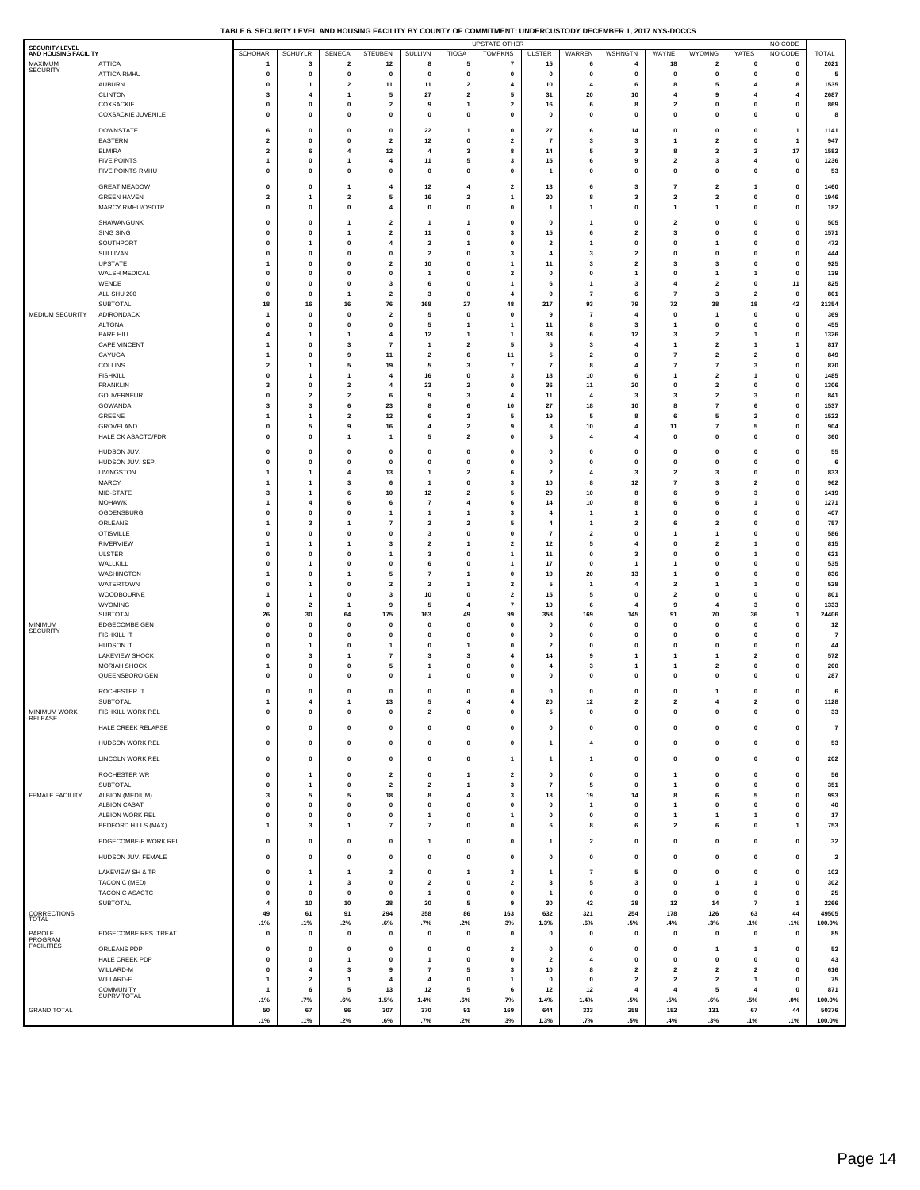| TABLE 6. SECURITY LEVEL AND HOUSING FACILITY BY COUNTY OF COMMITMENT: UNDERCUSTODY DECEMBER 1. 2017 NYS-DOCCS |  |
|---------------------------------------------------------------------------------------------------------------|--|
|                                                                                                               |  |

| <b>SECURITY LEVEL</b><br>AND HOUSING FACILITY |                                           | <b>SCHOHAR</b>                          | <b>SCHUYLR</b>                 | SENECA                                 | <b>STEUBEN</b>                         | SULLIVN                                   | <b>TIOGA</b>                            | <b>UPSTATE OTHER</b><br><b>TOMPKNS</b>    | <b>ULSTER</b>                           | WARREN                                             | WSHNGTN                                   | WAYNE                                     | <b>WYOMNG</b>                                      | YATES                                   | NO CODE<br>NO CODE       | <b>TOTAL</b>            |
|-----------------------------------------------|-------------------------------------------|-----------------------------------------|--------------------------------|----------------------------------------|----------------------------------------|-------------------------------------------|-----------------------------------------|-------------------------------------------|-----------------------------------------|----------------------------------------------------|-------------------------------------------|-------------------------------------------|----------------------------------------------------|-----------------------------------------|--------------------------|-------------------------|
| <b>MAXIMUM</b><br>SECURITY                    | <b>ATTICA</b>                             | 1                                       | 3                              | $\overline{\mathbf{2}}$                | 12                                     | 8                                         | 5                                       | $\overline{7}$                            | 15                                      | 6                                                  | $\overline{4}$                            | 18                                        | $\overline{\mathbf{2}}$                            | 0                                       | 0                        | 2021                    |
|                                               | <b>ATTICA RMHU</b>                        | $\pmb{0}$<br>0                          | $\mathbf{0}$<br>1              | $\mathbf 0$<br>$\overline{\mathbf{c}}$ | $\mathbf 0$                            | $\mathbf{0}$                              | $\mathbf{0}$<br>$\overline{\mathbf{2}}$ | $\mathbf{0}$<br>4                         | $\mathbf{0}$                            | $\mathbf 0$<br>$\overline{4}$                      | $\mathbf 0$<br>6                          | $\mathbf{0}$<br>8                         | $\mathbf 0$<br>5                                   | $\mathbf{0}$<br>4                       | $\mathbf 0$<br>8         | 5<br>1535               |
|                                               | <b>AUBURN</b><br><b>CLINTON</b>           | 3                                       | 4                              | 1                                      | 11<br>5                                | $11$<br>27                                | $\overline{\mathbf{2}}$                 | 5                                         | 10<br>31                                | 20                                                 | 10                                        | 4                                         | 9                                                  | $\overline{4}$                          | 4                        | 2687                    |
|                                               | COXSACKIE                                 | 0                                       | 0                              | 0                                      | $\overline{\mathbf{2}}$                | 9                                         | $\mathbf{1}$                            | $\overline{\mathbf{2}}$                   | 16                                      | 6                                                  | 8                                         | $\overline{\mathbf{2}}$                   | 0                                                  | 0                                       | 0                        | 869                     |
|                                               | COXSACKIE JUVENILE                        | $\mathbf 0$                             | $\mathbf{0}$                   | $\mathbf{0}$                           | $\mathbf 0$                            | $\mathbf{0}$                              | $\mathbf{0}$                            | $\mathbf 0$                               | $\mathbf 0$                             | $\mathbf 0$                                        | $\mathbf 0$                               | $\mathbf{0}$                              | $\mathbf 0$                                        | $\pmb{0}$                               | $\mathbf 0$              | 8                       |
|                                               | <b>DOWNSTATE</b><br>EASTERN               | 6<br>$\overline{\mathbf{2}}$            | $\mathbf{0}$<br>0              | $\bf{0}$<br>0                          | $\mathbf 0$<br>$\overline{2}$          | 22<br>$12$                                | -1<br>0                                 | $\mathbf{0}$<br>$\overline{\mathbf{2}}$   | 27<br>$\overline{7}$                    | 6<br>3                                             | 14<br>3                                   | $\mathbf{0}$                              | $\mathbf 0$<br>$\overline{\mathbf{2}}$             | $\mathbf{0}$<br>0                       | $\mathbf{1}$<br>1        | 1141<br>947             |
|                                               | <b>ELMIRA</b>                             | $\mathbf{2}$                            | 6                              | 4                                      | 12                                     | $\overline{4}$                            | 3                                       | 8                                         | 14                                      | 5                                                  | 3                                         | 8                                         | $\mathbf{2}$                                       | $\mathbf{2}$                            | $17\,$                   | 1582                    |
|                                               | <b>FIVE POINTS</b>                        | $\mathbf{1}$                            | 0<br>$\mathbf{0}$              | 1                                      | $\overline{4}$                         | $11$                                      | 5                                       | 3                                         | 15                                      | 6                                                  | 9                                         | $\overline{\mathbf{2}}$                   | 3                                                  | 4                                       | 0                        | 1236                    |
|                                               | FIVE POINTS RMHU                          | $\mathbf 0$                             |                                | $\mathbf{0}$                           | $\mathbf 0$                            | $\mathbf{0}$                              | $\mathbf{0}$                            | $\mathbf{0}$                              | -1                                      | $\pmb{0}$                                          | $\mathbf 0$                               | $\mathbf{0}$                              | $\mathbf 0$                                        | $\mathbf{0}$                            | $\mathbf 0$              | 53                      |
|                                               | <b>GREAT MEADOW</b><br><b>GREEN HAVEN</b> | $\mathbf{0}$<br>$\overline{\mathbf{2}}$ | $\mathbf{0}$<br>1              | 1<br>$\overline{\mathbf{2}}$           | 4<br>5                                 | $12$<br>16                                | 4<br>$\overline{\mathbf{2}}$            | $\overline{2}$<br>1                       | 13<br>20                                | 6<br>8                                             | 3<br>3                                    | $\overline{7}$<br>$\overline{\mathbf{2}}$ | $\overline{\mathbf{2}}$<br>$\overline{\mathbf{2}}$ | $\mathbf{1}$<br>0                       | $\mathbf 0$<br>0         | 1460<br>1946            |
|                                               | MARCY RMHU/OSOTP                          | $\mathbf 0$                             | $\mathbf{0}$                   | $\mathbf{0}$                           | 4                                      | $\mathbf{0}$                              | $\mathbf{0}$                            | $\mathbf{0}$                              | -1                                      | $\overline{1}$                                     | $\mathbf 0$                               | $\mathbf{1}$                              | $\mathbf{1}$                                       | $\mathbf{0}$                            | $\mathbf 0$              | 182                     |
|                                               | SHAWANGUNK                                | $\mathbf{0}$                            | $\mathbf{0}$                   | 1                                      | $\overline{2}$                         | 1                                         | -1                                      | $\mathbf{0}$                              | $\mathbf 0$                             | $\overline{1}$                                     | $\mathbf{0}$                              | $\overline{\mathbf{2}}$                   | $\mathbf 0$                                        | $\mathbf{0}$                            | $\mathbf 0$              | 505                     |
|                                               | SING SING                                 | 0                                       | 0                              | 1                                      | $\overline{\mathbf{2}}$                | 11                                        | 0                                       | 3                                         | 15                                      | 6                                                  | $\overline{\mathbf{2}}$                   | 3                                         | 0                                                  | 0                                       | 0                        | 1571                    |
|                                               | SOUTHPORT<br>SULLIVAN                     | $\mathbf 0$<br>0                        | -1<br>0                        | 0<br>0                                 | 4<br>$\mathbf 0$                       | $\overline{2}$<br>$\overline{\mathbf{2}}$ | -1<br>0                                 | $\mathbf{0}$<br>3                         | $\overline{2}$<br>$\overline{4}$        | $\overline{1}$<br>3                                | $\mathbf 0$<br>$\overline{\mathbf{2}}$    | $\mathbf{0}$<br>$\mathbf{0}$              | 1<br>0                                             | $\mathbf{0}$<br>0                       | $\mathbf 0$<br>0         | 472<br>444              |
|                                               | <b>UPSTATE</b>                            | 1                                       | $\mathbf{0}$                   | $\bf{0}$                               | $\overline{2}$                         | 10                                        | $\mathbf{0}$                            | $\mathbf{1}$                              | 11                                      | 3                                                  | $\overline{2}$                            | $\overline{\mathbf{3}}$                   | 3                                                  | $\mathbf{0}$                            | $\mathbf 0$              | 925                     |
|                                               | WALSH MEDICAL<br>WENDE                    | 0<br>$\mathbf 0$                        | 0<br>$\mathbf{0}$              | 0<br>$\bf{0}$                          | 0<br>3                                 | 6                                         | $\mathbf{0}$<br>$\mathbf{0}$            | $\overline{\mathbf{2}}$<br>$\mathbf{1}$   | 0<br>6                                  | 0<br>$\overline{1}$                                | 3                                         | $\mathbf{0}$<br>$\overline{4}$            | 1<br>$\overline{\mathbf{2}}$                       | 1<br>$\mathbf{0}$                       | 0<br>11                  | 139<br>825              |
|                                               | ALL SHU 200                               | 0                                       | 0                              | 1                                      | $\overline{\mathbf{2}}$                | 3                                         | 0                                       | 4                                         | 9                                       | $\overline{7}$                                     | 6                                         | $\overline{7}$                            | 3                                                  | $\overline{\mathbf{2}}$                 | 0                        | 801                     |
|                                               | SUBTOTAL                                  | 18                                      | 16                             | 16                                     | 76                                     | 168                                       | 27                                      | 48                                        | 217                                     | 93                                                 | 79                                        | 72                                        | 38                                                 | 18                                      | 42                       | 21354                   |
| MEDIUM SECURITY                               | ADIRONDACK<br><b>ALTONA</b>               | 1<br>$\mathbf 0$                        | 0<br>$\mathbf{0}$              | 0<br>$\bf{0}$                          | $\overline{\mathbf{2}}$<br>$\mathbf 0$ | 5<br>5                                    | 0<br>$\mathbf{1}$                       | 0<br>$\mathbf{1}$                         | 9<br>11                                 | $\overline{7}$<br>8                                | $\overline{\mathbf{4}}$<br>3              | $\mathbf 0$<br>-1                         | 1<br>$\mathbf 0$                                   | 0<br>$\mathbf{0}$                       | 0<br>$\mathbf 0$         | 369<br>455              |
|                                               | <b>BARE HILL</b>                          | $\overline{4}$                          | 1                              | 1                                      | 4                                      | 12                                        | 1                                       | $\mathbf{1}$                              | 38                                      | 6                                                  | 12                                        | 3                                         | $\overline{\mathbf{2}}$                            | $\mathbf{1}$                            | 0                        | 1326                    |
|                                               | <b>CAPE VINCENT</b><br>CAYUGA             | $\mathbf{1}$<br>$\mathbf{1}$            | $\mathbf{0}$<br>0              | 3<br>9                                 | $\overline{7}$<br>11                   | 1<br>2                                    | $\overline{2}$<br>6                     | 5<br>11                                   | 5<br>5                                  | $\overline{\mathbf{3}}$<br>$\overline{\mathbf{2}}$ | -4<br>$\mathbf 0$                         | -1<br>$\overline{7}$                      | $\mathbf 2$<br>$\overline{\mathbf{2}}$             | $\mathbf{1}$<br>$\overline{\mathbf{2}}$ | 1<br>0                   | 817<br>849              |
|                                               | COLLINS                                   | $\overline{\mathbf{2}}$                 | 1                              | 5                                      | 19                                     | 5                                         | 3                                       | $\overline{7}$                            | $\overline{7}$                          | 8                                                  | $\overline{4}$                            | $\overline{7}$                            | $\overline{7}$                                     | 3                                       | $\mathbf 0$              | 870                     |
|                                               | <b>FISHKILL</b><br><b>FRANKLIN</b>        | 0<br>3                                  | 1<br>0                         | 1<br>2                                 | 4<br>4                                 | 16<br>23                                  | 0<br>$\overline{\mathbf{2}}$            | 3<br>0                                    | 18<br>36                                | 10<br>11                                           | 6<br>20                                   | $\mathbf 0$                               | $\overline{\mathbf{2}}$<br>2                       | $\mathbf{1}$<br>0                       | 0<br>0                   | 1485<br>1306            |
|                                               | GOUVERNEUR                                | $\pmb{0}$                               | $\overline{\mathbf{2}}$        | $\overline{\mathbf{2}}$                | 6                                      | 9                                         | 3                                       | $\overline{4}$                            | 11                                      | 4                                                  | $\overline{\mathbf{3}}$                   | $\overline{\mathbf{3}}$                   | $\mathbf 2$                                        | 3                                       | 0                        | 841                     |
|                                               | GOWANDA                                   | 3                                       | 3                              | 6                                      | 23                                     | 8                                         | 6                                       | 10                                        | 27                                      | 18                                                 | 10                                        | 8                                         | $\overline{7}$                                     | 6                                       | $\mathbf 0$              | 1537                    |
|                                               | GREENE<br>GROVELAND                       | $\overline{1}$<br>0                     | $\mathbf{1}$<br>5              | 2<br>9                                 | 12<br>16                               | 6<br>4                                    | 3<br>$\overline{\mathbf{2}}$            | 5<br>9                                    | 19<br>8                                 | 5<br>10                                            | 8<br>4                                    | 6<br>$11$                                 | 5<br>$\overline{7}$                                | $\overline{\mathbf{2}}$<br>5            | 0<br>0                   | 1522<br>904             |
|                                               | HALE CK ASACTC/FDR                        | 0                                       | 0                              | 1                                      | 1                                      | 5                                         | $\overline{\mathbf{2}}$                 | 0                                         | 5                                       | 4                                                  | $\overline{4}$                            | $\mathbf{0}$                              | 0                                                  | 0                                       | 0                        | 360                     |
|                                               | HUDSON JUV.                               | 0                                       | 0                              | 0                                      | 0                                      | 0                                         | 0                                       | 0                                         | 0                                       | 0                                                  | $\mathbf 0$                               | $\mathbf{0}$                              | 0                                                  | 0                                       | 0                        | 55                      |
|                                               | HUDSON JUV. SEP.<br>LIVINGSTON            | 0<br>$\mathbf{1}$                       | 0<br>1                         | 0<br>4                                 | $\mathbf 0$<br>13                      | $\mathbf{0}$<br>1                         | $\mathbf{0}$<br>$\overline{\mathbf{2}}$ | $\mathbf{0}$<br>6                         | $\mathbf{0}$<br>$\overline{2}$          | $\mathbf 0$<br>4                                   | $\mathbf{0}$<br>$\overline{\mathbf{3}}$   | $\mathbf{0}$<br>$\overline{2}$            | 0<br>3                                             | 0<br>0                                  | $\mathbf 0$<br>0         | 6<br>833                |
|                                               | MARCY                                     | $\mathbf{1}$                            | 1                              | 3                                      | 6                                      | 1                                         | $\mathbf{0}$                            | 3                                         | 10                                      | 8                                                  | $12$                                      | $\overline{7}$                            | 3                                                  | $\overline{\mathbf{2}}$                 | $\mathbf 0$              | 962                     |
|                                               | MID-STATE<br>MOHAWK                       | 3                                       | $\mathbf{1}$<br>$\overline{4}$ | 6                                      | 10<br>6                                | $12$<br>$\overline{7}$                    | $\overline{\mathbf{2}}$<br>4            | 5                                         | 29                                      | 10                                                 | 8<br>8                                    | 6<br>6                                    | 9                                                  | 3                                       | 0                        | 1419<br>1271            |
|                                               | OGDENSBURG                                | $\mathbf{1}$<br>$\pmb{0}$               | 0                              | 6<br>0                                 | 1                                      | 1                                         | $\mathbf{1}$                            | 6<br>3                                    | 14<br>$\overline{4}$                    | 10<br>$\overline{1}$                               | $\overline{\mathbf{1}}$                   | $\mathbf 0$                               | 6<br>0                                             | $\mathbf{1}$<br>0                       | 0<br>0                   | 407                     |
|                                               | ORLEANS                                   | $\mathbf{1}$                            | 3                              | 1                                      | 7                                      | $\overline{\mathbf{2}}$                   | $\overline{\mathbf{2}}$                 | 5                                         | $\overline{\mathbf{4}}$                 | $\mathbf{1}$                                       | $\overline{\mathbf{2}}$                   | 6                                         | $\overline{\mathbf{2}}$                            | 0                                       | $\mathbf 0$              | 757                     |
|                                               | <b>OTISVILLE</b><br>RIVERVIEW             | 0<br>$\mathbf{1}$                       | 0<br>1                         | 0<br>1                                 | 0<br>3                                 | 3<br>$\overline{\mathbf{2}}$              | 0<br>-1                                 | 0<br>$\overline{\mathbf{2}}$              | $\overline{7}$<br>12                    | $\overline{\mathbf{2}}$<br>5                       | $\mathbf 0$<br>4                          | $\mathbf 0$                               | 1<br>2                                             | 0<br>$\mathbf{1}$                       | 0<br>0                   | 586<br>815              |
|                                               | <b>ULSTER</b>                             | 0                                       | 0                              | 0                                      | 1                                      | 3                                         | $\mathbf{0}$                            | $\mathbf{1}$                              | 11                                      | 0                                                  | $\overline{\mathbf{3}}$                   | $\mathbf{0}$                              | 0                                                  | $\mathbf{1}$                            | 0                        | 621                     |
|                                               | WALLKILL<br>WASHINGTON                    | $\mathbf{0}$<br>1                       | 1<br>0                         | 0<br>1                                 | $\Omega$<br>5                          | 6<br>$\overline{7}$                       | $\Omega$<br>$\mathbf{1}$                | $\mathbf{1}$<br>0                         | 17<br>19                                | $\mathbf 0$<br>20                                  | $\overline{\mathbf{1}}$<br>13             | $\mathbf{1}$                              | $\mathbf 0$<br>0                                   | 0<br>0                                  | $\mathbf 0$<br>0         | 535<br>836              |
|                                               | WATERTOWN                                 | 0                                       | $\mathbf{1}$                   | 0                                      | $\overline{\mathbf{2}}$                | $\overline{\mathbf{2}}$                   | $\mathbf{1}$                            | $\overline{\mathbf{2}}$                   | 5                                       | $\mathbf{1}$                                       | $\overline{\mathbf{4}}$                   | $\overline{\mathbf{2}}$                   | 1                                                  | $\mathbf{1}$                            | 0                        | 528                     |
|                                               | WOODBOURNE<br>WYOMING                     | $\mathbf{1}$<br>0                       | $\mathbf{1}$<br>$\overline{2}$ | 0<br>1                                 | 3<br>9                                 | 10<br>5                                   | 0<br>$\mathbf{A}$                       | $\overline{\mathbf{2}}$<br>$\overline{7}$ | 15<br>10                                | 5<br>6                                             | $\mathbf 0$<br>$\overline{4}$             | $\overline{2}$<br>9                       | 0<br>4                                             | 0<br>3                                  | 0<br>$\mathbf 0$         | 801<br>1333             |
|                                               | SUBTOTAL                                  | 26                                      | 30                             | 64                                     | 175                                    | 163                                       | 49                                      | 99                                        | 358                                     | 169                                                | 145                                       | 91                                        | 70                                                 | 36                                      | 1                        | 24406                   |
| <b>MINIMUM</b><br><b>SECURITY</b>             | EDGECOMBE GEN                             | 0                                       | 0                              | 0                                      | 0                                      | $\mathbf 0$                               | $\mathbf{0}$                            | $\mathbf{0}$                              | $\mathbf 0$                             | $\mathbf 0$                                        | $\mathbf 0$                               | $\mathbf{0}$                              | 0                                                  | 0                                       | 0                        | 12                      |
|                                               | <b>FISHKILL IT</b><br>HUDSON IT           | $\mathbf 0$<br>0                        | $\mathbf{0}$<br>1              | 0<br>0                                 | 0                                      | $\mathbf{0}$<br>0                         | $\mathbf{0}$                            | $\mathbf{0}$<br>0                         | $\mathbf 0$<br>$\overline{2}$           | $\mathbf 0$<br>0                                   | $\mathbf 0$<br>$\mathbf 0$                | $\mathbf{0}$<br>$\Omega$                  | $\mathbf 0$<br>0                                   | $\mathbf{0}$<br>0                       | $\mathbf 0$<br>0         | $\overline{7}$<br>44    |
|                                               | LAKEVIEW SHOCK                            | $\mathbf 0$                             | $\overline{\mathbf{3}}$        | 1                                      | $\overline{7}$                         | 3                                         | 3                                       | 4                                         | 14                                      | 9                                                  |                                           |                                           | 1                                                  | $\overline{\mathbf{2}}$                 | $\mathbf 0$              | 572                     |
|                                               | <b>MORIAH SHOCK</b><br>QUEENSBORO GEN     | 1<br>$\mathbf{0}$                       | 0<br>$\mathbf{0}$              | 0<br>0                                 | 5<br>$\mathbf 0$                       | 1<br>1                                    | 0<br>$\mathbf{0}$                       | 0<br>$\mathbf{0}$                         | $\overline{4}$<br>$\mathbf 0$           | 3<br>$\mathbf 0$                                   | $\mathbf 0$                               | $\mathbf 0$                               | $\overline{\mathbf{2}}$<br>$\mathbf 0$             | 0<br>$\mathbf{0}$                       | 0<br>$\mathbf 0$         | 200<br>287              |
|                                               | ROCHESTER IT                              | $\pmb{0}$                               | $\mathbf{0}$                   | $\bf{0}$                               | $\mathbf 0$                            | $\mathbf{0}$                              | $\mathbf{0}$                            | $\mathbf{0}$                              | $\mathbf 0$                             | $\mathbf 0$                                        | $\mathbf 0$                               | $\mathbf{0}$                              | 1                                                  | $\mathbf{0}$                            | $\mathbf 0$              | 6                       |
|                                               | SUBTOTAL                                  | $\overline{1}$                          | $\overline{4}$                 | 1                                      | 13                                     | 5                                         | $\overline{4}$                          | 4                                         | 20                                      | 12                                                 | $\overline{\mathbf{2}}$                   | $\overline{\mathbf{2}}$                   | $\overline{4}$                                     | $\overline{\mathbf{2}}$                 | 0                        | 1128                    |
| <b>MINIMUM WORK</b><br>RELEASE                | FISHKILL WORK REL                         |                                         | 0                              | o                                      | o                                      | 2                                         |                                         |                                           |                                         | o                                                  | o                                         |                                           | o                                                  | 0                                       |                          | 33                      |
|                                               | HALE CREEK RELAPSE                        | $\pmb{0}$                               | $\mathbf 0$                    | $\pmb{0}$                              | 0                                      | 0                                         | $\pmb{0}$                               | 0                                         | $\pmb{0}$                               | $\pmb{0}$                                          | $\pmb{0}$                                 | $\mathbf 0$                               | 0                                                  | 0                                       | 0                        | $\scriptstyle\rm{7}$    |
|                                               | HUDSON WORK REL                           | $\pmb{0}$                               | $\pmb{0}$                      | $\pmb{0}$                              | 0                                      | $\pmb{0}$                                 | $\pmb{0}$                               | $\pmb{0}$                                 | $\mathbf{1}$                            | $\overline{\bf 4}$                                 | $\pmb{0}$                                 | $\pmb{0}$                                 | $\mathbf 0$                                        | $\mathbf 0$                             | $\pmb{0}$                | 53                      |
|                                               | LINCOLN WORK REL                          | $\pmb{0}$                               | $\mathbf 0$                    | 0                                      | 0                                      | 0                                         | $\pmb{0}$                               | $\mathbf{1}$                              | $\mathbf{1}$                            | $\mathbf{1}$                                       | $\mathbf 0$                               | 0                                         | 0                                                  | 0                                       | 0                        | 202                     |
|                                               | ROCHESTER WR<br>SUBTOTAL                  | $\pmb{0}$<br>0                          | $\mathbf{1}$<br>$\mathbf{1}$   | $\pmb{0}$<br>0                         | $\mathbf 2$<br>$\overline{2}$          | $\pmb{0}$<br>$\overline{2}$               | $\mathbf{1}$<br>$\overline{1}$          | $\overline{\mathbf{2}}$<br>3              | $\pmb{0}$<br>$\overline{7}$             | $\pmb{0}$<br>5                                     | 0<br>$\mathbf 0$                          | $\mathbf{1}$<br>$\overline{1}$            | $\pmb{0}$<br>$\mathbf 0$                           | $\mathbf 0$<br>0                        | $\pmb{0}$<br>$\mathbf 0$ | 56<br>351               |
| <b>FEMALE FACILITY</b>                        | ALBION (MEDIUM)                           | 3                                       | 5                              | 5                                      | 18                                     | 8                                         | $\overline{4}$                          | 3                                         | 18                                      | 19                                                 | 14                                        | 8                                         | 6                                                  | 5                                       | 0                        | 993                     |
|                                               | <b>ALBION CASAT</b><br>ALBION WORK REL    | 0                                       | 0                              | 0                                      | 0                                      | 0                                         | $\mathbf{0}$                            | 0                                         | $\mathbf{0}$                            | 1                                                  | 0                                         | $\mathbf{1}$                              | 0                                                  | 0                                       | 0                        | 40                      |
|                                               | <b>BEDFORD HILLS (MAX)</b>                | $\pmb{0}$<br>$\mathbf{1}$               | $\pmb{0}$<br>3                 | 0<br>1                                 | 0<br>$\overline{7}$                    | $\mathbf{1}$<br>7                         | 0<br>$\mathbf{0}$                       | $\mathbf{1}$<br>$\mathbf{o}$              | $\pmb{0}$<br>6                          | 0<br>8                                             | 0<br>6                                    | $\mathbf{1}$<br>$\overline{\mathbf{2}}$   | 1<br>6                                             | 1<br>0                                  | 0<br>$\mathbf{1}$        | $17$<br>753             |
|                                               | EDGECOMBE-F WORK REL                      | 0                                       | $\pmb{0}$                      | $\mathbf 0$                            | 0                                      | 1                                         | $\pmb{0}$                               | 0                                         | $\overline{1}$                          | $\overline{\mathbf{2}}$                            | 0                                         | 0                                         | 0                                                  | 0                                       | 0                        | 32                      |
|                                               | HUDSON JUV. FEMALE                        | 0                                       | $\mathbf 0$                    | $\pmb{0}$                              | 0                                      | 0                                         | 0                                       | 0                                         | $\mathbf 0$                             | $\mathbf 0$                                        | $\mathbf 0$                               | $\mathbf{0}$                              | 0                                                  | 0                                       | 0                        | $\overline{\mathbf{2}}$ |
|                                               | LAKEVIEW SH & TR                          | 0                                       | $\mathbf{1}$                   | $\mathbf{1}$                           | 3                                      | 0                                         | $\mathbf{1}$                            | 3                                         | $\overline{1}$                          | $\overline{\mathbf{r}}$                            | 5                                         | $\mathbf 0$                               | 0                                                  | 0                                       | 0                        | 102                     |
|                                               | TACONIC (MED)                             | $\pmb{0}$                               | $\mathbf{1}$                   | 3                                      | $\pmb{0}$                              | $\mathbf 2$                               | $\pmb{0}$                               | $\overline{\mathbf{2}}$                   | 3                                       | 5                                                  | 3                                         | $\mathbf 0$                               | 1                                                  | 1                                       | $\pmb{0}$                | 302                     |
|                                               | TACONIC ASACTC<br>SUBTOTAL                | 0<br>4                                  | $\mathbf{0}$<br>10             | $\mathbf{0}$<br>10                     | $\mathbf 0$<br>28                      | $\mathbf{1}$<br>${\bf 20}$                | $\mathbf{0}$<br>5                       | $\mathbf{0}$<br>9                         | $\mathbf{1}$<br>30                      | $\mathbf 0$<br>42                                  | $\mathbf 0$<br>28                         | $\mathbf{0}$<br>$12$                      | $\mathbf 0$<br>14                                  | 0<br>$\overline{7}$                     | $\mathbf 0$<br>1         | 25<br>2266              |
| CORRECTIONS                                   |                                           | 49                                      | 61                             | 91                                     | 294                                    | 358                                       | 86                                      | 163                                       | 632                                     | 321                                                | 254                                       | 178                                       | 126                                                | 63                                      | 44                       | 49505                   |
| <b>TOTAL</b><br>PAROLE                        | EDGECOMBE RES. TREAT.                     | .1%                                     | .1%<br>$\mathbf 0$             | .2%                                    | .6%<br>$\mathbf 0$                     | .7%                                       | .2%<br>$\mathbf{0}$                     | .3%<br>$\mathbf 0$                        | 1.3%                                    | .6%<br>$\mathbf 0$                                 | .5%<br>$\mathbf 0$                        | .4%<br>$\mathbf 0$                        | .3%                                                | .1%                                     | .1%                      | 100.0%                  |
| PROGRAM<br><b>FACILITIES</b>                  |                                           | 0                                       |                                | $\mathbf 0$                            |                                        | 0                                         |                                         |                                           | $\mathbf 0$                             |                                                    |                                           |                                           | $\mathbf 0$                                        | $\pmb{0}$                               | 0                        | 85                      |
|                                               | ORLEANS PDP<br>HALE CREEK PDP             | 0<br>$\pmb{0}$                          | $\mathbf 0$<br>$\pmb{0}$       | 0<br>1                                 | $\mathbf 0$<br>0                       | 0<br>$\mathbf{1}$                         | $\mathbf{0}$<br>$\mathbf{0}$            | $\overline{\mathbf{2}}$<br>0              | $\mathbf{0}$<br>$\overline{\mathbf{2}}$ | $\mathbf 0$<br>4                                   | $\mathbf{0}$<br>$\mathbf 0$               | $\mathbf{0}$<br>$\mathbf{0}$              | 1<br>0                                             | $\mathbf{1}$<br>$\pmb{0}$               | $\mathbf 0$<br>0         | 52<br>43                |
|                                               | WILLARD-M                                 | 0                                       | $\overline{4}$                 | 3                                      | 9                                      | 7                                         | 5                                       | 3                                         | 10                                      | 8                                                  | $\overline{2}$                            | $\overline{\mathbf{2}}$                   | $\overline{\mathbf{2}}$                            | $\overline{\mathbf{2}}$                 | $\mathbf 0$              | 616                     |
|                                               | WILLARD-F<br>COMMUNITY                    | $\mathbf{1}$<br>$\mathbf{1}$            | $\mathbf 2$<br>6               | $\mathbf{1}$<br>5                      | $\overline{4}$<br>13                   | $\overline{4}$<br>$12$                    | 0<br>5                                  | $\mathbf{1}$<br>6                         | 0<br>12                                 | 0<br>12                                            | $\overline{\mathbf{2}}$<br>$\overline{4}$ | $\mathbf 2$<br>$\overline{\mathbf{4}}$    | $\overline{\mathbf{2}}$<br>5                       | $\mathbf{1}$<br>4                       | 0<br>0                   | 75<br>871               |
|                                               | SUPRV TOTAL                               | .1%                                     | .7%                            | .6%                                    | 1.5%                                   | 1.4%                                      | .6%                                     | .7%                                       | 1.4%                                    | 1.4%                                               | .5%                                       | .5%                                       | .6%                                                | .5%                                     | $.0\%$                   | 100.0%                  |
| <b>GRAND TOTAL</b>                            |                                           | 50<br>.1%                               | 67<br>.1%                      | 96<br>.2%                              | 307<br>.6%                             | 370<br>.7%                                | 91<br>.2%                               | 169<br>.3%                                | 644<br>1.3%                             | 333<br>.7%                                         | 258<br>.5%                                | 182<br>.4%                                | 131<br>.3%                                         | 67<br>.1%                               | 44<br>.1%                | 50376<br>100.0%         |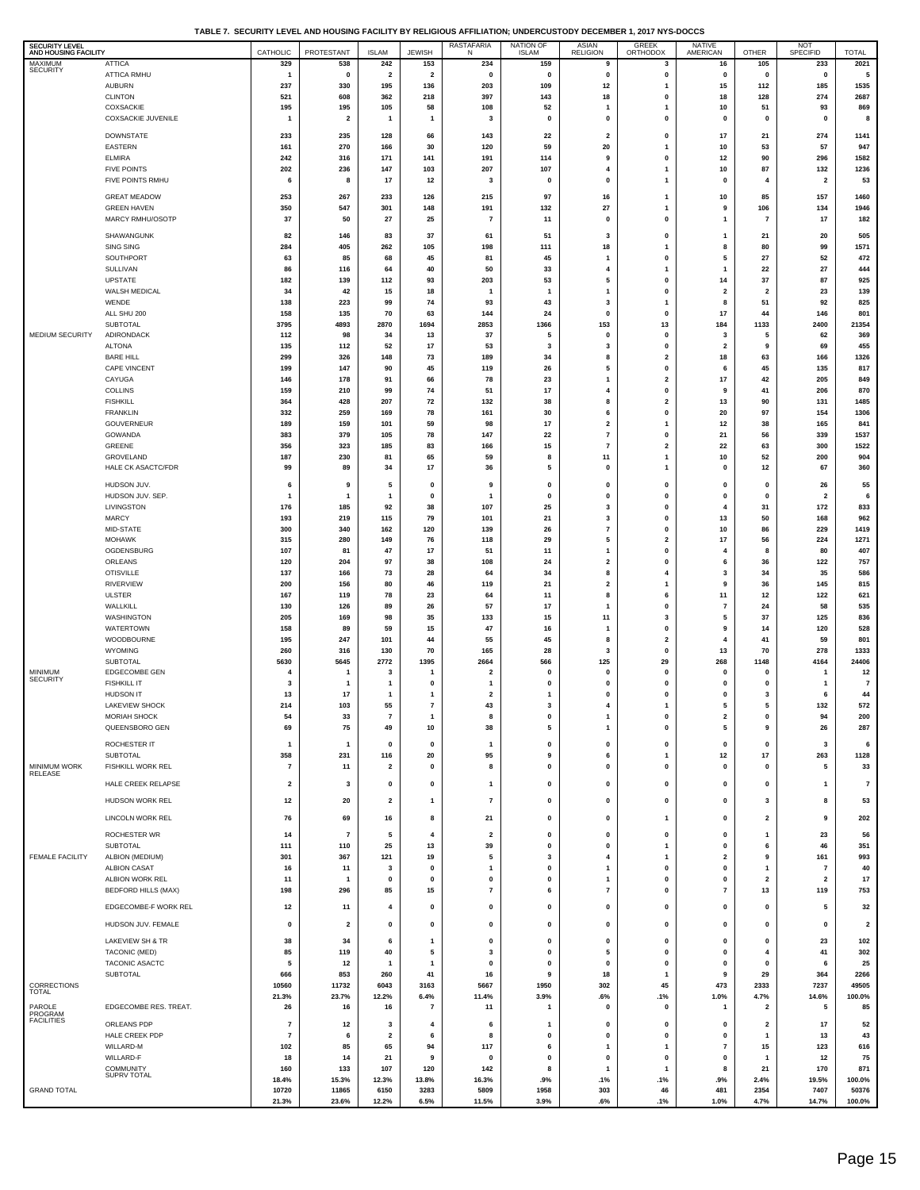**TABLE 7. SECURITY LEVEL AND HOUSING FACILITY BY RELIGIOUS AFFILIATION; UNDERCUSTODY DECEMBER 1, 2017 NYS-DOCCS**

| SECURITY LEVEL<br>AND HOUSING FACILITY |                                           | CATHOLIC                         | PROTESTANT                     | <b>ISLAM</b>                   | <b>JEWISH</b>                  | <b>RASTAFARIA</b><br>Ν        | NATION OF<br><b>ISLAM</b> | ASIAN<br>RELIGION                | GREEK<br>ORTHODOX                       | NATIVE<br>AMERICAN                     | OTHER                                   | NOT<br>SPECIFID                           | <b>TOTAL</b>            |
|----------------------------------------|-------------------------------------------|----------------------------------|--------------------------------|--------------------------------|--------------------------------|-------------------------------|---------------------------|----------------------------------|-----------------------------------------|----------------------------------------|-----------------------------------------|-------------------------------------------|-------------------------|
| MAXIMUM<br><b>SECURITY</b>             | <b>ATTICA</b><br>ATTICA RMHU              | 329                              | 538                            | 242<br>$\mathbf 2$             | 153<br>$\overline{\mathbf{2}}$ | 234                           | 159                       | 9<br>$\pmb{0}$                   | 3                                       | 16<br>$\pmb{0}$                        | 105<br>$\pmb{0}$                        | 233                                       | 2021                    |
|                                        | <b>AUBURN</b>                             | $\overline{1}$<br>237            | $\pmb{0}$<br>330               | 195                            | 136                            | $\pmb{0}$<br>203              | $\pmb{0}$<br>109          | 12                               | $\pmb{0}$<br>1                          | 15                                     | 112                                     | $\mathbf 0$<br>185                        | 5<br>1535               |
|                                        | <b>CLINTON</b>                            | 521                              | 608                            | 362                            | 218                            | 397                           | 143                       | 18                               | 0                                       | 18                                     | 128                                     | 274                                       | 2687                    |
|                                        | COXSACKIE<br><b>COXSACKIE JUVENILE</b>    | 195<br>$\overline{1}$            | 195<br>$\overline{\mathbf{2}}$ | 105<br>$\overline{\mathbf{1}}$ | 58<br>$\mathbf{1}$             | 108<br>3                      | 52<br>$\mathbf 0$         | -1<br>$\pmb{0}$                  | 1<br>0                                  | 10<br>$\pmb{0}$                        | 51<br>$\pmb{0}$                         | 93<br>$\mathbf 0$                         | 869<br>8                |
|                                        | <b>DOWNSTATE</b>                          | 233                              | 235                            | 128                            | 66                             | 143                           | 22                        | $\overline{\mathbf{2}}$          | $\mathbf 0$                             | 17                                     | 21                                      | 274                                       | 1141                    |
|                                        | EASTERN                                   | 161                              | 270                            | 166                            | 30                             | 120                           | 59                        | 20                               | 1                                       | 10                                     | 53                                      | 57                                        | 947                     |
|                                        | <b>ELMIRA</b>                             | 242                              | 316                            | 171                            | 141                            | 191                           | 114                       | 9                                | 0                                       | 12                                     | 90                                      | 296                                       | 1582                    |
|                                        | <b>FIVE POINTS</b><br>FIVE POINTS RMHU    | 202<br>6                         | 236<br>8                       | 147<br>17                      | 103<br>12                      | 207<br>3                      | 107<br>0                  | $\overline{4}$<br>$\pmb{0}$      | $\mathbf{1}$<br>$\mathbf{1}$            | 10<br>$\pmb{0}$                        | 87<br>$\overline{\mathbf{4}}$           | 132<br>$\overline{\mathbf{2}}$            | 1236<br>53              |
|                                        | <b>GREAT MEADOW</b>                       | 253                              | 267                            | 233                            | 126                            | 215                           | 97                        | 16                               | 1                                       | 10                                     | 85                                      | 157                                       | 1460                    |
|                                        | <b>GREEN HAVEN</b>                        | 350                              | 547                            | 301                            | 148                            | 191                           | 132                       | 27                               | 1                                       | 9                                      | 106                                     | 134                                       | 1946                    |
|                                        | MARCY RMHU/OSOTP                          | 37                               | 50                             | ${\bf 27}$                     | 25                             | $\overline{7}$                | 11                        | $\pmb{0}$                        | 0                                       | $\overline{1}$                         | $\overline{7}$                          | 17                                        | 182                     |
|                                        | SHAWANGUNK                                | 82                               | 146                            | 83                             | 37                             | 61                            | 51                        | 3                                | 0                                       | $\overline{1}$                         | 21                                      | 20                                        | 505                     |
|                                        | <b>SING SING</b><br>SOUTHPORT             | 284<br>63                        | 405<br>85                      | 262<br>68                      | 105<br>45                      | 198<br>81                     | 111<br>45                 | 18<br>$\mathbf{1}$               | 1<br>$\mathbf{0}$                       | 8<br>5                                 | 80<br>27                                | 99<br>52                                  | 1571<br>472             |
|                                        | SULLIVAN                                  | 86                               | 116                            | 64                             | 40                             | 50                            | 33                        | 4                                | 1                                       | $\overline{1}$                         | 22                                      | 27                                        | 444                     |
|                                        | <b>UPSTATE</b><br>WALSH MEDICAL           | 182<br>34                        | 139<br>42                      | 112                            | 93<br>18                       | 203<br>$\mathbf{1}$           | 53<br>$\mathbf{1}$        | 5<br>$\overline{1}$              | 0<br>0                                  | 14<br>$\overline{\mathbf{2}}$          | 37<br>$\mathbf 2$                       | 87<br>23                                  | 925<br>139              |
|                                        | WENDE                                     | 138                              | 223                            | 15<br>99                       | 74                             | 93                            | 43                        | $\mathbf{3}$                     | 1                                       | 8                                      | 51                                      | 92                                        | 825                     |
|                                        | ALL SHU 200                               | 158                              | 135                            | 70                             | 63                             | 144                           | 24                        | $\pmb{0}$                        | 0                                       | 17                                     | 44                                      | 146                                       | 801                     |
| MEDIUM SECURITY                        | <b>SUBTOTAL</b><br><b>ADIRONDACK</b>      | 3795<br>112                      | 4893<br>98                     | 2870<br>34                     | 1694<br>13                     | 2853<br>37                    | 1366<br>5                 | 153<br>$\pmb{0}$                 | 13<br>$\mathbf{0}$                      | 184<br>3                               | 1133<br>5                               | 2400<br>62                                | 21354<br>369            |
|                                        | <b>ALTONA</b>                             | 135                              | 112                            | 52                             | 17                             | 53                            | 3                         | 3                                | $\mathbf{0}$                            | $\overline{\mathbf{2}}$                | 9                                       | 69                                        | 455                     |
|                                        | <b>BARE HILL</b>                          | 299                              | 326                            | 148                            | 73                             | 189                           | 34                        | 8                                | $\overline{2}$                          | 18                                     | 63                                      | 166                                       | 1326                    |
|                                        | <b>CAPE VINCENT</b><br>CAYUGA             | 199<br>146                       | 147<br>178                     | 90<br>91                       | 45<br>66                       | 119<br>78                     | 26<br>23                  | 5<br>$\mathbf{1}$                | 0<br>$\overline{\mathbf{2}}$            | 6<br>17                                | 45<br>42                                | 135<br>205                                | 817<br>849              |
|                                        | <b>COLLINS</b>                            | 159                              | 210                            | 99                             | 74                             | 51                            | 17                        | $\overline{4}$                   | 0                                       | 9                                      | 41                                      | 206                                       | 870                     |
|                                        | <b>FISHKILL</b><br><b>FRANKLIN</b>        | 364<br>332                       | 428<br>259                     | 207<br>169                     | ${\bf 72}$<br>78               | 132<br>161                    | 38<br>30                  | 8<br>6                           | $\mathbf{2}$<br>0                       | 13<br>20                               | 90<br>97                                | 131<br>154                                | 1485<br>1306            |
|                                        | GOUVERNEUR                                | 189                              | 159                            | 101                            | 59                             | 98                            | 17                        | $\overline{\mathbf{2}}$          | $\mathbf{1}$                            | 12                                     | 38                                      | 165                                       | 841                     |
|                                        | GOWANDA<br>GREENE                         | 383<br>356                       | 379<br>323                     | 105<br>185                     | 78<br>83                       | 147<br>166                    | 22<br>15                  | $\overline{7}$<br>$\overline{7}$ | 0<br>$\mathbf{2}$                       | 21<br>22                               | 56<br>63                                | 339<br>300                                | 1537<br>1522            |
|                                        | GROVELAND                                 | 187                              | 230                            | 81                             | 65                             | 59                            | 8                         | 11                               | $\mathbf{1}$                            | 10                                     | 52                                      | 200                                       | 904                     |
|                                        | HALE CK ASACTC/FDR                        | 99                               | 89                             | 34                             | 17                             | 36                            | 5                         | $\pmb{0}$                        | 1                                       | $\pmb{0}$                              | 12                                      | 67                                        | 360                     |
|                                        | HUDSON JUV.                               | 6                                | 9                              | 5                              | 0                              | 9                             | $\mathbf 0$               | $\mathbf{0}$                     | $\mathbf 0$                             | $\mathbf 0$                            | $\pmb{0}$                               | 26                                        | 55                      |
|                                        | HUDSON JUV. SEP.<br>LIVINGSTON            | -1<br>176                        | $\mathbf{1}$<br>185            | $\mathbf{1}$<br>92             | $\mathbf{0}$<br>38             | $\mathbf{1}$<br>107           | 0<br>25                   | $\pmb{0}$<br>3                   | $\mathbf 0$<br>0                        | $\mathbf 0$<br>$\overline{\mathbf{4}}$ | $\pmb{0}$<br>31                         | $\overline{\mathbf{2}}$<br>172            | 6<br>833                |
|                                        | <b>MARCY</b>                              | 193                              | 219                            | 115                            | 79                             | 101                           | 21                        | 3                                | 0                                       | 13                                     | 50                                      | 168                                       | 962                     |
|                                        | MID-STATE                                 | 300                              | 340                            | 162                            | 120                            | 139                           | 26                        | $\overline{7}$                   | $\mathbf{0}$                            | 10                                     | 86                                      | 229                                       | 1419                    |
|                                        | <b>MOHAWK</b><br>OGDENSBURG               | 315<br>107                       | 280<br>81                      | 149<br>47                      | 76<br>17                       | 118<br>51                     | 29<br>11                  | 5<br>$\mathbf{1}$                | $\overline{\mathbf{2}}$<br>$\mathbf{0}$ | 17<br>4                                | 56<br>8                                 | 224<br>80                                 | 1271<br>407             |
|                                        | ORLEANS                                   | 120                              | 204                            | 97                             | 38                             | 108                           | 24                        | $\mathbf 2$                      | 0                                       | 6                                      | 36                                      | 122                                       | 757                     |
|                                        | <b>OTISVILLE</b><br>RIVERVIEW             | 137<br>200                       | 166<br>156                     | 73<br>80                       | 28<br>46                       | 64<br>119                     | 34<br>21                  | 8<br>$\overline{\mathbf{2}}$     | 4<br>1                                  | 3<br>9                                 | 34<br>36                                | 35<br>145                                 | 586<br>815              |
|                                        | <b>ULSTER</b>                             | 167                              | 119                            | 78                             | 23                             | 64                            | 11                        | 8                                | 6                                       | 11                                     | $12\,$                                  | 122                                       | 621                     |
|                                        | WALLKILL                                  | 130                              | 126                            | 89                             | 26                             | 57                            | 17                        | $\overline{1}$                   | 0                                       | $\overline{7}$                         | 24                                      | 58                                        | 535                     |
|                                        | WASHINGTON<br><b>WATERTOWN</b>            | 205<br>158                       | 169<br>89                      | 98<br>59                       | 35<br>15                       | 133<br>47                     | 15<br>16                  | 11<br>$\mathbf{1}$               | 3<br>$\mathbf{0}$                       | 5<br>9                                 | 37<br>14                                | 125<br>120                                | 836<br>528              |
|                                        | WOODBOURNE                                | 195                              | 247                            | 101                            | 44                             | 55                            | 45                        | 8                                | $\overline{\mathbf{2}}$                 | 4                                      | 41                                      | 59                                        | 801                     |
|                                        | WYOMING<br>SUBTOTAL                       | 260<br>5630                      | 316<br>5645                    | 130<br>2772                    | 70<br>1395                     | 165<br>2664                   | 28<br>566                 | 3<br>125                         | 0<br>29                                 | 13<br>268                              | 70<br>1148                              | 278<br>4164                               | 1333<br>24406           |
| MINIMUM                                | <b>EDGECOMBE GEN</b>                      | 4                                |                                | 3                              | 1                              | $\overline{\mathbf{2}}$       | 0                         | $\mathbf{0}$                     | $\mathbf 0$                             | $\mathbf 0$                            | 0                                       | 1                                         | 12                      |
| <b>SECURITY</b>                        | <b>FISHKILL IT</b>                        | 3                                | -1                             | 1                              | 0                              | 1                             | 0                         | $\mathbf{0}$                     | 0                                       | $\mathbf 0$                            | 0                                       | $\mathbf{1}$                              | $\boldsymbol{7}$        |
|                                        | <b>HUDSON IT</b><br><b>LAKEVIEW SHOCK</b> | 13<br>214                        | 17<br>103                      | $\mathbf{1}$<br>55             | -1<br>$\overline{\mathbf{r}}$  | $\overline{\mathbf{2}}$<br>43 | 1<br>$\mathbf 3$          | $\mathbf{0}$<br>$\overline{4}$   | $\mathbf 0$<br>1                        | $\mathbf 0$<br>5                       | 3<br>${\bf 5}$                          | 6<br>132                                  | 44<br>572               |
|                                        | <b>MORIAH SHOCK</b>                       | 54                               | -33                            |                                |                                | 8                             |                           |                                  |                                         | 2                                      |                                         | 94                                        | 200                     |
|                                        | QUEENSBORO GEN                            | 69                               | 75                             | 49                             | 10                             | 38                            | 5                         | $\mathbf{1}$                     | $\mathbf{0}$                            | 5                                      | 9                                       | 26                                        | 287                     |
|                                        | ROCHESTER IT<br><b>SUBTOTAL</b>           | $\overline{1}$<br>358            | $\mathbf{1}$                   | 0                              | 0                              | 1<br>95                       | 0<br>9                    | 0<br>6                           | 0<br>1                                  | 0                                      | 0<br>$17\,$                             | 3<br>263                                  | 6<br>1128               |
| MINIMUM WORK                           | FISHKILL WORK REL                         | $\overline{7}$                   | 231<br>11                      | 116<br>$\overline{\mathbf{2}}$ | 20<br>0                        | 8                             | $\mathbf 0$               | $\mathbf{0}$                     | 0                                       | 12<br>$\pmb{0}$                        | $\pmb{0}$                               | 5                                         | 33                      |
| <b>RELEASE</b>                         | HALE CREEK RELAPSE                        | $\overline{\mathbf{2}}$          | 3                              | $\pmb{0}$                      | 0                              | $\mathbf{1}$                  | 0                         | $\pmb{0}$                        | 0                                       | $\pmb{0}$                              | $\pmb{0}$                               | $\mathbf{1}$                              | $\overline{7}$          |
|                                        | HUDSON WORK REL                           | 12                               | 20                             | $\overline{\mathbf{2}}$        | 1                              | $\pmb{7}$                     | 0                         | 0                                | 0                                       | 0                                      | 3                                       | 8                                         | 53                      |
|                                        | LINCOLN WORK REL                          | 76                               | 69                             | 16                             | 8                              | 21                            | 0                         | $\pmb{0}$                        | $\mathbf{1}$                            | $\pmb{0}$                              | $\overline{\mathbf{2}}$                 | 9                                         | 202                     |
|                                        |                                           |                                  |                                |                                |                                |                               |                           |                                  |                                         |                                        |                                         |                                           |                         |
|                                        | ROCHESTER WR<br><b>SUBTOTAL</b>           | 14<br>111                        | $\overline{7}$<br>110          | 5<br>25                        | 4<br>13                        | $\overline{\mathbf{2}}$<br>39 | 0<br>$\mathbf 0$          | 0<br>$\pmb{0}$                   | 0<br>1                                  | 0<br>$\mathbf 0$                       | $\mathbf{1}$<br>6                       | 23<br>46                                  | 56<br>351               |
| <b>FEMALE FACILITY</b>                 | ALBION (MEDIUM)                           | 301                              | 367                            | 121                            | 19                             | 5                             | 3                         | $\overline{4}$                   | $\mathbf{1}$                            | $\overline{\mathbf{2}}$                | $\boldsymbol{9}$                        | 161                                       | 993                     |
|                                        | <b>ALBION CASAT</b><br>ALBION WORK REL    | 16<br>11                         | 11<br>-1                       | 3<br>$\mathbf 0$               | 0<br>0                         | $\mathbf{1}$<br>$\pmb{0}$     | $\pmb{0}$<br>0            | $\mathbf{1}$<br>$\mathbf{1}$     | 0<br>0                                  | $\pmb{0}$<br>$\mathbf 0$               | $\mathbf{1}$<br>$\overline{\mathbf{2}}$ | $\overline{7}$<br>$\overline{\mathbf{2}}$ | 40<br>17                |
|                                        | <b>BEDFORD HILLS (MAX)</b>                | 198                              | 296                            | 85                             | 15                             | $\overline{7}$                | 6                         | $\overline{7}$                   | 0                                       | $\overline{7}$                         | 13                                      | 119                                       | 753                     |
|                                        | EDGECOMBE-F WORK REL                      | 12                               | 11                             | 4                              | 0                              | $\pmb{0}$                     | 0                         | $\pmb{0}$                        | 0                                       | 0                                      | 0                                       | 5                                         | 32                      |
|                                        | HUDSON JUV. FEMALE                        | $\mathbf 0$                      | $\overline{\mathbf{2}}$        | $\mathbf 0$                    | 0                              | $\pmb{0}$                     | 0                         | $\pmb{0}$                        | $\mathbf 0$                             | $\mathbf 0$                            | $\pmb{0}$                               | $\mathbf{0}$                              | $\overline{\mathbf{2}}$ |
|                                        | LAKEVIEW SH & TR                          | 38                               | 34                             | 6                              | 1                              | $\pmb{0}$                     | $\mathbf 0$               | $\pmb{0}$                        | 0                                       | $\mathbf{0}$                           | $\pmb{0}$                               | 23                                        | 102                     |
|                                        | TACONIC (MED)                             | 85                               | 119                            | 40                             | 5                              | 3                             | 0                         | 5                                | $\mathbf 0$                             | $\mathbf 0$                            | 4                                       | 41                                        | 302                     |
|                                        | TACONIC ASACTC                            | 5                                | 12                             | $\mathbf{1}$                   | 1                              | $\pmb{0}$                     | 0<br>9                    | 0                                | 0<br>1                                  | $\mathbf 0$<br>9                       | 0                                       | 6                                         | 25                      |
| CORRECTIONS                            | <b>SUBTOTAL</b>                           | 666<br>10560                     | 853<br>11732                   | 260<br>6043                    | 41<br>3163                     | 16<br>5667                    | 1950                      | 18<br>302                        | 45                                      | 473                                    | 29<br>2333                              | 364<br>7237                               | 2266<br>49505           |
| <b>TOTAL</b>                           |                                           | 21.3%                            | 23.7%                          | 12.2%                          | 6.4%                           | 11.4%                         | 3.9%                      | .6%                              | .1%                                     | 1.0%                                   | 4.7%                                    | 14.6%                                     | 100.0%                  |
| PAROLE<br>PROGRAM<br><b>FACILITIES</b> | EDGECOMBE RES. TREAT.                     | 26                               | 16                             | 16                             | $\overline{7}$                 | 11                            | $\mathbf{1}$              | $\pmb{0}$                        | 0                                       | $\overline{1}$                         | $\overline{\mathbf{2}}$                 | 5                                         | 85                      |
|                                        | ORLEANS PDP<br>HALE CREEK PDP             | $\overline{7}$<br>$\overline{7}$ | 12<br>6                        | 3<br>$\overline{\mathbf{2}}$   | 4<br>6                         | 6<br>8                        | 1<br>0                    | $\mathbf 0$<br>0                 | 0<br>0                                  | $\pmb{0}$<br>$\mathbf 0$               | $\overline{\mathbf{2}}$<br>$\mathbf{1}$ | 17<br>13                                  | 52<br>43                |
|                                        | WILLARD-M                                 | 102                              | 85                             | 65                             | 94                             | 117                           | 6                         | $\mathbf{1}$                     | 1                                       | $\overline{7}$                         | 15                                      | 123                                       | 616                     |
|                                        | WILLARD-F                                 | 18                               | 14                             | 21                             | 9                              | $\pmb{0}$                     | $\mathbf 0$               | $\pmb{0}$                        | $\pmb{0}$                               | $\mathbf 0$                            | $\mathbf{1}$                            | 12                                        | 75                      |
|                                        | <b>COMMUNITY</b><br>SUPRV TOTAL           | 160<br>18.4%                     | 133<br>15.3%                   | 107<br>12.3%                   | 120<br>13.8%                   | 142<br>16.3%                  | 8<br>.9%                  | $\mathbf{1}$<br>.1%              | 1<br>.1%                                | 8<br>.9%                               | 21<br>2.4%                              | 170<br>19.5%                              | 871<br>100.0%           |
| <b>GRAND TOTAL</b>                     |                                           | 10720                            | 11865                          | 6150                           | 3283                           | 5809                          | 1958                      | 303                              | 46                                      | 481                                    | 2354                                    | 7407                                      | 50376                   |
|                                        |                                           | 21.3%                            | 23.6%                          | 12.2%                          | 6.5%                           | 11.5%                         | 3.9%                      | .6%                              | .1%                                     | 1.0%                                   | 4.7%                                    | 14.7%                                     | 100.0%                  |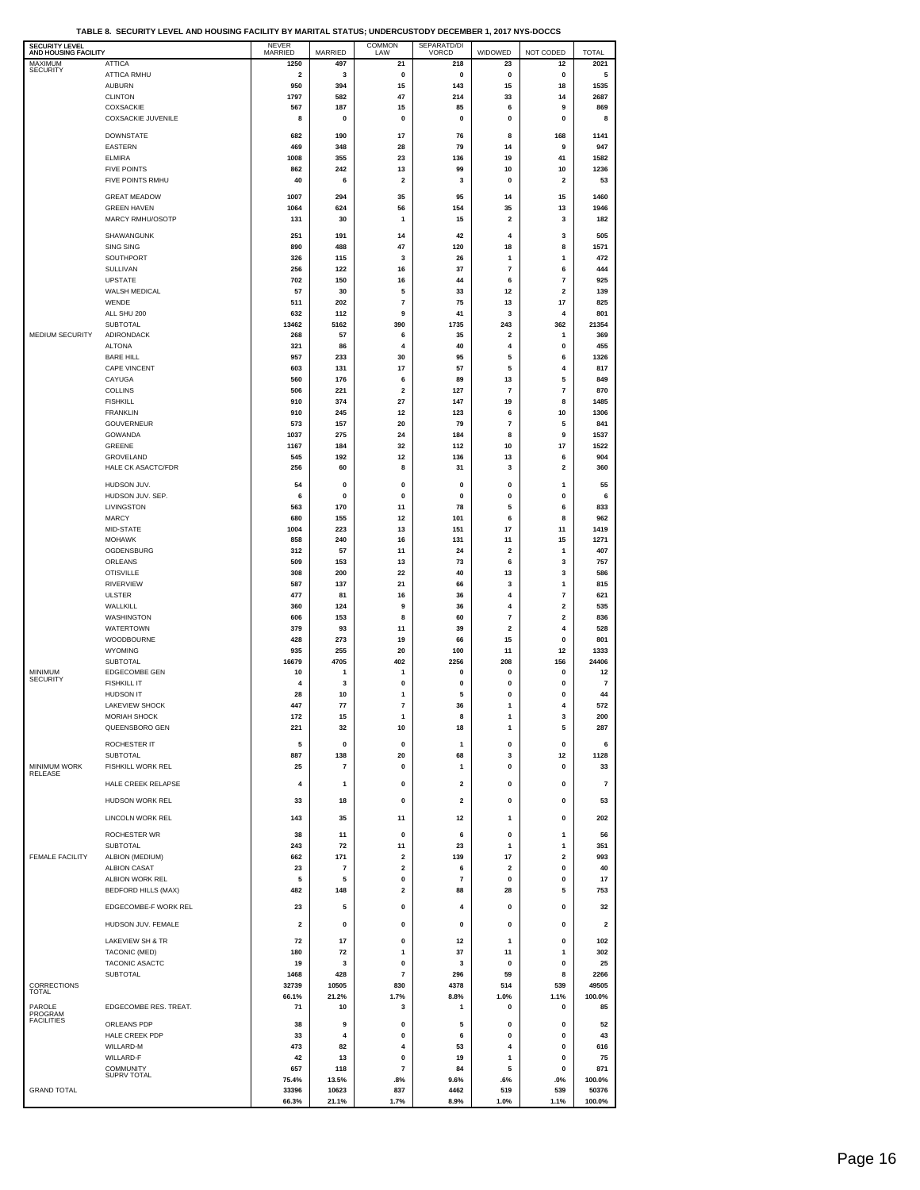**TABLE 8. SECURITY LEVEL AND HOUSING FACILITY BY MARITAL STATUS; UNDERCUSTODY DECEMBER 1, 2017 NYS-DOCCS**

| SECURITY LEVEL<br>AND HOUSING FACILITY |                                             | <b>NEVER</b><br>MARRIED | MARRIED          | <b>COMMON</b><br>LAW           | SEPARATD/DI<br>VORCD    | WIDOWED                       | NOT CODED                    | <b>TOTAL</b>    |
|----------------------------------------|---------------------------------------------|-------------------------|------------------|--------------------------------|-------------------------|-------------------------------|------------------------------|-----------------|
| MAXIMUM<br><b>SECURITY</b>             | <b>ATTICA</b>                               | 1250                    | 497              | 21                             | 218                     | 23                            | 12                           | 2021            |
|                                        | <b>ATTICA RMHU</b><br><b>AUBURN</b>         | $\mathbf 2$<br>950      | 3<br>394         | $\pmb{0}$<br>15                | 0<br>143                | $\pmb{0}$<br>15               | 0<br>18                      | 5<br>1535       |
|                                        | <b>CLINTON</b>                              | 1797                    | 582              | 47                             | 214                     | 33                            | 14                           | 2687            |
|                                        | COXSACKIE<br><b>COXSACKIE JUVENILE</b>      | 567<br>8                | 187<br>$\pmb{0}$ | 15<br>$\pmb{0}$                | 85<br>$\pmb{0}$         | 6<br>$\pmb{0}$                | 9<br>0                       | 869<br>8        |
|                                        |                                             |                         |                  |                                |                         |                               |                              |                 |
|                                        | <b>DOWNSTATE</b><br><b>EASTERN</b>          | 682<br>469              | 190<br>348       | 17<br>28                       | 76<br>79                | 8<br>14                       | 168<br>9                     | 1141<br>947     |
|                                        | <b>ELMIRA</b>                               | 1008                    | 355              | 23                             | 136                     | 19                            | 41                           | 1582            |
|                                        | <b>FIVE POINTS</b>                          | 862                     | 242              | 13                             | 99                      | 10                            | 10                           | 1236            |
|                                        | FIVE POINTS RMHU                            | 40                      | 6                | $\mathbf 2$                    | 3                       | $\pmb{0}$                     | $\overline{\mathbf{2}}$      | 53              |
|                                        | <b>GREAT MEADOW</b>                         | 1007                    | 294              | 35                             | 95                      | 14                            | 15                           | 1460            |
|                                        | <b>GREEN HAVEN</b><br>MARCY RMHU/OSOTP      | 1064<br>131             | 624<br>30        | 56<br>1                        | 154<br>15               | 35<br>$\overline{\mathbf{2}}$ | 13<br>3                      | 1946<br>182     |
|                                        | SHAWANGUNK                                  |                         |                  |                                |                         |                               |                              |                 |
|                                        | <b>SING SING</b>                            | 251<br>890              | 191<br>488       | 14<br>47                       | 42<br>120               | 4<br>18                       | 3<br>8                       | 505<br>1571     |
|                                        | SOUTHPORT                                   | 326                     | 115              | 3                              | 26                      | 1                             | 1                            | 472             |
|                                        | SULLIVAN                                    | 256                     | 122              | 16                             | 37                      | $\overline{\mathbf{r}}$       | 6                            | 444             |
|                                        | <b>UPSTATE</b><br>WALSH MEDICAL             | 702<br>57               | 150<br>30        | 16<br>5                        | 44<br>33                | 6<br>12                       | 7<br>2                       | 925<br>139      |
|                                        | WENDE                                       | 511                     | 202              | $\bf 7$                        | 75                      | 13                            | 17                           | 825             |
|                                        | ALL SHU 200<br><b>SUBTOTAL</b>              | 632<br>13462            | 112<br>5162      | 9<br>390                       | 41<br>1735              | 3<br>243                      | 4<br>362                     | 801<br>21354    |
| MEDIUM SECURITY                        | ADIRONDACK                                  | 268                     | 57               | 6                              | 35                      | $\mathbf{2}$                  | 1                            | 369             |
|                                        | <b>ALTONA</b>                               | 321                     | 86               | 4                              | 40                      | 4                             | 0                            | 455             |
|                                        | <b>BARE HILL</b><br><b>CAPE VINCENT</b>     | 957<br>603              | 233<br>131       | 30<br>17                       | 95<br>57                | 5<br>5                        | 6<br>4                       | 1326<br>817     |
|                                        | CAYUGA                                      | 560                     | 176              | 6                              | 89                      | 13                            | 5                            | 849             |
|                                        | <b>COLLINS</b>                              | 506                     | 221              | $\mathbf 2$                    | 127                     | $\overline{7}$                | 7                            | 870             |
|                                        | <b>FISHKILL</b><br><b>FRANKLIN</b>          | 910<br>910              | 374<br>245       | 27<br>12                       | 147<br>123              | 19<br>6                       | 8<br>10                      | 1485<br>1306    |
|                                        | GOUVERNEUR                                  | 573                     | 157              | 20                             | 79                      | $\overline{7}$                | 5                            | 841             |
|                                        | GOWANDA                                     | 1037                    | 275              | 24                             | 184                     | 8                             | 9                            | 1537            |
|                                        | GREENE<br>GROVELAND                         | 1167<br>545             | 184<br>192       | 32<br>12                       | 112<br>136              | 10<br>13                      | 17<br>6                      | 1522<br>904     |
|                                        | <b>HALE CK ASACTC/FDR</b>                   | 256                     | 60               | 8                              | 31                      | 3                             | $\overline{\mathbf{2}}$      | 360             |
|                                        | HUDSON JUV.                                 | 54                      | 0                | 0                              | 0                       | 0                             | 1                            | 55              |
|                                        | HUDSON JUV. SEP.                            | 6                       | 0                | $\mathbf 0$                    | 0                       | 0                             | 0                            | 6               |
|                                        | LIVINGSTON                                  | 563                     | 170              | 11                             | 78                      | 5                             | 6                            | 833             |
|                                        | <b>MARCY</b><br>MID-STATE                   | 680<br>1004             | 155<br>223       | 12<br>13                       | 101<br>151              | 6<br>17                       | 8<br>11                      | 962<br>1419     |
|                                        | <b>MOHAWK</b>                               | 858                     | 240              | 16                             | 131                     | 11                            | 15                           | 1271            |
|                                        | OGDENSBURG                                  | 312                     | 57               | 11                             | 24                      | $\overline{\mathbf{2}}$       | $\mathbf{1}$                 | 407             |
|                                        | ORLEANS<br><b>OTISVILLE</b>                 | 509<br>308              | 153<br>200       | 13<br>22                       | 73<br>40                | 6<br>13                       | 3<br>3                       | 757<br>586      |
|                                        | <b>RIVERVIEW</b>                            | 587                     | 137              | 21                             | 66                      | 3                             | 1                            | 815             |
|                                        | ULSTER                                      | 477                     | 81               | 16                             | 36                      | 4                             | 7                            | 621             |
|                                        | WALLKILL<br>WASHINGTON                      | 360<br>606              | 124<br>153       | 9<br>8                         | 36<br>60                | 4<br>$\overline{7}$           | 2<br>$\overline{\mathbf{2}}$ | 535<br>836      |
|                                        | <b>WATERTOWN</b>                            | 379                     | 93               | 11                             | 39                      | $\overline{\mathbf{2}}$       | 4                            | 528             |
|                                        | <b>WOODBOURNE</b>                           | 428                     | 273              | 19                             | 66                      | 15                            | 0                            | 801             |
|                                        | <b>WYOMING</b><br><b>SUBTOTAL</b>           | 935<br>16679            | 255<br>4705      | 20<br>402                      | 100<br>2256             | 11<br>208                     | 12<br>156                    | 1333<br>24406   |
| MINIMUM                                | <b>EDGECOMBE GEN</b>                        | 10                      | 1                | 1                              | 0                       | 0                             | 0                            | 12              |
| <b>SECURITY</b>                        | <b>FISHKILL IT</b>                          | 4                       | 3                | 0                              | 0                       | 0                             | 0                            | 7               |
|                                        | <b>HUDSON IT</b><br><b>LAKEVIEW SHOCK</b>   | 28<br>447               | 10<br>77         | 1<br>7                         | 5<br>36                 | 0<br>1                        | 0<br>4                       | 44<br>572       |
|                                        | <b>MORIAH SHOCK</b>                         | 172                     | 15               | 1                              | 8                       | 1                             | З                            | 200             |
|                                        | QUEENSBORO GEN                              | 221                     | 32               | 10                             | 18                      | $\mathbf{1}$                  | 5                            | 287             |
|                                        | ROCHESTER IT                                | 5                       | 0                | 0                              | 1                       | $\pmb{0}$                     | $\pmb{0}$                    | 6               |
| MINIMUM WORK                           | <b>SUBTOTAL</b><br><b>FISHKILL WORK REL</b> | 887<br>25               | 138<br>7         | 20<br>0                        | 68<br>1                 | 3<br>0                        | 12<br>0                      | 1128<br>33      |
| <b>RELEASE</b>                         |                                             |                         |                  |                                |                         |                               |                              |                 |
|                                        | HALE CREEK RELAPSE                          | 4                       | -1               | $\pmb{0}$                      | $\overline{\mathbf{2}}$ | $\pmb{0}$                     | $\pmb{0}$                    | $\overline{7}$  |
|                                        | HUDSON WORK REL                             | 33                      | 18               | 0                              | 2                       | 0                             | 0                            | 53              |
|                                        | LINCOLN WORK REL                            | 143                     | 35               | 11                             | 12                      | $\mathbf{1}$                  | $\pmb{0}$                    | 202             |
|                                        | ROCHESTER WR                                | 38                      | 11               | 0                              | 6                       | $\pmb{0}$                     | 1                            | 56              |
|                                        | <b>SUBTOTAL</b>                             | 243                     | 72               | 11                             | 23                      | 1                             | 1                            | 351             |
| <b>FEMALE FACILITY</b>                 | ALBION (MEDIUM)<br><b>ALBION CASAT</b>      | 662<br>23               | 171<br>$\bf 7$   | $\overline{2}$<br>$\mathbf 2$  | 139<br>6                | 17<br>$\overline{\mathbf{2}}$ | 2<br>0                       | 993<br>40       |
|                                        | ALBION WORK REL                             | 5                       | 5                | 0                              | $\overline{7}$          | 0                             | $\mathbf 0$                  | 17              |
|                                        | <b>BEDFORD HILLS (MAX)</b>                  | 482                     | 148              | $\overline{\mathbf{2}}$        | 88                      | 28                            | 5                            | 753             |
|                                        | EDGECOMBE-F WORK REL                        | 23                      | 5                | 0                              | 4                       | $\pmb{0}$                     | 0                            | 32              |
|                                        | HUDSON JUV. FEMALE                          | $\overline{\mathbf{2}}$ | 0                | 0                              | 0                       | 0                             | 0                            | 2               |
|                                        | <b>LAKEVIEW SH &amp; TR</b>                 | 72                      | 17               | 0                              | 12                      | 1                             | 0                            | 102             |
|                                        | TACONIC (MED)                               | 180                     | 72               | 1                              | 37                      | 11                            | 1                            | 302             |
|                                        | TACONIC ASACTC                              | 19                      | 3                | 0                              | 3                       | 0                             | 0                            | 25              |
| CORRECTIONS                            | <b>SUBTOTAL</b>                             | 1468<br>32739           | 428<br>10505     | $\overline{\mathbf{r}}$<br>830 | 296<br>4378             | 59<br>514                     | 8<br>539                     | 2266<br>49505   |
| TOTAL                                  |                                             | 66.1%                   | 21.2%            | 1.7%                           | 8.8%                    | 1.0%                          | 1.1%                         | 100.0%          |
| PAROLE<br>PROGRAM                      | EDGECOMBE RES. TREAT.                       | 71                      | 10               | 3                              | 1                       | 0                             | 0                            | 85              |
| <b>FACILITIES</b>                      | ORLEANS PDP                                 | 38                      | 9                | $\pmb{0}$                      | 5                       | $\pmb{0}$                     | $\pmb{0}$                    | 52              |
|                                        | HALE CREEK PDP<br>WILLARD-M                 | 33<br>473               | 4<br>82          | 0<br>4                         | 6<br>53                 | 0<br>4                        | 0<br>0                       | 43<br>616       |
|                                        | WILLARD-F                                   | 42                      | 13               | 0                              | 19                      | 1                             | 0                            | 75              |
|                                        | COMMUNITY<br>SUPRV TOTAL                    | 657                     | 118              | $\bf 7$                        | 84                      | 5                             | $\mathbf 0$                  | 871             |
| <b>GRAND TOTAL</b>                     |                                             | 75.4%                   | 13.5%            | .8%<br>837                     | 9.6%                    | .6%                           | .0%                          | 100.0%          |
|                                        |                                             | 33396<br>66.3%          | 10623<br>21.1%   | 1.7%                           | 4462<br>8.9%            | 519<br>1.0%                   | 539<br>1.1%                  | 50376<br>100.0% |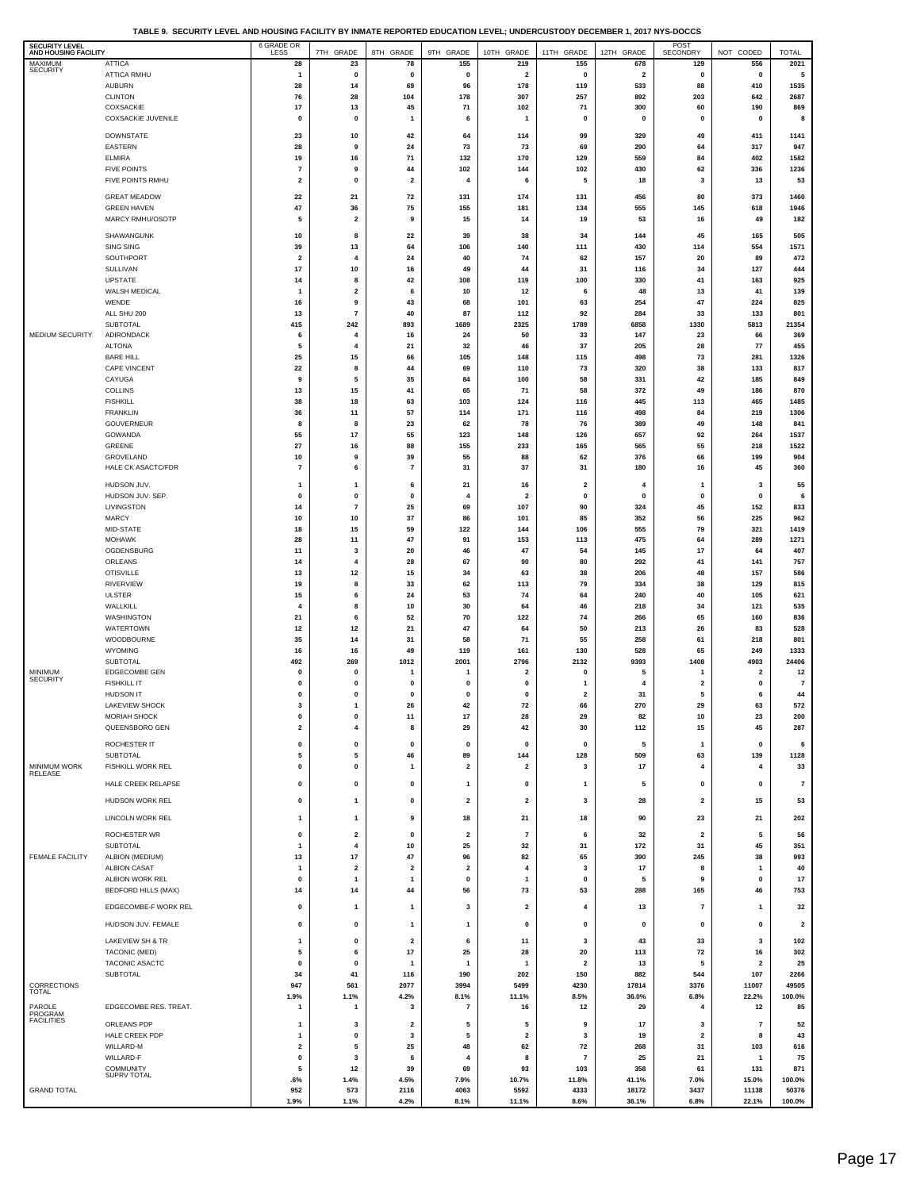**TABLE 9. SECURITY LEVEL AND HOUSING FACILITY BY INMATE REPORTED EDUCATION LEVEL; UNDERCUSTODY DECEMBER 1, 2017 NYS-DOCCS**

| <b>SECURITY LEVEL</b><br>AND HOUSING FACILITY |                                         | 6 GRADE OR<br>LESS            | 7TH GRADE                               | 8TH GRADE                               | 9TH GRADE                            | 10TH GRADE                     | 11TH GRADE                           | 12TH GRADE                     | POST<br>SECONDRY             | NOT CODED               | <b>TOTAL</b>            |
|-----------------------------------------------|-----------------------------------------|-------------------------------|-----------------------------------------|-----------------------------------------|--------------------------------------|--------------------------------|--------------------------------------|--------------------------------|------------------------------|-------------------------|-------------------------|
| MAXIMUM<br><b>SECURITY</b>                    | <b>ATTICA</b>                           | 28                            | 23                                      | 78                                      | 155                                  | 219                            | 155                                  | 678                            | 129                          | 556                     | 2021                    |
|                                               | ATTICA RMHU<br><b>AUBURN</b>            | $\mathbf{1}$<br>28            | $\pmb{0}$<br>14                         | $\pmb{0}$<br>69                         | $\pmb{0}$<br>96                      | $\overline{\mathbf{2}}$<br>178 | $\pmb{0}$<br>119                     | $\overline{\mathbf{2}}$<br>533 | 0<br>88                      | $\pmb{0}$<br>410        | 5<br>1535               |
|                                               | <b>CLINTON</b>                          | 76                            | 28                                      | 104                                     | 178                                  | 307                            | 257                                  | 892                            | 203                          | 642                     | 2687                    |
|                                               | COXSACKIE                               | 17                            | 13                                      | 45                                      | 71                                   | 102                            | 71                                   | 300                            | 60                           | 190                     | 869                     |
|                                               | COXSACKIE JUVENILE                      | 0                             | 0                                       | -1                                      | 6                                    | $\overline{1}$                 | $\mathbf 0$                          | 0                              | $\pmb{0}$                    | $\mathbf{0}$            | 8                       |
|                                               | <b>DOWNSTATE</b>                        | 23                            | 10                                      | 42                                      | 64                                   | 114                            | 99                                   | 329                            | 49                           | 411                     | 1141                    |
|                                               | <b>EASTERN</b>                          | 28                            | 9                                       | 24                                      | 73                                   | 73                             | 69                                   | 290                            | 64                           | 317                     | 947                     |
|                                               | <b>ELMIRA</b><br><b>FIVE POINTS</b>     | 19<br>7                       | 16<br>9                                 | 71<br>44                                | 132<br>102                           | 170<br>144                     | 129<br>102                           | 559<br>430                     | 84<br>62                     | 402<br>336              | 1582<br>1236            |
|                                               | FIVE POINTS RMHU                        | 2                             | 0                                       | $\overline{\mathbf{2}}$                 | 4                                    | 6                              | 5                                    | 18                             | $\mathbf{3}$                 | 13                      | 53                      |
|                                               | <b>GREAT MEADOW</b>                     | 22                            | 21                                      | 72                                      | 131                                  | 174                            | 131                                  | 456                            | 80                           | 373                     | 1460                    |
|                                               | <b>GREEN HAVEN</b>                      | 47                            | 36                                      | 75                                      | 155                                  | 181                            | 134                                  | 555                            | 145                          | 618                     | 1946                    |
|                                               | MARCY RMHU/OSOTP                        | 5                             | $\overline{\mathbf{2}}$                 | 9                                       | 15                                   | 14                             | 19                                   | 53                             | 16                           | 49                      | 182                     |
|                                               | SHAWANGUNK                              | 10                            | 8                                       | 22                                      | 39                                   | 38                             | 34                                   | 144                            | 45                           | 165                     | 505                     |
|                                               | SING SING                               | 39                            | 13                                      | 64                                      | 106                                  | 140                            | 111                                  | 430                            | 114                          | 554                     | 1571                    |
|                                               | SOUTHPORT<br>SULLIVAN                   | $\overline{\mathbf{2}}$<br>17 | 4<br>10                                 | 24<br>16                                | 40<br>49                             | 74<br>44                       | 62<br>31                             | 157<br>116                     | 20<br>34                     | 89<br>127               | 472<br>444              |
|                                               | <b>UPSTATE</b>                          | 14                            | 8                                       | 42                                      | 108                                  | 119                            | 100                                  | 330                            | 41                           | 163                     | 925                     |
|                                               | WALSH MEDICAL                           | 1                             | $\overline{\mathbf{2}}$                 | 6                                       | 10                                   | 12                             | 6                                    | 48                             | 13                           | 41                      | 139                     |
|                                               | WENDE                                   | 16                            | 9                                       | 43                                      | 68                                   | 101                            | 63                                   | 254                            | 47                           | 224                     | 825                     |
|                                               | ALL SHU 200<br>SUBTOTAL                 | 13<br>415                     | $\scriptstyle\rm 7$<br>242              | 40<br>893                               | 87<br>1689                           | 112<br>2325                    | 92<br>1789                           | 284<br>6858                    | 33<br>1330                   | 133<br>5813             | 801<br>21354            |
| MEDIUM SECURITY                               | ADIRONDACK                              | 6                             | 4                                       | 16                                      | 24                                   | 50                             | 33                                   | 147                            | 23                           | 66                      | 369                     |
|                                               | <b>ALTONA</b>                           | 5                             | 4                                       | ${\bf 21}$                              | 32                                   | 46                             | 37                                   | 205                            | 28                           | 77                      | 455                     |
|                                               | <b>BARE HILL</b><br><b>CAPE VINCENT</b> | 25<br>22                      | 15<br>8                                 | 66<br>44                                | 105<br>69                            | 148<br>110                     | 115<br>73                            | 498<br>320                     | 73<br>38                     | 281<br>133              | 1326<br>817             |
|                                               | CAYUGA                                  | 9                             | 5                                       | 35                                      | 84                                   | 100                            | 58                                   | 331                            | 42                           | 185                     | 849                     |
|                                               | <b>COLLINS</b>                          | 13                            | 15                                      | 41                                      | 65                                   | 71                             | 58                                   | 372                            | 49                           | 186                     | 870                     |
|                                               | <b>FISHKILL</b>                         | 38                            | 18                                      | 63                                      | 103                                  | 124                            | 116                                  | 445                            | 113                          | 465                     | 1485                    |
|                                               | <b>FRANKLIN</b><br>GOUVERNEUR           | 36<br>8                       | 11<br>8                                 | 57<br>23                                | 114<br>62                            | 171<br>78                      | 116<br>76                            | 498<br>389                     | 84<br>49                     | 219<br>148              | 1306<br>841             |
|                                               | GOWANDA                                 | 55                            | 17                                      | 55                                      | 123                                  | 148                            | 126                                  | 657                            | 92                           | 264                     | 1537                    |
|                                               | GREENE                                  | 27                            | 16                                      | 88                                      | 155                                  | 233                            | 165                                  | 565                            | 55                           | 218                     | 1522                    |
|                                               | GROVELAND<br><b>HALE CK ASACTC/FDR</b>  | 10<br>$\overline{7}$          | 9<br>6                                  | 39<br>$\overline{7}$                    | 55<br>31                             | 88<br>37                       | 62<br>31                             | 376<br>180                     | 66<br>16                     | 199<br>45               | 904<br>360              |
|                                               |                                         |                               |                                         |                                         |                                      |                                |                                      |                                |                              |                         |                         |
|                                               | HUDSON JUV.<br>HUDSON JUV. SEP.         | 1<br>0                        | 1<br>0                                  | 6<br>$\pmb{0}$                          | 21<br>$\overline{4}$                 | 16<br>$\overline{2}$           | $\overline{\mathbf{2}}$<br>$\pmb{0}$ | 4<br>0                         | $\mathbf{1}$<br>0            | 3<br>$\mathbf{0}$       | 55<br>6                 |
|                                               | LIVINGSTON                              | 14                            | $\overline{\mathbf{r}}$                 | 25                                      | 69                                   | 107                            | 90                                   | 324                            | 45                           | 152                     | 833                     |
|                                               | <b>MARCY</b>                            | 10                            | 10                                      | 37                                      | 86                                   | 101                            | 85                                   | 352                            | 56                           | 225                     | 962                     |
|                                               | MID-STATE                               | 18                            | 15                                      | 59                                      | 122                                  | 144                            | 106                                  | 555                            | 79                           | 321                     | 1419                    |
|                                               | <b>MOHAWK</b><br>OGDENSBURG             | 28<br>11                      | 11<br>3                                 | 47<br>20                                | 91<br>46                             | 153<br>47                      | 113<br>54                            | 475<br>145                     | 64<br>17                     | 289<br>64               | 1271<br>407             |
|                                               | ORLEANS                                 | 14                            | $\overline{4}$                          | 28                                      | 67                                   | 90                             | 80                                   | 292                            | 41                           | 141                     | 757                     |
|                                               | <b>OTISVILLE</b>                        | 13                            | 12                                      | 15                                      | 34                                   | 63                             | 38                                   | 206                            | 48                           | 157                     | 586                     |
|                                               | <b>RIVERVIEW</b><br><b>ULSTER</b>       | 19<br>15                      | 8<br>6                                  | 33<br>24                                | 62<br>53                             | 113<br>74                      | 79<br>64                             | 334<br>240                     | 38<br>40                     | 129<br>105              | 815<br>621              |
|                                               | WALLKILL                                | 4                             | 8                                       | 10                                      | 30                                   | 64                             | 46                                   | 218                            | 34                           | 121                     | 535                     |
|                                               | WASHINGTON                              | 21                            | 6                                       | 52                                      | 70                                   | 122                            | 74                                   | 266                            | 65                           | 160                     | 836                     |
|                                               | <b>WATERTOWN</b>                        | 12                            | 12                                      | 21                                      | 47                                   | 64                             | 50                                   | 213                            | 26                           | 83                      | 528                     |
|                                               | WOODBOURNE<br>WYOMING                   | 35<br>16                      | 14<br>16                                | 31<br>49                                | 58<br>119                            | 71<br>161                      | 55<br>130                            | 258<br>528                     | 61<br>65                     | 218<br>249              | 801<br>1333             |
|                                               | SUBTOTAL                                | 492                           | 269                                     | 1012                                    | 2001                                 | 2796                           | 2132                                 | 9393                           | 1408                         | 4903                    | 24406                   |
| <b>MINIMUM</b><br><b>SECURITY</b>             | EDGECOMBE GEN                           | 0                             | $\mathbf 0$                             | -1                                      | -1                                   | $\overline{\mathbf{2}}$        | $\mathbf 0$                          | 5                              | 1                            | $\overline{\mathbf{2}}$ | 12                      |
|                                               | <b>FISHKILL IT</b><br><b>HUDSON IT</b>  | $\mathbf 0$<br>0              | $\pmb{0}$<br>0                          | 0<br>$\mathbf{0}$                       | $\mathbf 0$<br>$\mathbf 0$           | $\mathbf 0$<br>$\mathbf 0$     | -1<br>$\overline{2}$                 | 4<br>31                        | $\overline{2}$<br>5          | $\mathbf{0}$<br>6       | $\overline{7}$<br>44    |
|                                               | LAKEVIEW SHOCK                          | 3                             | $\mathbf{1}$                            | 26                                      | 42                                   | 72                             | 66                                   | 270                            | 29                           | 63                      | 572                     |
|                                               | <b>MORIAH SHOCK</b>                     |                               |                                         |                                         |                                      |                                |                                      |                                |                              | 23                      | 200                     |
|                                               | QUEENSBORO GEN                          | 2                             | 4                                       | 8                                       | 29                                   | 42                             | 30                                   | 112                            | 15                           | 45                      | 287                     |
|                                               | ROCHESTER IT                            | 0                             | $\pmb{0}$                               | 0                                       | $\pmb{0}$                            | $\mathbf 0$                    | $\pmb{0}$                            | 5                              | $\mathbf{1}$                 | $\pmb{0}$               | 6                       |
|                                               | <b>SUBTOTAL</b>                         | 5                             | 5                                       | 46                                      | 89                                   | 144                            | 128                                  | 509                            | 63                           | 139                     | 1128                    |
| MINIMUM WORK<br>RELEASE                       | FISHKILL WORK REL                       | 0                             | 0                                       | $\mathbf{1}$                            | $\mathbf 2$                          | $\overline{2}$                 | 3                                    | 17                             | $\overline{4}$               | 4                       | 33                      |
|                                               | HALE CREEK RELAPSE                      | 0                             | 0                                       | 0                                       | 1                                    | 0                              | $\mathbf{1}$                         | 5                              | 0                            | 0                       | $\overline{7}$          |
|                                               | HUDSON WORK REL                         | 0                             | $\mathbf{1}$                            | 0                                       | $\overline{\mathbf{2}}$              | $\overline{\mathbf{2}}$        | 3                                    | 28                             | $\overline{2}$               | 15                      | 53                      |
|                                               | LINCOLN WORK REL                        | 1                             | 1                                       | 9                                       | 18                                   | 21                             | 18                                   | 90                             | 23                           | 21                      | 202                     |
|                                               | ROCHESTER WR                            | 0                             | $\overline{\mathbf{2}}$                 | 0                                       | $\overline{\mathbf{2}}$              | $\overline{7}$                 | 6                                    | 32                             | $\overline{2}$               | 5                       | 56                      |
|                                               | <b>SUBTOTAL</b>                         | $\mathbf{1}$                  | $\overline{4}$                          | 10                                      | 25                                   | 32                             | 31                                   | 172                            | 31                           | 45                      | 351                     |
| <b>FEMALE FACILITY</b>                        | ALBION (MEDIUM)                         | 13                            | 17                                      | 47                                      | 96                                   | 82                             | 65                                   | 390                            | 245                          | 38                      | 993                     |
|                                               | <b>ALBION CASAT</b><br>ALBION WORK REL  | $\overline{1}$<br>0           | $\overline{\mathbf{2}}$<br>$\mathbf{1}$ | $\overline{\mathbf{2}}$<br>$\mathbf{1}$ | $\overline{\mathbf{2}}$<br>$\pmb{0}$ | 4<br>$\mathbf{1}$              | 3<br>$\pmb{0}$                       | 17<br>5                        | 8<br>9                       | $\overline{1}$<br>0     | 40<br>17                |
|                                               | <b>BEDFORD HILLS (MAX)</b>              | 14                            | 14                                      | 44                                      | 56                                   | 73                             | 53                                   | 288                            | 165                          | 46                      | 753                     |
|                                               | EDGECOMBE-F WORK REL                    | 0                             | $\mathbf{1}$                            | $\mathbf{1}$                            | 3                                    | $\overline{\mathbf{2}}$        | $\overline{4}$                       | 13                             | $\overline{7}$               | $\mathbf{1}$            | 32                      |
|                                               |                                         |                               |                                         |                                         |                                      |                                |                                      |                                |                              |                         |                         |
|                                               | HUDSON JUV. FEMALE                      | $\pmb{0}$                     | $\pmb{0}$                               | $\mathbf{1}$                            | 1                                    | $\pmb{0}$                      | $\pmb{0}$                            | 0                              | $\pmb{0}$                    | $\pmb{0}$               | $\overline{\mathbf{2}}$ |
|                                               | LAKEVIEW SH & TR<br>TACONIC (MED)       | $\mathbf{1}$<br>5             | 0<br>6                                  | $\overline{\mathbf{2}}$<br>17           | 6<br>25                              | 11<br>28                       | 3<br>20                              | 43<br>113                      | 33<br>72                     | 3<br>16                 | 102<br>302              |
|                                               | TACONIC ASACTC                          | 0                             | $\pmb{0}$                               | $\mathbf{1}$                            | $\mathbf{1}$                         | $\mathbf{1}$                   | $\overline{\mathbf{2}}$              | 13                             | 5                            | $\overline{\mathbf{2}}$ | 25                      |
|                                               | SUBTOTAL                                | 34                            | 41                                      | 116                                     | 190                                  | 202                            | 150                                  | 882                            | 544                          | 107                     | 2266                    |
| CORRECTIONS<br><b>TOTAL</b>                   |                                         | 947                           | 561                                     | 2077                                    | 3994                                 | 5499                           | 4230                                 | 17814                          | 3376                         | 11007                   | 49505                   |
| PAROLE                                        | EDGECOMBE RES. TREAT.                   | 1.9%<br>1                     | 1.1%<br>1                               | 4.2%<br>3                               | 8.1%<br>$\overline{7}$               | 11.1%<br>16                    | 8.5%<br>12                           | 36.0%<br>29                    | 6.8%<br>$\overline{4}$       | 22.2%<br>12             | 100.0%<br>85            |
| PROGRAM<br><b>FACILITIES</b>                  |                                         |                               |                                         |                                         |                                      |                                |                                      |                                |                              |                         |                         |
|                                               | ORLEANS PDP<br>HALE CREEK PDP           | -1<br>1                       | 3<br>$\pmb{0}$                          | $\overline{\mathbf{2}}$<br>3            | 5<br>5                               | 5<br>$\overline{\mathbf{2}}$   | 9<br>3                               | 17<br>19                       | 3<br>$\overline{\mathbf{2}}$ | $\overline{7}$<br>8     | 52<br>43                |
|                                               | WILLARD-M                               | $\overline{\mathbf{2}}$       | 5                                       | 25                                      | 48                                   | 62                             | 72                                   | 268                            | 31                           | 103                     | 616                     |
|                                               | WILLARD-F                               | $\pmb{0}$                     | 3                                       | 6                                       | 4                                    | 8                              | $\overline{7}$                       | 25                             | 21                           | $\overline{1}$          | 75                      |
|                                               | <b>COMMUNITY</b><br>SUPRV TOTAL         | 5<br>.6%                      | 12<br>1.4%                              | 39<br>4.5%                              | 69<br>7.9%                           | 93<br>10.7%                    | 103<br>11.8%                         | 358<br>41.1%                   | 61<br>7.0%                   | 131<br>15.0%            | 871<br>100.0%           |
| <b>GRAND TOTAL</b>                            |                                         | 952                           | 573                                     | 2116                                    | 4063                                 | 5592                           | 4333                                 | 18172                          | 3437                         | 11138                   | 50376                   |
|                                               |                                         | 1.9%                          | 1.1%                                    | 4.2%                                    | 8.1%                                 | 11.1%                          | 8.6%                                 | 36.1%                          | 6.8%                         | 22.1%                   | 100.0%                  |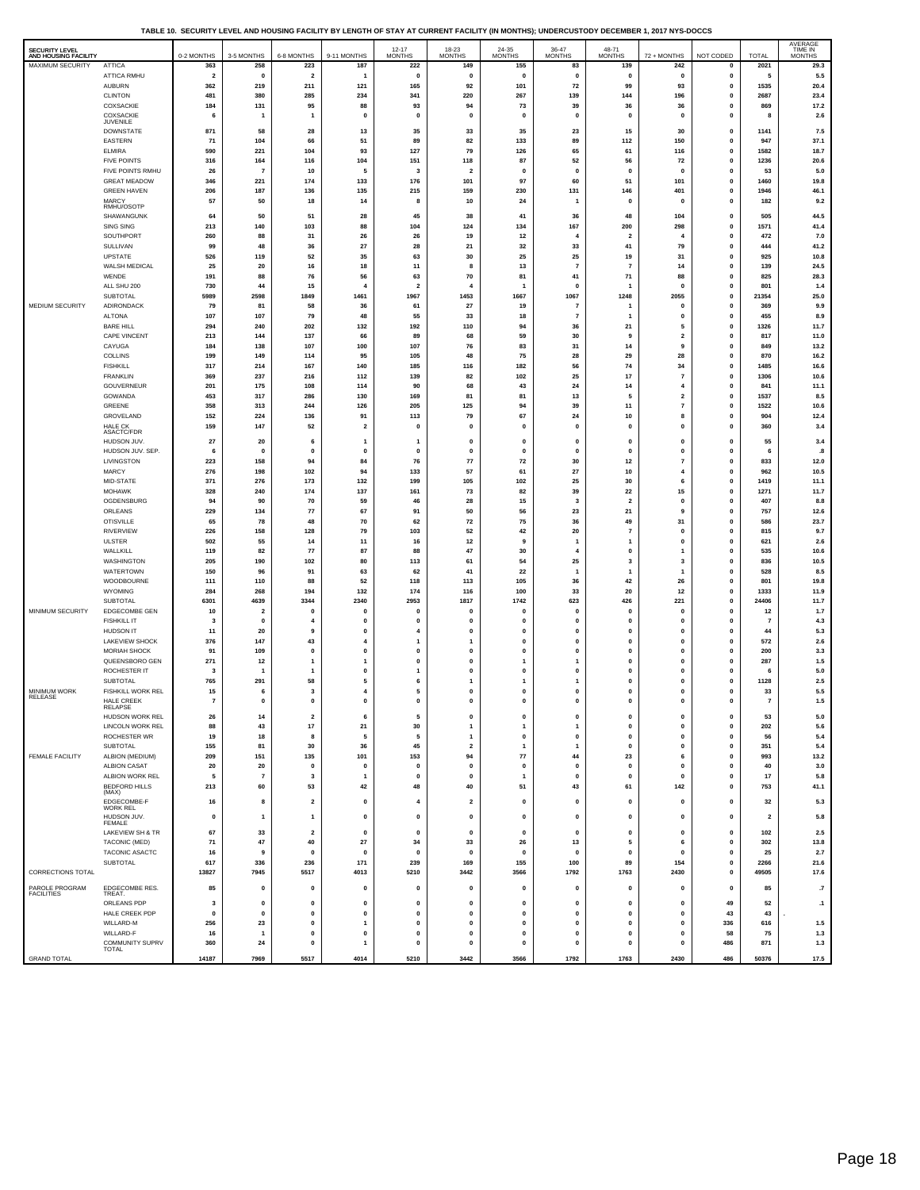**TABLE 10. SECURITY LEVEL AND HOUSING FACILITY BY LENGTH OF STAY AT CURRENT FACILITY (IN MONTHS); UNDERCUSTODY DECEMBER 1, 2017 NYS-DOCCS**

| SECURITY LEVEL<br>AND HOUSING FACILITY |                                     | 0-2 MONTHS              | 3-5 MONTHS              | 6-8 MONTHS                                                                                                                                                                                                                                                                                                                                                                                                              | 9-11 MONTHS             | $12 - 17$<br><b>MONTHS</b> | $18-23$<br>MONTHS       | $24-35$ MONTHS     | $36-47$ MONTHS              | 48-71<br><b>MONTHS</b>   | 72 + MONTHS                   | NOT CODED                  | <b>TOTAL</b>            | AVERAGE<br>TIME IN<br><b>MONTHS</b> |
|----------------------------------------|-------------------------------------|-------------------------|-------------------------|-------------------------------------------------------------------------------------------------------------------------------------------------------------------------------------------------------------------------------------------------------------------------------------------------------------------------------------------------------------------------------------------------------------------------|-------------------------|----------------------------|-------------------------|--------------------|-----------------------------|--------------------------|-------------------------------|----------------------------|-------------------------|-------------------------------------|
| MAXIMUM SECURITY                       | <b>ATTICA</b>                       | 363                     | 258                     | 223                                                                                                                                                                                                                                                                                                                                                                                                                     | 187                     | 222                        | 149                     | 155                | 83                          | 139                      | 242                           | $\mathbf 0$                | 2021                    | 29.3                                |
|                                        | ATTICA RMHU                         | $\overline{\mathbf{2}}$ | $\mathbf 0$             | $\mathbf{2}% =\mathbf{2}+\mathbf{2}+\mathbf{3}+\mathbf{5}+\mathbf{5}+\mathbf{5}+\mathbf{6}+\mathbf{6}+\mathbf{5}+\mathbf{5}+\mathbf{6}+\mathbf{6}+\mathbf{5}+\mathbf{6}+\mathbf{6}+\mathbf{5}+\mathbf{5}+\mathbf{6}+\mathbf{6}+\mathbf{6}+\mathbf{5}+\mathbf{6}+\mathbf{6}+\mathbf{6}+\mathbf{6}+\mathbf{6}+\mathbf{6}+\mathbf{6}+\mathbf{6}+\mathbf{6}+\mathbf{6}+\mathbf{6}+\mathbf{6}+\mathbf{6}+\mathbf{6}+\mathbf$ | $\mathbf{1}$            | $\mathbf 0$                | 0                       | $\mathbf{0}$       | $\mathbf{0}$                | $\mathbf 0$              | 0                             | 0                          | 5                       | 5.5                                 |
|                                        | AUBURN                              | 362                     | 219                     | 211                                                                                                                                                                                                                                                                                                                                                                                                                     | 121                     | 165                        | 92                      | 101                | 72                          | 99                       | 93                            | $\pmb{0}$                  | 1535                    | 20.4                                |
|                                        | <b>CLINTON</b>                      | 481                     | 380                     | 285                                                                                                                                                                                                                                                                                                                                                                                                                     | 234                     | 341                        | 220                     | 267                | 139                         | 144                      | 196                           | $\mathbf 0$                | 2687                    | 23.4                                |
|                                        | COXSACKIE                           | 184                     | 131                     | 95                                                                                                                                                                                                                                                                                                                                                                                                                      | 88                      | 93                         | 94                      | 73                 | 39                          | 36                       | 36                            | $\pmb{0}$                  | 869                     | 17.2                                |
|                                        | COXSACKIE<br>JUVENILE               | 6                       | -1                      | $\overline{1}$                                                                                                                                                                                                                                                                                                                                                                                                          | $\mathbf{0}$            | $\mathbf 0$                | $\mathbf{0}$            | $\mathbf{0}$       | $\mathbf{0}$                | $\mathbf{0}$             | $\mathbf{0}$                  | $\pmb{0}$                  | 8                       | 2.6                                 |
|                                        | <b>DOWNSTATE</b>                    | 871                     | 58                      | 28                                                                                                                                                                                                                                                                                                                                                                                                                      | 13                      | 35                         | 33                      | 35                 | 23                          | 15                       | 30                            | $\mathbf 0$                | 1141                    | 7.5                                 |
|                                        | EASTERN                             | 71                      | 104                     | 66                                                                                                                                                                                                                                                                                                                                                                                                                      | 51                      | 89                         | 82                      | 133                | 89                          | 112                      | 150                           | 0                          | 947                     | 37.1                                |
|                                        | <b>ELMIRA</b>                       | 590                     | 221                     | 104                                                                                                                                                                                                                                                                                                                                                                                                                     | 93                      | 127                        | 79                      | 126                | 65                          | 61                       | 116                           | $\pmb{0}$                  | 1582                    | 18.7                                |
|                                        | <b>FIVE POINTS</b>                  | 316                     | 164                     | 116                                                                                                                                                                                                                                                                                                                                                                                                                     | 104                     | 151                        | 118                     | 87                 | 52                          | 56                       | 72                            | $\mathbf 0$                | 1236                    | 20.6                                |
|                                        | FIVE POINTS RMHU                    | 26                      | $\overline{7}$          | 10                                                                                                                                                                                                                                                                                                                                                                                                                      | 5                       | 3                          | $\overline{\mathbf{2}}$ | 0                  | $\pmb{0}$                   | $\mathbf 0$              | $\pmb{0}$                     | $\mathbf 0$                | 53                      | 5.0                                 |
|                                        | <b>GREAT MEADOW</b>                 | 346                     | 221                     | 174                                                                                                                                                                                                                                                                                                                                                                                                                     | 133                     | 176                        | 101                     | 97                 | 60                          | 51                       | 101                           | $\mathbf 0$                | 1460                    | 19.8                                |
|                                        | <b>GREEN HAVEN</b>                  | 206                     | 187                     | 136                                                                                                                                                                                                                                                                                                                                                                                                                     | 135                     | 215                        | 159                     | 230                | 131                         | 146                      | 401                           | 0                          | 1946                    | 46.1                                |
|                                        | MARCY<br>RMHU/OSOTP                 | 57                      | 50                      | 18                                                                                                                                                                                                                                                                                                                                                                                                                      | 14                      | 8                          | 10                      | 24                 | $\overline{1}$              | $\mathbf{0}$             | $\mathbf 0$                   | $\pmb{0}$                  | 182                     | 9.2                                 |
|                                        | SHAWANGUNK                          | 64                      | 50                      | 51                                                                                                                                                                                                                                                                                                                                                                                                                      | 28                      | 45                         | 38                      | 41                 | 36                          | 48                       | 104                           | $\pmb{0}$                  | 505                     | 44.5                                |
|                                        | SING SING                           | 213                     | 140                     | 103                                                                                                                                                                                                                                                                                                                                                                                                                     | 88                      | 104                        | 124                     | 134                | 167                         | 200                      | 298                           | $\mathbf 0$                | 1571                    | 41.4                                |
|                                        | SOUTHPORT                           | 260                     | 88                      | 31                                                                                                                                                                                                                                                                                                                                                                                                                      | 26                      | 26                         | 19                      | 12                 | $\overline{\bf{4}}$         | $\overline{2}$           | $\overline{4}$                | $\pmb{0}$                  | 472                     | 7.0                                 |
|                                        | SULLIVAN                            | 99                      | 48                      | 36                                                                                                                                                                                                                                                                                                                                                                                                                      | 27                      | 28                         | 21                      | 32                 | 33                          | 41                       | 79                            | $\pmb{0}$                  | 444                     | 41.2                                |
|                                        | UPSTATE                             | 526                     | 119                     | 52                                                                                                                                                                                                                                                                                                                                                                                                                      | 35                      | 63                         | 30<br>8                 | 25                 | 25                          | 19<br>$\overline{7}$     | 31                            | 0                          | 925                     | 10.8                                |
|                                        | WALSH MEDICAL<br>WENDE              | 25<br>191               | 20<br>88                | $16\,$<br>76                                                                                                                                                                                                                                                                                                                                                                                                            | 18<br>56                | 11<br>63                   | 70                      | 13<br>81           | $\overline{7}$<br>41        | 71                       | 14<br>88                      | $\mathbf 0$<br>$\mathbf 0$ | 139<br>825              | 24.5<br>28.3                        |
|                                        | ALL SHU 200                         | 730                     | 44                      | 15                                                                                                                                                                                                                                                                                                                                                                                                                      | $\overline{4}$          | $\overline{\mathbf{2}}$    | $\overline{4}$          | 1                  | $\pmb{0}$                   | $\overline{1}$           | $\mathbf 0$                   | $\pmb{0}$                  | 801                     | 1.4                                 |
|                                        | <b>SUBTOTAL</b>                     | 5989                    | 2598                    | 1849                                                                                                                                                                                                                                                                                                                                                                                                                    | 1461                    | 1967                       | 1453                    | 1667               | 1067                        | 1248                     | 2055                          | $\pmb{0}$                  | 21354                   | 25.0                                |
| MEDIUM SECURITY                        | ADIRONDACK                          | 79                      | 81                      | 58                                                                                                                                                                                                                                                                                                                                                                                                                      | 36                      | 61                         | 27                      | 19                 | $\overline{7}$              | 1                        | 0                             | $\pmb{0}$                  | 369                     | 9.9                                 |
|                                        | <b>ALTONA</b>                       | 107                     | 107                     | 79                                                                                                                                                                                                                                                                                                                                                                                                                      | 48                      | 55                         | 33                      | 18                 | $\overline{7}$              | $\overline{1}$           | $\pmb{0}$                     | $\mathbf 0$                | 455                     | 8.9                                 |
|                                        | <b>BARE HILL</b>                    | 294                     | 240                     | 202                                                                                                                                                                                                                                                                                                                                                                                                                     | 132                     | 192                        | 110                     | 94                 | 36                          | 21                       | 5                             | $\mathbf{o}$               | 1326                    | 11.7                                |
|                                        | CAPE VINCENT                        | 213                     | 144                     | 137                                                                                                                                                                                                                                                                                                                                                                                                                     | 66                      | 89                         | 68                      | 59                 | 30                          | 9                        | $\mathbf{2}$                  | $\pmb{0}$                  | 817                     | 11.0                                |
|                                        | CAYUGA                              | 184                     | 138                     | 107                                                                                                                                                                                                                                                                                                                                                                                                                     | 100                     | 107                        | 76                      | 83                 | 31                          | 14                       | 9                             | 0                          | 849                     | 13.2                                |
|                                        | COLLINS                             | 199                     | 149                     | 114                                                                                                                                                                                                                                                                                                                                                                                                                     | 95                      | 105                        | 48                      | 75                 | 28                          | 29                       | 28                            | $\pmb{0}$                  | 870                     | 16.2                                |
|                                        | <b>FISHKILL</b>                     | 317                     | 214                     | 167                                                                                                                                                                                                                                                                                                                                                                                                                     | 140                     | 185                        | 116                     | 182                | 56                          | 74                       | 34                            | $\pmb{0}$                  | 1485                    | 16.6                                |
|                                        | <b>FRANKLIN</b>                     | 369                     | 237                     | 216                                                                                                                                                                                                                                                                                                                                                                                                                     | 112                     | 139                        | 82                      | 102                | 25                          | 17                       | $\overline{7}$                | $\pmb{0}$                  | 1306                    | 10.6                                |
|                                        | GOUVERNEUR<br>GOWANDA               | 201<br>453              | 175                     | 108                                                                                                                                                                                                                                                                                                                                                                                                                     | 114                     | 90                         | 68                      | 43                 | 24                          | 14<br>5                  | 4                             | $\mathbf 0$                | 841<br>1537             | 11.1                                |
|                                        | GREENE                              | 358                     | 317<br>313              | 286<br>244                                                                                                                                                                                                                                                                                                                                                                                                              | 130<br>126              | 169<br>205                 | 81<br>125               | 81<br>94           | 13<br>39                    | 11                       | $\mathbf 2$<br>$\overline{7}$ | 0<br>$\mathbf 0$           | 1522                    | 8.5<br>10.6                         |
|                                        | GROVELAND                           | 152                     | 224                     | 136                                                                                                                                                                                                                                                                                                                                                                                                                     | 91                      | 113                        | 79                      | 67                 | 24                          | 10                       | 8                             | $\mathbf{o}$               | 904                     | 12.4                                |
|                                        | <b>HALE CK</b>                      | 159                     | 147                     | 52                                                                                                                                                                                                                                                                                                                                                                                                                      | $\overline{\mathbf{2}}$ | 0                          | $\pmb{0}$               | 0                  | $\pmb{0}$                   | $\mathbf 0$              | $\pmb{0}$                     | $\pmb{0}$                  | 360                     | 3.4                                 |
|                                        | ASACTC/FDR                          |                         |                         |                                                                                                                                                                                                                                                                                                                                                                                                                         |                         |                            |                         |                    |                             |                          |                               |                            |                         |                                     |
|                                        | HUDSON JUV.                         | 27                      | 20                      | 6                                                                                                                                                                                                                                                                                                                                                                                                                       | $\overline{1}$          | 1                          | $\pmb{0}$               | 0                  | $\pmb{0}$                   | $\mathbf 0$              | $\pmb{0}$                     | $\pmb{0}$                  | 55                      | 3.4                                 |
|                                        | HUDSON JUV. SEP.                    | 6                       | $\mathbf{0}$            | $\pmb{0}$                                                                                                                                                                                                                                                                                                                                                                                                               | $\mathbf 0$             | $\mathbf 0$                | $\mathbf{0}$            | 0                  | $\mathbf{0}$                | $\mathbf{0}$             | $\pmb{0}$                     | $\mathbf 0$                | 6                       | $\boldsymbol{.8}$                   |
|                                        | LIVINGSTON<br>MARCY                 | 223<br>276              | 158<br>198              | 94<br>102                                                                                                                                                                                                                                                                                                                                                                                                               | 84<br>94                | 76<br>133                  | ${\bf 77}$<br>57        | 72<br>61           | 30<br>27                    | 12<br>10                 | $\overline{\mathbf{r}}$<br>4  | 0                          | 833<br>962              | 12.0<br>10.5                        |
|                                        | MID-STATE                           | 371                     | 276                     | 173                                                                                                                                                                                                                                                                                                                                                                                                                     | 132                     | 199                        | 105                     | 102                | 25                          | 30                       | 6                             | $\pmb{0}$<br>0             | 1419                    | 11.1                                |
|                                        | <b>MOHAWK</b>                       | 328                     | 240                     | 174                                                                                                                                                                                                                                                                                                                                                                                                                     | 137                     | 161                        | 73                      | 82                 | 39                          | 22                       | 15                            | $\pmb{0}$                  | 1271                    | 11.7                                |
|                                        | OGDENSBURG                          | 94                      | 90                      | 70                                                                                                                                                                                                                                                                                                                                                                                                                      | 59                      | 46                         | 28                      | 15                 | $\overline{\mathbf{3}}$     | $\overline{2}$           | $\pmb{0}$                     | $\mathbf 0$                | 407                     | 8.8                                 |
|                                        | ORLEANS                             | 229                     | 134                     | 77                                                                                                                                                                                                                                                                                                                                                                                                                      | 67                      | 91                         | 50                      | 56                 | 23                          | 21                       | 9                             | $\pmb{0}$                  | 757                     | 12.6                                |
|                                        | <b>OTISVILLE</b>                    | 65                      | 78                      | 48                                                                                                                                                                                                                                                                                                                                                                                                                      | 70                      | 62                         | 72                      | 75                 | 36                          | 49                       | 31                            | $\mathbf 0$                | 586                     | 23.7                                |
|                                        | RIVERVIEW                           | 226                     | 158                     | 128                                                                                                                                                                                                                                                                                                                                                                                                                     | 79                      | 103                        | 52                      | 42                 | 20                          | $\overline{7}$           | 0                             | $\mathbf{o}$               | 815                     | 9.7                                 |
|                                        | <b>ULSTER</b>                       | 502                     | 55                      | 14                                                                                                                                                                                                                                                                                                                                                                                                                      | 11                      | 16                         | $12$                    | 9                  | $\overline{1}$              | $\overline{1}$           | $\pmb{0}$                     | $\mathbf 0$                | 621                     | 2.6                                 |
|                                        | WALLKILL                            | 119                     | 82                      | 77                                                                                                                                                                                                                                                                                                                                                                                                                      | 87                      | 88                         | 47                      | 30                 | $\overline{\bf{4}}$         | $\mathbf{0}$             | $\mathbf{1}$                  | $\mathbf{o}$               | 535                     | 10.6                                |
|                                        | WASHINGTON                          | 205                     | 190                     | 102                                                                                                                                                                                                                                                                                                                                                                                                                     | 80                      | 113                        | 61                      | 54                 | 25                          | 3                        | 3                             | $\pmb{0}$                  | 836                     | 10.5                                |
|                                        | <b>WATERTOWN</b>                    | 150                     | 96                      | 91                                                                                                                                                                                                                                                                                                                                                                                                                      | 63                      | 62                         | 41                      | 22                 | $\mathbf{1}$                | $\overline{1}$           | $\overline{1}$                | $\mathbf 0$                | 528                     | 8.5                                 |
|                                        | WOODBOURNE<br>WYOMING               | 111<br>284              | 110<br>268              | 88<br>194                                                                                                                                                                                                                                                                                                                                                                                                               | 52<br>132               | 118<br>174                 | 113<br>116              | 105<br>100         | 36<br>33                    | 42<br>20                 | 26<br>$12$                    | $\pmb{0}$                  | 801<br>1333             | 19.8<br>11.9                        |
|                                        | SUBTOTAL                            | 6301                    | 4639                    | 3344                                                                                                                                                                                                                                                                                                                                                                                                                    | 2340                    | 2953                       | 1817                    | 1742               | 623                         | 426                      | 221                           | $\pmb{0}$<br>$\pmb{0}$     | 24406                   | 11.7                                |
| MINIMUM SECURITY                       | EDGECOMBE GEN                       | 10                      | $\overline{\mathbf{2}}$ | 0                                                                                                                                                                                                                                                                                                                                                                                                                       | $\mathbf{0}$            | 0                          | $\pmb{0}$               | 0                  | $\mathbf{0}$                | $\mathbf 0$              | 0                             | $\mathbf 0$                | $12$                    | 1.7                                 |
|                                        | <b>FISHKILL IT</b>                  | 3                       | $\mathbf{0}$            | 4                                                                                                                                                                                                                                                                                                                                                                                                                       | $\mathbf 0$             | 0                          | $\mathbf{0}$            | 0                  | $\mathbf{0}$                | $\mathbf 0$              | 0                             | $\mathbf 0$                | $\overline{7}$          | 4.3                                 |
|                                        | HUDSON IT                           | 11                      | 20                      | 9                                                                                                                                                                                                                                                                                                                                                                                                                       | $\mathbf 0$             | 4                          | 0                       | 0                  | $\mathbf{0}$                | $\mathbf 0$              | $\pmb{0}$                     | $\pmb{0}$                  | 44                      | 5.3                                 |
|                                        | LAKEVIEW SHOCK                      | 376                     | 147                     | 43                                                                                                                                                                                                                                                                                                                                                                                                                      | $\boldsymbol{4}$        | 1                          | $\mathbf{1}$            | $\mathbf{0}$       | $\mathbf 0$                 | $\mathbf{0}$             | $\pmb{0}$                     | $\mathbf 0$                | 572                     | 2.6                                 |
|                                        | <b>MORIAH SHOCK</b>                 | 91                      | 109                     | $\pmb{0}$                                                                                                                                                                                                                                                                                                                                                                                                               | $\mathbf 0$             | 0                          | $\pmb{0}$               | 0                  | $\mathbf{0}$                | $\mathbf{0}$             | $\pmb{0}$                     | $\pmb{0}$                  | 200                     | 3.3                                 |
|                                        | QUEENSBORO GEN                      | 271                     | $12$                    | 1                                                                                                                                                                                                                                                                                                                                                                                                                       | $\overline{1}$          | 0                          | $\pmb{0}$               | $\mathbf{1}$       | $\mathbf{1}$                | $\mathbf{0}$             | $\mathbf 0$                   | $\mathbf 0$                | 287                     | $1.5$                               |
|                                        | ROCHESTER IT                        | 3                       | -1                      | 1                                                                                                                                                                                                                                                                                                                                                                                                                       | $\mathbf 0$             | $\mathbf{1}$               | 0                       | 0                  | $\mathbf{0}$                | 0                        | $\pmb{0}$                     | 0                          | 6                       | $5.0\,$                             |
|                                        | SUBTOTAL                            | 765                     | 291                     | 58                                                                                                                                                                                                                                                                                                                                                                                                                      | 5                       | 6                          | $\mathbf{1}$            | $\mathbf{1}$       | $\mathbf{1}$                | $\mathbf{0}$             | $\mathbf 0$                   | $\mathbf 0$                | 1128                    | 2.5                                 |
| MINIMUM WORK<br>RELEASE                | FISHKILL WORK REL                   | 15                      | 6                       | 3                                                                                                                                                                                                                                                                                                                                                                                                                       | $\overline{4}$          | 5                          | $\mathbf{0}$            | 0                  | $\mathbf{0}$                | $\mathbf 0$              | $\mathbf 0$                   | $\mathbf{o}$               | 33                      | $5.5\,$                             |
|                                        | <b>HALE CREEK</b><br><b>RELAPSE</b> | $\overline{7}$          | 0                       | $\pmb{0}$                                                                                                                                                                                                                                                                                                                                                                                                               | $\mathbf{0}$            | 0                          | 0                       | 0                  | $\mathbf{0}$                | $\mathbf{0}$             | $\pmb{0}$                     | $\pmb{0}$                  | $\overline{7}$          | $1.5\,$                             |
|                                        | HUDSON WORK REL                     | 26                      |                         |                                                                                                                                                                                                                                                                                                                                                                                                                         |                         |                            |                         |                    |                             |                          |                               |                            | 53                      | 5.0                                 |
|                                        | LINCOLN WORK REL                    | 88                      | 43                      | $17\,$                                                                                                                                                                                                                                                                                                                                                                                                                  | 21                      | 30                         | $\mathbf{1}$            | $\mathbf{1}$       | $\mathbf{1}$                | $\mathbf 0$              | $\pmb{0}$                     | $\pmb{0}$                  | 202                     | $5.6\,$                             |
|                                        | ROCHESTER WR                        | 19                      | 18                      | 8                                                                                                                                                                                                                                                                                                                                                                                                                       | 5                       | 5                          | $\overline{1}$          | $\mathbf{0}$       | $\mathbf 0$                 | $\mathbf 0$              | $\pmb{0}$                     | $\mathbf{o}$               | 56                      | 5.4                                 |
|                                        | SUBTOTAL                            | 155                     | 81                      | 30                                                                                                                                                                                                                                                                                                                                                                                                                      | 36                      | 45                         | $\mathbf{2}$            | $\mathbf{1}$       | $\overline{1}$              | $\mathbf 0$              | $\pmb{0}$                     | $\pmb{0}$                  | 351                     | 5.4                                 |
| FEMALE FACILITY                        | ALBION (MEDIUM)                     | 209                     | 151                     | 135                                                                                                                                                                                                                                                                                                                                                                                                                     | 101                     | 153                        | 94                      | ${\bf 77}$         | 44                          | 23                       | 6                             | $\mathbf{o}$               | 993                     | 13.2                                |
|                                        | ALBION CASAT<br>ALBION WORK REL     | 20<br>5                 | 20<br>$\overline{7}$    | $\pmb{0}$<br>3                                                                                                                                                                                                                                                                                                                                                                                                          | $\mathbf 0$             | $\pmb{0}$<br>$\mathbf{0}$  | 0<br>$\mathbf{0}$       | 0                  | $\mathbf 0$<br>$\mathbf{0}$ | $\pmb{0}$<br>$\mathbf 0$ | $\pmb{0}$<br>$\pmb{0}$        | $\pmb{0}$<br>$\mathbf 0$   | 40<br>17                | 3.0<br>5.8                          |
|                                        | BEDFORD HILLS                       | 213                     | 60                      | 53                                                                                                                                                                                                                                                                                                                                                                                                                      | $\overline{1}$<br>42    | 48                         | 40                      | $\mathbf{1}$<br>51 | 43                          | 61                       | 142                           | $\pmb{0}$                  | 753                     | 41.1                                |
|                                        | (MAX)                               |                         |                         |                                                                                                                                                                                                                                                                                                                                                                                                                         |                         |                            |                         |                    |                             |                          |                               |                            |                         |                                     |
|                                        | EDGECOMBE-F<br><b>WORK REL</b>      | 16                      | 8                       | $\overline{\mathbf{2}}$                                                                                                                                                                                                                                                                                                                                                                                                 | $\pmb{0}$               | 4                          | $\overline{\mathbf{2}}$ | 0                  | $\mathbf{0}$                | $\mathbf 0$              | $\pmb{0}$                     | 0                          | 32                      | 5.3                                 |
|                                        | HUDSON JUV.                         | $\mathbf{0}$            | $\mathbf{1}$            | $\mathbf{1}$                                                                                                                                                                                                                                                                                                                                                                                                            | $\mathbf 0$             | $\mathbf{0}$               | $\mathbf{0}$            | $\mathbf{0}$       | $\mathbf{0}$                | $\mathbf{0}$             | $\pmb{0}$                     | $\mathbf 0$                | $\overline{\mathbf{2}}$ | 5.8                                 |
|                                        | FEMALE                              |                         |                         |                                                                                                                                                                                                                                                                                                                                                                                                                         |                         |                            |                         |                    |                             |                          |                               |                            |                         |                                     |
|                                        | LAKEVIEW SH & TR                    | 67                      | 33                      | $\overline{\mathbf{2}}$                                                                                                                                                                                                                                                                                                                                                                                                 | $\mathbf{0}$            | $\mathbf{0}$               | $\mathbf{0}$            | $\mathbf{0}$       | $\mathbf{0}$                | $\mathbf{0}$             | $\pmb{0}$                     | $\mathbf 0$                | 102                     | 2.5                                 |
|                                        | TACONIC (MED)                       | 71                      | 47                      | 40                                                                                                                                                                                                                                                                                                                                                                                                                      | 27                      | 34                         | 33                      | 26                 | 13                          | 5                        | 6                             | $\mathbf{0}$               | 302                     | 13.8                                |
|                                        | TACONIC ASACTC                      | 16<br>617               | 9<br>336                | $\pmb{0}$<br>236                                                                                                                                                                                                                                                                                                                                                                                                        | $\mathbf 0$<br>171      | $\mathbf{0}$<br>239        | $\mathbf{0}$<br>169     | $\pmb{0}$<br>155   | $\mathbf{0}$<br>100         | $\pmb{0}$<br>89          | $\pmb{0}$<br>154              | $\pmb{0}$<br>$\mathbf 0$   | 25<br>2266              | 2.7                                 |
| CORRECTIONS TOTAL                      | SUBTOTAL                            | 13827                   | 7945                    | 5517                                                                                                                                                                                                                                                                                                                                                                                                                    | 4013                    | 5210                       | 3442                    | 3566               | 1792                        | 1763                     | 2430                          | $\pmb{0}$                  | 49505                   | 21.6<br>17.6                        |
|                                        |                                     |                         |                         |                                                                                                                                                                                                                                                                                                                                                                                                                         |                         |                            |                         |                    |                             |                          |                               |                            |                         |                                     |
| PAROLE PROGRAM<br><b>FACILITIES</b>    | EDGECOMBE RES.<br>TREAT.            | 85                      | 0                       | $\pmb{0}$                                                                                                                                                                                                                                                                                                                                                                                                               | $\pmb{0}$               | 0                          | $\pmb{0}$               | 0                  | $\pmb{0}$                   | $\mathbf 0$              | $\pmb{0}$                     | $\pmb{0}$                  | 85                      | $_{\cdot 7}$                        |
|                                        | ORLEANS PDP                         | 3                       | $\mathbf{0}$            | $\mathbf 0$                                                                                                                                                                                                                                                                                                                                                                                                             | $\mathbf{0}$            | $\mathbf 0$                | $\mathbf{0}$            | 0                  | $\Omega$                    | $\mathbf 0$              | $\mathbf{o}$                  | 49                         | 52                      | $\cdot$ 1                           |
|                                        | HALE CREEK PDP                      | $\pmb{0}$               | 0                       | $\pmb{0}$                                                                                                                                                                                                                                                                                                                                                                                                               | $\mathbf 0$             | 0                          | $\mathbf{0}$            | 0                  | $\mathbf{0}$                | $\mathbf 0$              | $\mathbf 0$                   | 43                         | 43                      |                                     |
|                                        | WILLARD-M                           | 256                     | 23                      | $\pmb{0}$                                                                                                                                                                                                                                                                                                                                                                                                               | $\mathbf{1}$            | 0                          | 0                       | 0                  | $\mathbf{0}$                | $\mathbf 0$              | $\mathbf{0}$                  | 336                        | 616                     | $1.5$                               |
|                                        | WILLARD-F                           | 16                      | $\mathbf{1}$            | $\pmb{0}$                                                                                                                                                                                                                                                                                                                                                                                                               | $\pmb{0}$               | 0                          | 0                       | 0                  | $\pmb{0}$                   | $\mathbf 0$              | $\pmb{0}$                     | 58                         | 75                      | 1.3                                 |
|                                        | COMMUNITY SUPRV<br>TOTAL            | 360                     | 24                      | $\mathbf 0$                                                                                                                                                                                                                                                                                                                                                                                                             | $\overline{1}$          | $\mathbf{0}$               | $\mathbf{0}$            | $\mathbf 0$        | $\mathbf{0}$                | $\mathbf 0$              | $\pmb{0}$                     | 486                        | 871                     | 1.3                                 |
| <b>GRAND TOTAL</b>                     |                                     | 14187                   | 7969                    | 5517                                                                                                                                                                                                                                                                                                                                                                                                                    | 4014                    | 5210                       | 3442                    | 3566               | 1792                        | 1763                     | 2430                          | 486                        | 50376                   | 17.5                                |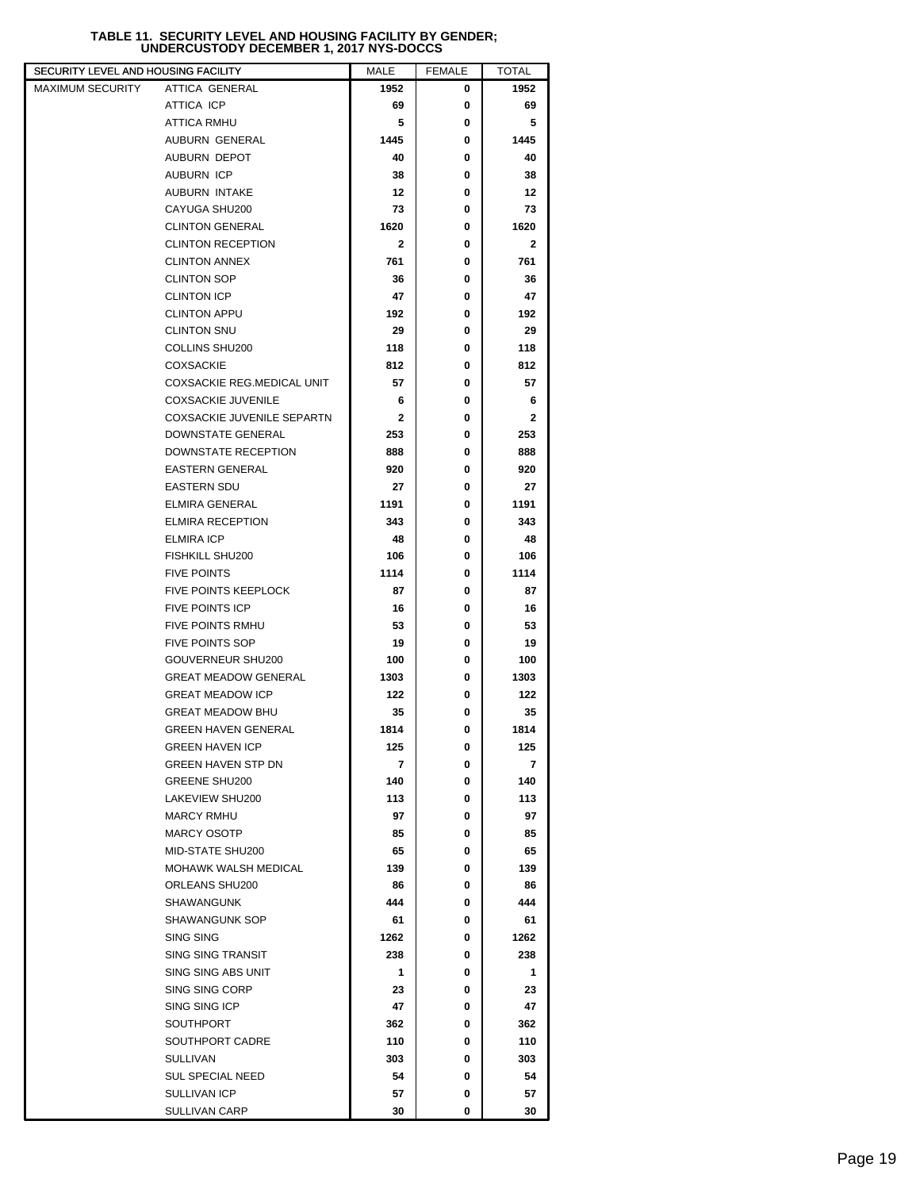## **TABLE 11. SECURITY LEVEL AND HOUSING FACILITY BY GENDER; UNDERCUSTODY DECEMBER 1, 2017 NYS-DOCCS**

| SECURITY LEVEL AND HOUSING FACILITY |                                                     | <b>MALE</b> | <b>FEMALE</b> | TOTAL        |  |
|-------------------------------------|-----------------------------------------------------|-------------|---------------|--------------|--|
| <b>MAXIMUM SECURITY</b>             | ATTICA GENERAL                                      | 1952        | 0             | 1952         |  |
|                                     | ATTICA ICP                                          | 69          | 0             | 69           |  |
|                                     | <b>ATTICA RMHU</b>                                  | 5           | 0             | 5            |  |
|                                     | AUBURN GENERAL                                      | 1445        | 0             | 1445         |  |
|                                     | AUBURN DEPOT                                        | 40          | 0             | 40           |  |
|                                     | <b>AUBURN ICP</b>                                   | 38          | 0             | 38           |  |
|                                     | AUBURN INTAKE                                       | 12          | 0             | 12           |  |
|                                     | CAYUGA SHU200                                       | 73          | 0             | 73           |  |
|                                     | <b>CLINTON GENERAL</b>                              | 1620        | 0             | 1620         |  |
|                                     | <b>CLINTON RECEPTION</b>                            | 2           | 0             | 2            |  |
|                                     | <b>CLINTON ANNEX</b>                                | 761         | 0             | 761          |  |
|                                     | <b>CLINTON SOP</b>                                  | 36          | 0             | 36           |  |
|                                     | <b>CLINTON ICP</b>                                  | 47          | 0             | 47           |  |
|                                     | <b>CLINTON APPU</b>                                 | 192         | 0             | 192          |  |
|                                     | <b>CLINTON SNU</b>                                  | 29          | 0             | 29           |  |
|                                     | COLLINS SHU200                                      | 118         | 0             | 118          |  |
|                                     | <b>COXSACKIE</b>                                    | 812         | 0             | 812          |  |
|                                     | <b>COXSACKIE REG.MEDICAL UNIT</b>                   | 57          | 0             | 57           |  |
|                                     | <b>COXSACKIE JUVENILE</b>                           | 6           | 0             | 6            |  |
|                                     | COXSACKIE JUVENILE SEPARTN                          | 2           | 0             | $\mathbf{2}$ |  |
|                                     | DOWNSTATE GENERAL                                   | 253         | 0             | 253          |  |
|                                     | <b>DOWNSTATE RECEPTION</b>                          | 888         | 0             | 888          |  |
|                                     | <b>EASTERN GENERAL</b>                              | 920         | 0             | 920          |  |
|                                     | <b>EASTERN SDU</b>                                  | 27          | 0             | 27           |  |
|                                     | <b>ELMIRA GENERAL</b>                               | 1191        | 0             | 1191         |  |
|                                     | <b>ELMIRA RECEPTION</b>                             | 343         | 0             | 343          |  |
|                                     | <b>ELMIRA ICP</b>                                   | 48          | 0             | 48           |  |
|                                     | FISHKILL SHU200                                     | 106         | 0             | 106          |  |
|                                     | <b>FIVE POINTS</b>                                  | 1114        | 0             | 1114         |  |
|                                     | <b>FIVE POINTS KEEPLOCK</b>                         | 87          | 0             | 87           |  |
|                                     | <b>FIVE POINTS ICP</b>                              | 16          | 0             | 16           |  |
|                                     | <b>FIVE POINTS RMHU</b>                             | 53          | 0             | 53           |  |
|                                     | <b>FIVE POINTS SOP</b>                              | 19          | 0             | 19           |  |
|                                     | GOUVERNEUR SHU200                                   | 100         | 0             | 100          |  |
|                                     | <b>GREAT MEADOW GENERAL</b>                         | 1303        | 0             | 1303         |  |
|                                     | <b>GREAT MEADOW ICP</b>                             | 122         | 0             | 122          |  |
|                                     | <b>GREAT MEADOW BHU</b>                             | 35          | 0             | 35           |  |
|                                     | <b>GREEN HAVEN GENERAL</b>                          | 1814        | 0             | 1814         |  |
|                                     | <b>GREEN HAVEN ICP</b><br><b>GREEN HAVEN STP DN</b> | 125<br>7    | 0<br>0        | 125<br>7     |  |
|                                     | <b>GREENE SHU200</b>                                | 140         | 0             | 140          |  |
|                                     | LAKEVIEW SHU200                                     | 113         | 0             | 113          |  |
|                                     | <b>MARCY RMHU</b>                                   | 97          | 0             | 97           |  |
|                                     | <b>MARCY OSOTP</b>                                  | 85          | 0             | 85           |  |
|                                     | MID-STATE SHU200                                    | 65          | 0             | 65           |  |
|                                     | <b>MOHAWK WALSH MEDICAL</b>                         | 139         | 0             | 139          |  |
|                                     | ORLEANS SHU200                                      | 86          | 0             | 86           |  |
|                                     | SHAWANGUNK                                          | 444         | 0             | 444          |  |
|                                     | SHAWANGUNK SOP                                      | 61          | 0             | 61           |  |
|                                     | SING SING                                           | 1262        | 0             | 1262         |  |
|                                     | <b>SING SING TRANSIT</b>                            | 238         | 0             | 238          |  |
|                                     | SING SING ABS UNIT                                  | 1           | 0             | 1            |  |
|                                     | SING SING CORP                                      | 23          | 0             | 23           |  |
|                                     | SING SING ICP                                       | 47          | 0             | 47           |  |
|                                     | <b>SOUTHPORT</b>                                    | 362         | 0             | 362          |  |
|                                     | SOUTHPORT CADRE                                     | 110         | 0             | 110          |  |
|                                     | <b>SULLIVAN</b>                                     | 303         | 0             | 303          |  |
|                                     | <b>SUL SPECIAL NEED</b>                             | 54          | 0             | 54           |  |
|                                     | SULLIVAN ICP                                        | 57          | 0             | 57           |  |
|                                     | SULLIVAN CARP                                       | 30          | 0             | 30           |  |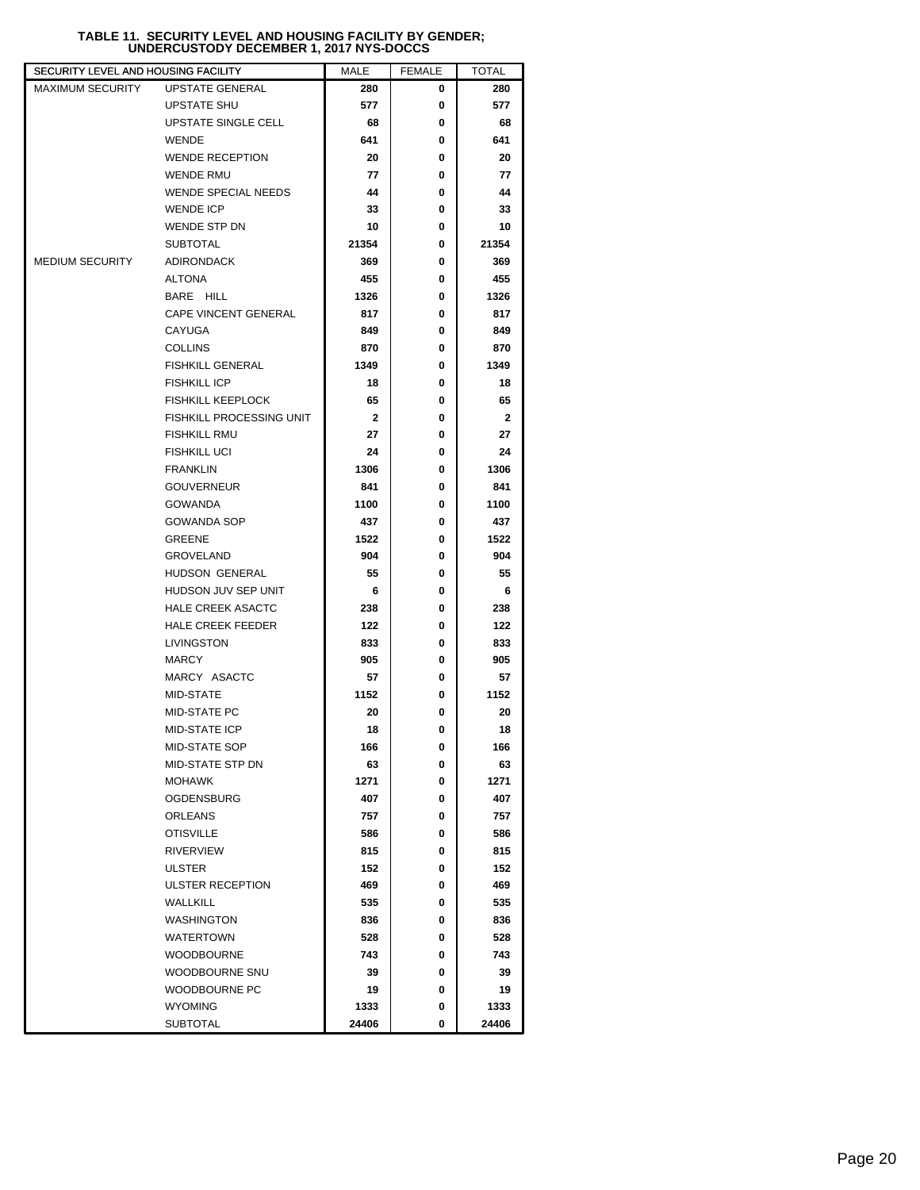## **TABLE 11. SECURITY LEVEL AND HOUSING FACILITY BY GENDER; UNDERCUSTODY DECEMBER 1, 2017 NYS-DOCCS**

| SECURITY LEVEL AND HOUSING FACILITY |                            | MALE         | <b>FEMALE</b> | TOTAL        |
|-------------------------------------|----------------------------|--------------|---------------|--------------|
| <b>MAXIMUM SECURITY</b>             | <b>UPSTATE GENERAL</b>     | 280          | 0             | 280          |
|                                     | <b>UPSTATE SHU</b>         | 577          | 0             | 577          |
|                                     | UPSTATE SINGLE CELL        | 68           | 0             | 68           |
|                                     | <b>WENDE</b>               | 641          | 0             | 641          |
|                                     | <b>WENDE RECEPTION</b>     | 20           | 0             | 20           |
|                                     | <b>WENDE RMU</b>           | 77           | 0             | 77           |
|                                     | <b>WENDE SPECIAL NEEDS</b> | 44           | 0             | 44           |
|                                     | <b>WENDE ICP</b>           | 33           | 0             | 33           |
|                                     | WENDE STP DN               | 10           | 0             | 10           |
|                                     | <b>SUBTOTAL</b>            | 21354        | 0             | 21354        |
| <b>MEDIUM SECURITY</b>              | <b>ADIRONDACK</b>          | 369          | 0             | 369          |
|                                     | <b>ALTONA</b>              | 455          | 0             | 455          |
|                                     | BARE HILL                  | 1326         | 0             | 1326         |
|                                     | CAPE VINCENT GENERAL       | 817          | 0             | 817          |
|                                     | CAYUGA                     | 849          | 0             | 849          |
|                                     | <b>COLLINS</b>             | 870          | 0             | 870          |
|                                     | <b>FISHKILL GENERAL</b>    | 1349         | 0             | 1349         |
|                                     | <b>FISHKILL ICP</b>        | 18           | 0             | 18           |
|                                     | <b>FISHKILL KEEPLOCK</b>   | 65           | 0             | 65           |
|                                     | FISHKILL PROCESSING UNIT   | $\mathbf{2}$ | 0             | $\mathbf{2}$ |
|                                     | <b>FISHKILL RMU</b>        | 27           | 0             | 27           |
|                                     | <b>FISHKILL UCI</b>        | 24           | 0             | 24           |
|                                     | <b>FRANKLIN</b>            | 1306         | 0             | 1306         |
|                                     | <b>GOUVERNEUR</b>          | 841          | 0             | 841          |
|                                     | <b>GOWANDA</b>             | 1100         | 0             | 1100         |
|                                     | <b>GOWANDA SOP</b>         | 437          | 0             | 437          |
|                                     | <b>GREENE</b>              | 1522         | 0             | 1522         |
|                                     | <b>GROVELAND</b>           | 904          | 0             | 904          |
|                                     | HUDSON GENERAL             | 55           | 0             | 55           |
|                                     | HUDSON JUV SEP UNIT        | 6            | 0             | 6            |
|                                     | <b>HALE CREEK ASACTC</b>   |              | 0             |              |
|                                     |                            | 238          |               | 238          |
|                                     | <b>HALE CREEK FEEDER</b>   | 122          | 0             | 122          |
|                                     | LIVINGSTON                 | 833          | 0             | 833          |
|                                     | <b>MARCY</b>               | 905          | 0             | 905          |
|                                     | MARCY ASACTC               | 57           | 0             | 57           |
|                                     | MID-STATE                  | 1152         | 0             | 1152         |
|                                     | <b>MID-STATE PC</b>        | 20           | 0             | 20           |
|                                     | MID-STATE ICP              | 18           | 0             | 18           |
|                                     | MID-STATE SOP              | 166          | 0             | 166          |
|                                     | MID-STATE STP DN           | 63           | 0             | 63           |
|                                     | MOHAWK                     | 1271         | 0             | 1271         |
|                                     | <b>OGDENSBURG</b>          | 407          | 0             | 407          |
|                                     | ORLEANS                    | 757          | 0             | 757          |
|                                     | <b>OTISVILLE</b>           | 586          | 0             | 586          |
|                                     | <b>RIVERVIEW</b>           | 815          | 0             | 815          |
|                                     | <b>ULSTER</b>              | 152          | 0             | 152          |
|                                     | ULSTER RECEPTION           | 469          | 0             | 469          |
|                                     | WALLKILL                   | 535          | 0             | 535          |
|                                     | <b>WASHINGTON</b>          | 836          | 0             | 836          |
|                                     | <b>WATERTOWN</b>           | 528          | 0             | 528          |
|                                     | <b>WOODBOURNE</b>          | 743          | 0             | 743          |
|                                     | WOODBOURNE SNU             | 39           | 0             | 39           |
|                                     | WOODBOURNE PC              | 19           | 0             | 19           |
|                                     | <b>WYOMING</b>             | 1333         | 0             | 1333         |
|                                     | <b>SUBTOTAL</b>            | 24406        | 0             | 24406        |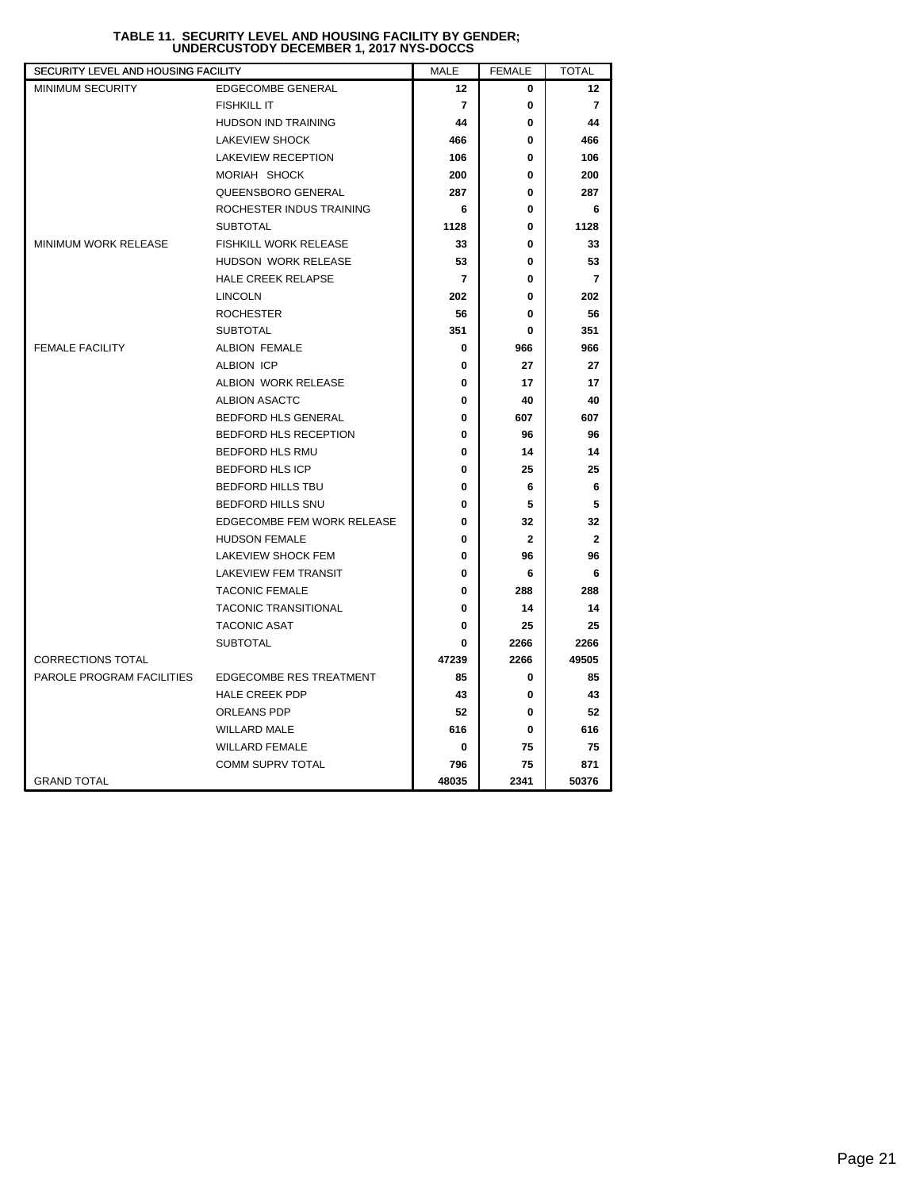| SECURITY LEVEL AND HOUSING FACILITY |                                | <b>MALE</b>    | <b>FEMALE</b> | <b>TOTAL</b>   |
|-------------------------------------|--------------------------------|----------------|---------------|----------------|
| <b>MINIMUM SECURITY</b>             | EDGECOMBE GENERAL              | 12             | 0             | 12             |
|                                     | <b>FISHKILL IT</b>             | $\overline{7}$ | 0             | $\overline{7}$ |
|                                     | <b>HUDSON IND TRAINING</b>     | 44             | 0             | 44             |
|                                     | <b>LAKEVIEW SHOCK</b>          | 466            | 0             | 466            |
|                                     | <b>LAKEVIEW RECEPTION</b>      | 106            | 0             | 106            |
|                                     | MORIAH SHOCK                   | 200            | 0             | 200            |
|                                     | QUEENSBORO GENERAL             | 287            | 0             | 287            |
|                                     | ROCHESTER INDUS TRAINING       | 6              | 0             | 6              |
|                                     | <b>SUBTOTAL</b>                | 1128           | 0             | 1128           |
| MINIMUM WORK RELEASE                | <b>FISHKILL WORK RELEASE</b>   | 33             | 0             | 33             |
|                                     | HUDSON WORK RELEASE            | 53             | 0             | 53             |
|                                     | <b>HALE CREEK RELAPSE</b>      | $\overline{7}$ | 0             | 7              |
|                                     | <b>LINCOLN</b>                 | 202            | 0             | 202            |
|                                     | <b>ROCHESTER</b>               | 56             | 0             | 56             |
|                                     | <b>SUBTOTAL</b>                | 351            | 0             | 351            |
| <b>FEMALE FACILITY</b>              | ALBION FEMALE                  | 0              | 966           | 966            |
|                                     | ALBION ICP                     | 0              | 27            | 27             |
|                                     | ALBION WORK RELEASE            | 0              | 17            | 17             |
|                                     | <b>ALBION ASACTC</b>           | 0              | 40            | 40             |
|                                     | BEDFORD HLS GENERAL            | 0              | 607           | 607            |
|                                     | BEDFORD HLS RECEPTION          | 0              | 96            | 96             |
|                                     | BEDFORD HLS RMU                | 0              | 14            | 14             |
|                                     | <b>BEDFORD HLS ICP</b>         | 0              | 25            | 25             |
|                                     | <b>BEDFORD HILLS TBU</b>       | 0              | 6             | 6              |
|                                     | BEDFORD HILLS SNU              | 0              | 5             | 5              |
|                                     | EDGECOMBE FEM WORK RELEASE     | 0              | 32            | 32             |
|                                     | <b>HUDSON FEMALE</b>           | 0              | $\mathbf{2}$  | $\mathbf{2}$   |
|                                     | LAKEVIEW SHOCK FEM             | 0              | 96            | 96             |
|                                     | LAKEVIEW FEM TRANSIT           | 0              | 6             | 6              |
|                                     | <b>TACONIC FEMALE</b>          | 0              | 288           | 288            |
|                                     | <b>TACONIC TRANSITIONAL</b>    | 0              | 14            | 14             |
|                                     | <b>TACONIC ASAT</b>            | 0              | 25            | 25             |
|                                     | <b>SUBTOTAL</b>                | 0              | 2266          | 2266           |
| <b>CORRECTIONS TOTAL</b>            |                                | 47239          | 2266          | 49505          |
| PAROLE PROGRAM FACILITIES           | <b>EDGECOMBE RES TREATMENT</b> | 85             | 0             | 85             |
|                                     | <b>HALE CREEK PDP</b>          | 43             | 0             | 43             |
|                                     | ORLEANS PDP                    | 52             | 0             | 52             |
|                                     | <b>WILLARD MALE</b>            | 616            | 0             | 616            |
|                                     | <b>WILLARD FEMALE</b>          | 0              | 75            | 75             |
|                                     | <b>COMM SUPRV TOTAL</b>        | 796            | 75            | 871            |
| <b>GRAND TOTAL</b>                  |                                | 48035          | 2341          | 50376          |

## **TABLE 11. SECURITY LEVEL AND HOUSING FACILITY BY GENDER; UNDERCUSTODY DECEMBER 1, 2017 NYS-DOCCS**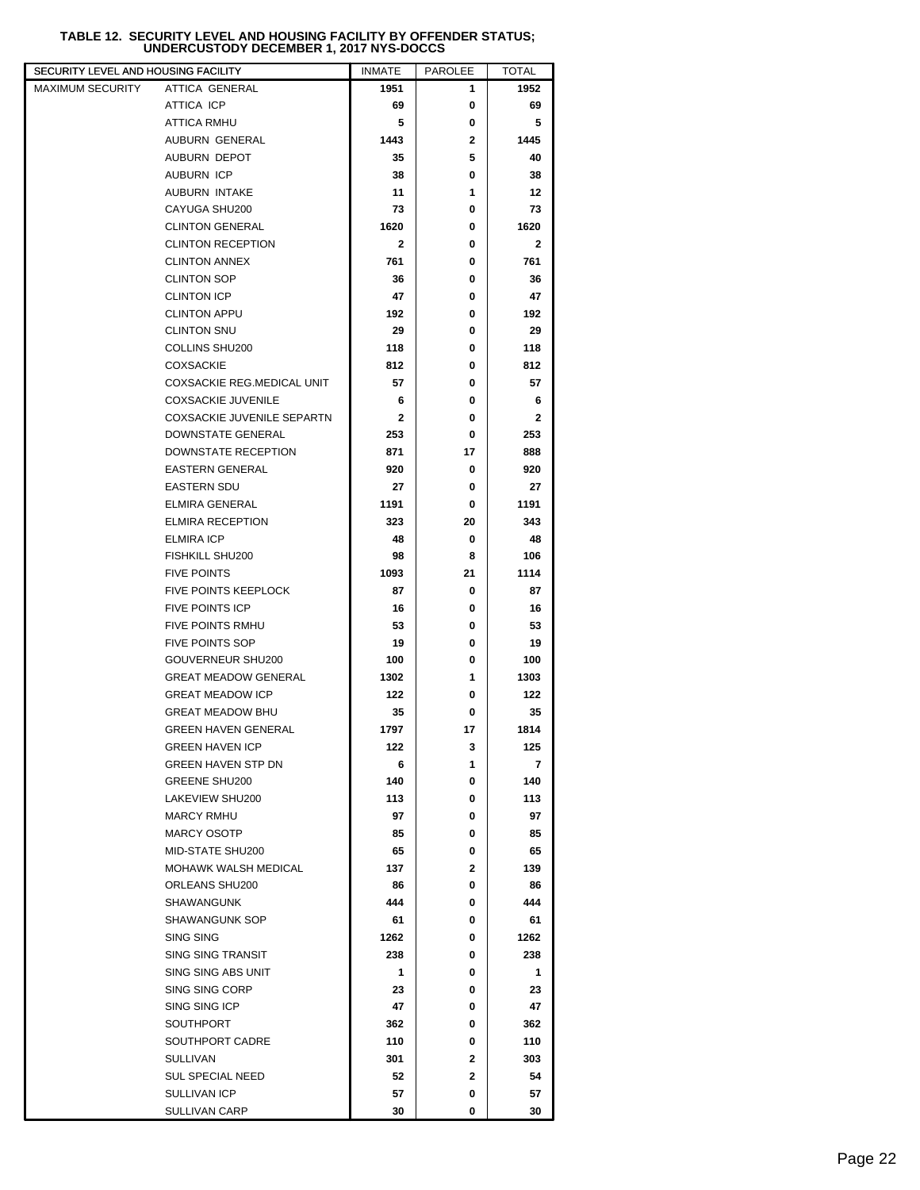# **TABLE 12. SECURITY LEVEL AND HOUSING FACILITY BY OFFENDER STATUS; UNDERCUSTODY DECEMBER 1, 2017 NYS-DOCCS**

| SECURITY LEVEL AND HOUSING FACILITY         | <b>INMATE</b> | <b>PAROLEE</b> | TOTAL        |  |
|---------------------------------------------|---------------|----------------|--------------|--|
| MAXIMUM SECURITY<br><b>ATTICA GENERAL</b>   | 1951          | 1              | 1952         |  |
| ATTICA ICP                                  | 69            | 0              | 69           |  |
| <b>ATTICA RMHU</b>                          | 5             | 0              | 5            |  |
| AUBURN GENERAL                              | 1443          | 2              | 1445         |  |
| AUBURN DEPOT                                | 35            | 5              | 40           |  |
| <b>AUBURN ICP</b>                           | 38            | 0              | 38           |  |
| AUBURN INTAKE                               | 11            | 1              | 12           |  |
| CAYUGA SHU200                               | 73            | 0              | 73           |  |
| <b>CLINTON GENERAL</b>                      | 1620          | 0              | 1620         |  |
| <b>CLINTON RECEPTION</b>                    | $\mathbf{2}$  | 0              | $\mathbf{2}$ |  |
| <b>CLINTON ANNEX</b>                        | 761           | 0              | 761          |  |
| <b>CLINTON SOP</b>                          | 36            | 0              | 36           |  |
| <b>CLINTON ICP</b>                          | 47            | 0              | 47           |  |
| <b>CLINTON APPU</b>                         | 192           | 0              | 192          |  |
| <b>CLINTON SNU</b>                          | 29            | 0              | 29           |  |
| COLLINS SHU200                              | 118           | 0              | 118          |  |
| <b>COXSACKIE</b>                            | 812           | 0              | 812          |  |
| <b>COXSACKIE REG.MEDICAL UNIT</b>           | 57            | 0              | 57           |  |
| <b>COXSACKIE JUVENILE</b>                   | 6             | 0              | 6            |  |
| COXSACKIE JUVENILE SEPARTN                  | $\mathbf{2}$  | 0              | $\mathbf{2}$ |  |
| DOWNSTATE GENERAL                           | 253           | 0              | 253          |  |
| <b>DOWNSTATE RECEPTION</b>                  | 871           | 17             | 888          |  |
| <b>EASTERN GENERAL</b>                      | 920           | 0              | 920          |  |
| <b>EASTERN SDU</b>                          | 27            | 0              | 27           |  |
| <b>ELMIRA GENERAL</b>                       | 1191          | 0              | 1191         |  |
| <b>ELMIRA RECEPTION</b>                     | 323           | 20             | 343          |  |
| <b>ELMIRA ICP</b>                           | 48            | 0              | 48           |  |
| FISHKILL SHU200                             | 98            | 8              | 106          |  |
| <b>FIVE POINTS</b>                          | 1093          | 21             | 1114         |  |
| <b>FIVE POINTS KEEPLOCK</b>                 | 87            | 0              | 87           |  |
| <b>FIVE POINTS ICP</b>                      | 16            | 0              | 16           |  |
| <b>FIVE POINTS RMHU</b>                     | 53            | 0              | 53           |  |
| <b>FIVE POINTS SOP</b><br>GOUVERNEUR SHU200 | 19<br>100     | 0<br>0         | 19<br>100    |  |
| <b>GREAT MEADOW GENERAL</b>                 |               | 1              |              |  |
| <b>GREAT MEADOW ICP</b>                     | 1302<br>122   | 0              | 1303<br>122  |  |
| <b>GREAT MEADOW BHU</b>                     | 35            | 0              | 35           |  |
| <b>GREEN HAVEN GENERAL</b>                  | 1797          | 17             | 1814         |  |
| <b>GREEN HAVEN ICP</b>                      | 122           | 3              | 125          |  |
| <b>GREEN HAVEN STP DN</b>                   | 6             | 1              | 7            |  |
| <b>GREENE SHU200</b>                        | 140           | 0              | 140          |  |
| LAKEVIEW SHU200                             | 113           | 0              | 113          |  |
| <b>MARCY RMHU</b>                           | 97            | 0              | 97           |  |
| <b>MARCY OSOTP</b>                          | 85            | 0              | 85           |  |
| MID-STATE SHU200                            | 65            | 0              | 65           |  |
| <b>MOHAWK WALSH MEDICAL</b>                 | 137           | $\mathbf{2}$   | 139          |  |
| ORLEANS SHU200                              | 86            | 0              | 86           |  |
| <b>SHAWANGUNK</b>                           | 444           | 0              | 444          |  |
| SHAWANGUNK SOP                              | 61            | 0              | 61           |  |
| SING SING                                   | 1262          | 0              | 1262         |  |
| SING SING TRANSIT                           | 238           | 0              | 238          |  |
| SING SING ABS UNIT                          | 1             | 0              | 1            |  |
| SING SING CORP                              | 23            | 0              | 23           |  |
| SING SING ICP                               | 47            | 0              | 47           |  |
| <b>SOUTHPORT</b>                            | 362           | 0              | 362          |  |
| SOUTHPORT CADRE                             | 110           | 0              | 110          |  |
| <b>SULLIVAN</b>                             | 301           | 2              | 303          |  |
| <b>SUL SPECIAL NEED</b>                     | 52            | 2              | 54           |  |
| SULLIVAN ICP                                | 57            | 0              | 57           |  |
| <b>SULLIVAN CARP</b>                        | 30            | 0              | 30           |  |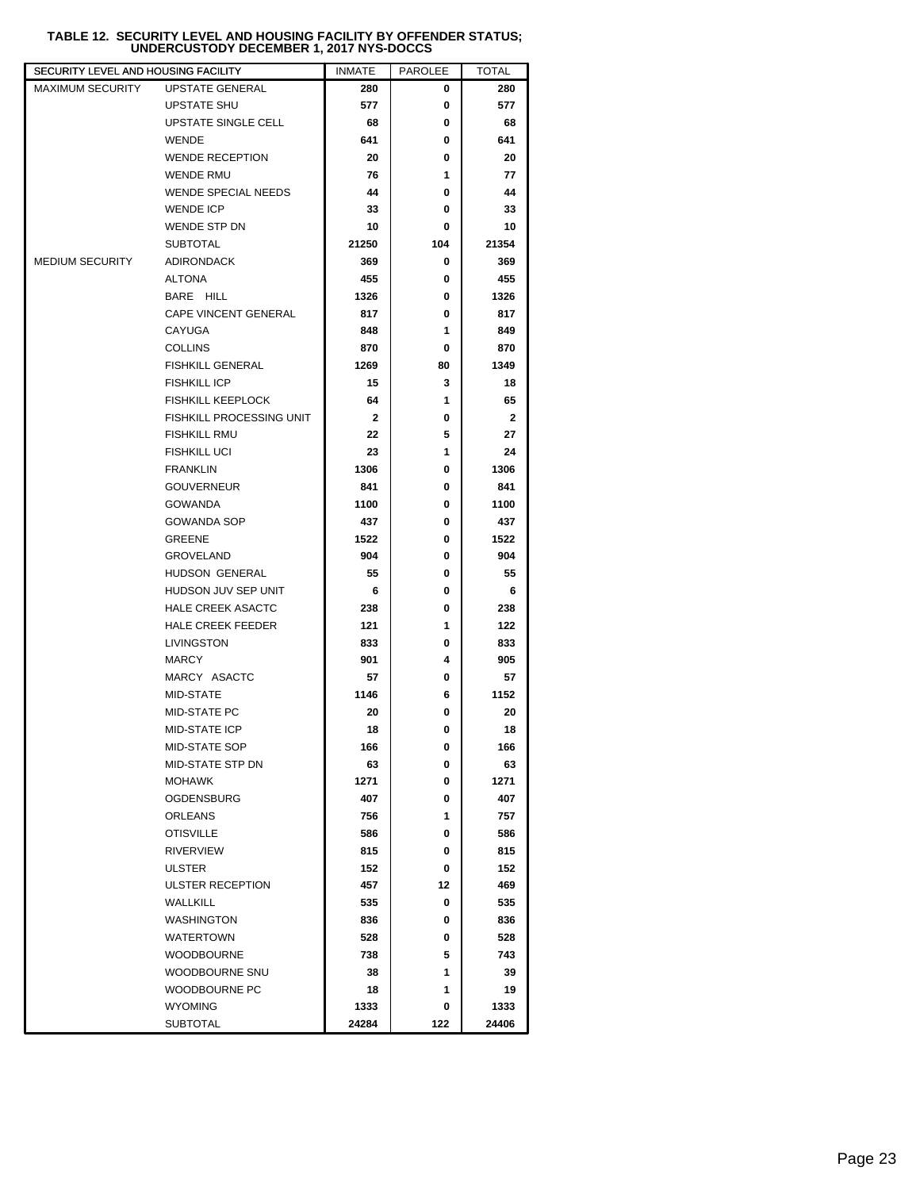## **TABLE 12. SECURITY LEVEL AND HOUSING FACILITY BY OFFENDER STATUS; UNDERCUSTODY DECEMBER 1, 2017 NYS-DOCCS**

| SECURITY LEVEL AND HOUSING FACILITY |                            | <b>INMATE</b> | <b>PAROLEE</b> | <b>TOTAL</b> |
|-------------------------------------|----------------------------|---------------|----------------|--------------|
| <b>MAXIMUM SECURITY</b>             | UPSTATE GENERAL            | 280           | 0              | 280          |
|                                     | <b>UPSTATE SHU</b>         | 577           | 0              | 577          |
|                                     | UPSTATE SINGLE CELL        | 68            | 0              | 68           |
|                                     | <b>WENDE</b>               | 641           | 0              | 641          |
|                                     | <b>WENDE RECEPTION</b>     | 20            | 0              | 20           |
|                                     | WENDE RMU                  | 76            | 1              | 77           |
|                                     | <b>WENDE SPECIAL NEEDS</b> | 44            | 0              | 44           |
|                                     | <b>WENDE ICP</b>           | 33            | 0              | 33           |
|                                     | <b>WENDE STP DN</b>        | 10            | 0              | 10           |
|                                     | <b>SUBTOTAL</b>            | 21250         | 104            | 21354        |
| <b>MEDIUM SECURITY</b>              | <b>ADIRONDACK</b>          | 369           | 0              | 369          |
|                                     | <b>ALTONA</b>              | 455           | 0              | 455          |
|                                     | BARE HILL                  | 1326          | 0              | 1326         |
|                                     | CAPE VINCENT GENERAL       | 817           | 0              | 817          |
|                                     | CAYUGA                     | 848           | 1              | 849          |
|                                     | <b>COLLINS</b>             | 870           | 0              | 870          |
|                                     | <b>FISHKILL GENERAL</b>    | 1269          | 80             | 1349         |
|                                     | <b>FISHKILL ICP</b>        | 15            | 3              | 18           |
|                                     | <b>FISHKILL KEEPLOCK</b>   | 64            | 1              | 65           |
|                                     | FISHKILL PROCESSING UNIT   | $\mathbf{2}$  | 0              | $\mathbf{2}$ |
|                                     | <b>FISHKILL RMU</b>        | 22            | 5              | 27           |
|                                     | <b>FISHKILL UCI</b>        | 23            | 1              | 24           |
|                                     | <b>FRANKLIN</b>            | 1306          | 0              | 1306         |
|                                     | <b>GOUVERNEUR</b>          | 841           | 0              | 841          |
|                                     | <b>GOWANDA</b>             | 1100          | 0              | 1100         |
|                                     | <b>GOWANDA SOP</b>         | 437           | 0              | 437          |
|                                     | <b>GREENE</b>              | 1522          | 0              | 1522         |
|                                     | <b>GROVELAND</b>           | 904           | 0              | 904          |
|                                     | HUDSON GENERAL             | 55            | 0              | 55           |
|                                     | HUDSON JUV SEP UNIT        | 6             | 0              | 6            |
|                                     | <b>HALE CREEK ASACTC</b>   | 238           | 0              | 238          |
|                                     | <b>HALE CREEK FEEDER</b>   | 121           | 1              | 122          |
|                                     | LIVINGSTON                 | 833           | 0              | 833          |
|                                     | <b>MARCY</b>               | 901           | 4              | 905          |
|                                     | MARCY ASACTC               | 57            | 0              | 57           |
|                                     | MID-STATE                  | 1146          | 6              | 1152         |
|                                     | MID-STATE PC               | 20            | 0              | 20           |
|                                     | <b>MID-STATE ICP</b>       | 18            | 0              | 18           |
|                                     | MID-STATE SOP              | 166           | 0              | 166          |
|                                     | MID-STATE STP DN           | 63            | 0              | 63           |
|                                     | <b>MOHAWK</b>              | 1271          | 0              | 1271         |
|                                     | <b>OGDENSBURG</b>          | 407           | 0              | 407          |
|                                     | <b>ORLEANS</b>             | 756           | 1              | 757          |
|                                     | <b>OTISVILLE</b>           | 586           | 0              | 586          |
|                                     | <b>RIVERVIEW</b>           | 815           | 0              | 815          |
|                                     | <b>ULSTER</b>              | 152           | 0              | 152          |
|                                     | ULSTER RECEPTION           | 457           | 12             | 469          |
|                                     | WALLKILL                   | 535           | 0              | 535          |
|                                     | <b>WASHINGTON</b>          | 836           | 0              | 836          |
|                                     | <b>WATERTOWN</b>           | 528           | 0              | 528          |
|                                     | <b>WOODBOURNE</b>          | 738           | 5              | 743          |
|                                     | WOODBOURNE SNU             | 38            | 1              | 39           |
|                                     | WOODBOURNE PC              | 18            | 1              | 19           |
|                                     | <b>WYOMING</b>             | 1333          | 0              | 1333         |
|                                     | <b>SUBTOTAL</b>            | 24284         | 122            | 24406        |
|                                     |                            |               |                |              |